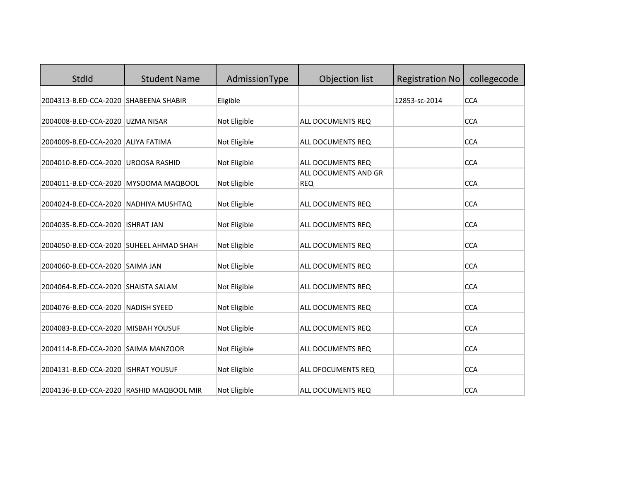| <b>StdId</b>                             | <b>Student Name</b> | AdmissionType | <b>Objection list</b>              | <b>Registration No</b> | collegecode |
|------------------------------------------|---------------------|---------------|------------------------------------|------------------------|-------------|
| 2004313-B.ED-CCA-2020 SHABEENA SHABIR    |                     | Eligible      |                                    | 12853-sc-2014          | <b>CCA</b>  |
| 2004008-B.ED-CCA-2020 UZMA NISAR         |                     | Not Eligible  | ALL DOCUMENTS REQ                  |                        | <b>CCA</b>  |
| 2004009-B.ED-CCA-2020 ALIYA FATIMA       |                     | Not Eligible  | ALL DOCUMENTS REQ                  |                        | <b>CCA</b>  |
| 2004010-B.ED-CCA-2020 UROOSA RASHID      |                     | Not Eligible  | ALL DOCUMENTS REQ                  |                        | <b>CCA</b>  |
| 2004011-B.ED-CCA-2020 MYSOOMA MAQBOOL    |                     | Not Eligible  | ALL DOCUMENTS AND GR<br><b>REQ</b> |                        | <b>CCA</b>  |
| 2004024-B.ED-CCA-2020 NADHIYA MUSHTAQ    |                     | Not Eligible  | ALL DOCUMENTS REQ                  |                        | <b>CCA</b>  |
| 2004035-B.ED-CCA-2020   ISHRAT JAN       |                     | Not Eligible  | ALL DOCUMENTS REQ                  |                        | <b>CCA</b>  |
| 2004050-B.ED-CCA-2020 SUHEEL AHMAD SHAH  |                     | Not Eligible  | ALL DOCUMENTS REQ                  |                        | <b>CCA</b>  |
| 2004060-B.ED-CCA-2020 SAIMA JAN          |                     | Not Eligible  | ALL DOCUMENTS REQ                  |                        | <b>CCA</b>  |
| 2004064-B.ED-CCA-2020 SHAISTA SALAM      |                     | Not Eligible  | ALL DOCUMENTS REQ                  |                        | <b>CCA</b>  |
| 2004076-B.ED-CCA-2020 NADISH SYEED       |                     | Not Eligible  | ALL DOCUMENTS REQ                  |                        | <b>CCA</b>  |
| 2004083-B.ED-CCA-2020 MISBAH YOUSUF      |                     | Not Eligible  | ALL DOCUMENTS REQ                  |                        | <b>CCA</b>  |
| 2004114-B.ED-CCA-2020 SAIMA MANZOOR      |                     | Not Eligible  | ALL DOCUMENTS REQ                  |                        | <b>CCA</b>  |
| 2004131-B.ED-CCA-2020   ISHRAT YOUSUF    |                     | Not Eligible  | ALL DFOCUMENTS REQ                 |                        | <b>CCA</b>  |
| 2004136-B.ED-CCA-2020 RASHID MAQBOOL MIR |                     | Not Eligible  | ALL DOCUMENTS REQ                  |                        | <b>CCA</b>  |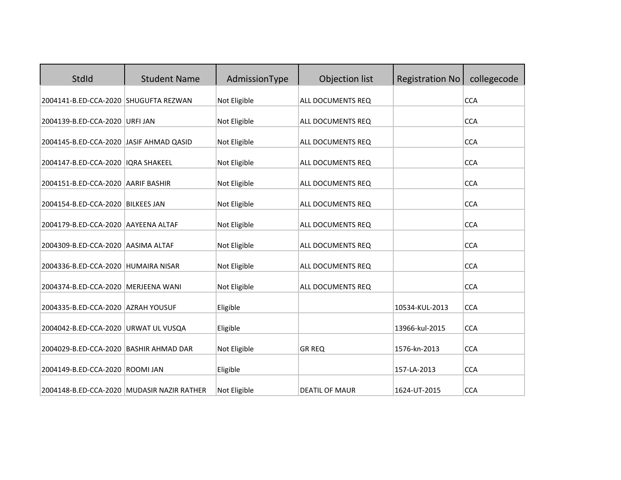| StdId                                   | <b>Student Name</b>                        | AdmissionType | <b>Objection list</b> | <b>Registration No</b> | collegecode |
|-----------------------------------------|--------------------------------------------|---------------|-----------------------|------------------------|-------------|
| 2004141-B.ED-CCA-2020 SHUGUFTA REZWAN   |                                            | Not Eligible  | ALL DOCUMENTS REQ     |                        | <b>CCA</b>  |
| 2004139-B.ED-CCA-2020 URFI JAN          |                                            | Not Eligible  | ALL DOCUMENTS REQ     |                        | <b>CCA</b>  |
| 2004145-B.ED-CCA-2020 JASIF AHMAD QASID |                                            | Not Eligible  | ALL DOCUMENTS REQ     |                        | <b>CCA</b>  |
| 2004147-B.ED-CCA-2020   IQRA SHAKEEL    |                                            | Not Eligible  | ALL DOCUMENTS REQ     |                        | <b>CCA</b>  |
| 2004151-B.ED-CCA-2020 AARIF BASHIR      |                                            | Not Eligible  | ALL DOCUMENTS REQ     |                        | <b>CCA</b>  |
| 2004154-B.ED-CCA-2020 BILKEES JAN       |                                            | Not Eligible  | ALL DOCUMENTS REQ     |                        | <b>CCA</b>  |
| 2004179-B.ED-CCA-2020 AAYEENA ALTAF     |                                            | Not Eligible  | ALL DOCUMENTS REQ     |                        | <b>CCA</b>  |
| 2004309-B.ED-CCA-2020 AASIMA ALTAF      |                                            | Not Eligible  | ALL DOCUMENTS REQ     |                        | <b>CCA</b>  |
| 2004336-B.ED-CCA-2020 HUMAIRA NISAR     |                                            | Not Eligible  | ALL DOCUMENTS REQ     |                        | <b>CCA</b>  |
| 2004374-B.ED-CCA-2020   MERJEENA WANI   |                                            | Not Eligible  | ALL DOCUMENTS REQ     |                        | <b>CCA</b>  |
| 2004335-B.ED-CCA-2020 AZRAH YOUSUF      |                                            | Eligible      |                       | 10534-KUL-2013         | <b>CCA</b>  |
| 2004042-B.ED-CCA-2020 URWAT UL VUSQA    |                                            | Eligible      |                       | 13966-kul-2015         | <b>CCA</b>  |
| 2004029-B.ED-CCA-2020 BASHIR AHMAD DAR  |                                            | Not Eligible  | <b>GR REQ</b>         | 1576-kn-2013           | <b>CCA</b>  |
| 2004149-B.ED-CCA-2020 ROOMI JAN         |                                            | Eligible      |                       | 157-LA-2013            | <b>CCA</b>  |
|                                         | 2004148-B.ED-CCA-2020 MUDASIR NAZIR RATHER | Not Eligible  | <b>DEATIL OF MAUR</b> | 1624-UT-2015           | <b>CCA</b>  |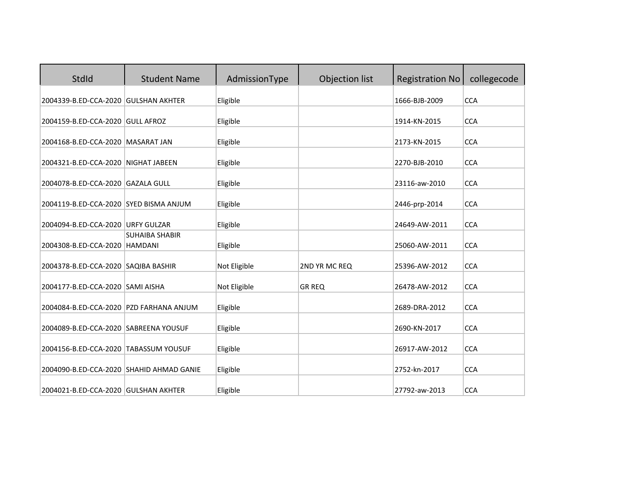| <b>StdId</b>                             | <b>Student Name</b>   | AdmissionType | Objection list | <b>Registration No</b> | collegecode |
|------------------------------------------|-----------------------|---------------|----------------|------------------------|-------------|
| 2004339-B.ED-CCA-2020 GULSHAN AKHTER     |                       | Eligible      |                | 1666-BJB-2009          | <b>CCA</b>  |
| 2004159-B.ED-CCA-2020 GULL AFROZ         |                       | Eligible      |                | 1914-KN-2015           | <b>CCA</b>  |
| 2004168-B.ED-CCA-2020   MASARAT JAN      |                       | Eligible      |                | 2173-KN-2015           | <b>CCA</b>  |
| 2004321-B.ED-CCA-2020 NIGHAT JABEEN      |                       | Eligible      |                | 2270-BJB-2010          | <b>CCA</b>  |
| 2004078-B.ED-CCA-2020 GAZALA GULL        |                       | Eligible      |                | 23116-aw-2010          | <b>CCA</b>  |
| 2004119-B.ED-CCA-2020 SYED BISMA ANJUM   |                       | Eligible      |                | 2446-prp-2014          | <b>CCA</b>  |
| 2004094-B.ED-CCA-2020 URFY GULZAR        |                       | Eligible      |                | 24649-AW-2011          | <b>CCA</b>  |
| 2004308-B.ED-CCA-2020   HAMDANI          | <b>SUHAIBA SHABIR</b> | Eligible      |                | 25060-AW-2011          | <b>CCA</b>  |
| 2004378-B.ED-CCA-2020 SAQIBA BASHIR      |                       | Not Eligible  | 2ND YR MC REQ  | 25396-AW-2012          | <b>CCA</b>  |
| 2004177-B.ED-CCA-2020 SAMI AISHA         |                       | Not Eligible  | <b>GR REQ</b>  | 26478-AW-2012          | <b>CCA</b>  |
| 2004084-B.ED-CCA-2020 PZD FARHANA ANJUM  |                       | Eligible      |                | 2689-DRA-2012          | <b>CCA</b>  |
| 2004089-B.ED-CCA-2020 SABREENA YOUSUF    |                       | Eligible      |                | 2690-KN-2017           | <b>CCA</b>  |
| 2004156-B.ED-CCA-2020 TABASSUM YOUSUF    |                       | Eligible      |                | 26917-AW-2012          | <b>CCA</b>  |
| 2004090-B.ED-CCA-2020 SHAHID AHMAD GANIE |                       | Eligible      |                | 2752-kn-2017           | <b>CCA</b>  |
| 2004021-B.ED-CCA-2020 GULSHAN AKHTER     |                       | Eligible      |                | 27792-aw-2013          | <b>CCA</b>  |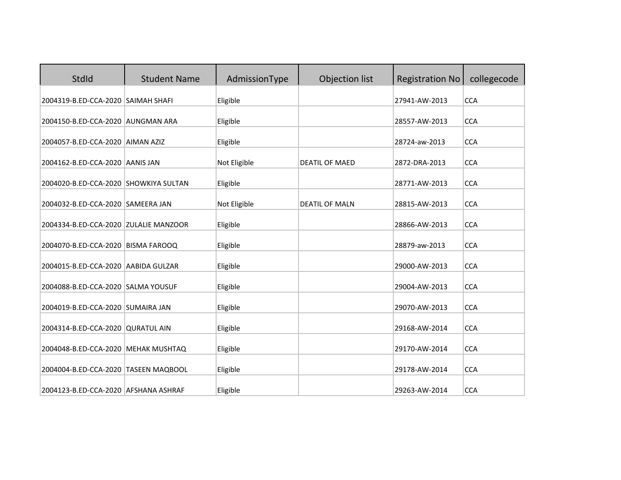| <b>StdId</b>                          | <b>Student Name</b> | AdmissionType | Objection list        | <b>Registration No</b> | collegecode |
|---------------------------------------|---------------------|---------------|-----------------------|------------------------|-------------|
| 2004319-B.ED-CCA-2020 SAIMAH SHAFI    |                     | Eligible      |                       | 27941-AW-2013          | <b>CCA</b>  |
| 2004150-B.ED-CCA-2020 AUNGMAN ARA     |                     | Eligible      |                       | 28557-AW-2013          | <b>CCA</b>  |
| 2004057-B.ED-CCA-2020 AIMAN AZIZ      |                     | Eligible      |                       | 28724-aw-2013          | <b>CCA</b>  |
| 2004162-B.ED-CCA-2020 AANIS JAN       |                     | Not Eligible  | <b>DEATIL OF MAED</b> | 2872-DRA-2013          | <b>CCA</b>  |
| 2004020-B.ED-CCA-2020 SHOWKIYA SULTAN |                     | Eligible      |                       | 28771-AW-2013          | <b>CCA</b>  |
| 2004032-B.ED-CCA-2020 SAMEERA JAN     |                     | Not Eligible  | <b>DEATIL OF MALN</b> | 28815-AW-2013          | <b>CCA</b>  |
| 2004334-B.ED-CCA-2020 ZULALIE MANZOOR |                     | Eligible      |                       | 28866-AW-2013          | <b>CCA</b>  |
| 2004070-B.ED-CCA-2020 BISMA FAROOQ    |                     | Eligible      |                       | 28879-aw-2013          | <b>CCA</b>  |
| 2004015-B.ED-CCA-2020 AABIDA GULZAR   |                     | Eligible      |                       | 29000-AW-2013          | <b>CCA</b>  |
| 2004088-B.ED-CCA-2020 SALMA YOUSUF    |                     | Eligible      |                       | 29004-AW-2013          | <b>CCA</b>  |
| 2004019-B.ED-CCA-2020 SUMAIRA JAN     |                     | Eligible      |                       | 29070-AW-2013          | <b>CCA</b>  |
| 2004314-B.ED-CCA-2020 QURATUL AIN     |                     | Eligible      |                       | 29168-AW-2014          | <b>CCA</b>  |
| 2004048-B.ED-CCA-2020 MEHAK MUSHTAQ   |                     | Eligible      |                       | 29170-AW-2014          | <b>CCA</b>  |
| 2004004-B.ED-CCA-2020 TASEEN MAQBOOL  |                     | Eligible      |                       | 29178-AW-2014          | <b>CCA</b>  |
| 2004123-B.ED-CCA-2020 AFSHANA ASHRAF  |                     | Eligible      |                       | 29263-AW-2014          | <b>CCA</b>  |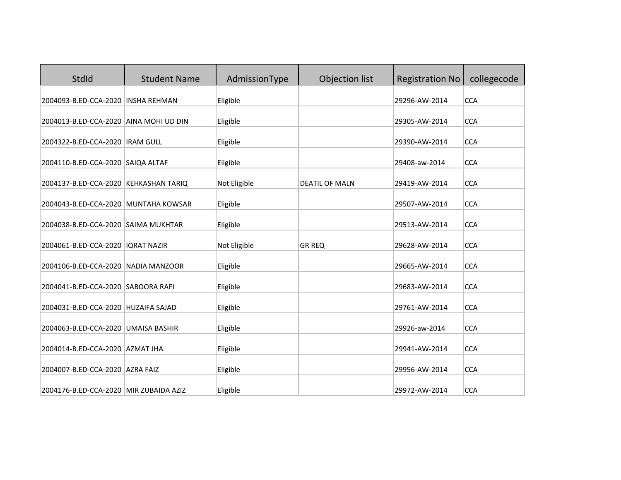| <b>StdId</b>                           | <b>Student Name</b> | AdmissionType | Objection list        | <b>Registration No</b> | collegecode |
|----------------------------------------|---------------------|---------------|-----------------------|------------------------|-------------|
| 2004093-B.ED-CCA-2020 INSHA REHMAN     |                     | Eligible      |                       | 29296-AW-2014          | <b>CCA</b>  |
| 2004013-B.ED-CCA-2020 AINA MOHI UD DIN |                     | Eligible      |                       | 29305-AW-2014          | <b>CCA</b>  |
| 2004322-B.ED-CCA-2020   IRAM GULL      |                     | Eligible      |                       | 29390-AW-2014          | <b>CCA</b>  |
| 2004110-B.ED-CCA-2020 SAIQA ALTAF      |                     | Eligible      |                       | 29408-aw-2014          | <b>CCA</b>  |
| 2004137-B.ED-CCA-2020 KEHKASHAN TARIQ  |                     | Not Eligible  | <b>DEATIL OF MALN</b> | 29419-AW-2014          | <b>CCA</b>  |
| 2004043-B.ED-CCA-2020 MUNTAHA KOWSAR   |                     | Eligible      |                       | 29507-AW-2014          | <b>CCA</b>  |
| 2004038-B.ED-CCA-2020 SAIMA MUKHTAR    |                     | Eligible      |                       | 29513-AW-2014          | <b>CCA</b>  |
| 2004061-B.ED-CCA-2020   IQRAT NAZIR    |                     | Not Eligible  | <b>GR REQ</b>         | 29628-AW-2014          | <b>CCA</b>  |
| 2004106-B.ED-CCA-2020 NADIA MANZOOR    |                     | Eligible      |                       | 29665-AW-2014          | <b>CCA</b>  |
| 2004041-B.ED-CCA-2020 SABOORA RAFI     |                     | Eligible      |                       | 29683-AW-2014          | <b>CCA</b>  |
| 2004031-B.ED-CCA-2020 HUZAIFA SAJAD    |                     | Eligible      |                       | 29761-AW-2014          | <b>CCA</b>  |
| 2004063-B.ED-CCA-2020 UMAISA BASHIR    |                     | Eligible      |                       | 29926-aw-2014          | <b>CCA</b>  |
| 2004014-B.ED-CCA-2020 AZMAT JHA        |                     | Eligible      |                       | 29941-AW-2014          | <b>CCA</b>  |
| 2004007-B.ED-CCA-2020 AZRA FAIZ        |                     | Eligible      |                       | 29956-AW-2014          | <b>CCA</b>  |
| 2004176-B.ED-CCA-2020 MIR ZUBAIDA AZIZ |                     | Eligible      |                       | 29972-AW-2014          | <b>CCA</b>  |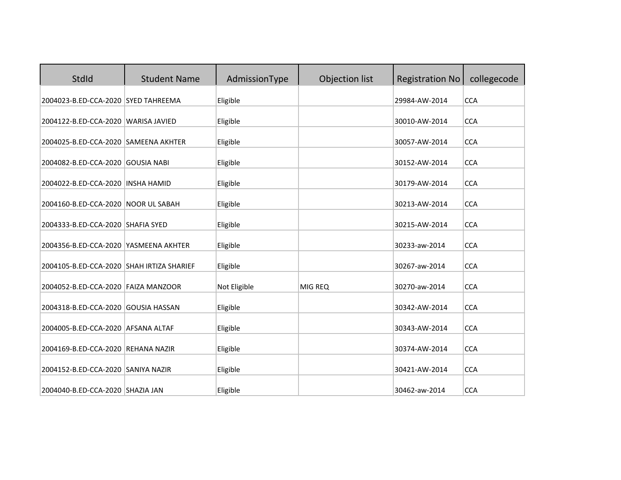| <b>StdId</b>                              | <b>Student Name</b> | AdmissionType | Objection list | <b>Registration No</b> | collegecode |
|-------------------------------------------|---------------------|---------------|----------------|------------------------|-------------|
| 2004023-B.ED-CCA-2020 SYED TAHREEMA       |                     | Eligible      |                | 29984-AW-2014          | <b>CCA</b>  |
| 2004122-B.ED-CCA-2020 WARISA JAVIED       |                     | Eligible      |                | 30010-AW-2014          | <b>CCA</b>  |
| 2004025-B.ED-CCA-2020 SAMEENA AKHTER      |                     | Eligible      |                | 30057-AW-2014          | <b>CCA</b>  |
| 2004082-B.ED-CCA-2020 GOUSIA NABI         |                     | Eligible      |                | 30152-AW-2014          | <b>CCA</b>  |
| 2004022-B.ED-CCA-2020                     | <b>INSHA HAMID</b>  | Eligible      |                | 30179-AW-2014          | <b>CCA</b>  |
| 2004160-B.ED-CCA-2020 NOOR UL SABAH       |                     | Eligible      |                | 30213-AW-2014          | <b>CCA</b>  |
| 2004333-B.ED-CCA-2020 SHAFIA SYED         |                     | Eligible      |                | 30215-AW-2014          | <b>CCA</b>  |
| 2004356-B.ED-CCA-2020 YASMEENA AKHTER     |                     | Eligible      |                | 30233-aw-2014          | <b>CCA</b>  |
| 2004105-B.ED-CCA-2020 SHAH IRTIZA SHARIEF |                     | Eligible      |                | 30267-aw-2014          | <b>CCA</b>  |
| 2004052-B.ED-CCA-2020 FAIZA MANZOOR       |                     | Not Eligible  | MIG REQ        | 30270-aw-2014          | <b>CCA</b>  |
| 2004318-B.ED-CCA-2020 GOUSIA HASSAN       |                     | Eligible      |                | 30342-AW-2014          | <b>CCA</b>  |
| 2004005-B.ED-CCA-2020 AFSANA ALTAF        |                     | Eligible      |                | 30343-AW-2014          | <b>CCA</b>  |
| 2004169-B.ED-CCA-2020 REHANA NAZIR        |                     | Eligible      |                | 30374-AW-2014          | <b>CCA</b>  |
| 2004152-B.ED-CCA-2020 SANIYA NAZIR        |                     | Eligible      |                | 30421-AW-2014          | <b>CCA</b>  |
| 2004040-B.ED-CCA-2020 SHAZIA JAN          |                     | Eligible      |                | 30462-aw-2014          | <b>CCA</b>  |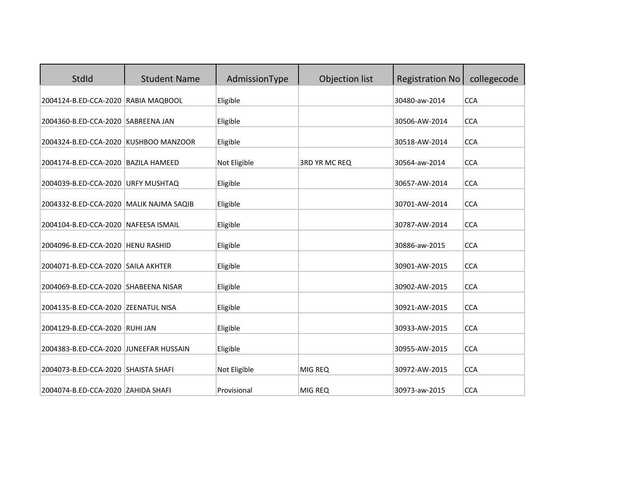| <b>StdId</b>                            | <b>Student Name</b> | AdmissionType | Objection list       | <b>Registration No</b> | collegecode |
|-----------------------------------------|---------------------|---------------|----------------------|------------------------|-------------|
| 2004124-B.ED-CCA-2020 RABIA MAQBOOL     |                     | Eligible      |                      | 30480-aw-2014          | <b>CCA</b>  |
| 2004360-B.ED-CCA-2020 SABREENA JAN      |                     | Eligible      |                      | 30506-AW-2014          | <b>CCA</b>  |
| 2004324-B.ED-CCA-2020 KUSHBOO MANZOOR   |                     | Eligible      |                      | 30518-AW-2014          | <b>CCA</b>  |
| 2004174-B.ED-CCA-2020 BAZILA HAMEED     |                     | Not Eligible  | <b>3RD YR MC REQ</b> | 30564-aw-2014          | <b>CCA</b>  |
| 2004039-B.ED-CCA-2020 URFY MUSHTAQ      |                     | Eligible      |                      | 30657-AW-2014          | <b>CCA</b>  |
| 2004332-B.ED-CCA-2020 MALIK NAJMA SAQIB |                     | Eligible      |                      | 30701-AW-2014          | <b>CCA</b>  |
| 2004104-B.ED-CCA-2020 NAFEESA ISMAIL    |                     | Eligible      |                      | 30787-AW-2014          | <b>CCA</b>  |
| 2004096-B.ED-CCA-2020   HENU RASHID     |                     | Eligible      |                      | 30886-aw-2015          | <b>CCA</b>  |
| 2004071-B.ED-CCA-2020 SAILA AKHTER      |                     | Eligible      |                      | 30901-AW-2015          | <b>CCA</b>  |
| 2004069-B.ED-CCA-2020 SHABEENA NISAR    |                     | Eligible      |                      | 30902-AW-2015          | <b>CCA</b>  |
| 2004135-B.ED-CCA-2020 ZEENATUL NISA     |                     | Eligible      |                      | 30921-AW-2015          | <b>CCA</b>  |
| 2004129-B.ED-CCA-2020 RUHI JAN          |                     | Eligible      |                      | 30933-AW-2015          | <b>CCA</b>  |
| 2004383-B.ED-CCA-2020 JUNEEFAR HUSSAIN  |                     | Eligible      |                      | 30955-AW-2015          | <b>CCA</b>  |
| 2004073-B.ED-CCA-2020 SHAISTA SHAFI     |                     | Not Eligible  | MIG REQ              | 30972-AW-2015          | <b>CCA</b>  |
| 2004074-B.ED-CCA-2020 ZAHIDA SHAFI      |                     | Provisional   | MIG REQ              | 30973-aw-2015          | <b>CCA</b>  |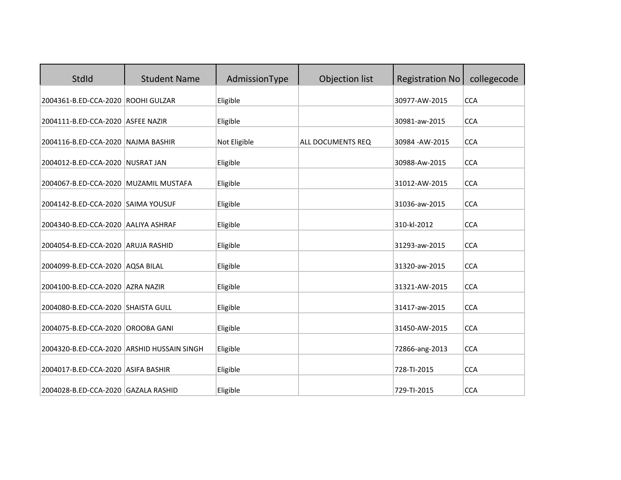| StdId                                      | <b>Student Name</b> | AdmissionType | Objection list    | <b>Registration No</b> | collegecode |
|--------------------------------------------|---------------------|---------------|-------------------|------------------------|-------------|
| 2004361-B.ED-CCA-2020 ROOHI GULZAR         |                     | Eligible      |                   | 30977-AW-2015          | <b>CCA</b>  |
| 2004111-B.ED-CCA-2020 ASFEE NAZIR          |                     | Eligible      |                   | 30981-aw-2015          | <b>CCA</b>  |
| 2004116-B.ED-CCA-2020 NAJMA BASHIR         |                     | Not Eligible  | ALL DOCUMENTS REQ | 30984 - AW-2015        | <b>CCA</b>  |
| 2004012-B.ED-CCA-2020 NUSRAT JAN           |                     | Eligible      |                   | 30988-Aw-2015          | <b>CCA</b>  |
| 2004067-B.ED-CCA-2020 MUZAMIL MUSTAFA      |                     | Eligible      |                   | 31012-AW-2015          | <b>CCA</b>  |
| 2004142-B.ED-CCA-2020 SAIMA YOUSUF         |                     | Eligible      |                   | 31036-aw-2015          | <b>CCA</b>  |
| 2004340-B.ED-CCA-2020 AALIYA ASHRAF        |                     | Eligible      |                   | 310-kl-2012            | <b>CCA</b>  |
| 2004054-B.ED-CCA-2020 ARUJA RASHID         |                     | Eligible      |                   | 31293-aw-2015          | <b>CCA</b>  |
| 2004099-B.ED-CCA-2020 AQSA BILAL           |                     | Eligible      |                   | 31320-aw-2015          | <b>CCA</b>  |
| 2004100-B.ED-CCA-2020 AZRA NAZIR           |                     | Eligible      |                   | 31321-AW-2015          | <b>CCA</b>  |
| 2004080-B.ED-CCA-2020 SHAISTA GULL         |                     | Eligible      |                   | 31417-aw-2015          | <b>CCA</b>  |
| 2004075-B.ED-CCA-2020 OROOBA GANI          |                     | Eligible      |                   | 31450-AW-2015          | <b>CCA</b>  |
| 2004320-B.ED-CCA-2020 ARSHID HUSSAIN SINGH |                     | Eligible      |                   | 72866-ang-2013         | <b>CCA</b>  |
| 2004017-B.ED-CCA-2020 ASIFA BASHIR         |                     | Eligible      |                   | 728-TI-2015            | <b>CCA</b>  |
| 2004028-B.ED-CCA-2020 GAZALA RASHID        |                     | Eligible      |                   | 729-TI-2015            | <b>CCA</b>  |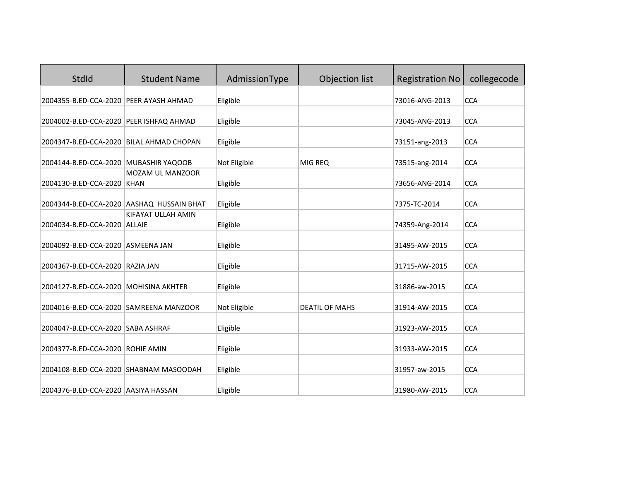| StdId                                    | <b>Student Name</b>                       | AdmissionType | Objection list        | <b>Registration No</b> | collegecode |
|------------------------------------------|-------------------------------------------|---------------|-----------------------|------------------------|-------------|
| 2004355-B.ED-CCA-2020 PEER AYASH AHMAD   |                                           | Eligible      |                       | 73016-ANG-2013         | <b>CCA</b>  |
| 2004002-B.ED-CCA-2020 PEER ISHFAQ AHMAD  |                                           | Eligible      |                       | 73045-ANG-2013         | <b>CCA</b>  |
| 2004347-B.ED-CCA-2020 BILAL AHMAD CHOPAN |                                           | Eligible      |                       | 73151-ang-2013         | <b>CCA</b>  |
| 2004144-B.ED-CCA-2020 MUBASHIR YAQOOB    |                                           | Not Eligible  | MIG REQ               | 73515-ang-2014         | <b>CCA</b>  |
| 2004130-B.ED-CCA-2020 KHAN               | MOZAM UL MANZOOR                          | Eligible      |                       | 73656-ANG-2014         | <b>CCA</b>  |
|                                          | 2004344-B.ED-CCA-2020 AASHAQ HUSSAIN BHAT | Eligible      |                       | 7375-TC-2014           | <b>CCA</b>  |
| 2004034-B.ED-CCA-2020 ALLAIE             | KIFAYAT ULLAH AMIN                        | Eligible      |                       | 74359-Ang-2014         | <b>CCA</b>  |
| 2004092-B.ED-CCA-2020 ASMEENA JAN        |                                           | Eligible      |                       | 31495-AW-2015          | <b>CCA</b>  |
| 2004367-B.ED-CCA-2020 RAZIA JAN          |                                           | Eligible      |                       | 31715-AW-2015          | <b>CCA</b>  |
| 2004127-B.ED-CCA-2020 MOHISINA AKHTER    |                                           | Eligible      |                       | 31886-aw-2015          | <b>CCA</b>  |
| 2004016-B.ED-CCA-2020 SAMREENA MANZOOR   |                                           | Not Eligible  | <b>DEATIL OF MAHS</b> | 31914-AW-2015          | <b>CCA</b>  |
| 2004047-B.ED-CCA-2020 SABA ASHRAF        |                                           | Eligible      |                       | 31923-AW-2015          | <b>CCA</b>  |
| 2004377-B.ED-CCA-2020 ROHIE AMIN         |                                           | Eligible      |                       | 31933-AW-2015          | <b>CCA</b>  |
| 2004108-B.ED-CCA-2020 SHABNAM MASOODAH   |                                           | Eligible      |                       | 31957-aw-2015          | <b>CCA</b>  |
| 2004376-B.ED-CCA-2020 AASIYA HASSAN      |                                           | Eligible      |                       | 31980-AW-2015          | <b>CCA</b>  |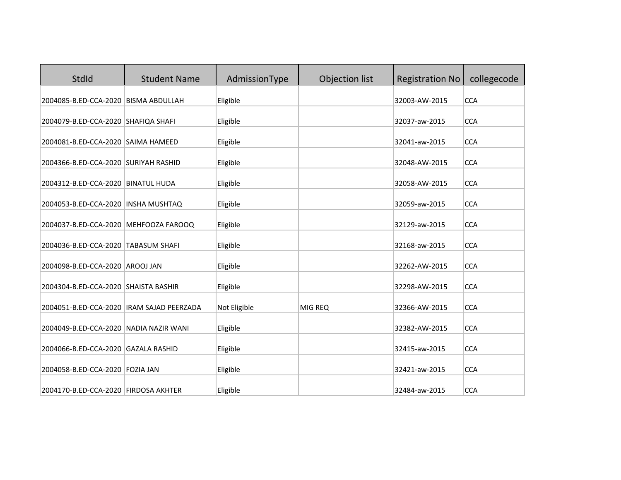| StdId                                     | <b>Student Name</b> | AdmissionType | Objection list | <b>Registration No</b> | collegecode |
|-------------------------------------------|---------------------|---------------|----------------|------------------------|-------------|
| 2004085-B.ED-CCA-2020 BISMA ABDULLAH      |                     | Eligible      |                | 32003-AW-2015          | <b>CCA</b>  |
| 2004079-B.ED-CCA-2020 SHAFIQA SHAFI       |                     | Eligible      |                | 32037-aw-2015          | <b>CCA</b>  |
| 2004081-B.ED-CCA-2020 SAIMA HAMEED        |                     | Eligible      |                | 32041-aw-2015          | <b>CCA</b>  |
| 2004366-B.ED-CCA-2020 SURIYAH RASHID      |                     | Eligible      |                | 32048-AW-2015          | <b>CCA</b>  |
| 2004312-B.ED-CCA-2020 BINATUL HUDA        |                     | Eligible      |                | 32058-AW-2015          | <b>CCA</b>  |
| 2004053-B.ED-CCA-2020 INSHA MUSHTAQ       |                     | Eligible      |                | 32059-aw-2015          | <b>CCA</b>  |
| 2004037-B.ED-CCA-2020 MEHFOOZA FAROOQ     |                     | Eligible      |                | 32129-aw-2015          | <b>CCA</b>  |
| 2004036-B.ED-CCA-2020 TABASUM SHAFI       |                     | Eligible      |                | 32168-aw-2015          | <b>CCA</b>  |
| 2004098-B.ED-CCA-2020 AROOJ JAN           |                     | Eligible      |                | 32262-AW-2015          | <b>CCA</b>  |
| 2004304-B.ED-CCA-2020 SHAISTA BASHIR      |                     | Eligible      |                | 32298-AW-2015          | <b>CCA</b>  |
| 2004051-B.ED-CCA-2020 IRAM SAJAD PEERZADA |                     | Not Eligible  | MIG REQ        | 32366-AW-2015          | <b>CCA</b>  |
| 2004049-B.ED-CCA-2020 NADIA NAZIR WANI    |                     | Eligible      |                | 32382-AW-2015          | <b>CCA</b>  |
| 2004066-B.ED-CCA-2020 GAZALA RASHID       |                     | Eligible      |                | 32415-aw-2015          | <b>CCA</b>  |
| 2004058-B.ED-CCA-2020 FOZIA JAN           |                     | Eligible      |                | 32421-aw-2015          | <b>CCA</b>  |
| 2004170-B.ED-CCA-2020 FIRDOSA AKHTER      |                     | Eligible      |                | 32484-aw-2015          | <b>CCA</b>  |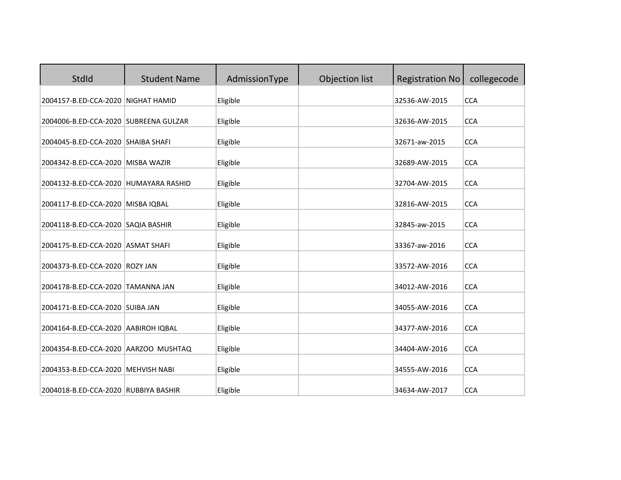| StdId                                 | <b>Student Name</b> | AdmissionType | Objection list | <b>Registration No</b> | collegecode |
|---------------------------------------|---------------------|---------------|----------------|------------------------|-------------|
| 2004157-B.ED-CCA-2020 NIGHAT HAMID    |                     | Eligible      |                | 32536-AW-2015          | <b>CCA</b>  |
| 2004006-B.ED-CCA-2020 SUBREENA GULZAR |                     | Eligible      |                | 32636-AW-2015          | <b>CCA</b>  |
| 2004045-B.ED-CCA-2020 SHAIBA SHAFI    |                     | Eligible      |                | 32671-aw-2015          | <b>CCA</b>  |
| 2004342-B.ED-CCA-2020 MISBA WAZIR     |                     | Eligible      |                | 32689-AW-2015          | <b>CCA</b>  |
| 2004132-B.ED-CCA-2020 HUMAYARA RASHID |                     | Eligible      |                | 32704-AW-2015          | <b>CCA</b>  |
| 2004117-B.ED-CCA-2020 MISBA IQBAL     |                     | Eligible      |                | 32816-AW-2015          | <b>CCA</b>  |
| 2004118-B.ED-CCA-2020 SAQIA BASHIR    |                     | Eligible      |                | 32845-aw-2015          | <b>CCA</b>  |
| 2004175-B.ED-CCA-2020 ASMAT SHAFI     |                     | Eligible      |                | 33367-aw-2016          | <b>CCA</b>  |
| 2004373-B.ED-CCA-2020 ROZY JAN        |                     | Eligible      |                | 33572-AW-2016          | <b>CCA</b>  |
| 2004178-B.ED-CCA-2020 TAMANNA JAN     |                     | Eligible      |                | 34012-AW-2016          | <b>CCA</b>  |
| 2004171-B.ED-CCA-2020 SUIBA JAN       |                     | Eligible      |                | 34055-AW-2016          | <b>CCA</b>  |
| 2004164-B.ED-CCA-2020 AABIROH IQBAL   |                     | Eligible      |                | 34377-AW-2016          | <b>CCA</b>  |
| 2004354-B.ED-CCA-2020 AARZOO MUSHTAQ  |                     | Eligible      |                | 34404-AW-2016          | <b>CCA</b>  |
| 2004353-B.ED-CCA-2020 MEHVISH NABI    |                     | Eligible      |                | 34555-AW-2016          | <b>CCA</b>  |
| 2004018-B.ED-CCA-2020 RUBBIYA BASHIR  |                     | Eligible      |                | 34634-AW-2017          | <b>CCA</b>  |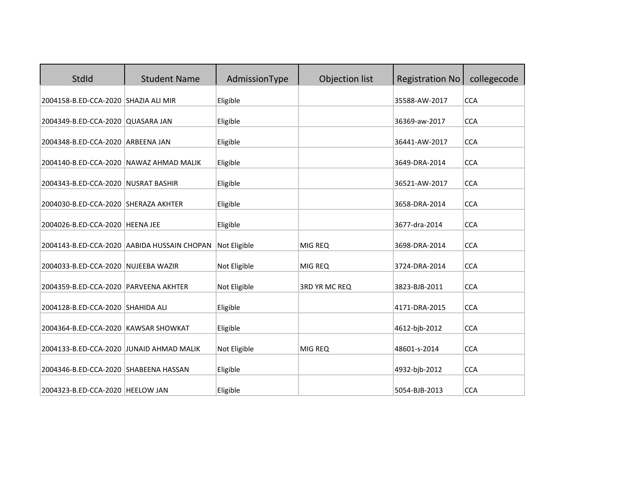| StdId                                                                       | <b>Student Name</b>                         | AdmissionType        | Objection list | <b>Registration No</b>         | collegecode              |
|-----------------------------------------------------------------------------|---------------------------------------------|----------------------|----------------|--------------------------------|--------------------------|
| 2004158-B.ED-CCA-2020 SHAZIA ALI MIR                                        |                                             | Eligible             |                | 35588-AW-2017                  | <b>CCA</b>               |
| 2004349-B.ED-CCA-2020 QUASARA JAN                                           |                                             | Eligible             |                | 36369-aw-2017                  | <b>CCA</b>               |
| 2004348-B.ED-CCA-2020 ARBEENA JAN                                           |                                             | Eligible             |                | 36441-AW-2017                  | <b>CCA</b>               |
| 2004140-B.ED-CCA-2020 NAWAZ AHMAD MALIK                                     |                                             | Eligible             |                | 3649-DRA-2014                  | <b>CCA</b>               |
| 2004343-B.ED-CCA-2020 NUSRAT BASHIR                                         |                                             | Eligible             |                | 36521-AW-2017                  | <b>CCA</b>               |
| 2004030-B.ED-CCA-2020 SHERAZA AKHTER                                        |                                             | Eligible             |                | 3658-DRA-2014                  | <b>CCA</b>               |
| 2004026-B.ED-CCA-2020 HEENA JEE                                             |                                             | Eligible             |                | 3677-dra-2014                  | <b>CCA</b>               |
|                                                                             | 2004143-B.ED-CCA-2020 AABIDA HUSSAIN CHOPAN | Not Eligible         | MIG REQ        | 3698-DRA-2014                  | <b>CCA</b>               |
| 2004033-B.ED-CCA-2020 NUJEEBA WAZIR                                         |                                             | Not Eligible         | MIG REQ        | 3724-DRA-2014                  | <b>CCA</b>               |
| 2004359-B.ED-CCA-2020 PARVEENA AKHTER                                       |                                             | Not Eligible         | 3RD YR MC REQ  | 3823-BJB-2011                  | <b>CCA</b>               |
| 2004128-B.ED-CCA-2020 SHAHIDA ALI                                           |                                             | Eligible             |                | 4171-DRA-2015                  | <b>CCA</b>               |
| 2004364-B.ED-CCA-2020 KAWSAR SHOWKAT                                        |                                             | Eligible             |                | 4612-bjb-2012                  | <b>CCA</b>               |
|                                                                             |                                             |                      |                |                                |                          |
| 2004133-B.ED-CCA-2020 JUNAID AHMAD MALIK                                    |                                             | Not Eligible         | MIG REQ        | 48601-s-2014                   | <b>CCA</b>               |
| 2004346-B.ED-CCA-2020 SHABEENA HASSAN<br>2004323-B.ED-CCA-2020   HEELOW JAN |                                             | Eligible<br>Eligible |                | 4932-bjb-2012<br>5054-BJB-2013 | <b>CCA</b><br><b>CCA</b> |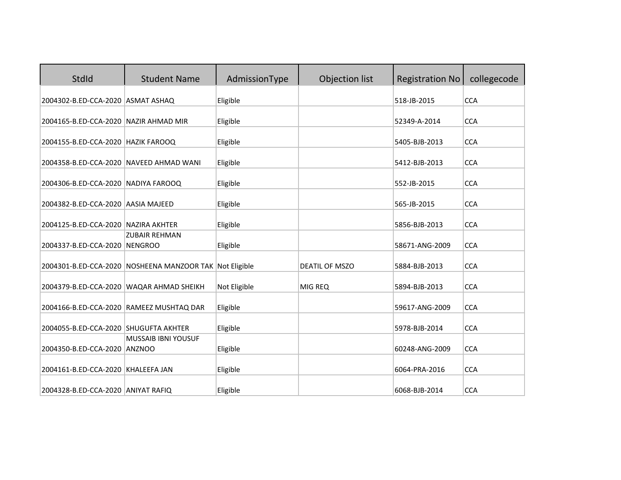| StdId                                    | <b>Student Name</b>                                     | AdmissionType | Objection list        | <b>Registration No</b> | collegecode |
|------------------------------------------|---------------------------------------------------------|---------------|-----------------------|------------------------|-------------|
| 2004302-B.ED-CCA-2020 ASMAT ASHAQ        |                                                         | Eligible      |                       | 518-JB-2015            | <b>CCA</b>  |
| 2004165-B.ED-CCA-2020 NAZIR AHMAD MIR    |                                                         | Eligible      |                       | 52349-A-2014           | <b>CCA</b>  |
| 2004155-B.ED-CCA-2020 HAZIK FAROOQ       |                                                         | Eligible      |                       | 5405-BJB-2013          | <b>CCA</b>  |
| 2004358-B.ED-CCA-2020 NAVEED AHMAD WANI  |                                                         | Eligible      |                       | 5412-BJB-2013          | <b>CCA</b>  |
| 2004306-B.ED-CCA-2020 NADIYA FAROOQ      |                                                         | Eligible      |                       | 552-JB-2015            | <b>CCA</b>  |
| 2004382-B.ED-CCA-2020 AASIA MAJEED       |                                                         | Eligible      |                       | 565-JB-2015            | <b>CCA</b>  |
| 2004125-B.ED-CCA-2020 NAZIRA AKHTER      |                                                         | Eligible      |                       | 5856-BJB-2013          | <b>CCA</b>  |
| 2004337-B.ED-CCA-2020 NENGROO            | <b>ZUBAIR REHMAN</b>                                    | Eligible      |                       | 58671-ANG-2009         | <b>CCA</b>  |
|                                          | 2004301-B.ED-CCA-2020 NOSHEENA MANZOOR TAK Not Eligible |               | <b>DEATIL OF MSZO</b> | 5884-BJB-2013          | <b>CCA</b>  |
| 2004379-B.ED-CCA-2020 WAQAR AHMAD SHEIKH |                                                         | Not Eligible  | MIG REQ               | 5894-BJB-2013          | <b>CCA</b>  |
|                                          | 2004166-B.ED-CCA-2020 RAMEEZ MUSHTAQ DAR                | Eligible      |                       | 59617-ANG-2009         | <b>CCA</b>  |
| 2004055-B.ED-CCA-2020 SHUGUFTA AKHTER    |                                                         | Eligible      |                       | 5978-BJB-2014          | <b>CCA</b>  |
| 2004350-B.ED-CCA-2020 ANZNOO             | <b>MUSSAIB IBNI YOUSUF</b>                              | Eligible      |                       | 60248-ANG-2009         | <b>CCA</b>  |
| 2004161-B.ED-CCA-2020 KHALEEFA JAN       |                                                         | Eligible      |                       | 6064-PRA-2016          | <b>CCA</b>  |
| 2004328-B.ED-CCA-2020 ANIYAT RAFIQ       |                                                         | Eligible      |                       | 6068-BJB-2014          | <b>CCA</b>  |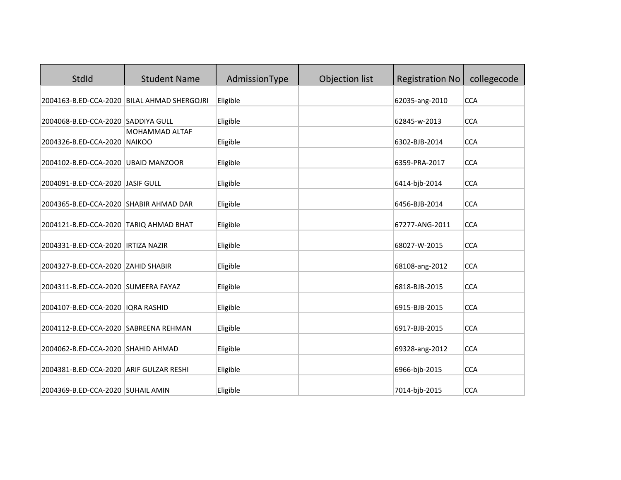| <b>StdId</b>                            | <b>Student Name</b>                         | AdmissionType | Objection list | <b>Registration No</b> | collegecode |
|-----------------------------------------|---------------------------------------------|---------------|----------------|------------------------|-------------|
|                                         | 2004163-B.ED-CCA-2020 BILAL AHMAD SHERGOJRI | Eligible      |                | 62035-ang-2010         | <b>CCA</b>  |
| 2004068-B.ED-CCA-2020 SADDIYA GULL      |                                             | Eligible      |                | 62845-w-2013           | <b>CCA</b>  |
| 2004326-B.ED-CCA-2020 NAIKOO            | <b>MOHAMMAD ALTAF</b>                       | Eligible      |                | 6302-BJB-2014          | <b>CCA</b>  |
| 2004102-B.ED-CCA-2020 UBAID MANZOOR     |                                             | Eligible      |                | 6359-PRA-2017          | <b>CCA</b>  |
| 2004091-B.ED-CCA-2020 JASIF GULL        |                                             | Eligible      |                | 6414-bjb-2014          | <b>CCA</b>  |
| 2004365-B.ED-CCA-2020 SHABIR AHMAD DAR  |                                             | Eligible      |                | 6456-BJB-2014          | <b>CCA</b>  |
| 2004121-B.ED-CCA-2020 TARIQ AHMAD BHAT  |                                             | Eligible      |                | 67277-ANG-2011         | <b>CCA</b>  |
| 2004331-B.ED-CCA-2020   IRTIZA NAZIR    |                                             | Eligible      |                | 68027-W-2015           | <b>CCA</b>  |
| 2004327-B.ED-CCA-2020 ZAHID SHABIR      |                                             | Eligible      |                | 68108-ang-2012         | <b>CCA</b>  |
| 2004311-B.ED-CCA-2020 SUMEERA FAYAZ     |                                             | Eligible      |                | 6818-BJB-2015          | <b>CCA</b>  |
| 2004107-B.ED-CCA-2020   IQRA RASHID     |                                             | Eligible      |                | 6915-BJB-2015          | <b>CCA</b>  |
| 2004112-B.ED-CCA-2020 SABREENA REHMAN   |                                             | Eligible      |                | 6917-BJB-2015          | <b>CCA</b>  |
| 2004062-B.ED-CCA-2020 SHAHID AHMAD      |                                             | Eligible      |                | 69328-ang-2012         | <b>CCA</b>  |
| 2004381-B.ED-CCA-2020 ARIF GULZAR RESHI |                                             | Eligible      |                | 6966-bjb-2015          | <b>CCA</b>  |
| 2004369-B.ED-CCA-2020 SUHAIL AMIN       |                                             | Eligible      |                | 7014-bjb-2015          | <b>CCA</b>  |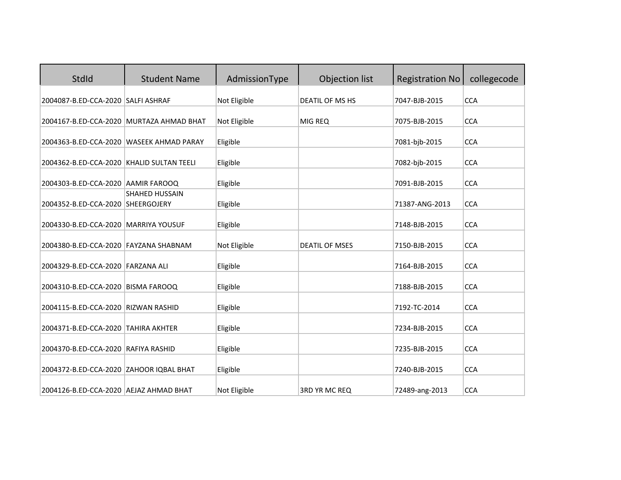| StdId                                                                             | <b>Student Name</b>   | AdmissionType            | Objection list        | <b>Registration No</b>          | collegecode              |
|-----------------------------------------------------------------------------------|-----------------------|--------------------------|-----------------------|---------------------------------|--------------------------|
| 2004087-B.ED-CCA-2020 SALFI ASHRAF                                                |                       | Not Eligible             | DEATIL OF MS HS       | 7047-BJB-2015                   | <b>CCA</b>               |
| 2004167-B.ED-CCA-2020 MURTAZA AHMAD BHAT                                          |                       | Not Eligible             | MIG REQ               | 7075-BJB-2015                   | <b>CCA</b>               |
| 2004363-B.ED-CCA-2020 WASEEK AHMAD PARAY                                          |                       | Eligible                 |                       | 7081-bjb-2015                   | <b>CCA</b>               |
| 2004362-B.ED-CCA-2020 KHALID SULTAN TEELI                                         |                       | Eligible                 |                       | 7082-bjb-2015                   | <b>CCA</b>               |
| 2004303-B.ED-CCA-2020 AAMIR FAROOQ                                                |                       | Eligible                 |                       | 7091-BJB-2015                   | <b>CCA</b>               |
| 2004352-B.ED-CCA-2020 SHEERGOJERY                                                 | <b>SHAHED HUSSAIN</b> | Eligible                 |                       | 71387-ANG-2013                  | <b>CCA</b>               |
| 2004330-B.ED-CCA-2020 MARRIYA YOUSUF                                              |                       | Eligible                 |                       | 7148-BJB-2015                   | <b>CCA</b>               |
| 2004380-B.ED-CCA-2020 FAYZANA SHABNAM                                             |                       | Not Eligible             | <b>DEATIL OF MSES</b> | 7150-BJB-2015                   | <b>CCA</b>               |
| 2004329-B.ED-CCA-2020 FARZANA ALI                                                 |                       | Eligible                 |                       | 7164-BJB-2015                   | <b>CCA</b>               |
| 2004310-B.ED-CCA-2020 BISMA FAROOQ                                                |                       | Eligible                 |                       | 7188-BJB-2015                   | <b>CCA</b>               |
| 2004115-B.ED-CCA-2020 RIZWAN RASHID                                               |                       | Eligible                 |                       | 7192-TC-2014                    | <b>CCA</b>               |
| 2004371-B.ED-CCA-2020 TAHIRA AKHTER                                               |                       |                          |                       | 7234-BJB-2015                   | <b>CCA</b>               |
|                                                                                   |                       | Eligible                 |                       |                                 |                          |
| 2004370-B.ED-CCA-2020 RAFIYA RASHID                                               |                       | Eligible                 |                       | 7235-BJB-2015                   | <b>CCA</b>               |
|                                                                                   |                       |                          |                       |                                 |                          |
| 2004372-B.ED-CCA-2020 ZAHOOR IQBAL BHAT<br>2004126-B.ED-CCA-2020 AEJAZ AHMAD BHAT |                       | Eligible<br>Not Eligible | 3RD YR MC REQ         | 7240-BJB-2015<br>72489-ang-2013 | <b>CCA</b><br><b>CCA</b> |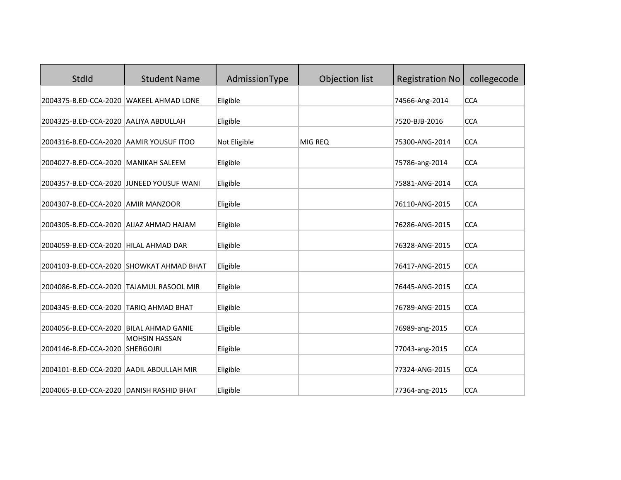| StdId                                    | <b>Student Name</b>                      | AdmissionType | Objection list | <b>Registration No</b> | collegecode |
|------------------------------------------|------------------------------------------|---------------|----------------|------------------------|-------------|
| 2004375-B.ED-CCA-2020 WAKEEL AHMAD LONE  |                                          | Eligible      |                | 74566-Ang-2014         | <b>CCA</b>  |
| 2004325-B.ED-CCA-2020 AALIYA ABDULLAH    |                                          | Eligible      |                | 7520-BJB-2016          | <b>CCA</b>  |
| 2004316-B.ED-CCA-2020 AAMIR YOUSUF ITOO  |                                          | Not Eligible  | MIG REQ        | 75300-ANG-2014         | <b>CCA</b>  |
| 2004027-B.ED-CCA-2020 MANIKAH SALEEM     |                                          | Eligible      |                | 75786-ang-2014         | <b>CCA</b>  |
| 2004357-B.ED-CCA-2020 JUNEED YOUSUF WANI |                                          | Eligible      |                | 75881-ANG-2014         | <b>CCA</b>  |
| 2004307-B.ED-CCA-2020 AMIR MANZOOR       |                                          | Eligible      |                | 76110-ANG-2015         | <b>CCA</b>  |
| 2004305-B.ED-CCA-2020 AIJAZ AHMAD HAJAM  |                                          | Eligible      |                | 76286-ANG-2015         | <b>CCA</b>  |
| 2004059-B.ED-CCA-2020 HILAL AHMAD DAR    |                                          | Eligible      |                | 76328-ANG-2015         | <b>CCA</b>  |
|                                          | 2004103-B.ED-CCA-2020 SHOWKAT AHMAD BHAT | Eligible      |                | 76417-ANG-2015         | <b>CCA</b>  |
| 2004086-B.ED-CCA-2020 TAJAMUL RASOOL MIR |                                          | Eligible      |                | 76445-ANG-2015         | <b>CCA</b>  |
| 2004345-B.ED-CCA-2020 TARIQ AHMAD BHAT   |                                          | Eligible      |                | 76789-ANG-2015         | <b>CCA</b>  |
| 2004056-B.ED-CCA-2020 BILAL AHMAD GANIE  |                                          | Eligible      |                | 76989-ang-2015         | <b>CCA</b>  |
| 2004146-B.ED-CCA-2020 SHERGOJRI          | <b>MOHSIN HASSAN</b>                     | Eligible      |                | 77043-ang-2015         | <b>CCA</b>  |
| 2004101-B.ED-CCA-2020 AADIL ABDULLAH MIR |                                          | Eligible      |                | 77324-ANG-2015         | <b>CCA</b>  |
| 2004065-B.ED-CCA-2020 DANISH RASHID BHAT |                                          | Eligible      |                | 77364-ang-2015         | <b>CCA</b>  |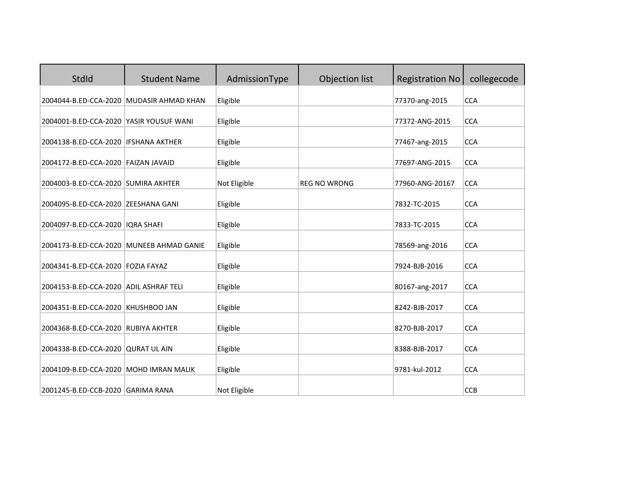| StdId                                    | <b>Student Name</b>                      | AdmissionType | Objection list      | <b>Registration No</b> | collegecode |
|------------------------------------------|------------------------------------------|---------------|---------------------|------------------------|-------------|
|                                          | 2004044-B.ED-CCA-2020 MUDASIR AHMAD KHAN | Eligible      |                     | 77370-ang-2015         | <b>CCA</b>  |
| 2004001-B.ED-CCA-2020 YASIR YOUSUF WANI  |                                          | Eligible      |                     | 77372-ANG-2015         | <b>CCA</b>  |
| 2004138-B.ED-CCA-2020   IFSHANA AKTHER   |                                          | Eligible      |                     | 77467-ang-2015         | <b>CCA</b>  |
| 2004172-B.ED-CCA-2020 FAIZAN JAVAID      |                                          | Eligible      |                     | 77697-ANG-2015         | <b>CCA</b>  |
| 2004003-B.ED-CCA-2020 SUMIRA AKHTER      |                                          | Not Eligible  | <b>REG NO WRONG</b> | 77960-ANG-20167        | <b>CCA</b>  |
| 2004095-B.ED-CCA-2020 ZEESHANA GANI      |                                          | Eligible      |                     | 7832-TC-2015           | <b>CCA</b>  |
| 2004097-B.ED-CCA-2020   IQRA SHAFI       |                                          | Eligible      |                     | 7833-TC-2015           | <b>CCA</b>  |
| 2004173-B.ED-CCA-2020 MUNEEB AHMAD GANIE |                                          | Eligible      |                     | 78569-ang-2016         | <b>CCA</b>  |
| 2004341-B.ED-CCA-2020 FOZIA FAYAZ        |                                          | Eligible      |                     | 7924-BJB-2016          | <b>CCA</b>  |
| 2004153-B.ED-CCA-2020 ADIL ASHRAF TELI   |                                          | Eligible      |                     | 80167-ang-2017         | <b>CCA</b>  |
| 2004351-B.ED-CCA-2020 KHUSHBOO JAN       |                                          | Eligible      |                     | 8242-BJB-2017          | <b>CCA</b>  |
| 2004368-B.ED-CCA-2020 RUBIYA AKHTER      |                                          | Eligible      |                     | 8270-BJB-2017          | <b>CCA</b>  |
| 2004338-B.ED-CCA-2020 QURAT UL AIN       |                                          | Eligible      |                     | 8388-BJB-2017          | <b>CCA</b>  |
| 2004109-B.ED-CCA-2020   MOHD IMRAN MALIK |                                          | Eligible      |                     | 9781-kul-2012          | <b>CCA</b>  |
| 2001245-B.ED-CCB-2020 GARIMA RANA        |                                          | Not Eligible  |                     |                        | <b>CCB</b>  |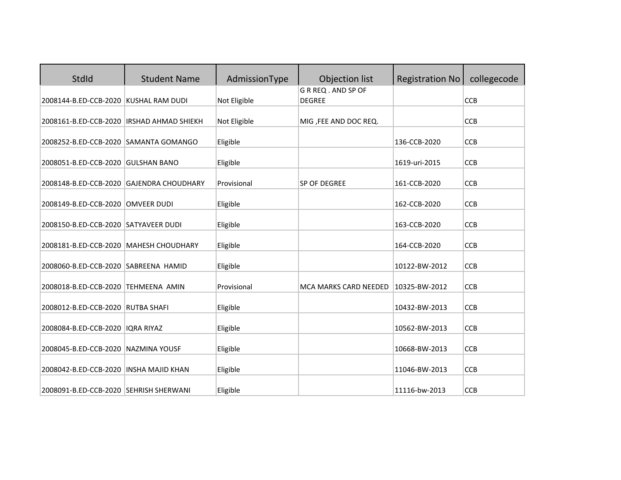| StdId                                      | <b>Student Name</b>       | AdmissionType | Objection list                       | <b>Registration No</b> | collegecode |
|--------------------------------------------|---------------------------|---------------|--------------------------------------|------------------------|-------------|
| 2008144-B.ED-CCB-2020 KUSHAL RAM DUDI      |                           | Not Eligible  | G R REQ . AND SP OF<br><b>DEGREE</b> |                        | <b>CCB</b>  |
| 2008161-B.ED-CCB-2020  IRSHAD AHMAD SHIEKH |                           | Not Eligible  | MIG, FEE AND DOC REQ.                |                        | <b>CCB</b>  |
| 2008252-B.ED-CCB-2020 SAMANTA GOMANGO      |                           | Eligible      |                                      | 136-CCB-2020           | <b>CCB</b>  |
| 2008051-B.ED-CCB-2020 GULSHAN BANO         |                           | Eligible      |                                      | 1619-uri-2015          | <b>CCB</b>  |
| 2008148-B.ED-CCB-2020                      | <b>GAJENDRA CHOUDHARY</b> | Provisional   | SP OF DEGREE                         | 161-CCB-2020           | <b>CCB</b>  |
| 2008149-B.ED-CCB-2020 OMVEER DUDI          |                           | Eligible      |                                      | 162-CCB-2020           | <b>CCB</b>  |
| 2008150-B.ED-CCB-2020 SATYAVEER DUDI       |                           | Eligible      |                                      | 163-CCB-2020           | <b>CCB</b>  |
| 2008181-B.ED-CCB-2020 MAHESH CHOUDHARY     |                           | Eligible      |                                      | 164-CCB-2020           | <b>CCB</b>  |
| 2008060-B.ED-CCB-2020 SABREENA HAMID       |                           | Eligible      |                                      | 10122-BW-2012          | <b>CCB</b>  |
| 2008018-B.ED-CCB-2020 TEHMEENA AMIN        |                           | Provisional   | MCA MARKS CARD NEEDED                | 10325-BW-2012          | <b>CCB</b>  |
| 2008012-B.ED-CCB-2020 RUTBA SHAFI          |                           | Eligible      |                                      | 10432-BW-2013          | <b>CCB</b>  |
| 2008084-B.ED-CCB-2020   IQRA RIYAZ         |                           | Eligible      |                                      | 10562-BW-2013          | <b>CCB</b>  |
| 2008045-B.ED-CCB-2020                      | NAZMINA YOUSF             | Eligible      |                                      | 10668-BW-2013          | <b>CCB</b>  |
| 2008042-B.ED-CCB-2020   INSHA MAJID KHAN   |                           | Eligible      |                                      | 11046-BW-2013          | <b>CCB</b>  |
| 2008091-B.ED-CCB-2020 SEHRISH SHERWANI     |                           | Eligible      |                                      | 11116-bw-2013          | <b>CCB</b>  |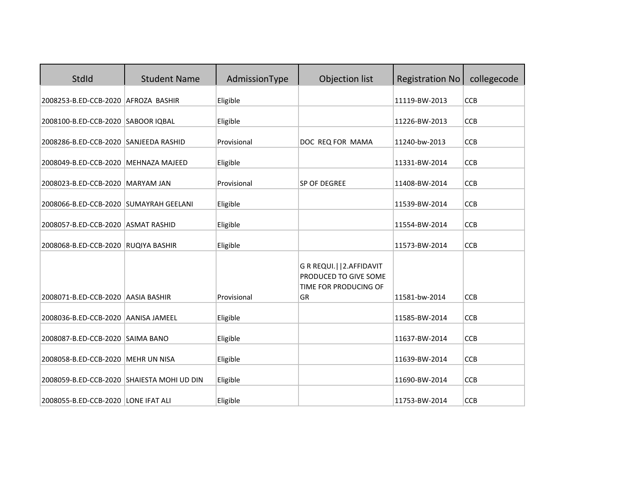| <b>StdId</b>                               | <b>Student Name</b> | AdmissionType | Objection list                                                                | <b>Registration No</b> | collegecode |
|--------------------------------------------|---------------------|---------------|-------------------------------------------------------------------------------|------------------------|-------------|
| 2008253-B.ED-CCB-2020 AFROZA BASHIR        |                     | Eligible      |                                                                               | 11119-BW-2013          | <b>CCB</b>  |
| 2008100-B.ED-CCB-2020 SABOOR IQBAL         |                     | Eligible      |                                                                               | 11226-BW-2013          | CCB         |
| 2008286-B.ED-CCB-2020 SANJEEDA RASHID      |                     | Provisional   | DOC REQ FOR MAMA                                                              | 11240-bw-2013          | <b>CCB</b>  |
| 2008049-B.ED-CCB-2020 MEHNAZA MAJEED       |                     | Eligible      |                                                                               | 11331-BW-2014          | <b>CCB</b>  |
| 2008023-B.ED-CCB-2020 MARYAM JAN           |                     | Provisional   | SP OF DEGREE                                                                  | 11408-BW-2014          | CCB         |
| 2008066-B.ED-CCB-2020 SUMAYRAH GEELANI     |                     | Eligible      |                                                                               | 11539-BW-2014          | <b>CCB</b>  |
| 2008057-B.ED-CCB-2020 ASMAT RASHID         |                     | Eligible      |                                                                               | 11554-BW-2014          | <b>CCB</b>  |
| 2008068-B.ED-CCB-2020 RUQIYA BASHIR        |                     | Eligible      |                                                                               | 11573-BW-2014          | CCB         |
|                                            |                     |               | G R REQUI.     2. AFFIDAVIT<br>PRODUCED TO GIVE SOME<br>TIME FOR PRODUCING OF |                        |             |
| 2008071-B.ED-CCB-2020 AASIA BASHIR         |                     | Provisional   | <b>GR</b>                                                                     | 11581-bw-2014          | <b>CCB</b>  |
| 2008036-B.ED-CCB-2020 AANISA JAMEEL        |                     | Eligible      |                                                                               | 11585-BW-2014          | <b>CCB</b>  |
| 2008087-B.ED-CCB-2020 SAIMA BANO           |                     | Eligible      |                                                                               | 11637-BW-2014          | <b>CCB</b>  |
| 2008058-B.ED-CCB-2020 MEHR UN NISA         |                     | Eligible      |                                                                               | 11639-BW-2014          | CCB         |
| 2008059-B.ED-CCB-2020 SHAIESTA MOHI UD DIN |                     | Eligible      |                                                                               | 11690-BW-2014          | <b>CCB</b>  |
| 2008055-B.ED-CCB-2020 LONE IFAT ALI        |                     | Eligible      |                                                                               | 11753-BW-2014          | <b>CCB</b>  |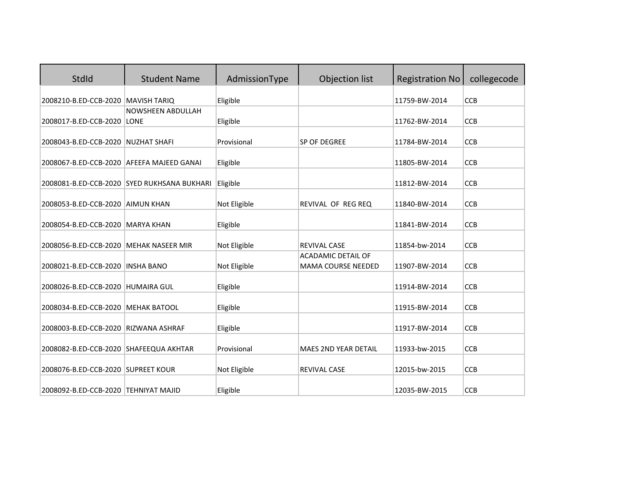| StdId                                     | <b>Student Name</b>                         | AdmissionType | Objection list                                   | <b>Registration No</b> | collegecode |
|-------------------------------------------|---------------------------------------------|---------------|--------------------------------------------------|------------------------|-------------|
| 2008210-B.ED-CCB-2020                     | <b>MAVISH TARIQ</b>                         | Eligible      |                                                  | 11759-BW-2014          | <b>CCB</b>  |
| 2008017-B.ED-CCB-2020 LONE                | <b>NOWSHEEN ABDULLAH</b>                    | Eligible      |                                                  | 11762-BW-2014          | <b>CCB</b>  |
| 2008043-B.ED-CCB-2020 NUZHAT SHAFI        |                                             | Provisional   | <b>SP OF DEGREE</b>                              | 11784-BW-2014          | <b>CCB</b>  |
| 2008067-B.ED-CCB-2020 AFEEFA MAJEED GANAI |                                             | Eligible      |                                                  | 11805-BW-2014          | <b>CCB</b>  |
|                                           |                                             |               |                                                  |                        |             |
|                                           | 2008081-B.ED-CCB-2020 SYED RUKHSANA BUKHARI | Eligible      |                                                  | 11812-BW-2014          | <b>CCB</b>  |
| 2008053-B.ED-CCB-2020 AIMUN KHAN          |                                             | Not Eligible  | REVIVAL OF REG REQ                               | 11840-BW-2014          | <b>CCB</b>  |
| 2008054-B.ED-CCB-2020 MARYA KHAN          |                                             | Eligible      |                                                  | 11841-BW-2014          | CCB         |
| 2008056-B.ED-CCB-2020                     | MEHAK NASEER MIR                            | Not Eligible  | <b>REVIVAL CASE</b><br><b>ACADAMIC DETAIL OF</b> | 11854-bw-2014          | <b>CCB</b>  |
| 2008021-B.ED-CCB-2020 INSHA BANO          |                                             | Not Eligible  | MAMA COURSE NEEDED                               | 11907-BW-2014          | <b>CCB</b>  |
| 2008026-B.ED-CCB-2020 HUMAIRA GUL         |                                             | Eligible      |                                                  | 11914-BW-2014          | <b>CCB</b>  |
| 2008034-B.ED-CCB-2020 MEHAK BATOOL        |                                             | Eligible      |                                                  | 11915-BW-2014          | <b>CCB</b>  |
| 2008003-B.ED-CCB-2020 RIZWANA ASHRAF      |                                             | Eligible      |                                                  | 11917-BW-2014          | <b>CCB</b>  |
| 2008082-B.ED-CCB-2020 SHAFEEQUA AKHTAR    |                                             | Provisional   | <b>MAES 2ND YEAR DETAIL</b>                      | 11933-bw-2015          | <b>CCB</b>  |
| 2008076-B.ED-CCB-2020 SUPREET KOUR        |                                             | Not Eligible  | <b>REVIVAL CASE</b>                              | 12015-bw-2015          | <b>CCB</b>  |
| 2008092-B.ED-CCB-2020 TEHNIYAT MAJID      |                                             | Eligible      |                                                  | 12035-BW-2015          | <b>CCB</b>  |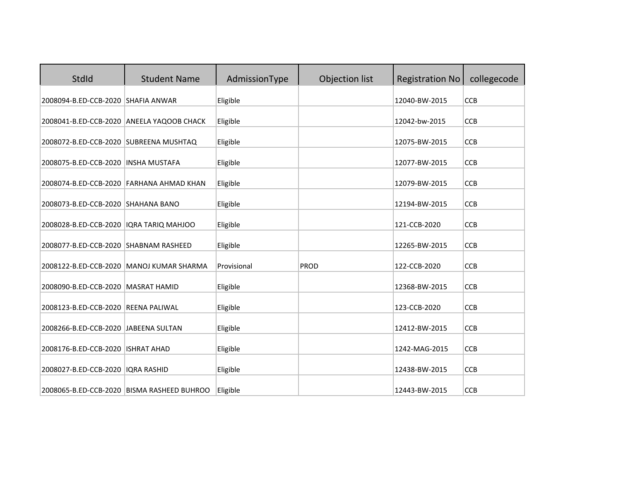| StdId                                     | <b>Student Name</b>                        | AdmissionType | Objection list | <b>Registration No</b> | collegecode |
|-------------------------------------------|--------------------------------------------|---------------|----------------|------------------------|-------------|
| 2008094-B.ED-CCB-2020 SHAFIA ANWAR        |                                            | Eligible      |                | 12040-BW-2015          | <b>CCB</b>  |
|                                           | 2008041-B.ED-CCB-2020 ANEELA YAQOOB CHACK  | Eligible      |                | 12042-bw-2015          | <b>CCB</b>  |
| 2008072-B.ED-CCB-2020 SUBREENA MUSHTAQ    |                                            | Eligible      |                | 12075-BW-2015          | <b>CCB</b>  |
| 2008075-B.ED-CCB-2020   INSHA MUSTAFA     |                                            | Eligible      |                | 12077-BW-2015          | <b>CCB</b>  |
|                                           | 2008074-B.ED-CCB-2020 FARHANA AHMAD KHAN   | Eligible      |                | 12079-BW-2015          | CCB         |
| 2008073-B.ED-CCB-2020 SHAHANA BANO        |                                            | Eligible      |                | 12194-BW-2015          | <b>CCB</b>  |
| 2008028-B.ED-CCB-2020   IQRA TARIQ MAHJOO |                                            | Eligible      |                | 121-CCB-2020           | <b>CCB</b>  |
| 2008077-B.ED-CCB-2020 SHABNAM RASHEED     |                                            | Eligible      |                | 12265-BW-2015          | <b>CCB</b>  |
|                                           | 2008122-B.ED-CCB-2020   MANOJ KUMAR SHARMA | Provisional   | PROD           | 122-CCB-2020           | CCB         |
| 2008090-B.ED-CCB-2020 MASRAT HAMID        |                                            | Eligible      |                | 12368-BW-2015          | <b>CCB</b>  |
| 2008123-B.ED-CCB-2020 REENA PALIWAL       |                                            | Eligible      |                | 123-CCB-2020           | <b>CCB</b>  |
| 2008266-B.ED-CCB-2020 JABEENA SULTAN      |                                            | Eligible      |                | 12412-BW-2015          | <b>CCB</b>  |
| 2008176-B.ED-CCB-2020   ISHRAT AHAD       |                                            | Eligible      |                | 1242-MAG-2015          | <b>CCB</b>  |
| 2008027-B.ED-CCB-2020   IQRA RASHID       |                                            | Eligible      |                | 12438-BW-2015          | CCB         |
|                                           | 2008065-B.ED-CCB-2020 BISMA RASHEED BUHROO | Eligible      |                | 12443-BW-2015          | <b>CCB</b>  |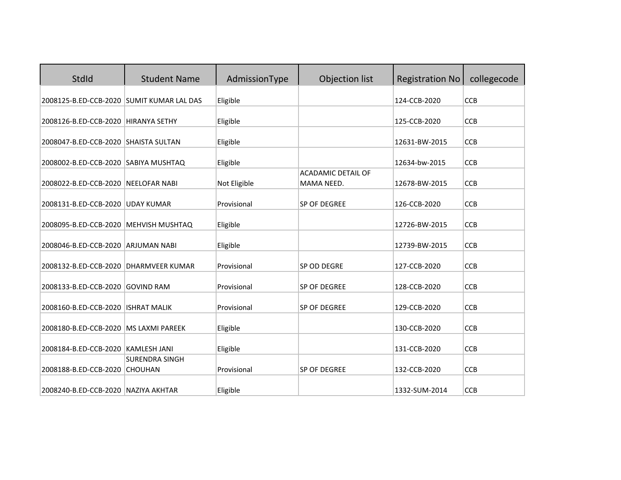| <b>StdId</b>                              | <b>Student Name</b>                     | AdmissionType | Objection list                          | <b>Registration No</b> | collegecode |
|-------------------------------------------|-----------------------------------------|---------------|-----------------------------------------|------------------------|-------------|
| 2008125-B.ED-CCB-2020 SUMIT KUMAR LAL DAS |                                         | Eligible      |                                         | 124-CCB-2020           | <b>CCB</b>  |
| 2008126-B.ED-CCB-2020 HIRANYA SETHY       |                                         | Eligible      |                                         | 125-CCB-2020           | <b>CCB</b>  |
| 2008047-B.ED-CCB-2020 SHAISTA SULTAN      |                                         | Eligible      |                                         | 12631-BW-2015          | <b>CCB</b>  |
| 2008002-B.ED-CCB-2020 SABIYA MUSHTAQ      |                                         | Eligible      |                                         | 12634-bw-2015          | <b>CCB</b>  |
| 2008022-B.ED-CCB-2020                     | <b>NEELOFAR NABI</b>                    | Not Eligible  | <b>ACADAMIC DETAIL OF</b><br>MAMA NEED. | 12678-BW-2015          | <b>CCB</b>  |
| 2008131-B.ED-CCB-2020 UDAY KUMAR          |                                         | Provisional   | SP OF DEGREE                            | 126-CCB-2020           | <b>CCB</b>  |
| 2008095-B.ED-CCB-2020 MEHVISH MUSHTAQ     |                                         | Eligible      |                                         | 12726-BW-2015          | CCB         |
| 2008046-B.ED-CCB-2020 ARJUMAN NABI        |                                         | Eligible      |                                         | 12739-BW-2015          | <b>CCB</b>  |
| 2008132-B.ED-CCB-2020                     | <b>DHARMVEER KUMAR</b>                  | Provisional   | SP OD DEGRE                             | 127-CCB-2020           | <b>CCB</b>  |
| 2008133-B.ED-CCB-2020                     | <b>GOVIND RAM</b>                       | Provisional   | SP OF DEGREE                            | 128-CCB-2020           | <b>CCB</b>  |
| 2008160-B.ED-CCB-2020                     | <b>ISHRAT MALIK</b>                     | Provisional   | <b>SP OF DEGREE</b>                     | 129-CCB-2020           | <b>CCB</b>  |
| 2008180-B.ED-CCB-2020   MS LAXMI PAREEK   |                                         | Eligible      |                                         | 130-CCB-2020           | CCB         |
| 2008184-B.ED-CCB-2020 KAMLESH JANI        |                                         | Eligible      |                                         | 131-CCB-2020           | <b>CCB</b>  |
| 2008188-B.ED-CCB-2020                     | <b>SURENDRA SINGH</b><br><b>CHOUHAN</b> | Provisional   | <b>SP OF DEGREE</b>                     | 132-CCB-2020           | <b>CCB</b>  |
| 2008240-B.ED-CCB-2020 NAZIYA AKHTAR       |                                         | Eligible      |                                         | 1332-SUM-2014          | <b>CCB</b>  |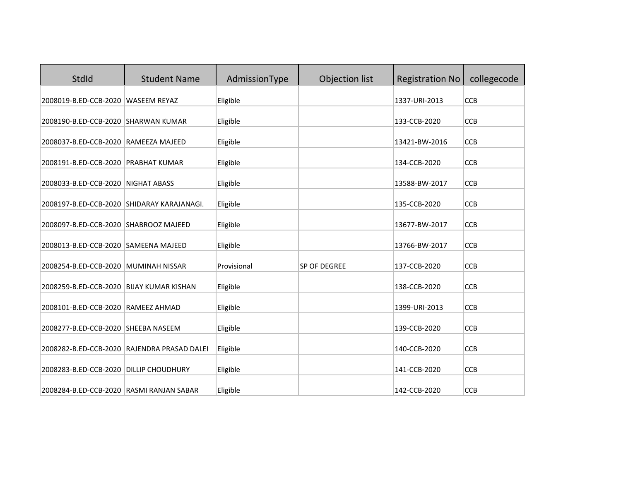| StdId                                      | <b>Student Name</b>                         | AdmissionType | Objection list | <b>Registration No</b> | collegecode |
|--------------------------------------------|---------------------------------------------|---------------|----------------|------------------------|-------------|
| 2008019-B.ED-CCB-2020                      | <b>WASEEM REYAZ</b>                         | Eligible      |                | 1337-URI-2013          | CCB         |
| 2008190-B.ED-CCB-2020 SHARWAN KUMAR        |                                             | Eligible      |                | 133-CCB-2020           | <b>CCB</b>  |
| 2008037-B.ED-CCB-2020 RAMEEZA MAJEED       |                                             | Eligible      |                | 13421-BW-2016          | <b>CCB</b>  |
| 2008191-B.ED-CCB-2020 PRABHAT KUMAR        |                                             | Eligible      |                | 134-CCB-2020           | <b>CCB</b>  |
| 2008033-B.ED-CCB-2020                      | <b>NIGHAT ABASS</b>                         | Eligible      |                | 13588-BW-2017          | <b>CCB</b>  |
| 2008197-B.ED-CCB-2020 SHIDARAY KARAJANAGI. |                                             | Eligible      |                | 135-CCB-2020           | CCB         |
| 2008097-B.ED-CCB-2020 SHABROOZ MAJEED      |                                             | Eligible      |                | 13677-BW-2017          | CCB         |
| 2008013-B.ED-CCB-2020 SAMEENA MAJEED       |                                             | Eligible      |                | 13766-BW-2017          | <b>CCB</b>  |
| 2008254-B.ED-CCB-2020 MUMINAH NISSAR       |                                             | Provisional   | SP OF DEGREE   | 137-CCB-2020           | CCB         |
| 2008259-B.ED-CCB-2020 BIJAY KUMAR KISHAN   |                                             | Eligible      |                | 138-CCB-2020           | CCB         |
| 2008101-B.ED-CCB-2020 RAMEEZ AHMAD         |                                             | Eligible      |                | 1399-URI-2013          | <b>CCB</b>  |
| 2008277-B.ED-CCB-2020 SHEEBA NASEEM        |                                             | Eligible      |                | 139-CCB-2020           | <b>CCB</b>  |
|                                            | 2008282-B.ED-CCB-2020 RAJENDRA PRASAD DALEI | Eligible      |                | 140-CCB-2020           | <b>CCB</b>  |
| 2008283-B.ED-CCB-2020 DILLIP CHOUDHURY     |                                             | Eligible      |                | 141-CCB-2020           | <b>CCB</b>  |
| 2008284-B.ED-CCB-2020 RASMI RANJAN SABAR   |                                             | Eligible      |                | 142-CCB-2020           | <b>CCB</b>  |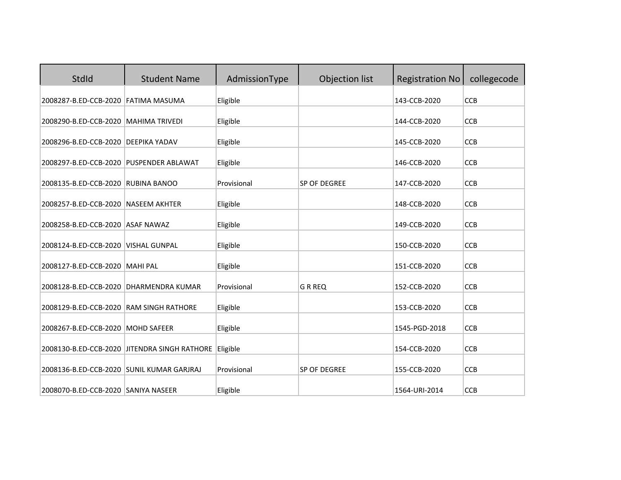| StdId                                     | <b>Student Name</b>                          | AdmissionType | Objection list      | <b>Registration No</b> | collegecode |
|-------------------------------------------|----------------------------------------------|---------------|---------------------|------------------------|-------------|
| 2008287-B.ED-CCB-2020 FATIMA MASUMA       |                                              | Eligible      |                     | 143-CCB-2020           | <b>CCB</b>  |
| 2008290-B.ED-CCB-2020 MAHIMA TRIVEDI      |                                              | Eligible      |                     | 144-CCB-2020           | <b>CCB</b>  |
| 2008296-B.ED-CCB-2020 DEEPIKA YADAV       |                                              | Eligible      |                     | 145-CCB-2020           | <b>CCB</b>  |
| 2008297-B.ED-CCB-2020 PUSPENDER ABLAWAT   |                                              | Eligible      |                     | 146-CCB-2020           | <b>CCB</b>  |
| 2008135-B.ED-CCB-2020 RUBINA BANOO        |                                              | Provisional   | SP OF DEGREE        | 147-CCB-2020           | <b>CCB</b>  |
| 2008257-B.ED-CCB-2020 NASEEM AKHTER       |                                              | Eligible      |                     | 148-CCB-2020           | <b>CCB</b>  |
| 2008258-B.ED-CCB-2020 ASAF NAWAZ          |                                              | Eligible      |                     | 149-CCB-2020           | CCB         |
| 2008124-B.ED-CCB-2020                     | <b>VISHAL GUNPAL</b>                         | Eligible      |                     | 150-CCB-2020           | <b>CCB</b>  |
| 2008127-B.ED-CCB-2020 MAHI PAL            |                                              | Eligible      |                     | 151-CCB-2020           | <b>CCB</b>  |
| 2008128-B.ED-CCB-2020 DHARMENDRA KUMAR    |                                              | Provisional   | <b>GRREQ</b>        | 152-CCB-2020           | <b>CCB</b>  |
|                                           |                                              |               |                     |                        |             |
| 2008129-B.ED-CCB-2020                     | <b>RAM SINGH RATHORE</b>                     | Eligible      |                     | 153-CCB-2020           | <b>CCB</b>  |
| 2008267-B.ED-CCB-2020 MOHD SAFEER         |                                              | Eligible      |                     | 1545-PGD-2018          | <b>CCB</b>  |
|                                           | 2008130-B.ED-CCB-2020 JITENDRA SINGH RATHORE | Eligible      |                     | 154-CCB-2020           | <b>CCB</b>  |
| 2008136-B.ED-CCB-2020 SUNIL KUMAR GARJRAJ |                                              | Provisional   | <b>SP OF DEGREE</b> | 155-CCB-2020           | <b>CCB</b>  |
| 2008070-B.ED-CCB-2020 SANIYA NASEER       |                                              | Eligible      |                     | 1564-URI-2014          | <b>CCB</b>  |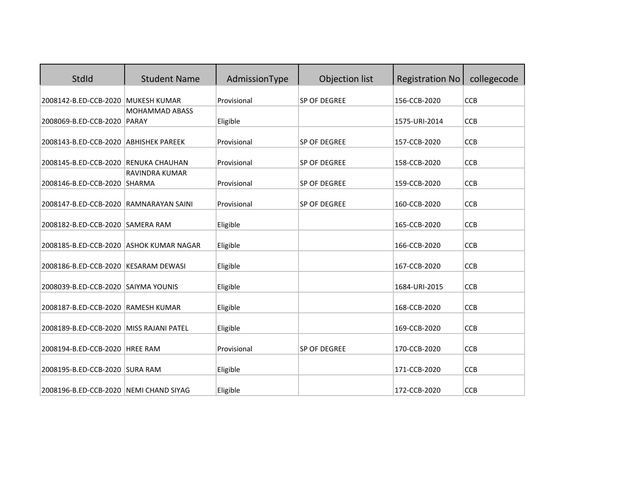| StdId                                   | <b>Student Name</b>      | AdmissionType | Objection list      | <b>Registration No</b> | collegecode |
|-----------------------------------------|--------------------------|---------------|---------------------|------------------------|-------------|
| 2008142-B.ED-CCB-2020                   | MUKESH KUMAR             | Provisional   | SP OF DEGREE        | 156-CCB-2020           | CCB         |
|                                         | <b>MOHAMMAD ABASS</b>    |               |                     |                        |             |
| 2008069-B.ED-CCB-2020 PARAY             |                          | Eligible      |                     | 1575-URI-2014          | <b>CCB</b>  |
| 2008143-B.ED-CCB-2020 ABHISHEK PAREEK   |                          | Provisional   | SP OF DEGREE        | 157-CCB-2020           | <b>CCB</b>  |
| 2008145-B.ED-CCB-2020 RENUKA CHAUHAN    |                          | Provisional   | <b>SP OF DEGREE</b> | 158-CCB-2020           | <b>CCB</b>  |
| 2008146-B.ED-CCB-2020 SHARMA            | RAVINDRA KUMAR           | Provisional   | SP OF DEGREE        | 159-CCB-2020           | <b>CCB</b>  |
| 2008147-B.ED-CCB-2020 RAMNARAYAN SAINI  |                          | Provisional   | SP OF DEGREE        | 160-CCB-2020           | CCB         |
| 2008182-B.ED-CCB-2020 SAMERA RAM        |                          | Eligible      |                     | 165-CCB-2020           | CCB         |
| 2008185-B.ED-CCB-2020 ASHOK KUMAR NAGAR |                          | Eligible      |                     | 166-CCB-2020           | <b>CCB</b>  |
| 2008186-B.ED-CCB-2020 KESARAM DEWASI    |                          | Eligible      |                     | 167-CCB-2020           | <b>CCB</b>  |
| 2008039-B.ED-CCB-2020 SAIYMA YOUNIS     |                          | Eligible      |                     | 1684-URI-2015          | <b>CCB</b>  |
| 2008187-B.ED-CCB-2020 RAMESH KUMAR      |                          | Eligible      |                     | 168-CCB-2020           | <b>CCB</b>  |
| 2008189-B.ED-CCB-2020                   | <b>MISS RAJANI PATEL</b> | Eligible      |                     | 169-CCB-2020           | <b>CCB</b>  |
| 2008194-B.ED-CCB-2020 HREE RAM          |                          | Provisional   | SP OF DEGREE        | 170-CCB-2020           | <b>CCB</b>  |
| 2008195-B.ED-CCB-2020 SURA RAM          |                          | Eligible      |                     | 171-CCB-2020           | <b>CCB</b>  |
| 2008196-B.ED-CCB-2020 NEMI CHAND SIYAG  |                          | Eligible      |                     | 172-CCB-2020           | <b>CCB</b>  |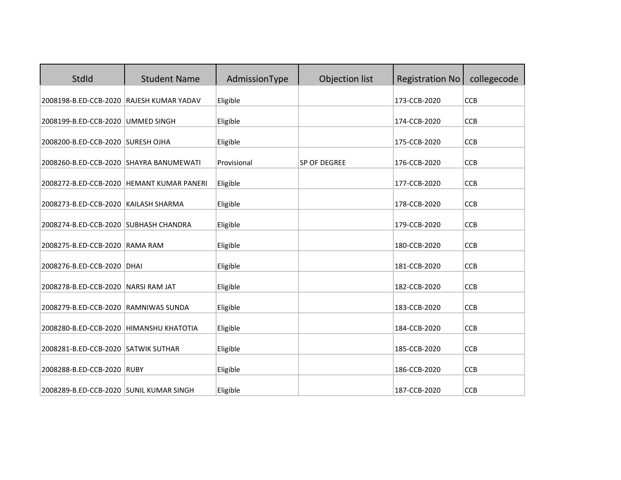| StdId                                    | <b>Student Name</b>                         | AdmissionType | Objection list | <b>Registration No</b> | collegecode |
|------------------------------------------|---------------------------------------------|---------------|----------------|------------------------|-------------|
| 2008198-B.ED-CCB-2020 RAJESH KUMAR YADAV |                                             | Eligible      |                | 173-CCB-2020           | CCB         |
| 2008199-B.ED-CCB-2020 UMMED SINGH        |                                             | Eligible      |                | 174-CCB-2020           | <b>CCB</b>  |
| 2008200-B.ED-CCB-2020 SURESH OJHA        |                                             | Eligible      |                | 175-CCB-2020           | <b>CCB</b>  |
| 2008260-B.ED-CCB-2020 SHAYRA BANUMEWATI  |                                             | Provisional   | SP OF DEGREE   | 176-CCB-2020           | <b>CCB</b>  |
|                                          | 2008272-B.ED-CCB-2020   HEMANT KUMAR PANERI | Eligible      |                | 177-CCB-2020           | <b>CCB</b>  |
| 2008273-B.ED-CCB-2020 KAILASH SHARMA     |                                             | Eligible      |                | 178-CCB-2020           | CCB         |
| 2008274-B.ED-CCB-2020 SUBHASH CHANDRA    |                                             | Eligible      |                | 179-CCB-2020           | CCB         |
| 2008275-B.ED-CCB-2020 RAMA RAM           |                                             | Eligible      |                | 180-CCB-2020           | <b>CCB</b>  |
| 2008276-B.ED-CCB-2020 DHAI               |                                             | Eligible      |                | 181-CCB-2020           | CCB         |
| 2008278-B.ED-CCB-2020 NARSI RAM JAT      |                                             | Eligible      |                | 182-CCB-2020           | CCB         |
| 2008279-B.ED-CCB-2020 RAMNIWAS SUNDA     |                                             | Eligible      |                | 183-CCB-2020           | <b>CCB</b>  |
| 2008280-B.ED-CCB-2020 HIMANSHU KHATOTIA  |                                             | Eligible      |                | 184-CCB-2020           | CCB         |
| 2008281-B.ED-CCB-2020 SATWIK SUTHAR      |                                             | Eligible      |                | 185-CCB-2020           | <b>CCB</b>  |
| 2008288-B.ED-CCB-2020 RUBY               |                                             | Eligible      |                | 186-CCB-2020           | <b>CCB</b>  |
| 2008289-B.ED-CCB-2020 SUNIL KUMAR SINGH  |                                             | Eligible      |                | 187-CCB-2020           | <b>CCB</b>  |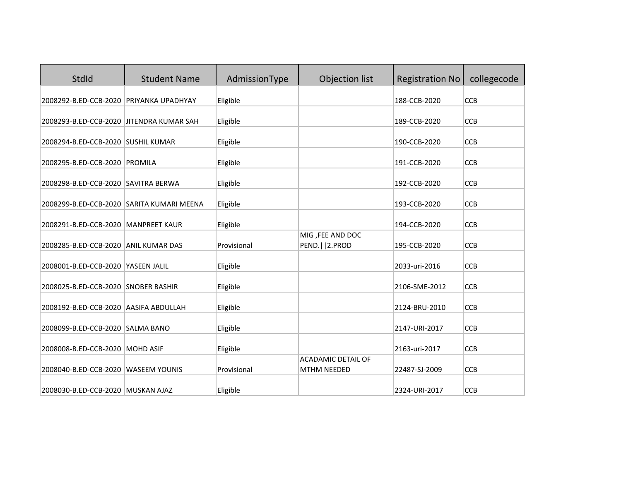| StdId                                     | <b>Student Name</b>  | AdmissionType | Objection list                                  | <b>Registration No</b> | collegecode |
|-------------------------------------------|----------------------|---------------|-------------------------------------------------|------------------------|-------------|
| 2008292-B.ED-CCB-2020                     | PRIYANKA UPADHYAY    | Eligible      |                                                 | 188-CCB-2020           | CCB         |
| 2008293-B.ED-CCB-2020 JITENDRA KUMAR SAH  |                      | Eligible      |                                                 | 189-CCB-2020           | <b>CCB</b>  |
| 2008294-B.ED-CCB-2020 SUSHIL KUMAR        |                      | Eligible      |                                                 | 190-CCB-2020           | <b>CCB</b>  |
| 2008295-B.ED-CCB-2020 PROMILA             |                      | Eligible      |                                                 | 191-CCB-2020           | <b>CCB</b>  |
| 2008298-B.ED-CCB-2020 SAVITRA BERWA       |                      | Eligible      |                                                 | 192-CCB-2020           | <b>CCB</b>  |
| 2008299-B.ED-CCB-2020 SARITA KUMARI MEENA |                      | Eligible      |                                                 | 193-CCB-2020           | CCB         |
| 2008291-B.ED-CCB-2020 MANPREET KAUR       |                      | Eligible      |                                                 | 194-CCB-2020           | CCB         |
| 2008285-B.ED-CCB-2020 ANIL KUMAR DAS      |                      | Provisional   | MIG, FEE AND DOC<br>PEND.     2.PROD            | 195-CCB-2020           | <b>CCB</b>  |
| 2008001-B.ED-CCB-2020                     | YASEEN JALIL         | Eligible      |                                                 | 2033-uri-2016          | CCB         |
| 2008025-B.ED-CCB-2020 SNOBER BASHIR       |                      | Eligible      |                                                 | 2106-SME-2012          | CCB         |
| 2008192-B.ED-CCB-2020 AASIFA ABDULLAH     |                      | Eligible      |                                                 | 2124-BRU-2010          | <b>CCB</b>  |
| 2008099-B.ED-CCB-2020 SALMA BANO          |                      | Eligible      |                                                 | 2147-URI-2017          | <b>CCB</b>  |
| 2008008-B.ED-CCB-2020                     | <b>MOHD ASIF</b>     | Eligible      |                                                 | 2163-uri-2017          | <b>CCB</b>  |
| 2008040-B.ED-CCB-2020                     | <b>WASEEM YOUNIS</b> | Provisional   | <b>ACADAMIC DETAIL OF</b><br><b>MTHM NEEDED</b> | 22487-SJ-2009          | <b>CCB</b>  |
| 2008030-B.ED-CCB-2020 MUSKAN AJAZ         |                      | Eligible      |                                                 | 2324-URI-2017          | <b>CCB</b>  |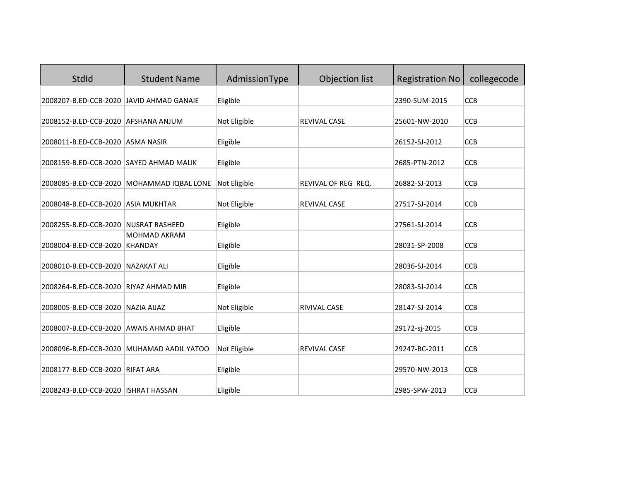| StdId                                    | <b>Student Name</b>                       | AdmissionType | Objection list      | <b>Registration No</b> | collegecode |
|------------------------------------------|-------------------------------------------|---------------|---------------------|------------------------|-------------|
| 2008207-B.ED-CCB-2020 JAVID AHMAD GANAIE |                                           | Eligible      |                     | 2390-SUM-2015          | <b>CCB</b>  |
| 2008152-B.ED-CCB-2020 AFSHANA ANJUM      |                                           | Not Eligible  | <b>REVIVAL CASE</b> | 25601-NW-2010          | <b>CCB</b>  |
| 2008011-B.ED-CCB-2020 ASMA NASIR         |                                           | Eligible      |                     | 26152-SJ-2012          | <b>CCB</b>  |
| 2008159-B.ED-CCB-2020 SAYED AHMAD MALIK  |                                           | Eligible      |                     | 2685-PTN-2012          | CCB         |
| 2008085-B.ED-CCB-2020                    | MOHAMMAD IQBAL LONE                       | Not Eligible  | REVIVAL OF REG REQ. | 26882-SJ-2013          | <b>CCB</b>  |
| 2008048-B.ED-CCB-2020 ASIA MUKHTAR       |                                           | Not Eligible  | REVIVAL CASE        | 27517-SJ-2014          | <b>CCB</b>  |
| 2008255-B.ED-CCB-2020                    | <b>NUSRAT RASHEED</b>                     | Eligible      |                     | 27561-SJ-2014          | <b>CCB</b>  |
| 2008004-B.ED-CCB-2020                    | <b>MOHMAD AKRAM</b><br><b>KHANDAY</b>     | Eligible      |                     | 28031-SP-2008          | <b>CCB</b>  |
| 2008010-B.ED-CCB-2020 NAZAKAT ALI        |                                           | Eligible      |                     | 28036-SJ-2014          | <b>CCB</b>  |
| 2008264-B.ED-CCB-2020                    | <b>RIYAZ AHMAD MIR</b>                    | Eligible      |                     | 28083-SJ-2014          | <b>CCB</b>  |
| 2008005-B.ED-CCB-2020 NAZIA AIJAZ        |                                           | Not Eligible  | RIVIVAL CASE        | 28147-SJ-2014          | <b>CCB</b>  |
| 2008007-B.ED-CCB-2020 AWAIS AHMAD BHAT   |                                           | Eligible      |                     | 29172-sj-2015          | <b>CCB</b>  |
|                                          | 2008096-B.ED-CCB-2020 MUHAMAD AADIL YATOO | Not Eligible  | REVIVAL CASE        | 29247-BC-2011          | CCB         |
| 2008177-B.ED-CCB-2020 RIFAT ARA          |                                           | Eligible      |                     | 29570-NW-2013          | <b>CCB</b>  |
| 2008243-B.ED-CCB-2020   ISHRAT HASSAN    |                                           | Eligible      |                     | 2985-SPW-2013          | <b>CCB</b>  |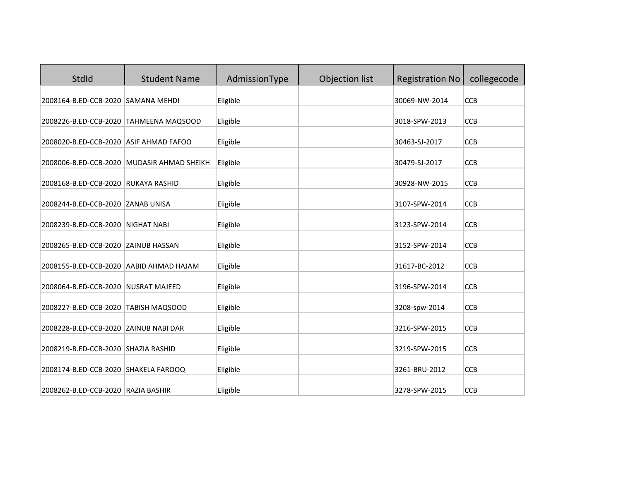| StdId                                   | <b>Student Name</b>                        | AdmissionType | Objection list | <b>Registration No</b> | collegecode |
|-----------------------------------------|--------------------------------------------|---------------|----------------|------------------------|-------------|
| 2008164-B.ED-CCB-2020 SAMANA MEHDI      |                                            | Eligible      |                | 30069-NW-2014          | CCB         |
| 2008226-B.ED-CCB-2020 TAHMEENA MAQSOOD  |                                            | Eligible      |                | 3018-SPW-2013          | <b>CCB</b>  |
| 2008020-B.ED-CCB-2020 ASIF AHMAD FAFOO  |                                            | Eligible      |                | 30463-SJ-2017          | <b>CCB</b>  |
|                                         | 2008006-B.ED-CCB-2020 MUDASIR AHMAD SHEIKH | Eligible      |                | 30479-SJ-2017          | <b>CCB</b>  |
| 2008168-B.ED-CCB-2020 RUKAYA RASHID     |                                            | Eligible      |                | 30928-NW-2015          | <b>CCB</b>  |
| 2008244-B.ED-CCB-2020 ZANAB UNISA       |                                            | Eligible      |                | 3107-SPW-2014          | <b>CCB</b>  |
| 2008239-B.ED-CCB-2020 NIGHAT NABI       |                                            | Eligible      |                | 3123-SPW-2014          | CCB         |
| 2008265-B.ED-CCB-2020 ZAINUB HASSAN     |                                            | Eligible      |                | 3152-SPW-2014          | <b>CCB</b>  |
| 2008155-B.ED-CCB-2020 AABID AHMAD HAJAM |                                            | Eligible      |                | 31617-BC-2012          | CCB         |
| 2008064-B.ED-CCB-2020 NUSRAT MAJEED     |                                            | Eligible      |                | 3196-SPW-2014          | <b>CCB</b>  |
| 2008227-B.ED-CCB-2020 TABISH MAQSOOD    |                                            | Eligible      |                | 3208-spw-2014          | <b>CCB</b>  |
| 2008228-B.ED-CCB-2020 ZAINUB NABI DAR   |                                            | Eligible      |                | 3216-SPW-2015          | CCB         |
| 2008219-B.ED-CCB-2020 SHAZIA RASHID     |                                            | Eligible      |                | 3219-SPW-2015          | <b>CCB</b>  |
| 2008174-B.ED-CCB-2020 SHAKELA FAROOQ    |                                            | Eligible      |                | 3261-BRU-2012          | CCB         |
| 2008262-B.ED-CCB-2020 RAZIA BASHIR      |                                            | Eligible      |                | 3278-SPW-2015          | <b>CCB</b>  |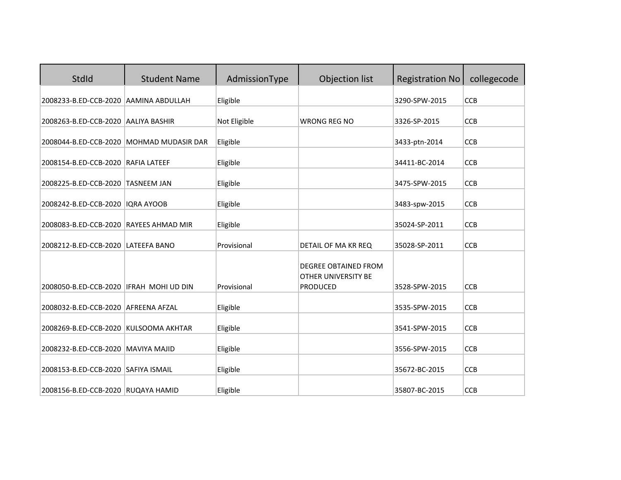| StdId                                   | <b>Student Name</b>                      | AdmissionType | Objection list              | <b>Registration No</b> | collegecode |
|-----------------------------------------|------------------------------------------|---------------|-----------------------------|------------------------|-------------|
| 2008233-B.ED-CCB-2020 AAMINA ABDULLAH   |                                          | Eligible      |                             | 3290-SPW-2015          | <b>CCB</b>  |
| 2008263-B.ED-CCB-2020 AALIYA BASHIR     |                                          | Not Eligible  | <b>WRONG REG NO</b>         | 3326-SP-2015           | <b>CCB</b>  |
|                                         | 2008044-B.ED-CCB-2020 MOHMAD MUDASIR DAR | Eligible      |                             | 3433-ptn-2014          | <b>CCB</b>  |
| 2008154-B.ED-CCB-2020 RAFIA LATEEF      |                                          | Eligible      |                             | 34411-BC-2014          | <b>CCB</b>  |
| 2008225-B.ED-CCB-2020                   | <b>TASNEEM JAN</b>                       | Eligible      |                             | 3475-SPW-2015          | <b>CCB</b>  |
| 2008242-B.ED-CCB-2020 IQRA AYOOB        |                                          | Eligible      |                             | 3483-spw-2015          | <b>CCB</b>  |
| 2008083-B.ED-CCB-2020 RAYEES AHMAD MIR  |                                          | Eligible      |                             | 35024-SP-2011          | <b>CCB</b>  |
| 2008212-B.ED-CCB-2020 LATEEFA BANO      |                                          | Provisional   | DETAIL OF MA KR REQ         | 35028-SP-2011          | <b>CCB</b>  |
|                                         |                                          |               | <b>DEGREE OBTAINED FROM</b> |                        |             |
|                                         |                                          | Provisional   | OTHER UNIVERSITY BE         |                        |             |
| 2008050-B.ED-CCB-2020 IFRAH MOHI UD DIN |                                          |               | <b>PRODUCED</b>             | 3528-SPW-2015          | <b>CCB</b>  |
| 2008032-B.ED-CCB-2020 AFREENA AFZAL     |                                          | Eligible      |                             | 3535-SPW-2015          | <b>CCB</b>  |
| 2008269-B.ED-CCB-2020 KULSOOMA AKHTAR   |                                          | Eligible      |                             | 3541-SPW-2015          | CCB         |
| 2008232-B.ED-CCB-2020 MAVIYA MAJID      |                                          | Eligible      |                             | 3556-SPW-2015          | CCB         |
| 2008153-B.ED-CCB-2020 SAFIYA ISMAIL     |                                          | Eligible      |                             | 35672-BC-2015          | <b>CCB</b>  |
| 2008156-B.ED-CCB-2020 RUQAYA HAMID      |                                          | Eligible      |                             | 35807-BC-2015          | <b>CCB</b>  |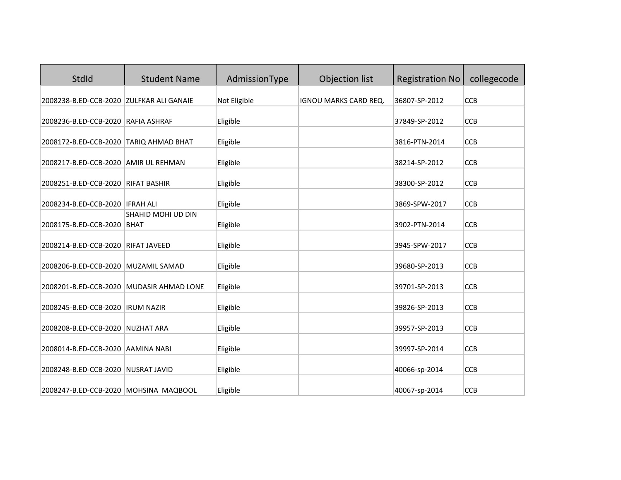| StdId                                    | <b>Student Name</b> | AdmissionType | Objection list               | <b>Registration No</b> | collegecode |
|------------------------------------------|---------------------|---------------|------------------------------|------------------------|-------------|
| 2008238-B.ED-CCB-2020 ZULFKAR ALI GANAIE |                     | Not Eligible  | <b>IGNOU MARKS CARD REQ.</b> | 36807-SP-2012          | CCB         |
| 2008236-B.ED-CCB-2020 RAFIA ASHRAF       |                     | Eligible      |                              | 37849-SP-2012          | <b>CCB</b>  |
| 2008172-B.ED-CCB-2020 TARIQ AHMAD BHAT   |                     | Eligible      |                              | 3816-PTN-2014          | <b>CCB</b>  |
| 2008217-B.ED-CCB-2020 AMIR UL REHMAN     |                     | Eligible      |                              | 38214-SP-2012          | <b>CCB</b>  |
| 2008251-B.ED-CCB-2020                    | <b>RIFAT BASHIR</b> | Eligible      |                              | 38300-SP-2012          | <b>CCB</b>  |
| 2008234-B.ED-CCB-2020 IFRAH ALI          |                     | Eligible      |                              | 3869-SPW-2017          | <b>CCB</b>  |
| 2008175-B.ED-CCB-2020 BHAT               | SHAHID MOHI UD DIN  | Eligible      |                              | 3902-PTN-2014          | CCB         |
| 2008214-B.ED-CCB-2020 RIFAT JAVEED       |                     | Eligible      |                              | 3945-SPW-2017          | <b>CCB</b>  |
| 2008206-B.ED-CCB-2020 MUZAMIL SAMAD      |                     | Eligible      |                              | 39680-SP-2013          | CCB         |
| 2008201-B.ED-CCB-2020 MUDASIR AHMAD LONE |                     | Eligible      |                              | 39701-SP-2013          | <b>CCB</b>  |
| 2008245-B.ED-CCB-2020  IRUM NAZIR        |                     | Eligible      |                              | 39826-SP-2013          | CCB         |
| 2008208-B.ED-CCB-2020 NUZHAT ARA         |                     | Eligible      |                              | 39957-SP-2013          | CCB         |
| 2008014-B.ED-CCB-2020 AAMINA NABI        |                     | Eligible      |                              | 39997-SP-2014          | <b>CCB</b>  |
| 2008248-B.ED-CCB-2020 NUSRAT JAVID       |                     | Eligible      |                              | 40066-sp-2014          | <b>CCB</b>  |
| 2008247-B.ED-CCB-2020 MOHSINA MAQBOOL    |                     | Eligible      |                              | 40067-sp-2014          | <b>CCB</b>  |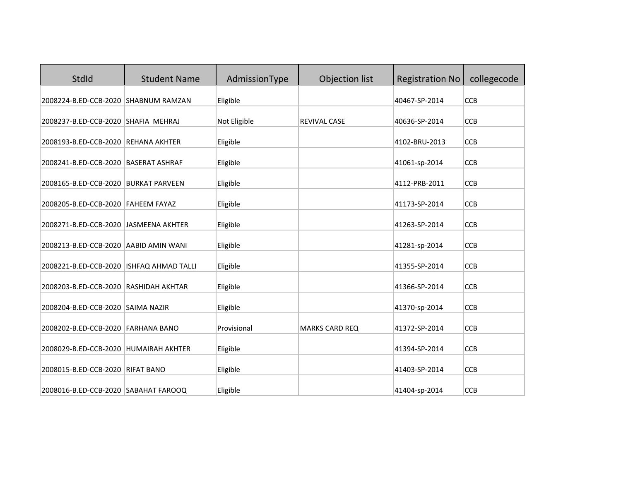| StdId                                                                    | <b>Student Name</b> | AdmissionType        | Objection list        | <b>Registration No</b> | collegecode |
|--------------------------------------------------------------------------|---------------------|----------------------|-----------------------|------------------------|-------------|
| 2008224-B.ED-CCB-2020 SHABNUM RAMZAN                                     |                     | Eligible             |                       | 40467-SP-2014          | CCB         |
| 2008237-B.ED-CCB-2020 SHAFIA MEHRAJ                                      |                     | Not Eligible         | <b>REVIVAL CASE</b>   | 40636-SP-2014          | <b>CCB</b>  |
| 2008193-B.ED-CCB-2020 REHANA AKHTER                                      |                     | Eligible             |                       | 4102-BRU-2013          | <b>CCB</b>  |
| 2008241-B.ED-CCB-2020 BASERAT ASHRAF                                     |                     | Eligible             |                       | 41061-sp-2014          | <b>CCB</b>  |
| 2008165-B.ED-CCB-2020 BURKAT PARVEEN                                     |                     | Eligible             |                       | 4112-PRB-2011          | <b>CCB</b>  |
| 2008205-B.ED-CCB-2020 FAHEEM FAYAZ                                       |                     | Eligible             |                       | 41173-SP-2014          | CCB         |
| 2008271-B.ED-CCB-2020 JASMEENA AKHTER                                    |                     | Eligible             |                       | 41263-SP-2014          | CCB         |
| 2008213-B.ED-CCB-2020 AABID AMIN WANI                                    |                     | Eligible             |                       | 41281-sp-2014          | <b>CCB</b>  |
| 2008221-B.ED-CCB-2020 ISHFAQ AHMAD TALLI                                 |                     | Eligible             |                       | 41355-SP-2014          | CCB         |
| 2008203-B.ED-CCB-2020 RASHIDAH AKHTAR                                    |                     | Eligible             |                       | 41366-SP-2014          | CCB         |
| 2008204-B.ED-CCB-2020 SAIMA NAZIR                                        |                     | Eligible             |                       | 41370-sp-2014          | <b>CCB</b>  |
| 2008202-B.ED-CCB-2020 FARHANA BANO                                       |                     | Provisional          | <b>MARKS CARD REQ</b> | 41372-SP-2014          | <b>CCB</b>  |
| 2008029-B.ED-CCB-2020 HUMAIRAH AKHTER                                    |                     | Eligible             |                       | 41394-SP-2014          | <b>CCB</b>  |
|                                                                          |                     |                      |                       | 41403-SP-2014          | CCB         |
| 2008015-B.ED-CCB-2020 RIFAT BANO<br>2008016-B.ED-CCB-2020 SABAHAT FAROOQ |                     | Eligible<br>Eligible |                       | 41404-sp-2014          | <b>CCB</b>  |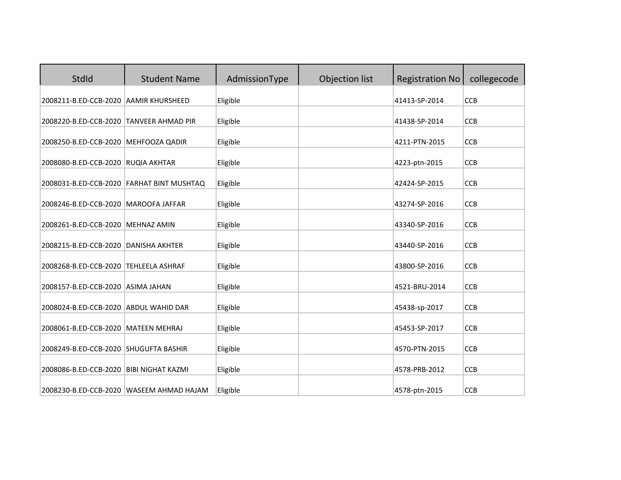| <b>StdId</b>                              | <b>Student Name</b>                       | AdmissionType | Objection list | <b>Registration No</b> | collegecode |
|-------------------------------------------|-------------------------------------------|---------------|----------------|------------------------|-------------|
| 2008211-B.ED-CCB-2020 AAMIR KHURSHEED     |                                           | Eligible      |                | 41413-SP-2014          | CCB         |
| 2008220-B.ED-CCB-2020 TANVEER AHMAD PIR   |                                           | Eligible      |                | 41438-SP-2014          | CCB         |
| 2008250-B.ED-CCB-2020 MEHFOOZA QADIR      |                                           | Eligible      |                | 4211-PTN-2015          | <b>CCB</b>  |
| 2008080-B.ED-CCB-2020 RUQIA AKHTAR        |                                           | Eligible      |                | 4223-ptn-2015          | <b>CCB</b>  |
|                                           | 2008031-B.ED-CCB-2020 FARHAT BINT MUSHTAQ | Eligible      |                | 42424-SP-2015          | CCB         |
| 2008246-B.ED-CCB-2020 MAROOFA JAFFAR      |                                           | Eligible      |                | 43274-SP-2016          | CCB         |
| 2008261-B.ED-CCB-2020 MEHNAZ AMIN         |                                           | Eligible      |                | 43340-SP-2016          | <b>CCB</b>  |
| 2008215-B.ED-CCB-2020                     | <b>DANISHA AKHTER</b>                     | Eligible      |                | 43440-SP-2016          | CCB         |
| 2008268-B.ED-CCB-2020 TEHLEELA ASHRAF     |                                           | Eligible      |                | 43800-SP-2016          | <b>CCB</b>  |
| 2008157-B.ED-CCB-2020 ASIMA JAHAN         |                                           | Eligible      |                | 4521-BRU-2014          | <b>CCB</b>  |
| 2008024-B.ED-CCB-2020 ABDUL WAHID DAR     |                                           | Eligible      |                | 45438-sp-2017          | <b>CCB</b>  |
| 2008061-B.ED-CCB-2020 MATEEN MEHRAJ       |                                           | Eligible      |                | 45453-SP-2017          | CCB         |
| 2008249-B.ED-CCB-2020 SHUGUFTA BASHIR     |                                           | Eligible      |                | 4570-PTN-2015          | CCB         |
| 2008086-B.ED-CCB-2020   BIBI NIGHAT KAZMI |                                           | Eligible      |                | 4578-PRB-2012          | <b>CCB</b>  |
|                                           | 2008230-B.ED-CCB-2020 WASEEM AHMAD HAJAM  | Eligible      |                | 4578-ptn-2015          | <b>CCB</b>  |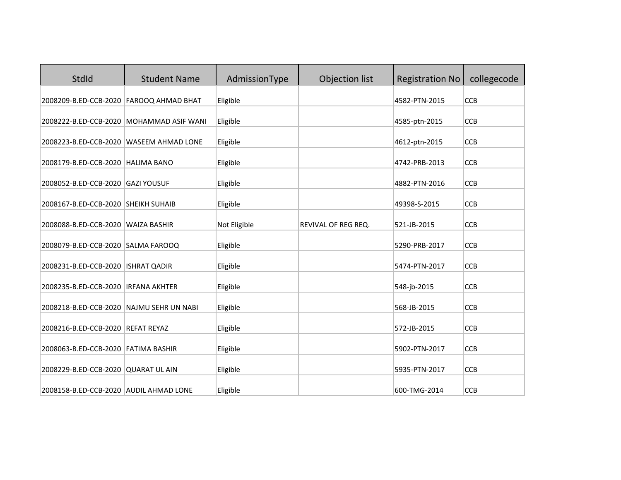| <b>StdId</b>                             | <b>Student Name</b>                      | AdmissionType | Objection list      | <b>Registration No</b> | collegecode |
|------------------------------------------|------------------------------------------|---------------|---------------------|------------------------|-------------|
| 2008209-B.ED-CCB-2020 FAROOQ AHMAD BHAT  |                                          | Eligible      |                     | 4582-PTN-2015          | CCB         |
|                                          | 2008222-B.ED-CCB-2020 MOHAMMAD ASIF WANI | Eligible      |                     | 4585-ptn-2015          | <b>CCB</b>  |
| 2008223-B.ED-CCB-2020 WASEEM AHMAD LONE  |                                          | Eligible      |                     | 4612-ptn-2015          | <b>CCB</b>  |
| 2008179-B.ED-CCB-2020 HALIMA BANO        |                                          | Eligible      |                     | 4742-PRB-2013          | CCB         |
| 2008052-B.ED-CCB-2020                    | <b>GAZI YOUSUF</b>                       | Eligible      |                     | 4882-PTN-2016          | CCB         |
| 2008167-B.ED-CCB-2020 SHEIKH SUHAIB      |                                          | Eligible      |                     | 49398-S-2015           | CCB         |
| 2008088-B.ED-CCB-2020 WAIZA BASHIR       |                                          | Not Eligible  | REVIVAL OF REG REQ. | 521-JB-2015            | <b>CCB</b>  |
| 2008079-B.ED-CCB-2020 SALMA FAROOQ       |                                          | Eligible      |                     | 5290-PRB-2017          | CCB         |
| 2008231-B.ED-CCB-2020   ISHRAT QADIR     |                                          | Eligible      |                     | 5474-PTN-2017          | <b>CCB</b>  |
| 2008235-B.ED-CCB-2020   IRFANA AKHTER    |                                          | Eligible      |                     | 548-jb-2015            | <b>CCB</b>  |
| 2008218-B.ED-CCB-2020 NAJMU SEHR UN NABI |                                          | Eligible      |                     | 568-JB-2015            | <b>CCB</b>  |
| 2008216-B.ED-CCB-2020 REFAT REYAZ        |                                          | Eligible      |                     | 572-JB-2015            | CCB         |
| 2008063-B.ED-CCB-2020 FATIMA BASHIR      |                                          | Eligible      |                     | 5902-PTN-2017          | <b>CCB</b>  |
| 2008229-B.ED-CCB-2020 QUARAT UL AIN      |                                          | Eligible      |                     | 5935-PTN-2017          | <b>CCB</b>  |
| 2008158-B.ED-CCB-2020 AUDIL AHMAD LONE   |                                          | Eligible      |                     | 600-TMG-2014           | <b>CCB</b>  |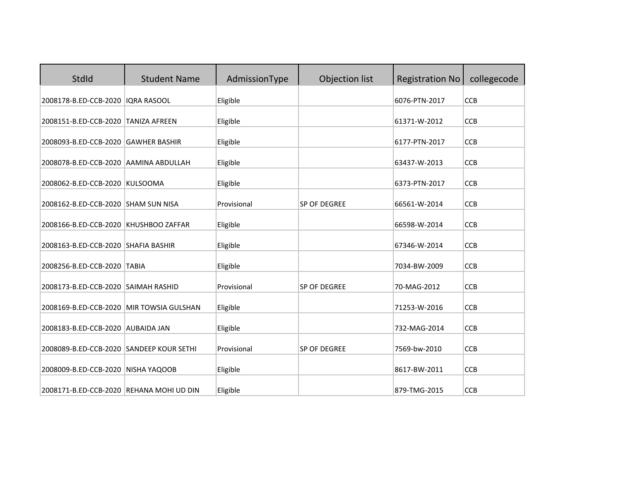| StdId                                    | <b>Student Name</b>  | AdmissionType | Objection list | <b>Registration No</b> | collegecode |
|------------------------------------------|----------------------|---------------|----------------|------------------------|-------------|
| 2008178-B.ED-CCB-2020                    | <b>IQRA RASOOL</b>   | Eligible      |                | 6076-PTN-2017          | <b>CCB</b>  |
| 2008151-B.ED-CCB-2020                    | <b>TANIZA AFREEN</b> | Eligible      |                | 61371-W-2012           | <b>CCB</b>  |
| 2008093-B.ED-CCB-2020 GAWHER BASHIR      |                      | Eligible      |                | 6177-PTN-2017          | <b>CCB</b>  |
| 2008078-B.ED-CCB-2020 AAMINA ABDULLAH    |                      | Eligible      |                | 63437-W-2013           | CCB         |
| 2008062-B.ED-CCB-2020 KULSOOMA           |                      | Eligible      |                | 6373-PTN-2017          | <b>CCB</b>  |
| 2008162-B.ED-CCB-2020 SHAM SUN NISA      |                      | Provisional   | SP OF DEGREE   | 66561-W-2014           | <b>CCB</b>  |
| 2008166-B.ED-CCB-2020 KHUSHBOO ZAFFAR    |                      | Eligible      |                | 66598-W-2014           | <b>CCB</b>  |
| 2008163-B.ED-CCB-2020 SHAFIA BASHIR      |                      | Eligible      |                | 67346-W-2014           | <b>CCB</b>  |
| 2008256-B.ED-CCB-2020 TABIA              |                      |               |                | 7034-BW-2009           | <b>CCB</b>  |
|                                          |                      | Eligible      |                |                        |             |
| 2008173-B.ED-CCB-2020 SAIMAH RASHID      |                      | Provisional   | SP OF DEGREE   | 70-MAG-2012            | <b>CCB</b>  |
| 2008169-B.ED-CCB-2020 MIR TOWSIA GULSHAN |                      | Eligible      |                | 71253-W-2016           | <b>CCB</b>  |
| 2008183-B.ED-CCB-2020 AUBAIDA JAN        |                      | Eligible      |                | 732-MAG-2014           | <b>CCB</b>  |
| 2008089-B.ED-CCB-2020 SANDEEP KOUR SETHI |                      | Provisional   | SP OF DEGREE   | 7569-bw-2010           | CCB         |
| 2008009-B.ED-CCB-2020 NISHA YAQOOB       |                      | Eligible      |                | 8617-BW-2011           | <b>CCB</b>  |
| 2008171-B.ED-CCB-2020 REHANA MOHI UD DIN |                      | Eligible      |                | 879-TMG-2015           | <b>CCB</b>  |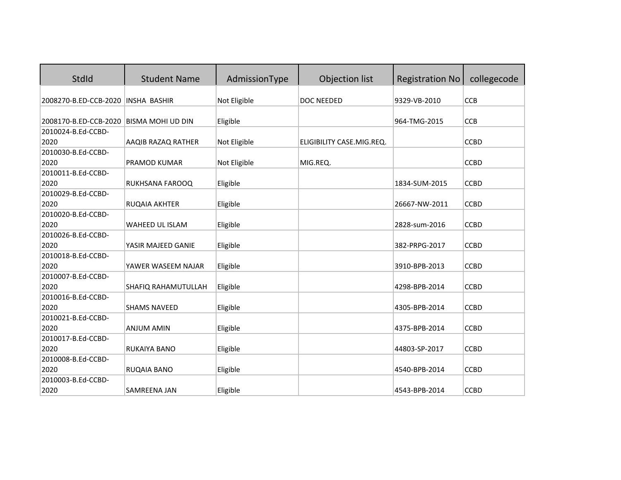| StdId                              | <b>Student Name</b>      | AdmissionType | Objection list            | <b>Registration No</b> | collegecode |
|------------------------------------|--------------------------|---------------|---------------------------|------------------------|-------------|
| 2008270-B.ED-CCB-2020 INSHA BASHIR |                          | Not Eligible  | DOC NEEDED                | 9329-VB-2010           | <b>CCB</b>  |
|                                    |                          |               |                           |                        |             |
| 2008170-B.ED-CCB-2020              | <b>BISMA MOHI UD DIN</b> | Eligible      |                           | 964-TMG-2015           | <b>CCB</b>  |
| 2010024-B.Ed-CCBD-                 |                          |               |                           |                        |             |
| 2020                               | AAQIB RAZAQ RATHER       | Not Eligible  | ELIGIBILITY CASE.MIG.REQ. |                        | <b>CCBD</b> |
| 2010030-B.Ed-CCBD-                 |                          |               |                           |                        |             |
| 2020                               | PRAMOD KUMAR             | Not Eligible  | MIG.REQ.                  |                        | <b>CCBD</b> |
| 2010011-B.Ed-CCBD-                 |                          |               |                           |                        |             |
| 2020                               | RUKHSANA FAROOQ          | Eligible      |                           | 1834-SUM-2015          | <b>CCBD</b> |
| 2010029-B.Ed-CCBD-                 |                          |               |                           |                        |             |
| 2020                               | RUQAIA AKHTER            | Eligible      |                           | 26667-NW-2011          | <b>CCBD</b> |
| 2010020-B.Ed-CCBD-                 |                          |               |                           |                        |             |
| 2020                               | WAHEED UL ISLAM          | Eligible      |                           | 2828-sum-2016          | <b>CCBD</b> |
| 2010026-B.Ed-CCBD-                 |                          |               |                           |                        |             |
| 2020                               | YASIR MAJEED GANIE       | Eligible      |                           | 382-PRPG-2017          | <b>CCBD</b> |
| 2010018-B.Ed-CCBD-                 |                          |               |                           |                        |             |
| 2020                               | YAWER WASEEM NAJAR       | Eligible      |                           | 3910-BPB-2013          | <b>CCBD</b> |
| 2010007-B.Ed-CCBD-                 |                          |               |                           |                        |             |
| 2020                               | SHAFIQ RAHAMUTULLAH      | Eligible      |                           | 4298-BPB-2014          | <b>CCBD</b> |
| 2010016-B.Ed-CCBD-                 |                          |               |                           |                        |             |
| 2020                               | <b>SHAMS NAVEED</b>      | Eligible      |                           | 4305-BPB-2014          | <b>CCBD</b> |
| 2010021-B.Ed-CCBD-                 |                          |               |                           |                        |             |
| 2020                               | <b>ANJUM AMIN</b>        | Eligible      |                           | 4375-BPB-2014          | <b>CCBD</b> |
| 2010017-B.Ed-CCBD-                 |                          |               |                           |                        |             |
| 2020                               | <b>RUKAIYA BANO</b>      | Eligible      |                           | 44803-SP-2017          | <b>CCBD</b> |
| 2010008-B.Ed-CCBD-                 |                          |               |                           |                        |             |
| 2020                               | RUQAIA BANO              | Eligible      |                           | 4540-BPB-2014          | <b>CCBD</b> |
| 2010003-B.Ed-CCBD-                 |                          |               |                           |                        |             |
| 2020                               | SAMREENA JAN             | Eligible      |                           | 4543-BPB-2014          | <b>CCBD</b> |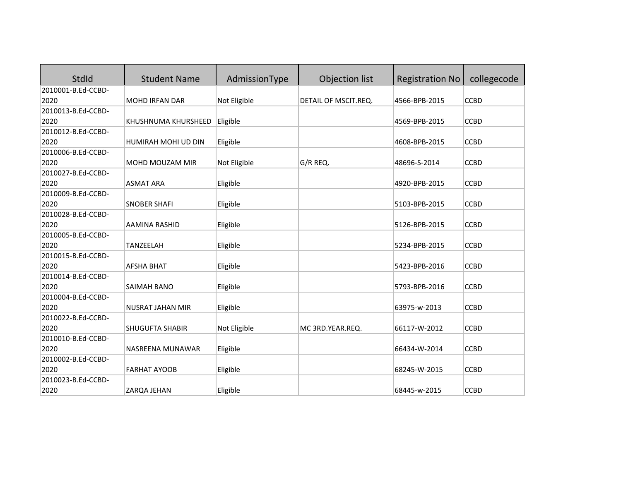| StdId              | <b>Student Name</b>     | AdmissionType | Objection list       | <b>Registration No</b> | collegecode |
|--------------------|-------------------------|---------------|----------------------|------------------------|-------------|
| 2010001-B.Ed-CCBD- |                         |               |                      |                        |             |
| 2020               | <b>MOHD IRFAN DAR</b>   | Not Eligible  | DETAIL OF MSCIT.REQ. | 4566-BPB-2015          | <b>CCBD</b> |
| 2010013-B.Ed-CCBD- |                         |               |                      |                        |             |
| 2020               | KHUSHNUMA KHURSHEED     | Eligible      |                      | 4569-BPB-2015          | <b>CCBD</b> |
| 2010012-B.Ed-CCBD- |                         |               |                      |                        |             |
| 2020               | HUMIRAH MOHI UD DIN     | Eligible      |                      | 4608-BPB-2015          | <b>CCBD</b> |
| 2010006-B.Ed-CCBD- |                         |               |                      |                        |             |
| 2020               | MOHD MOUZAM MIR         | Not Eligible  | G/R REQ.             | 48696-S-2014           | <b>CCBD</b> |
| 2010027-B.Ed-CCBD- |                         |               |                      |                        |             |
| 2020               | <b>ASMAT ARA</b>        | Eligible      |                      | 4920-BPB-2015          | <b>CCBD</b> |
| 2010009-B.Ed-CCBD- |                         |               |                      |                        |             |
| 2020               | <b>SNOBER SHAFI</b>     | Eligible      |                      | 5103-BPB-2015          | <b>CCBD</b> |
| 2010028-B.Ed-CCBD- |                         |               |                      |                        |             |
| 2020               | AAMINA RASHID           | Eligible      |                      | 5126-BPB-2015          | <b>CCBD</b> |
| 2010005-B.Ed-CCBD- |                         |               |                      |                        |             |
| 2020               | TANZEELAH               | Eligible      |                      | 5234-BPB-2015          | <b>CCBD</b> |
| 2010015-B.Ed-CCBD- |                         |               |                      |                        |             |
| 2020               | <b>AFSHA BHAT</b>       | Eligible      |                      | 5423-BPB-2016          | <b>CCBD</b> |
| 2010014-B.Ed-CCBD- |                         |               |                      |                        |             |
| 2020               | SAIMAH BANO             | Eligible      |                      | 5793-BPB-2016          | <b>CCBD</b> |
| 2010004-B.Ed-CCBD- |                         |               |                      |                        |             |
| 2020               | <b>NUSRAT JAHAN MIR</b> | Eligible      |                      | 63975-w-2013           | <b>CCBD</b> |
| 2010022-B.Ed-CCBD- |                         |               |                      |                        |             |
| 2020               | <b>SHUGUFTA SHABIR</b>  | Not Eligible  | MC 3RD.YEAR.REQ.     | 66117-W-2012           | <b>CCBD</b> |
| 2010010-B.Ed-CCBD- |                         |               |                      |                        |             |
| 2020               | NASREENA MUNAWAR        | Eligible      |                      | 66434-W-2014           | <b>CCBD</b> |
| 2010002-B.Ed-CCBD- |                         |               |                      |                        |             |
| 2020               | <b>FARHAT AYOOB</b>     | Eligible      |                      | 68245-W-2015           | <b>CCBD</b> |
| 2010023-B.Ed-CCBD- |                         |               |                      |                        |             |
| 2020               | ZARQA JEHAN             | Eligible      |                      | 68445-w-2015           | <b>CCBD</b> |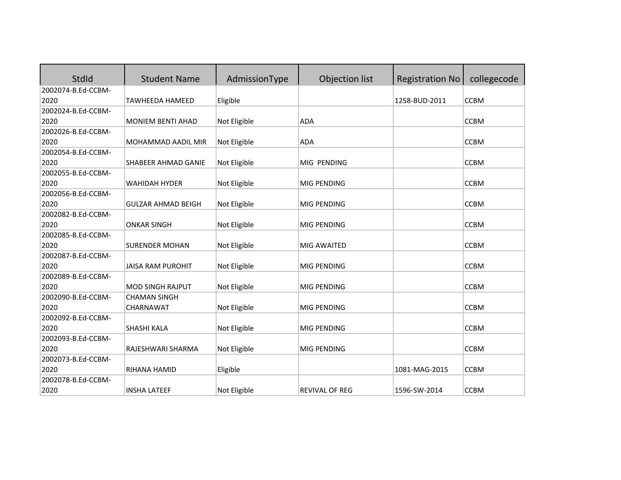| StdId              | <b>Student Name</b>       | AdmissionType | Objection list | <b>Registration No</b> | collegecode |
|--------------------|---------------------------|---------------|----------------|------------------------|-------------|
| 2002074-B.Ed-CCBM- |                           |               |                |                        |             |
| 2020               | <b>TAWHEEDA HAMEED</b>    | Eligible      |                | 1258-BUD-2011          | <b>CCBM</b> |
| 2002024-B.Ed-CCBM- |                           |               |                |                        |             |
| 2020               | <b>MONIEM BENTI AHAD</b>  | Not Eligible  | <b>ADA</b>     |                        | <b>CCBM</b> |
| 2002026-B.Ed-CCBM- |                           |               |                |                        |             |
| 2020               | <b>MOHAMMAD AADIL MIR</b> | Not Eligible  | <b>ADA</b>     |                        | <b>CCBM</b> |
| 2002054-B.Ed-CCBM- |                           |               |                |                        |             |
| 2020               | SHABEER AHMAD GANIE       | Not Eligible  | MIG PENDING    |                        | <b>CCBM</b> |
| 2002055-B.Ed-CCBM- |                           |               |                |                        |             |
| 2020               | <b>WAHIDAH HYDER</b>      | Not Eligible  | MIG PENDING    |                        | <b>CCBM</b> |
| 2002056-B.Ed-CCBM- |                           |               |                |                        |             |
| 2020               | <b>GULZAR AHMAD BEIGH</b> | Not Eligible  | MIG PENDING    |                        | <b>CCBM</b> |
| 2002082-B.Ed-CCBM- |                           |               |                |                        |             |
| 2020               | <b>ONKAR SINGH</b>        | Not Eligible  | MIG PENDING    |                        | <b>CCBM</b> |
| 2002085-B.Ed-CCBM- |                           |               |                |                        |             |
| 2020               | <b>SURENDER MOHAN</b>     | Not Eligible  | MIG AWAITED    |                        | <b>CCBM</b> |
| 2002087-B.Ed-CCBM- |                           |               |                |                        |             |
| 2020               | <b>JAISA RAM PUROHIT</b>  | Not Eligible  | MIG PENDING    |                        | <b>CCBM</b> |
| 2002089-B.Ed-CCBM- |                           |               |                |                        |             |
| 2020               | <b>MOD SINGH RAJPUT</b>   | Not Eligible  | MIG PENDING    |                        | <b>CCBM</b> |
| 2002090-B.Ed-CCBM- | <b>CHAMAN SINGH</b>       |               |                |                        |             |
| 2020               | CHARNAWAT                 | Not Eligible  | MIG PENDING    |                        | <b>CCBM</b> |
| 2002092-B.Ed-CCBM- |                           |               |                |                        |             |
| 2020               | SHASHI KALA               | Not Eligible  | MIG PENDING    |                        | <b>CCBM</b> |
| 2002093-B.Ed-CCBM- |                           |               |                |                        |             |
| 2020               | RAJESHWARI SHARMA         | Not Eligible  | MIG PENDING    |                        | <b>CCBM</b> |
| 2002073-B.Ed-CCBM- |                           |               |                |                        |             |
| 2020               | RIHANA HAMID              | Eligible      |                | 1081-MAG-2015          | <b>CCBM</b> |
| 2002078-B.Ed-CCBM- |                           |               |                |                        |             |
| 2020               | <b>INSHA LATEEF</b>       | Not Eligible  | REVIVAL OF REG | 1596-SW-2014           | <b>CCBM</b> |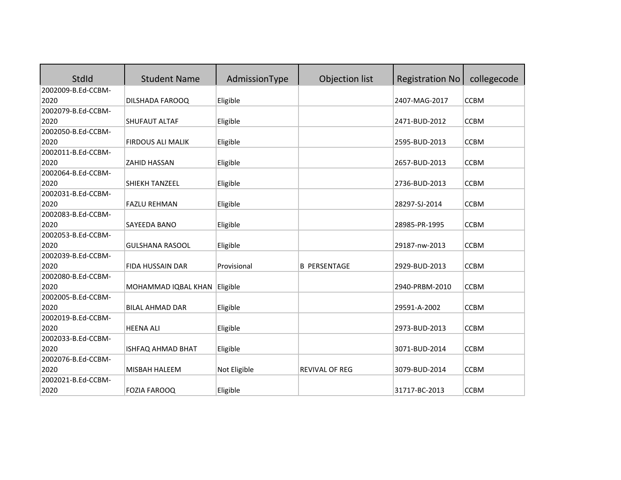| StdId              | <b>Student Name</b>      | AdmissionType | Objection list        | <b>Registration No</b> | collegecode |
|--------------------|--------------------------|---------------|-----------------------|------------------------|-------------|
| 2002009-B.Ed-CCBM- |                          |               |                       |                        |             |
| 2020               | DILSHADA FAROOQ          | Eligible      |                       | 2407-MAG-2017          | <b>CCBM</b> |
| 2002079-B.Ed-CCBM- |                          |               |                       |                        |             |
| 2020               | <b>SHUFAUT ALTAF</b>     | Eligible      |                       | 2471-BUD-2012          | <b>CCBM</b> |
| 2002050-B.Ed-CCBM- |                          |               |                       |                        |             |
| 2020               | <b>FIRDOUS ALI MALIK</b> | Eligible      |                       | 2595-BUD-2013          | <b>CCBM</b> |
| 2002011-B.Ed-CCBM- |                          |               |                       |                        |             |
| 2020               | <b>ZAHID HASSAN</b>      | Eligible      |                       | 2657-BUD-2013          | <b>CCBM</b> |
| 2002064-B.Ed-CCBM- |                          |               |                       |                        |             |
| 2020               | SHIEKH TANZEEL           | Eligible      |                       | 2736-BUD-2013          | <b>CCBM</b> |
| 2002031-B.Ed-CCBM- |                          |               |                       |                        |             |
| 2020               | <b>FAZLU REHMAN</b>      | Eligible      |                       | 28297-SJ-2014          | <b>CCBM</b> |
| 2002083-B.Ed-CCBM- |                          |               |                       |                        |             |
| 2020               | SAYEEDA BANO             | Eligible      |                       | 28985-PR-1995          | <b>CCBM</b> |
| 2002053-B.Ed-CCBM- |                          |               |                       |                        |             |
| 2020               | <b>GULSHANA RASOOL</b>   | Eligible      |                       | 29187-nw-2013          | <b>CCBM</b> |
| 2002039-B.Ed-CCBM- |                          |               |                       |                        |             |
| 2020               | <b>FIDA HUSSAIN DAR</b>  | Provisional   | <b>B PERSENTAGE</b>   | 2929-BUD-2013          | <b>CCBM</b> |
| 2002080-B.Ed-CCBM- |                          |               |                       |                        |             |
| 2020               | MOHAMMAD IQBAL KHAN      | Eligible      |                       | 2940-PRBM-2010         | <b>CCBM</b> |
| 2002005-B.Ed-CCBM- |                          |               |                       |                        |             |
| 2020               | <b>BILAL AHMAD DAR</b>   | Eligible      |                       | 29591-A-2002           | <b>CCBM</b> |
| 2002019-B.Ed-CCBM- |                          |               |                       |                        |             |
| 2020               | <b>HEENA ALI</b>         | Eligible      |                       | 2973-BUD-2013          | <b>CCBM</b> |
| 2002033-B.Ed-CCBM- |                          |               |                       |                        |             |
| 2020               | ISHFAQ AHMAD BHAT        | Eligible      |                       | 3071-BUD-2014          | <b>CCBM</b> |
| 2002076-B.Ed-CCBM- |                          |               |                       |                        |             |
| 2020               | MISBAH HALEEM            | Not Eligible  | <b>REVIVAL OF REG</b> | 3079-BUD-2014          | <b>CCBM</b> |
| 2002021-B.Ed-CCBM- |                          |               |                       |                        |             |
| 2020               | <b>FOZIA FAROOQ</b>      | Eligible      |                       | 31717-BC-2013          | <b>CCBM</b> |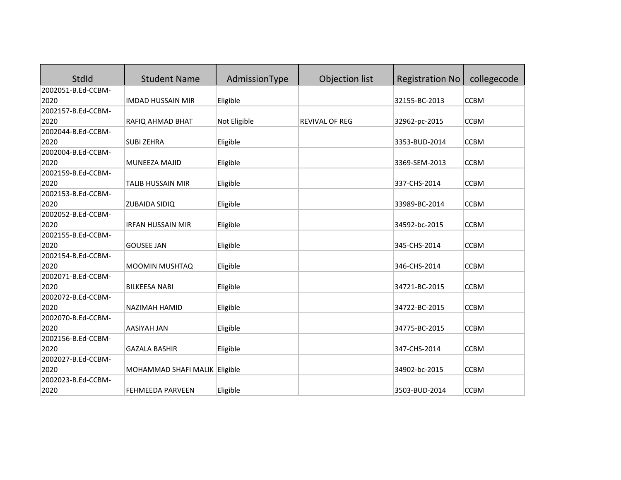| <b>StdId</b>       | <b>Student Name</b>           | AdmissionType | Objection list        | <b>Registration No</b> | collegecode |
|--------------------|-------------------------------|---------------|-----------------------|------------------------|-------------|
| 2002051-B.Ed-CCBM- |                               |               |                       |                        |             |
| 2020               | <b>IMDAD HUSSAIN MIR</b>      | Eligible      |                       | 32155-BC-2013          | <b>CCBM</b> |
| 2002157-B.Ed-CCBM- |                               |               |                       |                        |             |
| 2020               | RAFIQ AHMAD BHAT              | Not Eligible  | <b>REVIVAL OF REG</b> | 32962-pc-2015          | <b>CCBM</b> |
| 2002044-B.Ed-CCBM- |                               |               |                       |                        |             |
| 2020               | <b>SUBI ZEHRA</b>             | Eligible      |                       | 3353-BUD-2014          | <b>CCBM</b> |
| 2002004-B.Ed-CCBM- |                               |               |                       |                        |             |
| 2020               | <b>MUNEEZA MAJID</b>          | Eligible      |                       | 3369-SEM-2013          | <b>CCBM</b> |
| 2002159-B.Ed-CCBM- |                               |               |                       |                        |             |
| 2020               | <b>TALIB HUSSAIN MIR</b>      | Eligible      |                       | 337-CHS-2014           | <b>CCBM</b> |
| 2002153-B.Ed-CCBM- |                               |               |                       |                        |             |
| 2020               | <b>ZUBAIDA SIDIQ</b>          | Eligible      |                       | 33989-BC-2014          | <b>CCBM</b> |
| 2002052-B.Ed-CCBM- |                               |               |                       |                        |             |
| 2020               | <b>IRFAN HUSSAIN MIR</b>      | Eligible      |                       | 34592-bc-2015          | <b>CCBM</b> |
| 2002155-B.Ed-CCBM- |                               |               |                       |                        |             |
| 2020               | <b>GOUSEE JAN</b>             | Eligible      |                       | 345-CHS-2014           | <b>CCBM</b> |
| 2002154-B.Ed-CCBM- |                               |               |                       |                        |             |
| 2020               | MOOMIN MUSHTAQ                | Eligible      |                       | 346-CHS-2014           | <b>CCBM</b> |
| 2002071-B.Ed-CCBM- |                               |               |                       |                        |             |
| 2020               | <b>BILKEESA NABI</b>          | Eligible      |                       | 34721-BC-2015          | <b>CCBM</b> |
| 2002072-B.Ed-CCBM- |                               |               |                       |                        |             |
| 2020               | NAZIMAH HAMID                 | Eligible      |                       | 34722-BC-2015          | <b>CCBM</b> |
| 2002070-B.Ed-CCBM- |                               |               |                       |                        |             |
| 2020               | <b>AASIYAH JAN</b>            | Eligible      |                       | 34775-BC-2015          | <b>CCBM</b> |
| 2002156-B.Ed-CCBM- |                               |               |                       |                        |             |
| 2020               | <b>GAZALA BASHIR</b>          | Eligible      |                       | 347-CHS-2014           | <b>CCBM</b> |
| 2002027-B.Ed-CCBM- |                               |               |                       |                        |             |
| 2020               | MOHAMMAD SHAFI MALIK Eligible |               |                       | 34902-bc-2015          | <b>CCBM</b> |
| 2002023-B.Ed-CCBM- |                               |               |                       |                        |             |
| 2020               | FEHMEEDA PARVEEN              | Eligible      |                       | 3503-BUD-2014          | <b>CCBM</b> |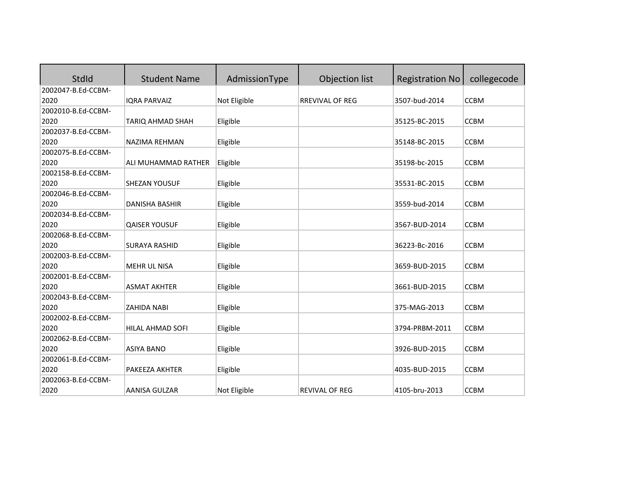| StdId              | <b>Student Name</b>   | AdmissionType | Objection list         | <b>Registration No</b> | collegecode |
|--------------------|-----------------------|---------------|------------------------|------------------------|-------------|
| 2002047-B.Ed-CCBM- |                       |               |                        |                        |             |
| 2020               | <b>IQRA PARVAIZ</b>   | Not Eligible  | <b>RREVIVAL OF REG</b> | 3507-bud-2014          | <b>CCBM</b> |
| 2002010-B.Ed-CCBM- |                       |               |                        |                        |             |
| 2020               | TARIQ AHMAD SHAH      | Eligible      |                        | 35125-BC-2015          | <b>CCBM</b> |
| 2002037-B.Ed-CCBM- |                       |               |                        |                        |             |
| 2020               | <b>NAZIMA REHMAN</b>  | Eligible      |                        | 35148-BC-2015          | <b>CCBM</b> |
| 2002075-B.Ed-CCBM- |                       |               |                        |                        |             |
| 2020               | ALI MUHAMMAD RATHER   | Eligible      |                        | 35198-bc-2015          | <b>CCBM</b> |
| 2002158-B.Ed-CCBM- |                       |               |                        |                        |             |
| 2020               | SHEZAN YOUSUF         | Eligible      |                        | 35531-BC-2015          | <b>CCBM</b> |
| 2002046-B.Ed-CCBM- |                       |               |                        |                        |             |
| 2020               | <b>DANISHA BASHIR</b> | Eligible      |                        | 3559-bud-2014          | <b>CCBM</b> |
| 2002034-B.Ed-CCBM- |                       |               |                        |                        |             |
| 2020               | <b>QAISER YOUSUF</b>  | Eligible      |                        | 3567-BUD-2014          | <b>CCBM</b> |
| 2002068-B.Ed-CCBM- |                       |               |                        |                        |             |
| 2020               | <b>SURAYA RASHID</b>  | Eligible      |                        | 36223-Bc-2016          | <b>CCBM</b> |
| 2002003-B.Ed-CCBM- |                       |               |                        |                        |             |
| 2020               | <b>MEHR UL NISA</b>   | Eligible      |                        | 3659-BUD-2015          | <b>CCBM</b> |
| 2002001-B.Ed-CCBM- |                       |               |                        |                        |             |
| 2020               | <b>ASMAT AKHTER</b>   | Eligible      |                        | 3661-BUD-2015          | <b>CCBM</b> |
| 2002043-B.Ed-CCBM- |                       |               |                        |                        |             |
| 2020               | <b>ZAHIDA NABI</b>    | Eligible      |                        | 375-MAG-2013           | <b>CCBM</b> |
| 2002002-B.Ed-CCBM- |                       |               |                        |                        |             |
| 2020               | HILAL AHMAD SOFI      | Eligible      |                        | 3794-PRBM-2011         | <b>CCBM</b> |
| 2002062-B.Ed-CCBM- |                       |               |                        |                        |             |
| 2020               | <b>ASIYA BANO</b>     | Eligible      |                        | 3926-BUD-2015          | <b>CCBM</b> |
| 2002061-B.Ed-CCBM- |                       |               |                        |                        |             |
| 2020               | PAKEEZA AKHTER        | Eligible      |                        | 4035-BUD-2015          | <b>CCBM</b> |
| 2002063-B.Ed-CCBM- |                       |               |                        |                        |             |
| 2020               | <b>AANISA GULZAR</b>  | Not Eligible  | <b>REVIVAL OF REG</b>  | 4105-bru-2013          | <b>CCBM</b> |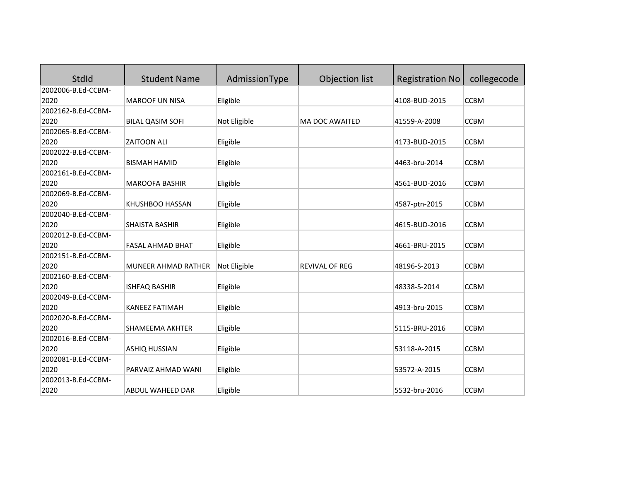| StdId              | <b>Student Name</b>     | AdmissionType | Objection list        | <b>Registration No</b> | collegecode |
|--------------------|-------------------------|---------------|-----------------------|------------------------|-------------|
| 2002006-B.Ed-CCBM- |                         |               |                       |                        |             |
| 2020               | <b>MAROOF UN NISA</b>   | Eligible      |                       | 4108-BUD-2015          | <b>CCBM</b> |
| 2002162-B.Ed-CCBM- |                         |               |                       |                        |             |
| 2020               | <b>BILAL QASIM SOFI</b> | Not Eligible  | <b>MA DOC AWAITED</b> | 41559-A-2008           | <b>CCBM</b> |
| 2002065-B.Ed-CCBM- |                         |               |                       |                        |             |
| 2020               | <b>ZAITOON ALI</b>      | Eligible      |                       | 4173-BUD-2015          | <b>CCBM</b> |
| 2002022-B.Ed-CCBM- |                         |               |                       |                        |             |
| 2020               | <b>BISMAH HAMID</b>     | Eligible      |                       | 4463-bru-2014          | <b>CCBM</b> |
| 2002161-B.Ed-CCBM- |                         |               |                       |                        |             |
| 2020               | <b>MAROOFA BASHIR</b>   | Eligible      |                       | 4561-BUD-2016          | <b>CCBM</b> |
| 2002069-B.Ed-CCBM- |                         |               |                       |                        |             |
| 2020               | KHUSHBOO HASSAN         | Eligible      |                       | 4587-ptn-2015          | <b>CCBM</b> |
| 2002040-B.Ed-CCBM- |                         |               |                       |                        |             |
| 2020               | <b>SHAISTA BASHIR</b>   | Eligible      |                       | 4615-BUD-2016          | <b>CCBM</b> |
| 2002012-B.Ed-CCBM- |                         |               |                       |                        |             |
| 2020               | <b>FASAL AHMAD BHAT</b> | Eligible      |                       | 4661-BRU-2015          | <b>CCBM</b> |
| 2002151-B.Ed-CCBM- |                         |               |                       |                        |             |
| 2020               | MUNEER AHMAD RATHER     | Not Eligible  | <b>REVIVAL OF REG</b> | 48196-S-2013           | <b>CCBM</b> |
| 2002160-B.Ed-CCBM- |                         |               |                       |                        |             |
| 2020               | <b>ISHFAQ BASHIR</b>    | Eligible      |                       | 48338-S-2014           | <b>CCBM</b> |
| 2002049-B.Ed-CCBM- |                         |               |                       |                        |             |
| 2020               | <b>KANEEZ FATIMAH</b>   | Eligible      |                       | 4913-bru-2015          | <b>CCBM</b> |
| 2002020-B.Ed-CCBM- |                         |               |                       |                        |             |
| 2020               | SHAMEEMA AKHTER         | Eligible      |                       | 5115-BRU-2016          | <b>CCBM</b> |
| 2002016-B.Ed-CCBM- |                         |               |                       |                        |             |
| 2020               | <b>ASHIQ HUSSIAN</b>    | Eligible      |                       | 53118-A-2015           | <b>CCBM</b> |
| 2002081-B.Ed-CCBM- |                         |               |                       |                        |             |
| 2020               | PARVAIZ AHMAD WANI      | Eligible      |                       | 53572-A-2015           | <b>CCBM</b> |
| 2002013-B.Ed-CCBM- |                         |               |                       |                        |             |
| 2020               | ABDUL WAHEED DAR        | Eligible      |                       | 5532-bru-2016          | <b>CCBM</b> |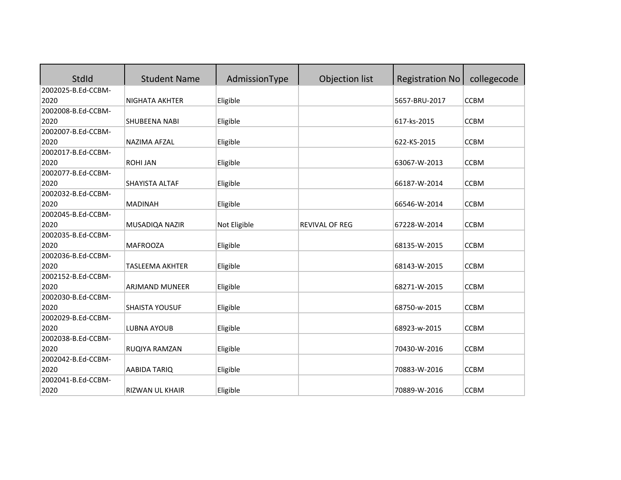| StdId              | <b>Student Name</b>    | AdmissionType | Objection list        | <b>Registration No</b> | collegecode |
|--------------------|------------------------|---------------|-----------------------|------------------------|-------------|
| 2002025-B.Ed-CCBM- |                        |               |                       |                        |             |
| 2020               | <b>NIGHATA AKHTER</b>  | Eligible      |                       | 5657-BRU-2017          | <b>CCBM</b> |
| 2002008-B.Ed-CCBM- |                        |               |                       |                        |             |
| 2020               | SHUBEENA NABI          | Eligible      |                       | 617-ks-2015            | <b>CCBM</b> |
| 2002007-B.Ed-CCBM- |                        |               |                       |                        |             |
| 2020               | NAZIMA AFZAL           | Eligible      |                       | 622-KS-2015            | <b>CCBM</b> |
| 2002017-B.Ed-CCBM- |                        |               |                       |                        |             |
| 2020               | <b>ROHI JAN</b>        | Eligible      |                       | 63067-W-2013           | <b>CCBM</b> |
| 2002077-B.Ed-CCBM- |                        |               |                       |                        |             |
| 2020               | SHAYISTA ALTAF         | Eligible      |                       | 66187-W-2014           | <b>CCBM</b> |
| 2002032-B.Ed-CCBM- |                        |               |                       |                        |             |
| 2020               | <b>MADINAH</b>         | Eligible      |                       | 66546-W-2014           | <b>CCBM</b> |
| 2002045-B.Ed-CCBM- |                        |               |                       |                        |             |
| 2020               | MUSADIQA NAZIR         | Not Eligible  | <b>REVIVAL OF REG</b> | 67228-W-2014           | <b>CCBM</b> |
| 2002035-B.Ed-CCBM- |                        |               |                       |                        |             |
| 2020               | <b>MAFROOZA</b>        | Eligible      |                       | 68135-W-2015           | <b>CCBM</b> |
| 2002036-B.Ed-CCBM- |                        |               |                       |                        |             |
| 2020               | <b>TASLEEMA AKHTER</b> | Eligible      |                       | 68143-W-2015           | <b>CCBM</b> |
| 2002152-B.Ed-CCBM- |                        |               |                       |                        |             |
| 2020               | ARJMAND MUNEER         | Eligible      |                       | 68271-W-2015           | <b>CCBM</b> |
| 2002030-B.Ed-CCBM- |                        |               |                       |                        |             |
| 2020               | <b>SHAISTA YOUSUF</b>  | Eligible      |                       | 68750-w-2015           | <b>CCBM</b> |
| 2002029-B.Ed-CCBM- |                        |               |                       |                        |             |
| 2020               | <b>LUBNA AYOUB</b>     | Eligible      |                       | 68923-w-2015           | <b>CCBM</b> |
| 2002038-B.Ed-CCBM- |                        |               |                       |                        |             |
| 2020               | RUQIYA RAMZAN          | Eligible      |                       | 70430-W-2016           | <b>CCBM</b> |
| 2002042-B.Ed-CCBM- |                        |               |                       |                        |             |
| 2020               | AABIDA TARIQ           | Eligible      |                       | 70883-W-2016           | <b>CCBM</b> |
| 2002041-B.Ed-CCBM- |                        |               |                       |                        |             |
| 2020               | RIZWAN UL KHAIR        | Eligible      |                       | 70889-W-2016           | <b>CCBM</b> |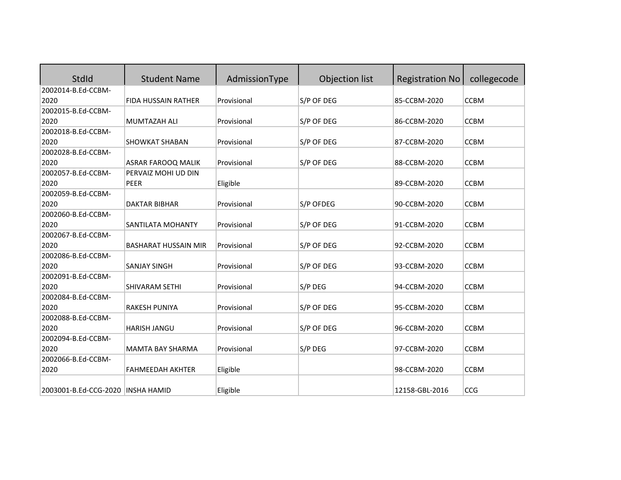| StdId                             | <b>Student Name</b>         | AdmissionType | Objection list | <b>Registration No</b> | collegecode |
|-----------------------------------|-----------------------------|---------------|----------------|------------------------|-------------|
| 2002014-B.Ed-CCBM-                |                             |               |                |                        |             |
| 2020                              | FIDA HUSSAIN RATHER         | Provisional   | S/P OF DEG     | 85-CCBM-2020           | <b>CCBM</b> |
| 2002015-B.Ed-CCBM-                |                             |               |                |                        |             |
| 2020                              | MUMTAZAH ALI                | Provisional   | S/P OF DEG     | 86-CCBM-2020           | <b>CCBM</b> |
| 2002018-B.Ed-CCBM-                |                             |               |                |                        |             |
| 2020                              | <b>SHOWKAT SHABAN</b>       | Provisional   | S/P OF DEG     | 87-CCBM-2020           | <b>CCBM</b> |
| 2002028-B.Ed-CCBM-                |                             |               |                |                        |             |
| 2020                              | <b>ASRAR FAROOQ MALIK</b>   | Provisional   | S/P OF DEG     | 88-CCBM-2020           | <b>CCBM</b> |
| 2002057-B.Ed-CCBM-                | PERVAIZ MOHI UD DIN         |               |                |                        |             |
| 2020                              | PEER                        | Eligible      |                | 89-CCBM-2020           | <b>CCBM</b> |
| 2002059-B.Ed-CCBM-                |                             |               |                |                        |             |
| 2020                              | <b>DAKTAR BIBHAR</b>        | Provisional   | S/P OFDEG      | 90-CCBM-2020           | <b>CCBM</b> |
| 2002060-B.Ed-CCBM-                |                             |               |                |                        |             |
| 2020                              | SANTILATA MOHANTY           | Provisional   | S/P OF DEG     | 91-CCBM-2020           | <b>CCBM</b> |
| 2002067-B.Ed-CCBM-                |                             |               |                |                        |             |
| 2020                              | <b>BASHARAT HUSSAIN MIR</b> | Provisional   | S/P OF DEG     | 92-CCBM-2020           | <b>CCBM</b> |
| 2002086-B.Ed-CCBM-                |                             |               |                |                        |             |
| 2020                              | <b>SANJAY SINGH</b>         | Provisional   | S/P OF DEG     | 93-CCBM-2020           | <b>CCBM</b> |
| 2002091-B.Ed-CCBM-                |                             |               |                |                        |             |
| 2020                              | SHIVARAM SETHI              | Provisional   | S/P DEG        | 94-CCBM-2020           | <b>CCBM</b> |
| 2002084-B.Ed-CCBM-                |                             |               |                |                        |             |
| 2020                              | RAKESH PUNIYA               | Provisional   | S/P OF DEG     | 95-CCBM-2020           | <b>CCBM</b> |
| 2002088-B.Ed-CCBM-                |                             |               |                |                        |             |
| 2020                              | <b>HARISH JANGU</b>         | Provisional   | S/P OF DEG     | 96-CCBM-2020           | <b>CCBM</b> |
| 2002094-B.Ed-CCBM-                |                             |               |                |                        |             |
| 2020                              | <b>MAMTA BAY SHARMA</b>     | Provisional   | S/P DEG        | 97-CCBM-2020           | <b>CCBM</b> |
| 2002066-B.Ed-CCBM-                |                             |               |                |                        |             |
| 2020                              | <b>FAHMEEDAH AKHTER</b>     | Eligible      |                | 98-CCBM-2020           | <b>CCBM</b> |
| 2003001-B.Ed-CCG-2020 INSHA HAMID |                             | Eligible      |                | 12158-GBL-2016         | <b>CCG</b>  |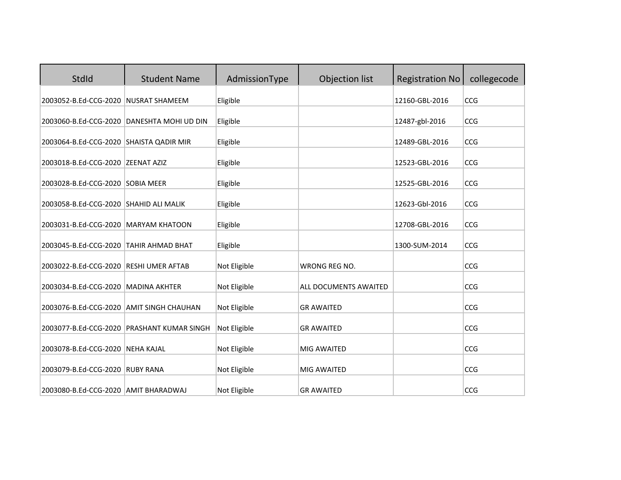| StdId                                    | <b>Student Name</b>                        | AdmissionType | Objection list        | <b>Registration No</b> | collegecode |
|------------------------------------------|--------------------------------------------|---------------|-----------------------|------------------------|-------------|
| 2003052-B.Ed-CCG-2020 NUSRAT SHAMEEM     |                                            | Eligible      |                       | 12160-GBL-2016         | CCG         |
|                                          | 2003060-B.Ed-CCG-2020 DANESHTA MOHI UD DIN | Eligible      |                       | 12487-gbl-2016         | CCG         |
| 2003064-B.Ed-CCG-2020 SHAISTA QADIR MIR  |                                            | Eligible      |                       | 12489-GBL-2016         | CCG         |
| 2003018-B.Ed-CCG-2020 ZEENAT AZIZ        |                                            | Eligible      |                       | 12523-GBL-2016         | CCG         |
| 2003028-B.Ed-CCG-2020 SOBIA MEER         |                                            | Eligible      |                       | 12525-GBL-2016         | CCG         |
| 2003058-B.Ed-CCG-2020 SHAHID ALI MALIK   |                                            | Eligible      |                       | 12623-Gbl-2016         | CCG         |
| 2003031-B.Ed-CCG-2020 MARYAM KHATOON     |                                            | Eligible      |                       | 12708-GBL-2016         | CCG         |
| 2003045-B.Ed-CCG-2020 TAHIR AHMAD BHAT   |                                            | Eligible      |                       | 1300-SUM-2014          | CCG         |
| 2003022-B.Ed-CCG-2020 RESHI UMER AFTAB   |                                            | Not Eligible  | <b>WRONG REG NO.</b>  |                        | CCG         |
| 2003034-B.Ed-CCG-2020   MADINA AKHTER    |                                            | Not Eligible  | ALL DOCUMENTS AWAITED |                        | CCG         |
| 2003076-B.Ed-CCG-2020 AMIT SINGH CHAUHAN |                                            | Not Eligible  | <b>GR AWAITED</b>     |                        | CCG         |
|                                          | 2003077-B.Ed-CCG-2020 PRASHANT KUMAR SINGH | Not Eligible  | <b>GR AWAITED</b>     |                        | CCG         |
| 2003078-B.Ed-CCG-2020 NEHA KAJAL         |                                            | Not Eligible  | MIG AWAITED           |                        | CCG         |
| 2003079-B.Ed-CCG-2020 RUBY RANA          |                                            | Not Eligible  | MIG AWAITED           |                        | CCG         |
| 2003080-B.Ed-CCG-2020 AMIT BHARADWAJ     |                                            | Not Eligible  | <b>GR AWAITED</b>     |                        | CCG         |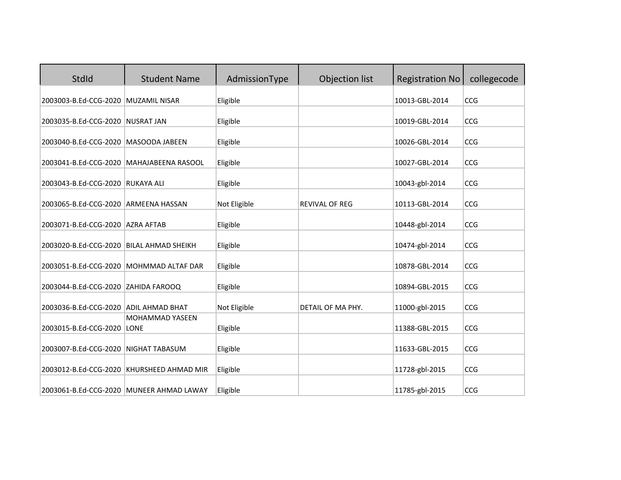| StdId                                      | <b>Student Name</b>                       | AdmissionType | Objection list        | <b>Registration No</b> | collegecode |
|--------------------------------------------|-------------------------------------------|---------------|-----------------------|------------------------|-------------|
| 2003003-B.Ed-CCG-2020 MUZAMIL NISAR        |                                           | Eligible      |                       | 10013-GBL-2014         | CCG         |
| 2003035-B.Ed-CCG-2020 NUSRAT JAN           |                                           | Eligible      |                       | 10019-GBL-2014         | CCG         |
| 2003040-B.Ed-CCG-2020   MASOODA JABEEN     |                                           | Eligible      |                       | 10026-GBL-2014         | CCG         |
| 2003041-B.Ed-CCG-2020   MAHAJABEENA RASOOL |                                           | Eligible      |                       | 10027-GBL-2014         | CCG         |
| 2003043-B.Ed-CCG-2020 RUKAYA ALI           |                                           | Eligible      |                       | 10043-gbl-2014         | CCG         |
| 2003065-B.Ed-CCG-2020 ARMEENA HASSAN       |                                           | Not Eligible  | <b>REVIVAL OF REG</b> | 10113-GBL-2014         | CCG         |
| 2003071-B.Ed-CCG-2020 AZRA AFTAB           |                                           | Eligible      |                       | 10448-gbl-2014         | CCG         |
| 2003020-B.Ed-CCG-2020   BILAL AHMAD SHEIKH |                                           | Eligible      |                       | 10474-gbl-2014         | CCG         |
| 2003051-B.Ed-CCG-2020 MOHMMAD ALTAF DAR    |                                           | Eligible      |                       | 10878-GBL-2014         | CCG         |
| 2003044-B.Ed-CCG-2020 ZAHIDA FAROOQ        |                                           | Eligible      |                       | 10894-GBL-2015         | CCG         |
| 2003036-B.Ed-CCG-2020 ADIL AHMAD BHAT      |                                           | Not Eligible  | DETAIL OF MA PHY.     | 11000-gbl-2015         | CCG         |
| 2003015-B.Ed-CCG-2020 LONE                 | MOHAMMAD YASEEN                           | Eligible      |                       | 11388-GBL-2015         | CCG         |
| 2003007-B.Ed-CCG-2020 NIGHAT TABASUM       |                                           | Eligible      |                       | 11633-GBL-2015         | CCG         |
|                                            | 2003012-B.Ed-CCG-2020 KHURSHEED AHMAD MIR | Eligible      |                       | 11728-gbl-2015         | CCG         |
|                                            | 2003061-B.Ed-CCG-2020 MUNEER AHMAD LAWAY  | Eligible      |                       | 11785-gbl-2015         | CCG         |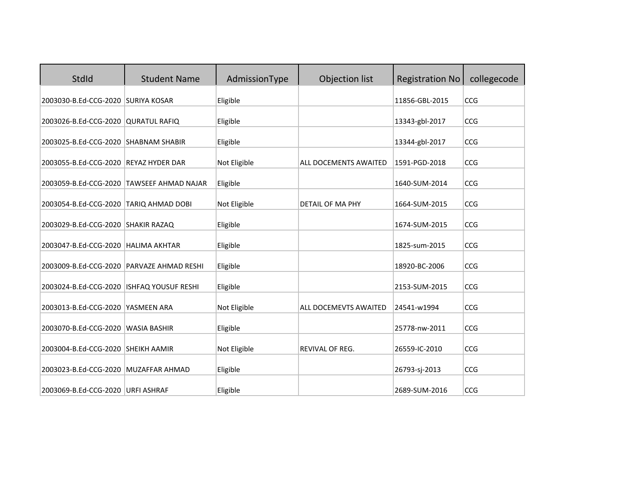| StdId                                       | <b>Student Name</b>                       | AdmissionType | Objection list               | <b>Registration No</b> | collegecode |
|---------------------------------------------|-------------------------------------------|---------------|------------------------------|------------------------|-------------|
| 2003030-B.Ed-CCG-2020 SURIYA KOSAR          |                                           | Eligible      |                              | 11856-GBL-2015         | CCG         |
| 2003026-B.Ed-CCG-2020 QURATUL RAFIQ         |                                           | Eligible      |                              | 13343-gbl-2017         | CCG         |
| 2003025-B.Ed-CCG-2020 SHABNAM SHABIR        |                                           | Eligible      |                              | 13344-gbl-2017         | CCG         |
| 2003055-B.Ed-CCG-2020 REYAZ HYDER DAR       |                                           | Not Eligible  | <b>ALL DOCEMENTS AWAITED</b> | 1591-PGD-2018          | CCG         |
|                                             | 2003059-B.Ed-CCG-2020 TAWSEEF AHMAD NAJAR | Eligible      |                              | 1640-SUM-2014          | CCG         |
| 2003054-B.Ed-CCG-2020 TARIQ AHMAD DOBI      |                                           | Not Eligible  | <b>DETAIL OF MA PHY</b>      | 1664-SUM-2015          | CCG         |
| 2003029-B.Ed-CCG-2020 SHAKIR RAZAQ          |                                           | Eligible      |                              | 1674-SUM-2015          | CCG         |
| 2003047-B.Ed-CCG-2020   HALIMA AKHTAR       |                                           | Eligible      |                              | 1825-sum-2015          | CCG         |
| 2003009-B.Ed-CCG-2020 PARVAZE AHMAD RESHI   |                                           | Eligible      |                              | 18920-BC-2006          | CCG         |
| 2003024-B.Ed-CCG-2020   ISHFAQ YOUSUF RESHI |                                           | Eligible      |                              | 2153-SUM-2015          | CCG         |
| 2003013-B.Ed-CCG-2020 YASMEEN ARA           |                                           | Not Eligible  | <b>ALL DOCEMEVTS AWAITED</b> | 24541-w1994            | CCG         |
| 2003070-B.Ed-CCG-2020                       | <b>WASIA BASHIR</b>                       | Eligible      |                              | 25778-nw-2011          | CCG         |
| 2003004-B.Ed-CCG-2020 SHEIKH AAMIR          |                                           | Not Eligible  | <b>REVIVAL OF REG.</b>       | 26559-IC-2010          | CCG         |
| 2003023-B.Ed-CCG-2020 MUZAFFAR AHMAD        |                                           | Eligible      |                              | 26793-sj-2013          | CCG         |
| 2003069-B.Ed-CCG-2020 URFI ASHRAF           |                                           | Eligible      |                              | 2689-SUM-2016          | CCG         |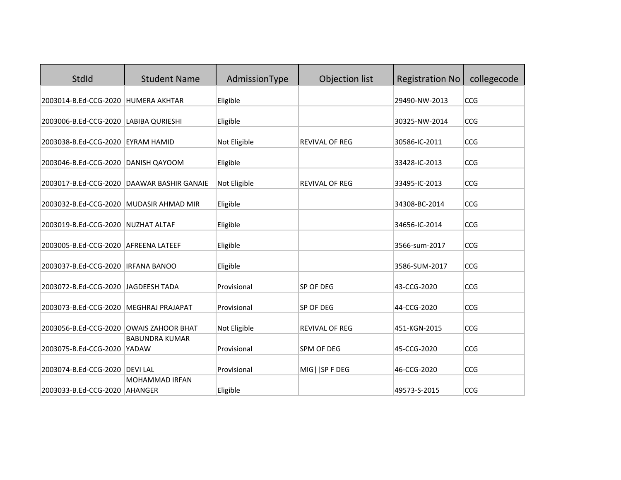| StdId                                   | <b>Student Name</b>                               | AdmissionType | Objection list        | <b>Registration No</b> | collegecode |
|-----------------------------------------|---------------------------------------------------|---------------|-----------------------|------------------------|-------------|
| 2003014-B.Ed-CCG-2020                   | <b>HUMERA AKHTAR</b>                              | Eligible      |                       | 29490-NW-2013          | CCG         |
| 2003006-B.Ed-CCG-2020 LABIBA QURIESHI   |                                                   | Eligible      |                       | 30325-NW-2014          | CCG         |
| 2003038-B.Ed-CCG-2020 EYRAM HAMID       |                                                   | Not Eligible  | <b>REVIVAL OF REG</b> | 30586-IC-2011          | CCG         |
| 2003046-B.Ed-CCG-2020 DANISH QAYOOM     |                                                   | Eligible      |                       | 33428-IC-2013          | CCG         |
|                                         | 2003017-B.Ed-CCG-2020 DAAWAR BASHIR GANAIE        | Not Eligible  | <b>REVIVAL OF REG</b> | 33495-IC-2013          | CCG         |
| 2003032-B.Ed-CCG-2020 MUDASIR AHMAD MIR |                                                   | Eligible      |                       | 34308-BC-2014          | CCG         |
| 2003019-B.Ed-CCG-2020 NUZHAT ALTAF      |                                                   | Eligible      |                       | 34656-IC-2014          | CCG         |
| 2003005-B.Ed-CCG-2020 AFREENA LATEEF    |                                                   | Eligible      |                       | 3566-sum-2017          | CCG         |
| 2003037-B.Ed-CCG-2020   IRFANA BANOO    |                                                   | Eligible      |                       | 3586-SUM-2017          | <b>CCG</b>  |
| 2003072-B.Ed-CCG-2020 JAGDEESH TADA     |                                                   | Provisional   | SP OF DEG             | 43-CCG-2020            | <b>CCG</b>  |
|                                         |                                                   |               |                       |                        |             |
| 2003073-B.Ed-CCG-2020                   | <b>MEGHRAJ PRAJAPAT</b>                           | Provisional   | SP OF DEG             | 44-CCG-2020            | <b>CCG</b>  |
| 2003056-B.Ed-CCG-2020                   | <b>OWAIS ZAHOOR BHAT</b><br><b>BABUNDRA KUMAR</b> | Not Eligible  | REVIVAL OF REG        | 451-KGN-2015           | CCG         |
| 2003075-B.Ed-CCG-2020                   | <b>YADAW</b>                                      | Provisional   | SPM OF DEG            | 45-CCG-2020            | <b>CCG</b>  |
| 2003074-B.Ed-CCG-2020 DEVI LAL          | <b>MOHAMMAD IRFAN</b>                             | Provisional   | MIG     SP F DEG      | 46-CCG-2020            | CCG         |
| 2003033-B.Ed-CCG-2020 AHANGER           |                                                   | Eligible      |                       | 49573-S-2015           | CCG         |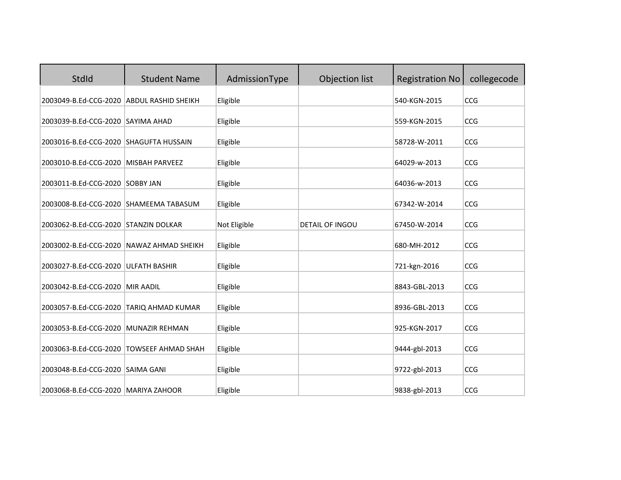| StdId                                     | <b>Student Name</b>                      | AdmissionType | Objection list         | <b>Registration No</b> | collegecode |
|-------------------------------------------|------------------------------------------|---------------|------------------------|------------------------|-------------|
| 2003049-B.Ed-CCG-2020 ABDUL RASHID SHEIKH |                                          | Eligible      |                        | 540-KGN-2015           | CCG         |
| 2003039-B.Ed-CCG-2020 SAYIMA AHAD         |                                          | Eligible      |                        | 559-KGN-2015           | CCG         |
| 2003016-B.Ed-CCG-2020 SHAGUFTA HUSSAIN    |                                          | Eligible      |                        | 58728-W-2011           | CCG         |
| 2003010-B.Ed-CCG-2020 MISBAH PARVEEZ      |                                          | Eligible      |                        | 64029-w-2013           | CCG         |
| 2003011-B.Ed-CCG-2020 SOBBY JAN           |                                          | Eligible      |                        | 64036-w-2013           | CCG         |
| 2003008-B.Ed-CCG-2020 SHAMEEMA TABASUM    |                                          | Eligible      |                        | 67342-W-2014           | CCG         |
| 2003062-B.Ed-CCG-2020 STANZIN DOLKAR      |                                          | Not Eligible  | <b>DETAIL OF INGOU</b> | 67450-W-2014           | CCG         |
| 2003002-B.Ed-CCG-2020 NAWAZ AHMAD SHEIKH  |                                          | Eligible      |                        | 680-MH-2012            | CCG         |
| 2003027-B.Ed-CCG-2020 ULFATH BASHIR       |                                          | Eligible      |                        | 721-kgn-2016           | CCG         |
| 2003042-B.Ed-CCG-2020 MIR AADIL           |                                          | Eligible      |                        | 8843-GBL-2013          | CCG         |
| 2003057-B.Ed-CCG-2020 TARIQ AHMAD KUMAR   |                                          | Eligible      |                        | 8936-GBL-2013          | CCG         |
| 2003053-B.Ed-CCG-2020 MUNAZIR REHMAN      |                                          | Eligible      |                        | 925-KGN-2017           | CCG         |
|                                           | 2003063-B.Ed-CCG-2020 TOWSEEF AHMAD SHAH | Eligible      |                        | 9444-gbl-2013          | CCG         |
| 2003048-B.Ed-CCG-2020 SAIMA GANI          |                                          | Eligible      |                        | 9722-gbl-2013          | CCG         |
| 2003068-B.Ed-CCG-2020   MARIYA ZAHOOR     |                                          | Eligible      |                        | 9838-gbl-2013          | CCG         |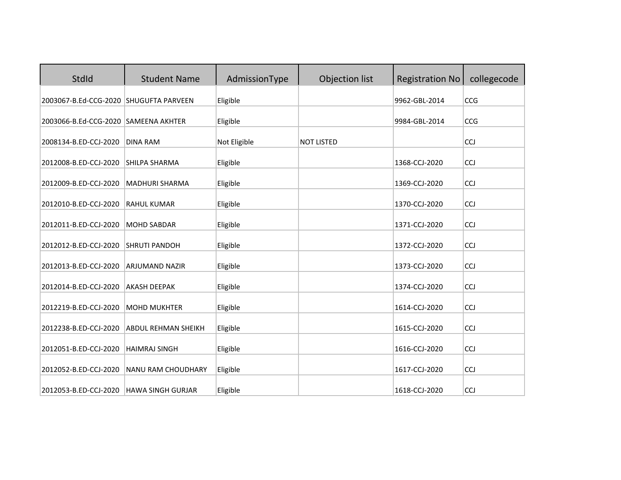| StdId                                  | <b>Student Name</b>        | AdmissionType | Objection list    | <b>Registration No</b> | collegecode |
|----------------------------------------|----------------------------|---------------|-------------------|------------------------|-------------|
| 2003067-B.Ed-CCG-2020 SHUGUFTA PARVEEN |                            | Eligible      |                   | 9962-GBL-2014          | CCG         |
| 2003066-B.Ed-CCG-2020 SAMEENA AKHTER   |                            | Eligible      |                   | 9984-GBL-2014          | CCG         |
| 2008134-B.ED-CCJ-2020                  | <b>DINA RAM</b>            | Not Eligible  | <b>NOT LISTED</b> |                        | <b>CCJ</b>  |
| 2012008-B.ED-CCJ-2020                  | <b>SHILPA SHARMA</b>       | Eligible      |                   | 1368-CCJ-2020          | CCJ         |
| 2012009-B.ED-CCJ-2020                  | <b>MADHURI SHARMA</b>      | Eligible      |                   | 1369-CCJ-2020          | CCJ         |
| 2012010-B.ED-CCJ-2020                  | <b>RAHUL KUMAR</b>         | Eligible      |                   | 1370-CCJ-2020          | CCJ         |
| 2012011-B.ED-CCJ-2020                  | <b>MOHD SABDAR</b>         | Eligible      |                   | 1371-CCJ-2020          | CCJ         |
| 2012012-B.ED-CCJ-2020                  | <b>SHRUTI PANDOH</b>       | Eligible      |                   | 1372-CCJ-2020          | CCJ         |
| 2012013-B.ED-CCJ-2020                  | <b>ARJUMAND NAZIR</b>      | Eligible      |                   | 1373-CCJ-2020          | <b>CCJ</b>  |
| 2012014-B.ED-CCJ-2020                  | <b>AKASH DEEPAK</b>        | Eligible      |                   | 1374-CCJ-2020          | <b>CCJ</b>  |
| 2012219-B.ED-CCJ-2020                  | <b>MOHD MUKHTER</b>        | Eligible      |                   | 1614-CCJ-2020          | CCJ         |
| 2012238-B.ED-CCJ-2020                  | <b>ABDUL REHMAN SHEIKH</b> | Eligible      |                   | 1615-CCJ-2020          | <b>CCJ</b>  |
| 2012051-B.ED-CCJ-2020                  | <b>HAIMRAJ SINGH</b>       | Eligible      |                   | 1616-CCJ-2020          | CCJ         |
| 2012052-B.ED-CCJ-2020                  | NANU RAM CHOUDHARY         | Eligible      |                   | 1617-CCJ-2020          | CCJ         |
| 2012053-B.ED-CCJ-2020                  | <b>HAWA SINGH GURJAR</b>   | Eligible      |                   | 1618-CCJ-2020          | <b>CCJ</b>  |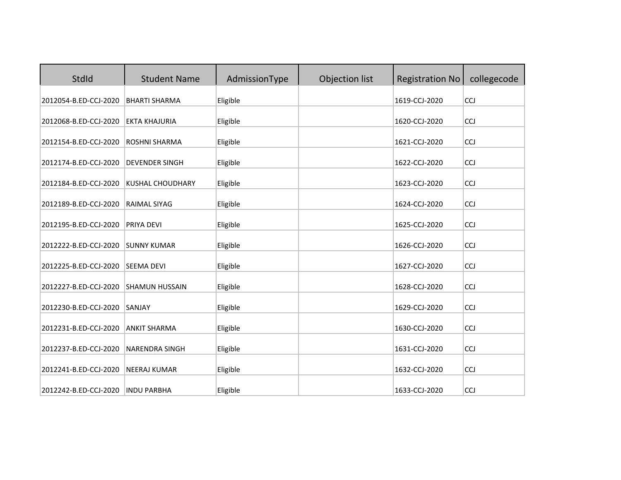| StdId                 | <b>Student Name</b>     | AdmissionType | Objection list | <b>Registration No</b> | collegecode |
|-----------------------|-------------------------|---------------|----------------|------------------------|-------------|
| 2012054-B.ED-CCJ-2020 | <b>BHARTI SHARMA</b>    | Eligible      |                | 1619-CCJ-2020          | <b>CCJ</b>  |
| 2012068-B.ED-CCJ-2020 | <b>EKTA KHAJURIA</b>    | Eligible      |                | 1620-CCJ-2020          | <b>CCJ</b>  |
| 2012154-B.ED-CCJ-2020 | ROSHNI SHARMA           | Eligible      |                | 1621-CCJ-2020          | <b>CCJ</b>  |
| 2012174-B.ED-CCJ-2020 | <b>DEVENDER SINGH</b>   | Eligible      |                | 1622-CCJ-2020          | <b>CCJ</b>  |
| 2012184-B.ED-CCJ-2020 | <b>KUSHAL CHOUDHARY</b> | Eligible      |                | 1623-CCJ-2020          | <b>CCJ</b>  |
| 2012189-B.ED-CCJ-2020 | RAIMAL SIYAG            | Eligible      |                | 1624-CCJ-2020          | CCJ         |
| 2012195-B.ED-CCJ-2020 | PRIYA DEVI              | Eligible      |                | 1625-CCJ-2020          | CCJ         |
| 2012222-B.ED-CCJ-2020 | <b>SUNNY KUMAR</b>      | Eligible      |                | 1626-CCJ-2020          | <b>CCJ</b>  |
| 2012225-B.ED-CCJ-2020 | <b>SEEMA DEVI</b>       | Eligible      |                | 1627-CCJ-2020          | CCJ         |
| 2012227-B.ED-CCJ-2020 | <b>SHAMUN HUSSAIN</b>   | Eligible      |                | 1628-CCJ-2020          | CCJ         |
| 2012230-B.ED-CCJ-2020 | SANJAY                  | Eligible      |                | 1629-CCJ-2020          | CCJ         |
| 2012231-B.ED-CCJ-2020 | <b>ANKIT SHARMA</b>     | Eligible      |                | 1630-CCJ-2020          | CCJ         |
| 2012237-B.ED-CCJ-2020 | <b>NARENDRA SINGH</b>   | Eligible      |                | 1631-CCJ-2020          | <b>CCJ</b>  |
| 2012241-B.ED-CCJ-2020 | <b>NEERAJ KUMAR</b>     | Eligible      |                | 1632-CCJ-2020          | CCJ         |
| 2012242-B.ED-CCJ-2020 | <b>INDU PARBHA</b>      | Eligible      |                | 1633-CCJ-2020          | CCJ         |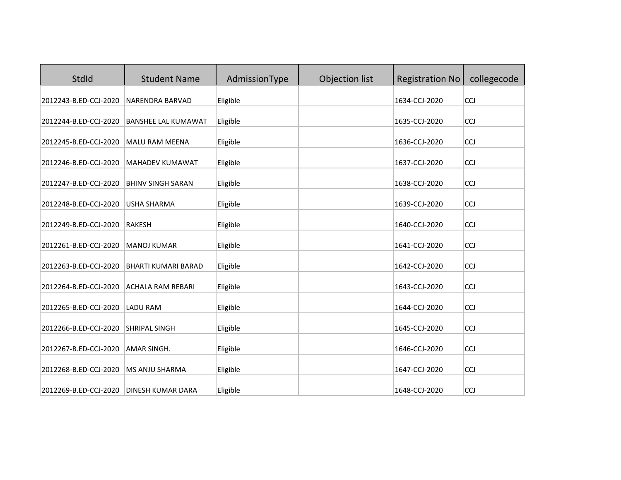| StdId                 | <b>Student Name</b>        | AdmissionType | Objection list | <b>Registration No</b> | collegecode |
|-----------------------|----------------------------|---------------|----------------|------------------------|-------------|
| 2012243-B.ED-CCJ-2020 | NARENDRA BARVAD            | Eligible      |                | 1634-CCJ-2020          | <b>CCJ</b>  |
| 2012244-B.ED-CCJ-2020 | <b>BANSHEE LAL KUMAWAT</b> | Eligible      |                | 1635-CCJ-2020          | CCJ         |
| 2012245-B.ED-CCJ-2020 | MALU RAM MEENA             | Eligible      |                | 1636-CCJ-2020          | <b>CCJ</b>  |
| 2012246-B.ED-CCJ-2020 | <b>MAHADEV KUMAWAT</b>     | Eligible      |                | 1637-CCJ-2020          | <b>CCJ</b>  |
| 2012247-B.ED-CCJ-2020 | <b>BHINV SINGH SARAN</b>   | Eligible      |                | 1638-CCJ-2020          | <b>CCJ</b>  |
| 2012248-B.ED-CCJ-2020 | <b>USHA SHARMA</b>         | Eligible      |                | 1639-CCJ-2020          | <b>CCJ</b>  |
| 2012249-B.ED-CCJ-2020 | <b>RAKESH</b>              | Eligible      |                | 1640-CCJ-2020          | CCJ         |
| 2012261-B.ED-CCJ-2020 | <b>MANOJ KUMAR</b>         | Eligible      |                | 1641-CCJ-2020          | <b>CCJ</b>  |
| 2012263-B.ED-CCJ-2020 | <b>BHARTI KUMARI BARAD</b> | Eligible      |                | 1642-CCJ-2020          | CCJ         |
| 2012264-B.ED-CCJ-2020 | <b>ACHALA RAM REBARI</b>   | Eligible      |                | 1643-CCJ-2020          | CCJ         |
| 2012265-B.ED-CCJ-2020 | <b>LADU RAM</b>            | Eligible      |                | 1644-CCJ-2020          | CCJ         |
| 2012266-B.ED-CCJ-2020 | <b>SHRIPAL SINGH</b>       | Eligible      |                | 1645-CCJ-2020          | CCJ         |
| 2012267-B.ED-CCJ-2020 | AMAR SINGH.                | Eligible      |                | 1646-CCJ-2020          | <b>CCJ</b>  |
| 2012268-B.ED-CCJ-2020 | MS ANJU SHARMA             | Eligible      |                | 1647-CCJ-2020          | CCJ         |
| 2012269-B.ED-CCJ-2020 | <b>DINESH KUMAR DARA</b>   | Eligible      |                | 1648-CCJ-2020          | CCJ         |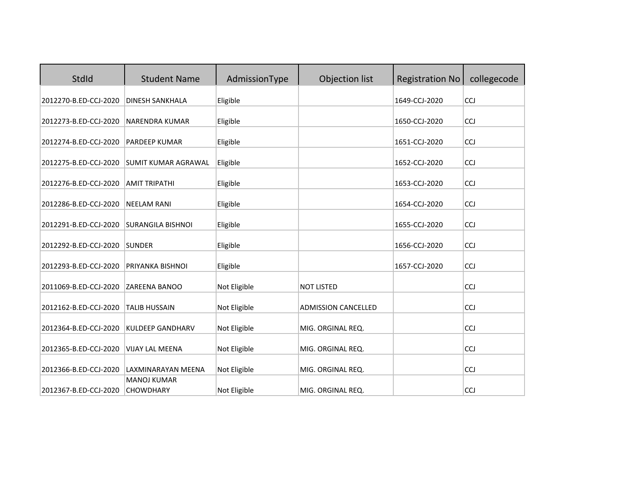| StdId                 | <b>Student Name</b>                    | AdmissionType | Objection list             | <b>Registration No</b> | collegecode |
|-----------------------|----------------------------------------|---------------|----------------------------|------------------------|-------------|
| 2012270-B.ED-CCJ-2020 | <b>DINESH SANKHALA</b>                 | Eligible      |                            | 1649-CCJ-2020          | CCJ         |
| 2012273-B.ED-CCJ-2020 | NARENDRA KUMAR                         | Eligible      |                            | 1650-CCJ-2020          | <b>CCJ</b>  |
| 2012274-B.ED-CCJ-2020 | <b>PARDEEP KUMAR</b>                   | Eligible      |                            | 1651-CCJ-2020          | CCJ         |
| 2012275-B.ED-CCJ-2020 | <b>SUMIT KUMAR AGRAWAL</b>             | Eligible      |                            | 1652-CCJ-2020          | CCJ         |
| 2012276-B.ED-CCJ-2020 | <b>AMIT TRIPATHI</b>                   | Eligible      |                            | 1653-CCJ-2020          | CCJ         |
| 2012286-B.ED-CCJ-2020 | <b>NEELAM RANI</b>                     | Eligible      |                            | 1654-CCJ-2020          | <b>CCJ</b>  |
| 2012291-B.ED-CCJ-2020 | <b>SURANGILA BISHNOI</b>               | Eligible      |                            | 1655-CCJ-2020          | CCJ         |
| 2012292-B.ED-CCJ-2020 | <b>SUNDER</b>                          | Eligible      |                            | 1656-CCJ-2020          | <b>CCJ</b>  |
| 2012293-B.ED-CCJ-2020 | PRIYANKA BISHNOI                       | Eligible      |                            | 1657-CCJ-2020          | CCJ         |
| 2011069-B.ED-CCJ-2020 | ZAREENA BANOO                          | Not Eligible  | <b>NOT LISTED</b>          |                        | CCJ         |
| 2012162-B.ED-CCJ-2020 | <b>TALIB HUSSAIN</b>                   | Not Eligible  | <b>ADMISSION CANCELLED</b> |                        | CCJ         |
| 2012364-B.ED-CCJ-2020 | <b>KULDEEP GANDHARV</b>                | Not Eligible  | MIG. ORGINAL REQ.          |                        | CCJ         |
| 2012365-B.ED-CCJ-2020 | <b>VIJAY LAL MEENA</b>                 | Not Eligible  | MIG. ORGINAL REQ.          |                        | <b>CCJ</b>  |
| 2012366-B.ED-CCJ-2020 | LAXMINARAYAN MEENA                     | Not Eligible  | MIG. ORGINAL REQ.          |                        | CCJ         |
| 2012367-B.ED-CCJ-2020 | <b>MANOJ KUMAR</b><br><b>CHOWDHARY</b> | Not Eligible  | MIG. ORGINAL REQ.          |                        | <b>CCJ</b>  |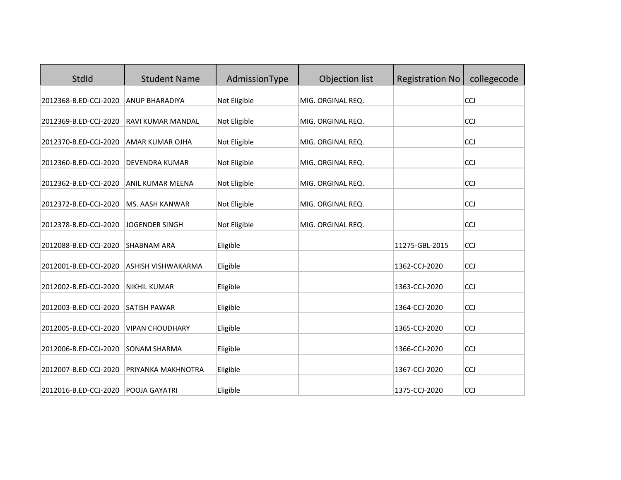| <b>StdId</b>          | <b>Student Name</b>    | AdmissionType | Objection list    | <b>Registration No</b> | collegecode |
|-----------------------|------------------------|---------------|-------------------|------------------------|-------------|
| 2012368-B.ED-CCJ-2020 | <b>ANUP BHARADIYA</b>  | Not Eligible  | MIG. ORGINAL REQ. |                        | CCJ         |
| 2012369-B.ED-CCJ-2020 | RAVI KUMAR MANDAL      | Not Eligible  | MIG. ORGINAL REQ. |                        | <b>CCJ</b>  |
| 2012370-B.ED-CCJ-2020 | AMAR KUMAR OJHA        | Not Eligible  | MIG. ORGINAL REQ. |                        | CCJ         |
| 2012360-B.ED-CCJ-2020 | DEVENDRA KUMAR         | Not Eligible  | MIG. ORGINAL REQ. |                        | CCJ         |
| 2012362-B.ED-CCJ-2020 | ANIL KUMAR MEENA       | Not Eligible  | MIG. ORGINAL REQ. |                        | <b>CCJ</b>  |
| 2012372-B.ED-CCJ-2020 | <b>MS. AASH KANWAR</b> | Not Eligible  | MIG. ORGINAL REQ. |                        | CCJ         |
| 2012378-B.ED-CCJ-2020 | <b>JOGENDER SINGH</b>  | Not Eligible  | MIG. ORGINAL REQ. |                        | CCJ         |
| 2012088-B.ED-CCJ-2020 | <b>SHABNAM ARA</b>     | Eligible      |                   | 11275-GBL-2015         | CCJ         |
| 2012001-B.ED-CCJ-2020 | ASHISH VISHWAKARMA     | Eligible      |                   | 1362-CCJ-2020          | CCJ         |
| 2012002-B.ED-CCJ-2020 | <b>NIKHIL KUMAR</b>    | Eligible      |                   | 1363-CCJ-2020          | <b>CCJ</b>  |
| 2012003-B.ED-CCJ-2020 | SATISH PAWAR           | Eligible      |                   | 1364-CCJ-2020          | CCJ         |
| 2012005-B.ED-CCJ-2020 | <b>VIPAN CHOUDHARY</b> | Eligible      |                   | 1365-CCJ-2020          | CCJ         |
| 2012006-B.ED-CCJ-2020 | SONAM SHARMA           | Eligible      |                   | 1366-CCJ-2020          | <b>CCJ</b>  |
| 2012007-B.ED-CCJ-2020 | PRIYANKA MAKHNOTRA     | Eligible      |                   | 1367-CCJ-2020          | CCJ         |
| 2012016-B.ED-CCJ-2020 | POOJA GAYATRI          | Eligible      |                   | 1375-CCJ-2020          | CCJ         |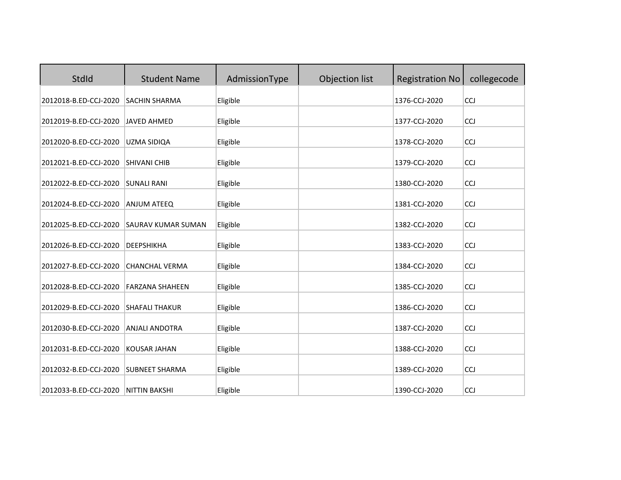| <b>StdId</b>          | <b>Student Name</b>       | AdmissionType | Objection list | <b>Registration No</b> | collegecode |
|-----------------------|---------------------------|---------------|----------------|------------------------|-------------|
| 2012018-B.ED-CCJ-2020 | <b>SACHIN SHARMA</b>      | Eligible      |                | 1376-CCJ-2020          | <b>CCJ</b>  |
| 2012019-B.ED-CCJ-2020 | <b>JAVED AHMED</b>        | Eligible      |                | 1377-CCJ-2020          | <b>CCJ</b>  |
| 2012020-B.ED-CCJ-2020 | <b>UZMA SIDIQA</b>        | Eligible      |                | 1378-CCJ-2020          | CCJ         |
| 2012021-B.ED-CCJ-2020 | <b>SHIVANI CHIB</b>       | Eligible      |                | 1379-CCJ-2020          | CCJ         |
| 2012022-B.ED-CCJ-2020 | <b>SUNALI RANI</b>        | Eligible      |                | 1380-CCJ-2020          | CCJ         |
| 2012024-B.ED-CCJ-2020 | <b>ANJUM ATEEQ</b>        | Eligible      |                | 1381-CCJ-2020          | CCJ         |
| 2012025-B.ED-CCJ-2020 | <b>SAURAV KUMAR SUMAN</b> | Eligible      |                | 1382-CCJ-2020          | CCJ         |
| 2012026-B.ED-CCJ-2020 | DEEPSHIKHA                | Eligible      |                | 1383-CCJ-2020          | CCJ         |
| 2012027-B.ED-CCJ-2020 | <b>CHANCHAL VERMA</b>     | Eligible      |                | 1384-CCJ-2020          | CCJ         |
| 2012028-B.ED-CCJ-2020 | <b>FARZANA SHAHEEN</b>    | Eligible      |                | 1385-CCJ-2020          | CCJ         |
| 2012029-B.ED-CCJ-2020 | <b>SHAFALI THAKUR</b>     | Eligible      |                | 1386-CCJ-2020          | <b>CCJ</b>  |
| 2012030-B.ED-CCJ-2020 | <b>ANJALI ANDOTRA</b>     | Eligible      |                | 1387-CCJ-2020          | CCJ         |
| 2012031-B.ED-CCJ-2020 | <b>KOUSAR JAHAN</b>       | Eligible      |                | 1388-CCJ-2020          | CCJ         |
| 2012032-B.ED-CCJ-2020 | <b>SUBNEET SHARMA</b>     | Eligible      |                | 1389-CCJ-2020          | <b>CCJ</b>  |
| 2012033-B.ED-CCJ-2020 | <b>NITTIN BAKSHI</b>      | Eligible      |                | 1390-CCJ-2020          | CCJ         |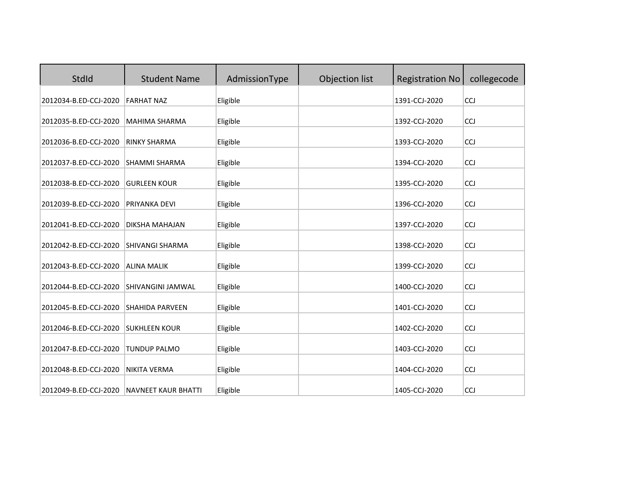| StdId                 | <b>Student Name</b>        | AdmissionType | Objection list | <b>Registration No</b> | collegecode |
|-----------------------|----------------------------|---------------|----------------|------------------------|-------------|
| 2012034-B.ED-CCJ-2020 | <b>FARHAT NAZ</b>          | Eligible      |                | 1391-CCJ-2020          | <b>CCJ</b>  |
| 2012035-B.ED-CCJ-2020 | MAHIMA SHARMA              | Eligible      |                | 1392-CCJ-2020          | <b>CCJ</b>  |
| 2012036-B.ED-CCJ-2020 | <b>RINKY SHARMA</b>        | Eligible      |                | 1393-CCJ-2020          | <b>CCJ</b>  |
| 2012037-B.ED-CCJ-2020 | <b>SHAMMI SHARMA</b>       | Eligible      |                | 1394-CCJ-2020          | <b>CCJ</b>  |
| 2012038-B.ED-CCJ-2020 | <b>GURLEEN KOUR</b>        | Eligible      |                | 1395-CCJ-2020          | <b>CCJ</b>  |
| 2012039-B.ED-CCJ-2020 | PRIYANKA DEVI              | Eligible      |                | 1396-CCJ-2020          | CCJ         |
| 2012041-B.ED-CCJ-2020 | <b>DIKSHA MAHAJAN</b>      | Eligible      |                | 1397-CCJ-2020          | CCJ         |
| 2012042-B.ED-CCJ-2020 | SHIVANGI SHARMA            | Eligible      |                | 1398-CCJ-2020          | <b>CCJ</b>  |
| 2012043-B.ED-CCJ-2020 | <b>ALINA MALIK</b>         | Eligible      |                | 1399-CCJ-2020          | CCJ         |
| 2012044-B.ED-CCJ-2020 | SHIVANGINI JAMWAL          | Eligible      |                | 1400-CCJ-2020          | CCJ         |
| 2012045-B.ED-CCJ-2020 | <b>SHAHIDA PARVEEN</b>     | Eligible      |                | 1401-CCJ-2020          | CCJ         |
| 2012046-B.ED-CCJ-2020 | <b>SUKHLEEN KOUR</b>       | Eligible      |                | 1402-CCJ-2020          | CCJ         |
| 2012047-B.ED-CCJ-2020 | <b>TUNDUP PALMO</b>        | Eligible      |                | 1403-CCJ-2020          | <b>CCJ</b>  |
| 2012048-B.ED-CCJ-2020 | <b>NIKITA VERMA</b>        | Eligible      |                | 1404-CCJ-2020          | CCJ         |
| 2012049-B.ED-CCJ-2020 | <b>NAVNEET KAUR BHATTI</b> | Eligible      |                | 1405-CCJ-2020          | CCJ         |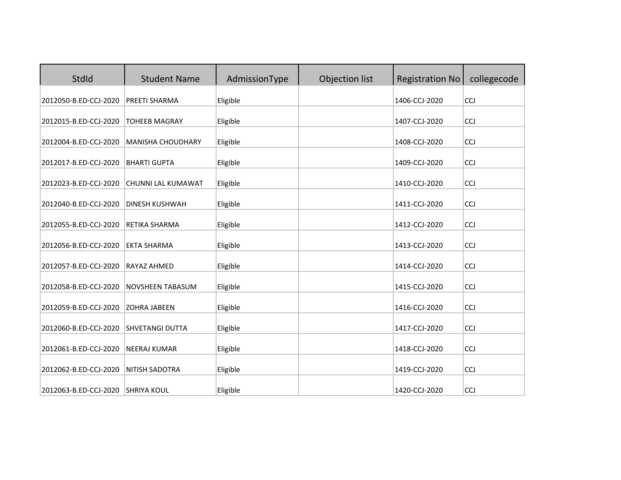| StdId                 | <b>Student Name</b>      | AdmissionType | Objection list | <b>Registration No</b> | collegecode |
|-----------------------|--------------------------|---------------|----------------|------------------------|-------------|
| 2012050-B.ED-CCJ-2020 | PREETI SHARMA            | Eligible      |                | 1406-CCJ-2020          | <b>CCJ</b>  |
| 2012015-B.ED-CCJ-2020 | <b>TOHEEB MAGRAY</b>     | Eligible      |                | 1407-CCJ-2020          | <b>CCJ</b>  |
| 2012004-B.ED-CCJ-2020 | <b>MANISHA CHOUDHARY</b> | Eligible      |                | 1408-CCJ-2020          | <b>CCJ</b>  |
| 2012017-B.ED-CCJ-2020 | <b>BHARTI GUPTA</b>      | Eligible      |                | 1409-CCJ-2020          | <b>CCJ</b>  |
| 2012023-B.ED-CCJ-2020 | CHUNNI LAL KUMAWAT       | Eligible      |                | 1410-CCJ-2020          | <b>CCJ</b>  |
| 2012040-B.ED-CCJ-2020 | <b>DINESH KUSHWAH</b>    | Eligible      |                | 1411-CCJ-2020          | CCJ         |
| 2012055-B.ED-CCJ-2020 | RETIKA SHARMA            | Eligible      |                | 1412-CCJ-2020          | CCJ         |
| 2012056-B.ED-CCJ-2020 | <b>EKTA SHARMA</b>       | Eligible      |                | 1413-CCJ-2020          | <b>CCJ</b>  |
| 2012057-B.ED-CCJ-2020 | <b>RAYAZ AHMED</b>       | Eligible      |                | 1414-CCJ-2020          | CCJ         |
| 2012058-B.ED-CCJ-2020 | NOVSHEEN TABASUM         | Eligible      |                | 1415-CCJ-2020          | CCJ         |
| 2012059-B.ED-CCJ-2020 | <b>ZOHRA JABEEN</b>      | Eligible      |                | 1416-CCJ-2020          | CCJ         |
| 2012060-B.ED-CCJ-2020 | <b>SHVETANGI DUTTA</b>   | Eligible      |                | 1417-CCJ-2020          | CCJ         |
| 2012061-B.ED-CCJ-2020 | <b>NEERAJ KUMAR</b>      | Eligible      |                | 1418-CCJ-2020          | <b>CCJ</b>  |
| 2012062-B.ED-CCJ-2020 | NITISH SADOTRA           | Eligible      |                | 1419-CCJ-2020          | CCJ         |
| 2012063-B.ED-CCJ-2020 | <b>SHRIYA KOUL</b>       | Eligible      |                | 1420-CCJ-2020          | CCJ         |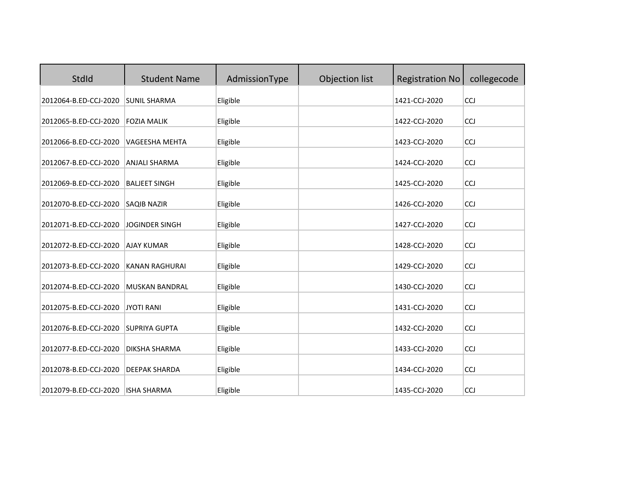| StdId                 | <b>Student Name</b>   | AdmissionType | Objection list | <b>Registration No</b> | collegecode |
|-----------------------|-----------------------|---------------|----------------|------------------------|-------------|
| 2012064-B.ED-CCJ-2020 | <b>SUNIL SHARMA</b>   | Eligible      |                | 1421-CCJ-2020          | <b>CCJ</b>  |
| 2012065-B.ED-CCJ-2020 | <b>FOZIA MALIK</b>    | Eligible      |                | 1422-CCJ-2020          | <b>CCJ</b>  |
| 2012066-B.ED-CCJ-2020 | VAGEESHA MEHTA        | Eligible      |                | 1423-CCJ-2020          | <b>CCJ</b>  |
| 2012067-B.ED-CCJ-2020 | <b>ANJALI SHARMA</b>  | Eligible      |                | 1424-CCJ-2020          | <b>CCJ</b>  |
| 2012069-B.ED-CCJ-2020 | <b>BALJEET SINGH</b>  | Eligible      |                | 1425-CCJ-2020          | <b>CCJ</b>  |
| 2012070-B.ED-CCJ-2020 | <b>SAQIB NAZIR</b>    | Eligible      |                | 1426-CCJ-2020          | CCJ         |
| 2012071-B.ED-CCJ-2020 | <b>JOGINDER SINGH</b> | Eligible      |                | 1427-CCJ-2020          | CCJ         |
| 2012072-B.ED-CCJ-2020 | <b>AJAY KUMAR</b>     | Eligible      |                | 1428-CCJ-2020          | <b>CCJ</b>  |
| 2012073-B.ED-CCJ-2020 | <b>KANAN RAGHURAI</b> | Eligible      |                | 1429-CCJ-2020          | CCJ         |
| 2012074-B.ED-CCJ-2020 | <b>MUSKAN BANDRAL</b> | Eligible      |                | 1430-CCJ-2020          | CCJ         |
| 2012075-B.ED-CCJ-2020 | <b>JYOTI RANI</b>     | Eligible      |                | 1431-CCJ-2020          | CCJ         |
| 2012076-B.ED-CCJ-2020 | <b>SUPRIYA GUPTA</b>  | Eligible      |                | 1432-CCJ-2020          | CCJ         |
| 2012077-B.ED-CCJ-2020 | DIKSHA SHARMA         | Eligible      |                | 1433-CCJ-2020          | <b>CCJ</b>  |
| 2012078-B.ED-CCJ-2020 | <b>DEEPAK SHARDA</b>  | Eligible      |                | 1434-CCJ-2020          | CCJ         |
| 2012079-B.ED-CCJ-2020 | <b>ISHA SHARMA</b>    | Eligible      |                | 1435-CCJ-2020          | CCJ         |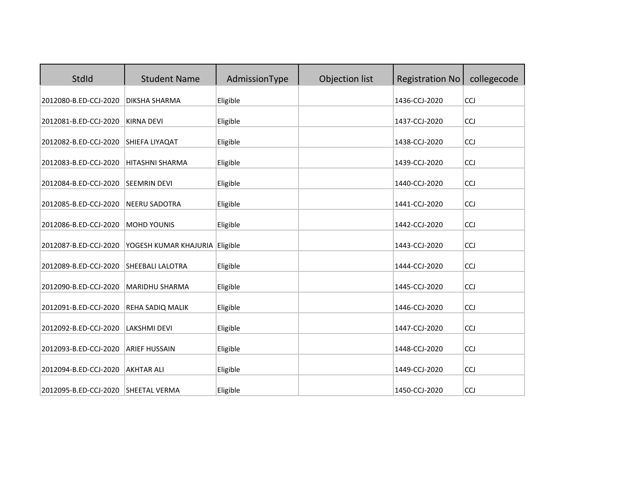| StdId                 | <b>Student Name</b>     | AdmissionType | Objection list | <b>Registration No</b> | collegecode |
|-----------------------|-------------------------|---------------|----------------|------------------------|-------------|
| 2012080-B.ED-CCJ-2020 | DIKSHA SHARMA           | Eligible      |                | 1436-CCJ-2020          | CCJ         |
| 2012081-B.ED-CCJ-2020 | <b>KIRNA DEVI</b>       | Eligible      |                | 1437-CCJ-2020          | <b>CCJ</b>  |
| 2012082-B.ED-CCJ-2020 | SHIEFA LIYAQAT          | Eligible      |                | 1438-CCJ-2020          | CCJ         |
| 2012083-B.ED-CCJ-2020 | <b>HITASHNI SHARMA</b>  | Eligible      |                | 1439-CCJ-2020          | CCJ         |
| 2012084-B.ED-CCJ-2020 | <b>SEEMRIN DEVI</b>     | Eligible      |                | 1440-CCJ-2020          | CCJ         |
| 2012085-B.ED-CCJ-2020 | <b>NEERU SADOTRA</b>    | Eligible      |                | 1441-CCJ-2020          | <b>CCJ</b>  |
| 2012086-B.ED-CCJ-2020 | <b>MOHD YOUNIS</b>      | Eligible      |                | 1442-CCJ-2020          | CCJ         |
| 2012087-B.ED-CCJ-2020 | YOGESH KUMAR KHAJURIA   | Eligible      |                | 1443-CCJ-2020          | CCJ         |
| 2012089-B.ED-CCJ-2020 | <b>SHEEBALI LALOTRA</b> | Eligible      |                | 1444-CCJ-2020          | CCJ         |
| 2012090-B.ED-CCJ-2020 | MARIDHU SHARMA          | Eligible      |                | 1445-CCJ-2020          | CCJ         |
| 2012091-B.ED-CCJ-2020 | REHA SADIQ MALIK        | Eligible      |                | 1446-CCJ-2020          | <b>CCJ</b>  |
| 2012092-B.ED-CCJ-2020 | <b>LAKSHMI DEVI</b>     | Eligible      |                | 1447-CCJ-2020          | CCJ         |
| 2012093-B.ED-CCJ-2020 | <b>ARIEF HUSSAIN</b>    | Eligible      |                | 1448-CCJ-2020          | <b>CCJ</b>  |
| 2012094-B.ED-CCJ-2020 | <b>AKHTAR ALI</b>       | Eligible      |                | 1449-CCJ-2020          | CCJ         |
| 2012095-B.ED-CCJ-2020 | <b>SHEETAL VERMA</b>    | Eligible      |                | 1450-CCJ-2020          | CCJ         |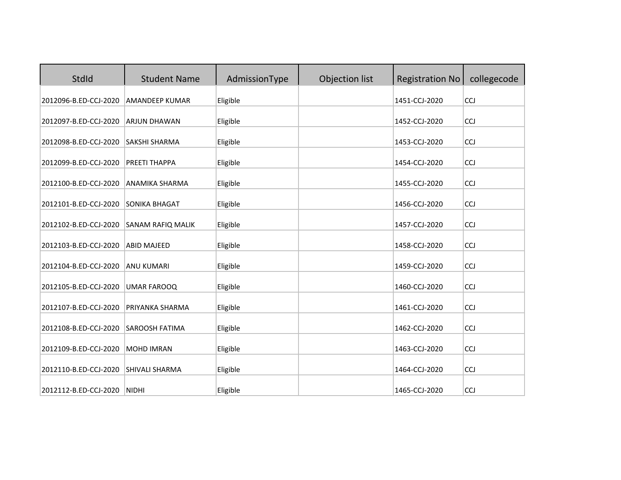| <b>StdId</b>          | <b>Student Name</b>   | AdmissionType | Objection list | <b>Registration No</b> | collegecode |
|-----------------------|-----------------------|---------------|----------------|------------------------|-------------|
| 2012096-B.ED-CCJ-2020 | <b>AMANDEEP KUMAR</b> | Eligible      |                | 1451-CCJ-2020          | CCJ         |
| 2012097-B.ED-CCJ-2020 | <b>ARJUN DHAWAN</b>   | Eligible      |                | 1452-CCJ-2020          | CCJ         |
| 2012098-B.ED-CCJ-2020 | <b>SAKSHI SHARMA</b>  | Eligible      |                | 1453-CCJ-2020          | CCJ         |
| 2012099-B.ED-CCJ-2020 | PREETI THAPPA         | Eligible      |                | 1454-CCJ-2020          | <b>CCJ</b>  |
| 2012100-B.ED-CCJ-2020 | <b>ANAMIKA SHARMA</b> | Eligible      |                | 1455-CCJ-2020          | CCJ         |
| 2012101-B.ED-CCJ-2020 | <b>SONIKA BHAGAT</b>  | Eligible      |                | 1456-CCJ-2020          | <b>CCJ</b>  |
| 2012102-B.ED-CCJ-2020 | SANAM RAFIQ MALIK     | Eligible      |                | 1457-CCJ-2020          | <b>CCJ</b>  |
| 2012103-B.ED-CCJ-2020 | <b>ABID MAJEED</b>    | Eligible      |                | 1458-CCJ-2020          | <b>CCJ</b>  |
| 2012104-B.ED-CCJ-2020 | <b>ANU KUMARI</b>     | Eligible      |                | 1459-CCJ-2020          | <b>CCJ</b>  |
| 2012105-B.ED-CCJ-2020 | <b>UMAR FAROOQ</b>    | Eligible      |                | 1460-CCJ-2020          | CCJ         |
| 2012107-B.ED-CCJ-2020 | PRIYANKA SHARMA       | Eligible      |                | 1461-CCJ-2020          | CCJ         |
| 2012108-B.ED-CCJ-2020 | <b>SAROOSH FATIMA</b> | Eligible      |                | 1462-CCJ-2020          | CCJ         |
| 2012109-B.ED-CCJ-2020 | <b>MOHD IMRAN</b>     | Eligible      |                | 1463-CCJ-2020          | CCJ         |
| 2012110-B.ED-CCJ-2020 | SHIVALI SHARMA        | Eligible      |                | 1464-CCJ-2020          | CCJ         |
| 2012112-B.ED-CCJ-2020 | <b>NIDHI</b>          | Eligible      |                | 1465-CCJ-2020          | CCJ         |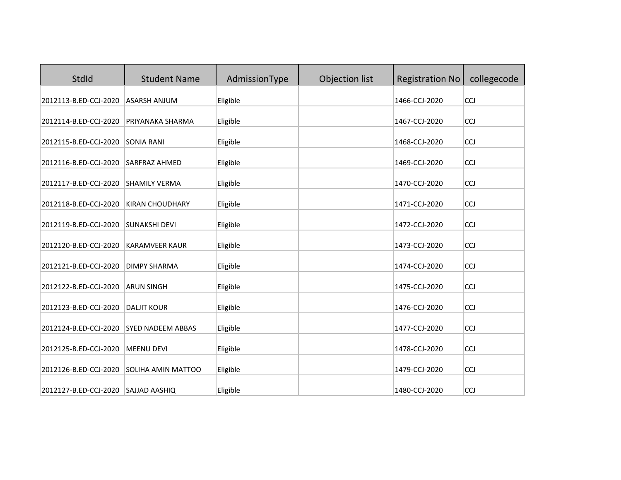| StdId                 | <b>Student Name</b>      | AdmissionType | Objection list | <b>Registration No</b> | collegecode |
|-----------------------|--------------------------|---------------|----------------|------------------------|-------------|
| 2012113-B.ED-CCJ-2020 | <b>ASARSH ANJUM</b>      | Eligible      |                | 1466-CCJ-2020          | CCJ         |
| 2012114-B.ED-CCJ-2020 | PRIYANAKA SHARMA         | Eligible      |                | 1467-CCJ-2020          | <b>CCJ</b>  |
| 2012115-B.ED-CCJ-2020 | <b>SONIA RANI</b>        | Eligible      |                | 1468-CCJ-2020          | <b>CCJ</b>  |
| 2012116-B.ED-CCJ-2020 | <b>SARFRAZ AHMED</b>     | Eligible      |                | 1469-CCJ-2020          | <b>CCJ</b>  |
| 2012117-B.ED-CCJ-2020 | <b>SHAMILY VERMA</b>     | Eligible      |                | 1470-CCJ-2020          | <b>CCJ</b>  |
| 2012118-B.ED-CCJ-2020 | <b>KIRAN CHOUDHARY</b>   | Eligible      |                | 1471-CCJ-2020          | CCJ         |
| 2012119-B.ED-CCJ-2020 | <b>SUNAKSHI DEVI</b>     | Eligible      |                | 1472-CCJ-2020          | CCJ         |
| 2012120-B.ED-CCJ-2020 | <b>KARAMVEER KAUR</b>    | Eligible      |                | 1473-CCJ-2020          | <b>CCJ</b>  |
| 2012121-B.ED-CCJ-2020 | <b>DIMPY SHARMA</b>      | Eligible      |                | 1474-CCJ-2020          | CCJ         |
| 2012122-B.ED-CCJ-2020 | <b>ARUN SINGH</b>        | Eligible      |                | 1475-CCJ-2020          | CCJ         |
| 2012123-B.ED-CCJ-2020 | <b>DALJIT KOUR</b>       | Eligible      |                | 1476-CCJ-2020          | CCJ         |
| 2012124-B.ED-CCJ-2020 | <b>SYED NADEEM ABBAS</b> | Eligible      |                | 1477-CCJ-2020          | CCJ         |
| 2012125-B.ED-CCJ-2020 | <b>MEENU DEVI</b>        | Eligible      |                | 1478-CCJ-2020          | <b>CCJ</b>  |
| 2012126-B.ED-CCJ-2020 | SOLIHA AMIN MATTOO       | Eligible      |                | 1479-CCJ-2020          | CCJ         |
| 2012127-B.ED-CCJ-2020 | <b>SAJJAD AASHIQ</b>     | Eligible      |                | 1480-CCJ-2020          | CCJ         |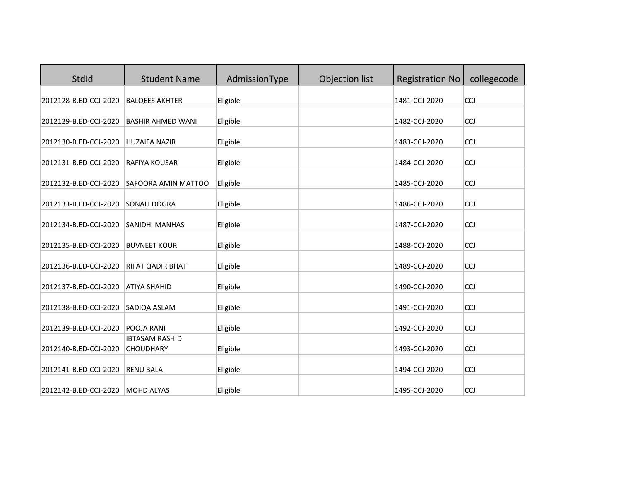| StdId                 | <b>Student Name</b>                       | AdmissionType | Objection list | <b>Registration No</b> | collegecode |
|-----------------------|-------------------------------------------|---------------|----------------|------------------------|-------------|
| 2012128-B.ED-CCJ-2020 | <b>BALQEES AKHTER</b>                     | Eligible      |                | 1481-CCJ-2020          | CCJ         |
| 2012129-B.ED-CCJ-2020 | <b>BASHIR AHMED WANI</b>                  | Eligible      |                | 1482-CCJ-2020          | CCJ         |
| 2012130-B.ED-CCJ-2020 | <b>HUZAIFA NAZIR</b>                      | Eligible      |                | 1483-CCJ-2020          | <b>CCJ</b>  |
| 2012131-B.ED-CCJ-2020 | <b>RAFIYA KOUSAR</b>                      | Eligible      |                | 1484-CCJ-2020          | <b>CCJ</b>  |
| 2012132-B.ED-CCJ-2020 | SAFOORA AMIN MATTOO                       | Eligible      |                | 1485-CCJ-2020          | <b>CCJ</b>  |
| 2012133-B.ED-CCJ-2020 | <b>SONALI DOGRA</b>                       | Eligible      |                | 1486-CCJ-2020          | <b>CCJ</b>  |
| 2012134-B.ED-CCJ-2020 | <b>SANIDHI MANHAS</b>                     | Eligible      |                | 1487-CCJ-2020          | CCJ         |
| 2012135-B.ED-CCJ-2020 | <b>BUVNEET KOUR</b>                       | Eligible      |                | 1488-CCJ-2020          | CCJ         |
| 2012136-B.ED-CCJ-2020 | RIFAT QADIR BHAT                          | Eligible      |                | 1489-CCJ-2020          | <b>CCJ</b>  |
| 2012137-B.ED-CCJ-2020 | <b>ATIYA SHAHID</b>                       | Eligible      |                | 1490-CCJ-2020          | CCJ         |
| 2012138-B.ED-CCJ-2020 | SADIQA ASLAM                              | Eligible      |                | 1491-CCJ-2020          | <b>CCJ</b>  |
| 2012139-B.ED-CCJ-2020 | POOJA RANI                                | Eligible      |                | 1492-CCJ-2020          | <b>CCJ</b>  |
| 2012140-B.ED-CCJ-2020 | <b>IBTASAM RASHID</b><br><b>CHOUDHARY</b> | Eligible      |                | 1493-CCJ-2020          | CCJ         |
| 2012141-B.ED-CCJ-2020 | <b>RENU BALA</b>                          | Eligible      |                | 1494-CCJ-2020          | CCJ         |
| 2012142-B.ED-CCJ-2020 | <b>MOHD ALYAS</b>                         | Eligible      |                | 1495-CCJ-2020          | CCJ         |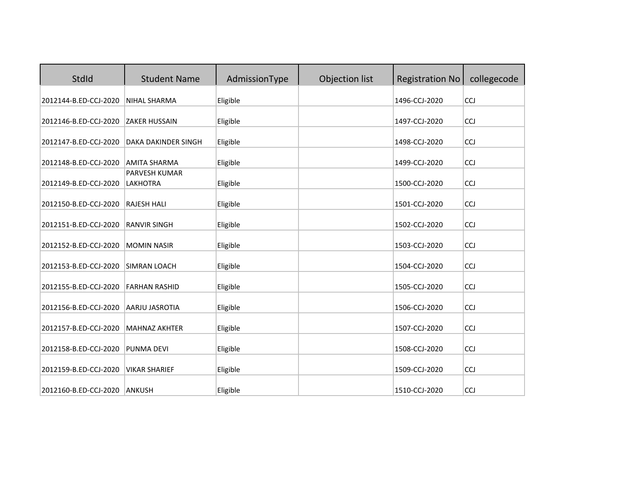| StdId                 | <b>Student Name</b>              | AdmissionType | Objection list | <b>Registration No</b> | collegecode |
|-----------------------|----------------------------------|---------------|----------------|------------------------|-------------|
| 2012144-B.ED-CCJ-2020 | NIHAL SHARMA                     | Eligible      |                | 1496-CCJ-2020          | <b>CCJ</b>  |
| 2012146-B.ED-CCJ-2020 | <b>ZAKER HUSSAIN</b>             | Eligible      |                | 1497-CCJ-2020          | <b>CCJ</b>  |
| 2012147-B.ED-CCJ-2020 | DAKA DAKINDER SINGH              | Eligible      |                | 1498-CCJ-2020          | <b>CCJ</b>  |
| 2012148-B.ED-CCJ-2020 | <b>AMITA SHARMA</b>              | Eligible      |                | 1499-CCJ-2020          | <b>CCJ</b>  |
| 2012149-B.ED-CCJ-2020 | PARVESH KUMAR<br><b>LAKHOTRA</b> | Eligible      |                | 1500-CCJ-2020          | CCJ         |
| 2012150-B.ED-CCJ-2020 | <b>RAJESH HALI</b>               | Eligible      |                | 1501-CCJ-2020          | CCJ         |
| 2012151-B.ED-CCJ-2020 | <b>RANVIR SINGH</b>              | Eligible      |                | 1502-CCJ-2020          | CCJ         |
| 2012152-B.ED-CCJ-2020 | <b>MOMIN NASIR</b>               | Eligible      |                | 1503-CCJ-2020          | <b>CCJ</b>  |
| 2012153-B.ED-CCJ-2020 | <b>SIMRAN LOACH</b>              | Eligible      |                | 1504-CCJ-2020          | CCJ         |
| 2012155-B.ED-CCJ-2020 | <b>FARHAN RASHID</b>             | Eligible      |                | 1505-CCJ-2020          | CCJ         |
| 2012156-B.ED-CCJ-2020 | AARJU JASROTIA                   | Eligible      |                | 1506-CCJ-2020          | CCJ         |
| 2012157-B.ED-CCJ-2020 | <b>MAHNAZ AKHTER</b>             | Eligible      |                | 1507-CCJ-2020          | CCJ         |
| 2012158-B.ED-CCJ-2020 | PUNMA DEVI                       | Eligible      |                | 1508-CCJ-2020          | <b>CCJ</b>  |
| 2012159-B.ED-CCJ-2020 | <b>VIKAR SHARIEF</b>             | Eligible      |                | 1509-CCJ-2020          | CCJ         |
| 2012160-B.ED-CCJ-2020 | <b>ANKUSH</b>                    | Eligible      |                | 1510-CCJ-2020          | CCJ         |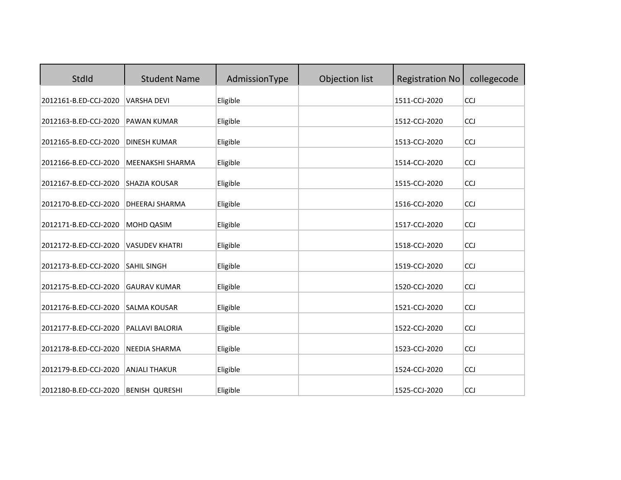| StdId                 | <b>Student Name</b>   | AdmissionType | Objection list | <b>Registration No</b> | collegecode |
|-----------------------|-----------------------|---------------|----------------|------------------------|-------------|
| 2012161-B.ED-CCJ-2020 | <b>VARSHA DEVI</b>    | Eligible      |                | 1511-CCJ-2020          | CCJ         |
| 2012163-B.ED-CCJ-2020 | PAWAN KUMAR           | Eligible      |                | 1512-CCJ-2020          | CCJ         |
| 2012165-B.ED-CCJ-2020 | <b>DINESH KUMAR</b>   | Eligible      |                | 1513-CCJ-2020          | <b>CCJ</b>  |
| 2012166-B.ED-CCJ-2020 | MEENAKSHI SHARMA      | Eligible      |                | 1514-CCJ-2020          | CCJ         |
| 2012167-B.ED-CCJ-2020 | <b>SHAZIA KOUSAR</b>  | Eligible      |                | 1515-CCJ-2020          | CCJ         |
| 2012170-B.ED-CCJ-2020 | <b>DHEERAJ SHARMA</b> | Eligible      |                | 1516-CCJ-2020          | CCJ         |
| 2012171-B.ED-CCJ-2020 | MOHD QASIM            | Eligible      |                | 1517-CCJ-2020          | CCJ         |
| 2012172-B.ED-CCJ-2020 | <b>VASUDEV KHATRI</b> | Eligible      |                | 1518-CCJ-2020          | <b>CCJ</b>  |
| 2012173-B.ED-CCJ-2020 | <b>SAHIL SINGH</b>    | Eligible      |                | 1519-CCJ-2020          | CCJ         |
| 2012175-B.ED-CCJ-2020 | <b>GAURAV KUMAR</b>   | Eligible      |                | 1520-CCJ-2020          | CCJ         |
| 2012176-B.ED-CCJ-2020 | <b>SALMA KOUSAR</b>   | Eligible      |                | 1521-CCJ-2020          | CCJ         |
| 2012177-B.ED-CCJ-2020 | PALLAVI BALORIA       | Eligible      |                | 1522-CCJ-2020          | CCJ         |
| 2012178-B.ED-CCJ-2020 | NEEDIA SHARMA         | Eligible      |                | 1523-CCJ-2020          | <b>CCJ</b>  |
| 2012179-B.ED-CCJ-2020 | <b>ANJALI THAKUR</b>  | Eligible      |                | 1524-CCJ-2020          | CCJ         |
| 2012180-B.ED-CCJ-2020 | <b>BENISH QURESHI</b> | Eligible      |                | 1525-CCJ-2020          | CCJ         |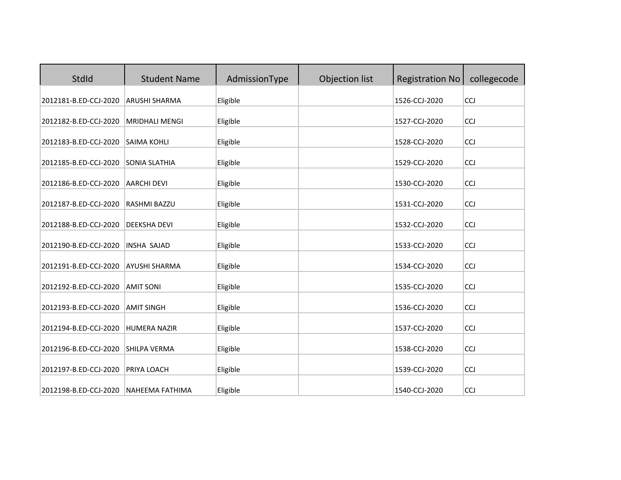| StdId                 | <b>Student Name</b>    | AdmissionType | Objection list | <b>Registration No</b> | collegecode |
|-----------------------|------------------------|---------------|----------------|------------------------|-------------|
| 2012181-B.ED-CCJ-2020 | ARUSHI SHARMA          | Eligible      |                | 1526-CCJ-2020          | <b>CCJ</b>  |
| 2012182-B.ED-CCJ-2020 | <b>MRIDHALI MENGI</b>  | Eligible      |                | 1527-CCJ-2020          | <b>CCJ</b>  |
| 2012183-B.ED-CCJ-2020 | <b>SAIMA KOHLI</b>     | Eligible      |                | 1528-CCJ-2020          | <b>CCJ</b>  |
| 2012185-B.ED-CCJ-2020 | <b>SONIA SLATHIA</b>   | Eligible      |                | 1529-CCJ-2020          | <b>CCJ</b>  |
| 2012186-B.ED-CCJ-2020 | <b>AARCHI DEVI</b>     | Eligible      |                | 1530-CCJ-2020          | CCJ         |
| 2012187-B.ED-CCJ-2020 | <b>RASHMI BAZZU</b>    | Eligible      |                | 1531-CCJ-2020          | CCJ         |
| 2012188-B.ED-CCJ-2020 | <b>DEEKSHA DEVI</b>    | Eligible      |                | 1532-CCJ-2020          | CCJ         |
| 2012190-B.ED-CCJ-2020 | <b>INSHA SAJAD</b>     | Eligible      |                | 1533-CCJ-2020          | <b>CCJ</b>  |
| 2012191-B.ED-CCJ-2020 | <b>AYUSHI SHARMA</b>   | Eligible      |                | 1534-CCJ-2020          | CCJ         |
| 2012192-B.ED-CCJ-2020 | <b>AMIT SONI</b>       | Eligible      |                | 1535-CCJ-2020          | CCJ         |
| 2012193-B.ED-CCJ-2020 | <b>AMIT SINGH</b>      | Eligible      |                | 1536-CCJ-2020          | CCJ         |
| 2012194-B.ED-CCJ-2020 | <b>HUMERA NAZIR</b>    | Eligible      |                | 1537-CCJ-2020          | CCJ         |
| 2012196-B.ED-CCJ-2020 | SHILPA VERMA           | Eligible      |                | 1538-CCJ-2020          | <b>CCJ</b>  |
| 2012197-B.ED-CCJ-2020 | PRIYA LOACH            | Eligible      |                | 1539-CCJ-2020          | CCJ         |
| 2012198-B.ED-CCJ-2020 | <b>NAHEEMA FATHIMA</b> | Eligible      |                | 1540-CCJ-2020          | CCJ         |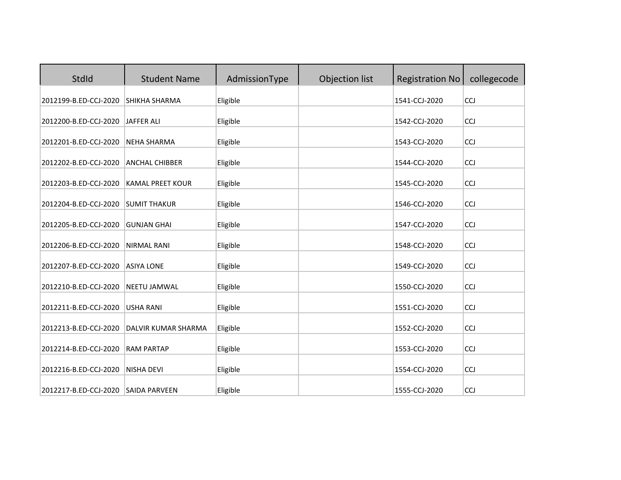| StdId                 | <b>Student Name</b>     | AdmissionType | Objection list | <b>Registration No</b> | collegecode |
|-----------------------|-------------------------|---------------|----------------|------------------------|-------------|
| 2012199-B.ED-CCJ-2020 | SHIKHA SHARMA           | Eligible      |                | 1541-CCJ-2020          | CCJ         |
| 2012200-B.ED-CCJ-2020 | <b>JAFFER ALI</b>       | Eligible      |                | 1542-CCJ-2020          | <b>CCJ</b>  |
| 2012201-B.ED-CCJ-2020 | <b>NEHA SHARMA</b>      | Eligible      |                | 1543-CCJ-2020          | <b>CCJ</b>  |
| 2012202-B.ED-CCJ-2020 | <b>ANCHAL CHIBBER</b>   | Eligible      |                | 1544-CCJ-2020          | <b>CCJ</b>  |
| 2012203-B.ED-CCJ-2020 | <b>KAMAL PREET KOUR</b> | Eligible      |                | 1545-CCJ-2020          | CCJ         |
| 2012204-B.ED-CCJ-2020 | <b>SUMIT THAKUR</b>     | Eligible      |                | 1546-CCJ-2020          | CCJ         |
| 2012205-B.ED-CCJ-2020 | <b>GUNJAN GHAI</b>      | Eligible      |                | 1547-CCJ-2020          | CCJ         |
| 2012206-B.ED-CCJ-2020 | <b>NIRMAL RANI</b>      | Eligible      |                | 1548-CCJ-2020          | <b>CCJ</b>  |
| 2012207-B.ED-CCJ-2020 | <b>ASIYA LONE</b>       | Eligible      |                | 1549-CCJ-2020          | CCJ         |
| 2012210-B.ED-CCJ-2020 | <b>NEETU JAMWAL</b>     | Eligible      |                | 1550-CCJ-2020          | CCJ         |
| 2012211-B.ED-CCJ-2020 | <b>USHA RANI</b>        | Eligible      |                | 1551-CCJ-2020          | CCJ         |
| 2012213-B.ED-CCJ-2020 | DALVIR KUMAR SHARMA     | Eligible      |                | 1552-CCJ-2020          | CCJ         |
| 2012214-B.ED-CCJ-2020 | <b>RAM PARTAP</b>       | Eligible      |                | 1553-CCJ-2020          | <b>CCJ</b>  |
| 2012216-B.ED-CCJ-2020 | <b>NISHA DEVI</b>       | Eligible      |                | 1554-CCJ-2020          | CCJ         |
| 2012217-B.ED-CCJ-2020 | <b>SAIDA PARVEEN</b>    | Eligible      |                | 1555-CCJ-2020          | CCJ         |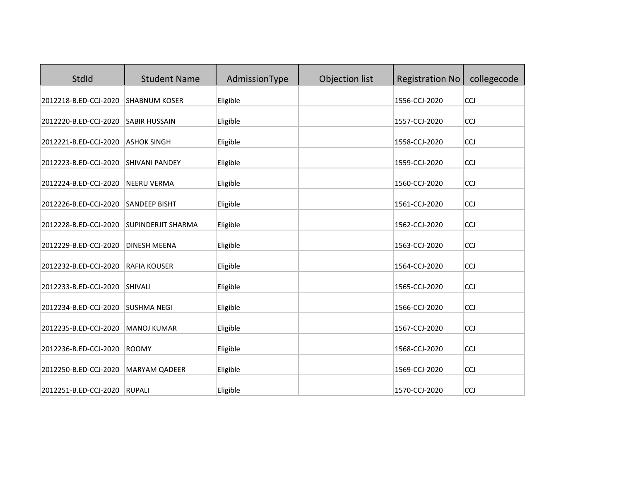| StdId                 | <b>Student Name</b>       | AdmissionType | Objection list | <b>Registration No</b> | collegecode |
|-----------------------|---------------------------|---------------|----------------|------------------------|-------------|
| 2012218-B.ED-CCJ-2020 | <b>SHABNUM KOSER</b>      | Eligible      |                | 1556-CCJ-2020          | <b>CCJ</b>  |
| 2012220-B.ED-CCJ-2020 | <b>SABIR HUSSAIN</b>      | Eligible      |                | 1557-CCJ-2020          | <b>CCJ</b>  |
| 2012221-B.ED-CCJ-2020 | <b>ASHOK SINGH</b>        | Eligible      |                | 1558-CCJ-2020          | <b>CCJ</b>  |
| 2012223-B.ED-CCJ-2020 | <b>SHIVANI PANDEY</b>     | Eligible      |                | 1559-CCJ-2020          | <b>CCJ</b>  |
| 2012224-B.ED-CCJ-2020 | <b>NEERU VERMA</b>        | Eligible      |                | 1560-CCJ-2020          | <b>CCJ</b>  |
| 2012226-B.ED-CCJ-2020 | <b>SANDEEP BISHT</b>      | Eligible      |                | 1561-CCJ-2020          | CCJ         |
| 2012228-B.ED-CCJ-2020 | <b>SUPINDERJIT SHARMA</b> | Eligible      |                | 1562-CCJ-2020          | CCJ         |
| 2012229-B.ED-CCJ-2020 | DINESH MEENA              | Eligible      |                | 1563-CCJ-2020          | <b>CCJ</b>  |
| 2012232-B.ED-CCJ-2020 | <b>RAFIA KOUSER</b>       | Eligible      |                | 1564-CCJ-2020          | CCJ         |
| 2012233-B.ED-CCJ-2020 | <b>SHIVALI</b>            | Eligible      |                | 1565-CCJ-2020          | CCJ         |
| 2012234-B.ED-CCJ-2020 | <b>SUSHMA NEGI</b>        | Eligible      |                | 1566-CCJ-2020          | CCJ         |
| 2012235-B.ED-CCJ-2020 | <b>MANOJ KUMAR</b>        | Eligible      |                | 1567-CCJ-2020          | CCJ         |
| 2012236-B.ED-CCJ-2020 | <b>ROOMY</b>              | Eligible      |                | 1568-CCJ-2020          | <b>CCJ</b>  |
| 2012250-B.ED-CCJ-2020 | MARYAM QADEER             | Eligible      |                | 1569-CCJ-2020          | CCJ         |
| 2012251-B.ED-CCJ-2020 | <b>RUPALI</b>             | Eligible      |                | 1570-CCJ-2020          | CCJ         |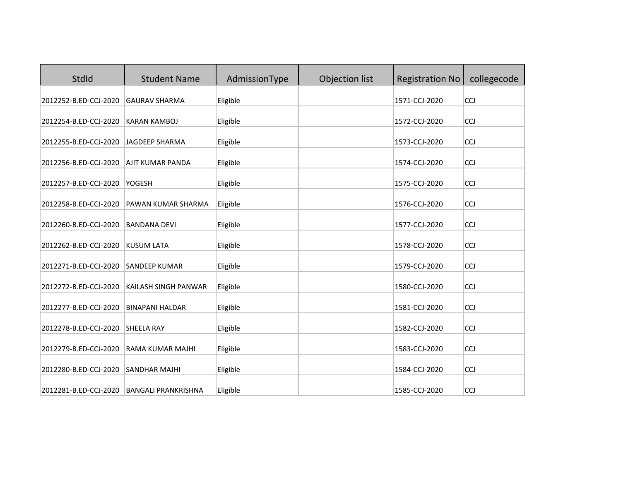| StdId                 | <b>Student Name</b>        | AdmissionType | Objection list | <b>Registration No</b> | collegecode |
|-----------------------|----------------------------|---------------|----------------|------------------------|-------------|
| 2012252-B.ED-CCJ-2020 | <b>GAURAV SHARMA</b>       | Eligible      |                | 1571-CCJ-2020          | CCJ         |
| 2012254-B.ED-CCJ-2020 | <b>KARAN KAMBOJ</b>        | Eligible      |                | 1572-CCJ-2020          | <b>CCJ</b>  |
| 2012255-B.ED-CCJ-2020 | <b>JAGDEEP SHARMA</b>      | Eligible      |                | 1573-CCJ-2020          | CCJ         |
| 2012256-B.ED-CCJ-2020 | <b>AJIT KUMAR PANDA</b>    | Eligible      |                | 1574-CCJ-2020          | CCJ         |
| 2012257-B.ED-CCJ-2020 | YOGESH                     | Eligible      |                | 1575-CCJ-2020          | CCJ         |
| 2012258-B.ED-CCJ-2020 | PAWAN KUMAR SHARMA         | Eligible      |                | 1576-CCJ-2020          | <b>CCJ</b>  |
| 2012260-B.ED-CCJ-2020 | <b>BANDANA DEVI</b>        | Eligible      |                | 1577-CCJ-2020          | CCJ         |
| 2012262-B.ED-CCJ-2020 | <b>KUSUM LATA</b>          | Eligible      |                | 1578-CCJ-2020          | CCJ         |
| 2012271-B.ED-CCJ-2020 | <b>SANDEEP KUMAR</b>       | Eligible      |                | 1579-CCJ-2020          | CCJ         |
| 2012272-B.ED-CCJ-2020 | KAILASH SINGH PANWAR       | Eligible      |                | 1580-CCJ-2020          | CCJ         |
| 2012277-B.ED-CCJ-2020 | <b>BINAPANI HALDAR</b>     | Eligible      |                | 1581-CCJ-2020          | <b>CCJ</b>  |
| 2012278-B.ED-CCJ-2020 | <b>SHEELA RAY</b>          | Eligible      |                | 1582-CCJ-2020          | CCJ         |
| 2012279-B.ED-CCJ-2020 | RAMA KUMAR MAJHI           | Eligible      |                | 1583-CCJ-2020          | <b>CCJ</b>  |
| 2012280-B.ED-CCJ-2020 | <b>SANDHAR MAJHI</b>       | Eligible      |                | 1584-CCJ-2020          | CCJ         |
| 2012281-B.ED-CCJ-2020 | <b>BANGALI PRANKRISHNA</b> | Eligible      |                | 1585-CCJ-2020          | CCJ         |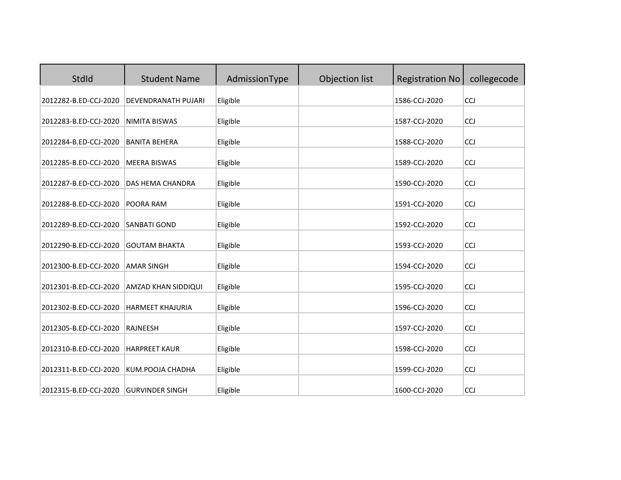| StdId                 | <b>Student Name</b>     | AdmissionType | Objection list | <b>Registration No</b> | collegecode |
|-----------------------|-------------------------|---------------|----------------|------------------------|-------------|
| 2012282-B.ED-CCJ-2020 | DEVENDRANATH PUJARI     | Eligible      |                | 1586-CCJ-2020          | <b>CCJ</b>  |
| 2012283-B.ED-CCJ-2020 | NIMITA BISWAS           | Eligible      |                | 1587-CCJ-2020          | <b>CCJ</b>  |
| 2012284-B.ED-CCJ-2020 | <b>BANITA BEHERA</b>    | Eligible      |                | 1588-CCJ-2020          | <b>CCJ</b>  |
| 2012285-B.ED-CCJ-2020 | <b>MEERA BISWAS</b>     | Eligible      |                | 1589-CCJ-2020          | <b>CCJ</b>  |
| 2012287-B.ED-CCJ-2020 | DAS HEMA CHANDRA        | Eligible      |                | 1590-CCJ-2020          | <b>CCJ</b>  |
| 2012288-B.ED-CCJ-2020 | POORA RAM               | Eligible      |                | 1591-CCJ-2020          | CCJ         |
| 2012289-B.ED-CCJ-2020 | <b>SANBATI GOND</b>     | Eligible      |                | 1592-CCJ-2020          | CCJ         |
| 2012290-B.ED-CCJ-2020 | <b>GOUTAM BHAKTA</b>    | Eligible      |                | 1593-CCJ-2020          | <b>CCJ</b>  |
| 2012300-B.ED-CCJ-2020 | <b>AMAR SINGH</b>       | Eligible      |                | 1594-CCJ-2020          | CCJ         |
| 2012301-B.ED-CCJ-2020 | AMZAD KHAN SIDDIQUI     | Eligible      |                | 1595-CCJ-2020          | CCJ         |
| 2012302-B.ED-CCJ-2020 | <b>HARMEET KHAJURIA</b> | Eligible      |                | 1596-CCJ-2020          | CCJ         |
| 2012305-B.ED-CCJ-2020 | RAJNEESH                | Eligible      |                | 1597-CCJ-2020          | CCJ         |
| 2012310-B.ED-CCJ-2020 | <b>HARPREET KAUR</b>    | Eligible      |                | 1598-CCJ-2020          | <b>CCJ</b>  |
| 2012311-B.ED-CCJ-2020 | KUM.POOJA CHADHA        | Eligible      |                | 1599-CCJ-2020          | CCJ         |
| 2012315-B.ED-CCJ-2020 | <b>GURVINDER SINGH</b>  | Eligible      |                | 1600-CCJ-2020          | CCJ         |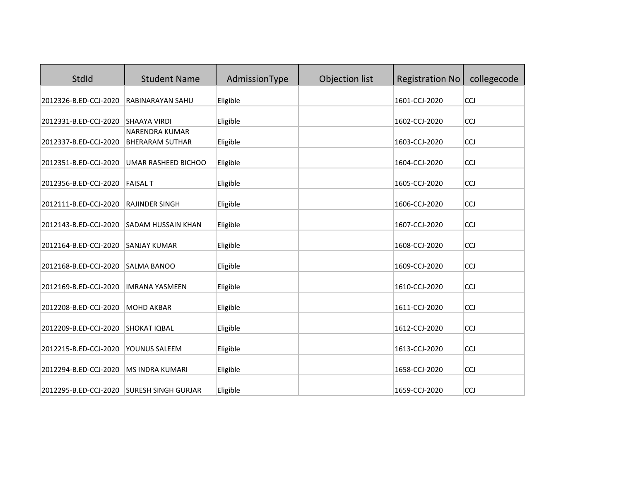| StdId                 | <b>Student Name</b>                             | AdmissionType | Objection list | <b>Registration No</b> | collegecode |
|-----------------------|-------------------------------------------------|---------------|----------------|------------------------|-------------|
| 2012326-B.ED-CCJ-2020 | RABINARAYAN SAHU                                | Eligible      |                | 1601-CCJ-2020          | CCJ         |
| 2012331-B.ED-CCJ-2020 | <b>SHAAYA VIRDI</b>                             | Eligible      |                | 1602-CCJ-2020          | CCJ         |
| 2012337-B.ED-CCJ-2020 | <b>NARENDRA KUMAR</b><br><b>BHERARAM SUTHAR</b> | Eligible      |                | 1603-CCJ-2020          | <b>CCJ</b>  |
| 2012351-B.ED-CCJ-2020 | UMAR RASHEED BICHOO                             | Eligible      |                | 1604-CCJ-2020          | CCJ         |
| 2012356-B.ED-CCJ-2020 | <b>FAISAL T</b>                                 | Eligible      |                | 1605-CCJ-2020          | CCJ         |
| 2012111-B.ED-CCJ-2020 | RAJINDER SINGH                                  | Eligible      |                | 1606-CCJ-2020          | CCJ         |
| 2012143-B.ED-CCJ-2020 | SADAM HUSSAIN KHAN                              | Eligible      |                | 1607-CCJ-2020          | CCJ         |
| 2012164-B.ED-CCJ-2020 | <b>SANJAY KUMAR</b>                             | Eligible      |                | 1608-CCJ-2020          | CCJ         |
| 2012168-B.ED-CCJ-2020 | <b>SALMA BANOO</b>                              | Eligible      |                | 1609-CCJ-2020          | <b>CCJ</b>  |
| 2012169-B.ED-CCJ-2020 | <b>IMRANA YASMEEN</b>                           | Eligible      |                | 1610-CCJ-2020          | <b>CCJ</b>  |
| 2012208-B.ED-CCJ-2020 | <b>MOHD AKBAR</b>                               | Eligible      |                | 1611-CCJ-2020          | CCJ         |
| 2012209-B.ED-CCJ-2020 | SHOKAT IQBAL                                    | Eligible      |                | 1612-CCJ-2020          | CCJ         |
| 2012215-B.ED-CCJ-2020 | YOUNUS SALEEM                                   | Eligible      |                | 1613-CCJ-2020          | CCJ         |
| 2012294-B.ED-CCJ-2020 | <b>MS INDRA KUMARI</b>                          | Eligible      |                | 1658-CCJ-2020          | CCJ         |
| 2012295-B.ED-CCJ-2020 | <b>SURESH SINGH GURJAR</b>                      | Eligible      |                | 1659-CCJ-2020          | <b>CCJ</b>  |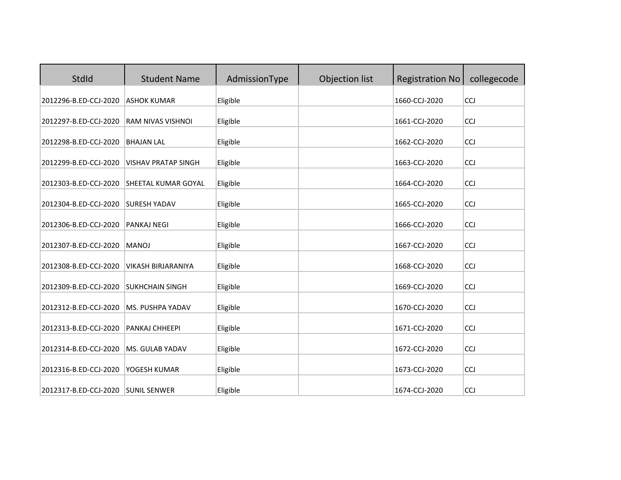| StdId                 | <b>Student Name</b>        | AdmissionType | Objection list | <b>Registration No</b> | collegecode |
|-----------------------|----------------------------|---------------|----------------|------------------------|-------------|
| 2012296-B.ED-CCJ-2020 | <b>ASHOK KUMAR</b>         | Eligible      |                | 1660-CCJ-2020          | <b>CCJ</b>  |
| 2012297-B.ED-CCJ-2020 | RAM NIVAS VISHNOI          | Eligible      |                | 1661-CCJ-2020          | <b>CCJ</b>  |
| 2012298-B.ED-CCJ-2020 | <b>BHAJAN LAL</b>          | Eligible      |                | 1662-CCJ-2020          | <b>CCJ</b>  |
| 2012299-B.ED-CCJ-2020 | <b>VISHAV PRATAP SINGH</b> | Eligible      |                | 1663-CCJ-2020          | <b>CCJ</b>  |
| 2012303-B.ED-CCJ-2020 | SHEETAL KUMAR GOYAL        | Eligible      |                | 1664-CCJ-2020          | <b>CCJ</b>  |
| 2012304-B.ED-CCJ-2020 | <b>SURESH YADAV</b>        | Eligible      |                | 1665-CCJ-2020          | CCJ         |
| 2012306-B.ED-CCJ-2020 | <b>PANKAJ NEGI</b>         | Eligible      |                | 1666-CCJ-2020          | CCJ         |
| 2012307-B.ED-CCJ-2020 | <b>MANOJ</b>               | Eligible      |                | 1667-CCJ-2020          | <b>CCJ</b>  |
| 2012308-B.ED-CCJ-2020 | <b>VIKASH BIRJARANIYA</b>  | Eligible      |                | 1668-CCJ-2020          | CCJ         |
| 2012309-B.ED-CCJ-2020 | <b>SUKHCHAIN SINGH</b>     | Eligible      |                | 1669-CCJ-2020          | CCJ         |
| 2012312-B.ED-CCJ-2020 | MS. PUSHPA YADAV           | Eligible      |                | 1670-CCJ-2020          | CCJ         |
| 2012313-B.ED-CCJ-2020 | PANKAJ CHHEEPI             | Eligible      |                | 1671-CCJ-2020          | CCJ         |
| 2012314-B.ED-CCJ-2020 | MS. GULAB YADAV            | Eligible      |                | 1672-CCJ-2020          | <b>CCJ</b>  |
| 2012316-B.ED-CCJ-2020 | YOGESH KUMAR               | Eligible      |                | 1673-CCJ-2020          | CCJ         |
| 2012317-B.ED-CCJ-2020 | <b>SUNIL SENWER</b>        | Eligible      |                | 1674-CCJ-2020          | CCJ         |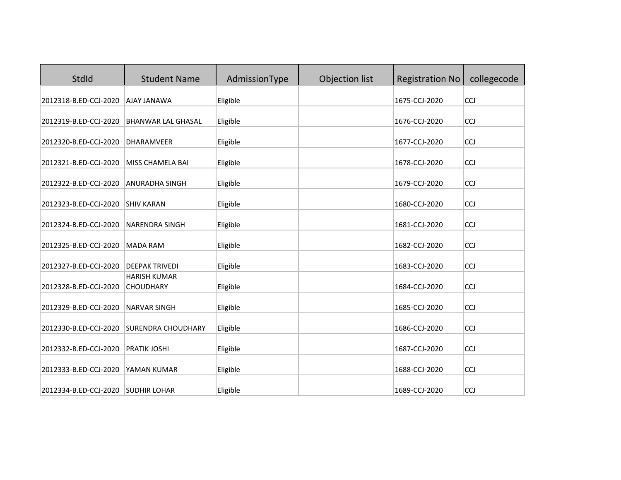| StdId                 | <b>Student Name</b>                     | AdmissionType | Objection list | <b>Registration No</b> | collegecode |
|-----------------------|-----------------------------------------|---------------|----------------|------------------------|-------------|
| 2012318-B.ED-CCJ-2020 | <b>AJAY JANAWA</b>                      | Eligible      |                | 1675-CCJ-2020          | <b>CCJ</b>  |
| 2012319-B.ED-CCJ-2020 | <b>BHANWAR LAL GHASAL</b>               | Eligible      |                | 1676-CCJ-2020          | <b>CCJ</b>  |
| 2012320-B.ED-CCJ-2020 | <b>DHARAMVEER</b>                       | Eligible      |                | 1677-CCJ-2020          | CCJ         |
| 2012321-B.ED-CCJ-2020 | MISS CHAMELA BAI                        | Eligible      |                | 1678-CCJ-2020          | CCJ         |
| 2012322-B.ED-CCJ-2020 | <b>ANURADHA SINGH</b>                   | Eligible      |                | 1679-CCJ-2020          | CCJ         |
| 2012323-B.ED-CCJ-2020 | <b>SHIV KARAN</b>                       | Eligible      |                | 1680-CCJ-2020          | CCJ         |
| 2012324-B.ED-CCJ-2020 | <b>NARENDRA SINGH</b>                   | Eligible      |                | 1681-CCJ-2020          | CCJ         |
| 2012325-B.ED-CCJ-2020 | <b>MADA RAM</b>                         | Eligible      |                | 1682-CCJ-2020          | CCJ         |
| 2012327-B.ED-CCJ-2020 | <b>DEEPAK TRIVEDI</b>                   | Eligible      |                | 1683-CCJ-2020          | CCJ         |
| 2012328-B.ED-CCJ-2020 | <b>HARISH KUMAR</b><br><b>CHOUDHARY</b> | Eligible      |                | 1684-CCJ-2020          | CCJ         |
| 2012329-B.ED-CCJ-2020 | <b>NARVAR SINGH</b>                     | Eligible      |                | 1685-CCJ-2020          | <b>CCJ</b>  |
| 2012330-B.ED-CCJ-2020 | <b>SURENDRA CHOUDHARY</b>               | Eligible      |                | 1686-CCJ-2020          | CCJ         |
| 2012332-B.ED-CCJ-2020 | PRATIK JOSHI                            | Eligible      |                | 1687-CCJ-2020          | CCJ         |
| 2012333-B.ED-CCJ-2020 | YAMAN KUMAR                             | Eligible      |                | 1688-CCJ-2020          | <b>CCJ</b>  |
| 2012334-B.ED-CCJ-2020 | <b>SUDHIR LOHAR</b>                     | Eligible      |                | 1689-CCJ-2020          | CCJ         |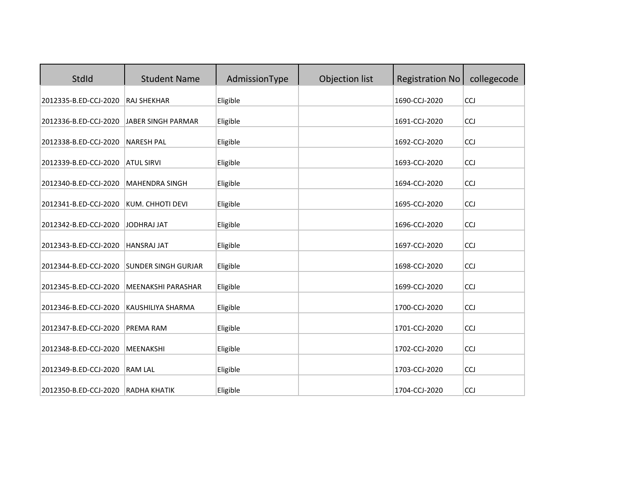| <b>StdId</b>          | <b>Student Name</b>        | AdmissionType | Objection list | <b>Registration No</b> | collegecode |
|-----------------------|----------------------------|---------------|----------------|------------------------|-------------|
| 2012335-B.ED-CCJ-2020 | <b>RAJ SHEKHAR</b>         | Eligible      |                | 1690-CCJ-2020          | CCJ         |
| 2012336-B.ED-CCJ-2020 | JABER SINGH PARMAR         | Eligible      |                | 1691-CCJ-2020          | <b>CCJ</b>  |
| 2012338-B.ED-CCJ-2020 | <b>NARESH PAL</b>          | Eligible      |                | 1692-CCJ-2020          | CCJ         |
| 2012339-B.ED-CCJ-2020 | <b>ATUL SIRVI</b>          | Eligible      |                | 1693-CCJ-2020          | <b>CCJ</b>  |
| 2012340-B.ED-CCJ-2020 | <b>MAHENDRA SINGH</b>      | Eligible      |                | 1694-CCJ-2020          | CCJ         |
| 2012341-B.ED-CCJ-2020 | KUM. CHHOTI DEVI           | Eligible      |                | 1695-CCJ-2020          | <b>CCJ</b>  |
| 2012342-B.ED-CCJ-2020 | <b>JODHRAJ JAT</b>         | Eligible      |                | 1696-CCJ-2020          | <b>CCJ</b>  |
| 2012343-B.ED-CCJ-2020 | <b>HANSRAJ JAT</b>         | Eligible      |                | 1697-CCJ-2020          | CCJ         |
| 2012344-B.ED-CCJ-2020 | <b>SUNDER SINGH GURJAR</b> | Eligible      |                | 1698-CCJ-2020          | <b>CCJ</b>  |
| 2012345-B.ED-CCJ-2020 | MEENAKSHI PARASHAR         | Eligible      |                | 1699-CCJ-2020          | CCJ         |
| 2012346-B.ED-CCJ-2020 | KAUSHILIYA SHARMA          | Eligible      |                | 1700-CCJ-2020          | <b>CCJ</b>  |
| 2012347-B.ED-CCJ-2020 | PREMA RAM                  | Eligible      |                | 1701-CCJ-2020          | CCJ         |
| 2012348-B.ED-CCJ-2020 | MEENAKSHI                  | Eligible      |                | 1702-CCJ-2020          | CCJ         |
| 2012349-B.ED-CCJ-2020 | <b>RAM LAL</b>             | Eligible      |                | 1703-CCJ-2020          | <b>CCJ</b>  |
| 2012350-B.ED-CCJ-2020 | <b>RADHA KHATIK</b>        | Eligible      |                | 1704-CCJ-2020          | CCJ         |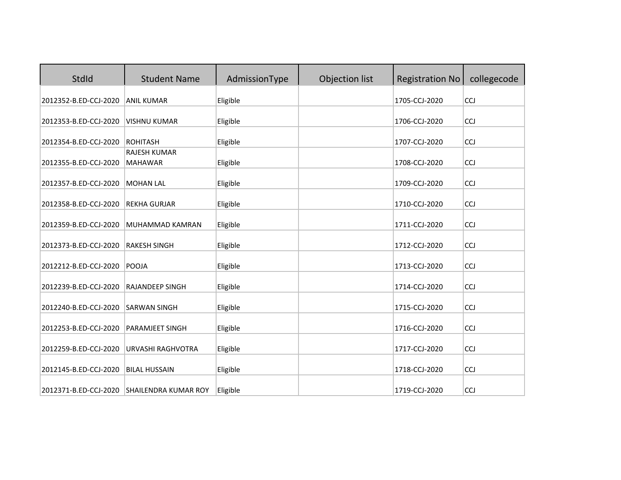| StdId                 | <b>Student Name</b>                   | AdmissionType        | Objection list | <b>Registration No</b>         | collegecode |
|-----------------------|---------------------------------------|----------------------|----------------|--------------------------------|-------------|
| 2012352-B.ED-CCJ-2020 | <b>ANIL KUMAR</b>                     | Eligible             |                | 1705-CCJ-2020                  | <b>CCJ</b>  |
| 2012353-B.ED-CCJ-2020 | <b>VISHNU KUMAR</b>                   | Eligible             |                | 1706-CCJ-2020                  | <b>CCJ</b>  |
| 2012354-B.ED-CCJ-2020 | <b>ROHITASH</b>                       | Eligible             |                | 1707-CCJ-2020                  | <b>CCJ</b>  |
| 2012355-B.ED-CCJ-2020 | <b>RAJESH KUMAR</b><br><b>MAHAWAR</b> | Eligible             |                | 1708-CCJ-2020                  | <b>CCJ</b>  |
| 2012357-B.ED-CCJ-2020 | <b>MOHAN LAL</b>                      | Eligible             |                | 1709-CCJ-2020                  | <b>CCJ</b>  |
| 2012358-B.ED-CCJ-2020 | <b>REKHA GURJAR</b>                   | Eligible             |                | 1710-CCJ-2020                  | CCJ         |
| 2012359-B.ED-CCJ-2020 | <b>MUHAMMAD KAMRAN</b>                | Eligible             |                | 1711-CCJ-2020                  | CCJ         |
| 2012373-B.ED-CCJ-2020 | <b>RAKESH SINGH</b>                   | Eligible             |                | 1712-CCJ-2020                  | <b>CCJ</b>  |
| 2012212-B.ED-CCJ-2020 | POOJA                                 | Eligible             |                | 1713-CCJ-2020                  | CCJ         |
| 2012239-B.ED-CCJ-2020 | <b>RAJANDEEP SINGH</b>                | Eligible             |                | 1714-CCJ-2020                  | CCJ         |
| 2012240-B.ED-CCJ-2020 | <b>SARWAN SINGH</b>                   | Eligible             |                | 1715-CCJ-2020                  | CCJ         |
| 2012253-B.ED-CCJ-2020 | PARAMJEET SINGH                       | Eligible             |                | 1716-CCJ-2020                  | CCJ         |
| 2012259-B.ED-CCJ-2020 | URVASHI RAGHVOTRA                     | Eligible             |                | 1717-CCJ-2020                  | <b>CCJ</b>  |
| 2012145-B.ED-CCJ-2020 | <b>BILAL HUSSAIN</b>                  |                      |                |                                | CCJ         |
| 2012371-B.ED-CCJ-2020 | <b>SHAILENDRA KUMAR ROY</b>           | Eligible<br>Eligible |                | 1718-CCJ-2020<br>1719-CCJ-2020 | CCJ         |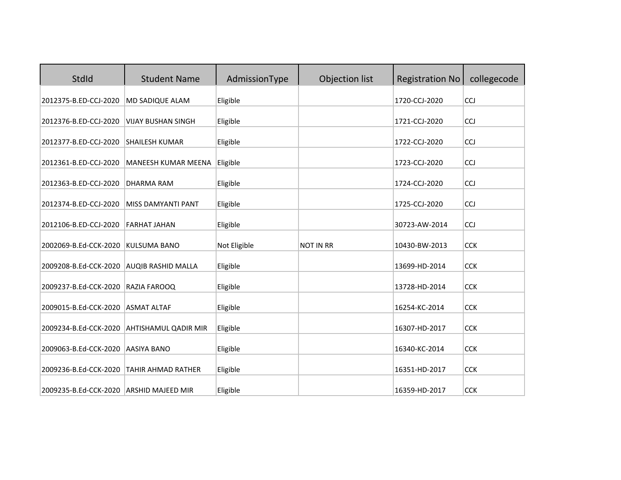| StdId                                                            | <b>Student Name</b>         | AdmissionType        | Objection list   | <b>Registration No</b>         | collegecode              |
|------------------------------------------------------------------|-----------------------------|----------------------|------------------|--------------------------------|--------------------------|
| 2012375-B.ED-CCJ-2020                                            | MD SADIQUE ALAM             | Eligible             |                  | 1720-CCJ-2020                  | CCJ                      |
| 2012376-B.ED-CCJ-2020                                            | <b>VIJAY BUSHAN SINGH</b>   | Eligible             |                  | 1721-CCJ-2020                  | <b>CCJ</b>               |
| 2012377-B.ED-CCJ-2020                                            | <b>SHAILESH KUMAR</b>       | Eligible             |                  | 1722-CCJ-2020                  | <b>CCJ</b>               |
| 2012361-B.ED-CCJ-2020                                            | MANEESH KUMAR MEENA         | Eligible             |                  | 1723-CCJ-2020                  | <b>CCJ</b>               |
| 2012363-B.ED-CCJ-2020                                            | <b>DHARMA RAM</b>           | Eligible             |                  | 1724-CCJ-2020                  | <b>CCJ</b>               |
| 2012374-B.ED-CCJ-2020                                            | MISS DAMYANTI PANT          | Eligible             |                  | 1725-CCJ-2020                  | CCJ                      |
| 2012106-B.ED-CCJ-2020                                            | <b>FARHAT JAHAN</b>         | Eligible             |                  | 30723-AW-2014                  | <b>CCJ</b>               |
| 2002069-B.Ed-CCK-2020                                            | <b>KULSUMA BANO</b>         | Not Eligible         | <b>NOT IN RR</b> | 10430-BW-2013                  | <b>CCK</b>               |
| 2009208-B.Ed-CCK-2020                                            | <b>AUQIB RASHID MALLA</b>   | Eligible             |                  | 13699-HD-2014                  | <b>CCK</b>               |
| 2009237-B.Ed-CCK-2020                                            | RAZIA FAROOQ                | Eligible             |                  | 13728-HD-2014                  | <b>CCK</b>               |
| 2009015-B.Ed-CCK-2020                                            | <b>ASMAT ALTAF</b>          | Eligible             |                  | 16254-KC-2014                  | <b>CCK</b>               |
| 2009234-B.Ed-CCK-2020                                            | <b>AHTISHAMUL QADIR MIR</b> | Eligible             |                  | 16307-HD-2017                  | <b>CCK</b>               |
|                                                                  |                             |                      |                  |                                |                          |
| 2009063-B.Ed-CCK-2020                                            | <b>AASIYA BANO</b>          | Eligible             |                  | 16340-KC-2014                  | <b>CCK</b>               |
| 2009236-B.Ed-CCK-2020<br>2009235-B.Ed-CCK-2020 ARSHID MAJEED MIR | <b>TAHIR AHMAD RATHER</b>   | Eligible<br>Eligible |                  | 16351-HD-2017<br>16359-HD-2017 | <b>CCK</b><br><b>CCK</b> |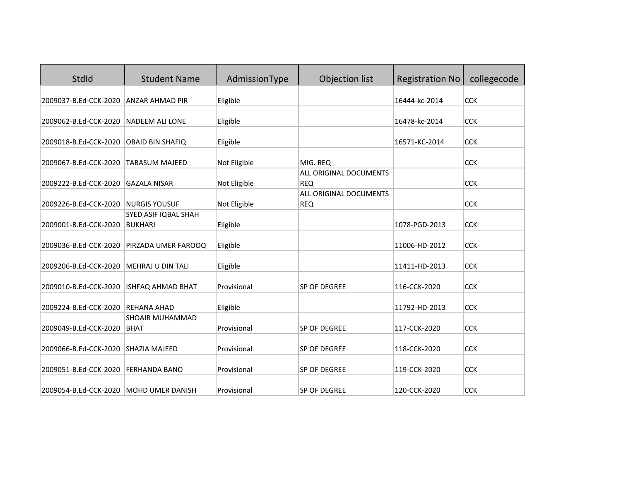| StdId                 | <b>Student Name</b>      | AdmissionType | Objection list                       | <b>Registration No</b> | collegecode |
|-----------------------|--------------------------|---------------|--------------------------------------|------------------------|-------------|
| 2009037-B.Ed-CCK-2020 | <b>ANZAR AHMAD PIR</b>   | Eligible      |                                      | 16444-kc-2014          | <b>CCK</b>  |
|                       |                          |               |                                      |                        |             |
| 2009062-B.Ed-CCK-2020 | <b>NADEEM ALI LONE</b>   | Eligible      |                                      | 16478-kc-2014          | <b>CCK</b>  |
| 2009018-B.Ed-CCK-2020 | <b>OBAID BIN SHAFIQ</b>  | Eligible      |                                      | 16571-KC-2014          | <b>CCK</b>  |
| 2009067-B.Ed-CCK-2020 | <b>TABASUM MAJEED</b>    | Not Eligible  | MIG. REQ                             |                        | <b>CCK</b>  |
|                       |                          |               | ALL ORIGINAL DOCUMENTS               |                        |             |
| 2009222-B.Ed-CCK-2020 | <b>GAZALA NISAR</b>      | Not Eligible  | <b>REQ</b>                           |                        | <b>CCK</b>  |
| 2009226-B.Ed-CCK-2020 | <b>NURGIS YOUSUF</b>     | Not Eligible  | ALL ORIGINAL DOCUMENTS<br><b>REQ</b> |                        | <b>CCK</b>  |
|                       | SYED ASIF IQBAL SHAH     |               |                                      |                        |             |
| 2009001-B.Ed-CCK-2020 | <b>BUKHARI</b>           | Eligible      |                                      | 1078-PGD-2013          | <b>CCK</b>  |
| 2009036-B.Ed-CCK-2020 | PIRZADA UMER FAROOQ      | Eligible      |                                      | 11006-HD-2012          | <b>CCK</b>  |
|                       |                          |               |                                      |                        |             |
| 2009206-B.Ed-CCK-2020 | <b>MEHRAJ U DIN TALI</b> | Eligible      |                                      | 11411-HD-2013          | <b>CCK</b>  |
| 2009010-B.Ed-CCK-2020 | ISHFAQ AHMAD BHAT        | Provisional   | SP OF DEGREE                         | 116-CCK-2020           | <b>CCK</b>  |
| 2009224-B.Ed-CCK-2020 | <b>REHANA AHAD</b>       | Eligible      |                                      | 11792-HD-2013          | <b>CCK</b>  |
|                       | <b>SHOAIB MUHAMMAD</b>   |               |                                      |                        |             |
| 2009049-B.Ed-CCK-2020 | <b>BHAT</b>              | Provisional   | SP OF DEGREE                         | 117-CCK-2020           | <b>CCK</b>  |
| 2009066-B.Ed-CCK-2020 | <b>SHAZIA MAJEED</b>     | Provisional   | SP OF DEGREE                         | 118-CCK-2020           | <b>CCK</b>  |
| 2009051-B.Ed-CCK-2020 | <b>FERHANDA BANO</b>     | Provisional   | SP OF DEGREE                         | 119-CCK-2020           | <b>CCK</b>  |
| 2009054-B.Ed-CCK-2020 | MOHD UMER DANISH         | Provisional   | SP OF DEGREE                         | 120-CCK-2020           | <b>CCK</b>  |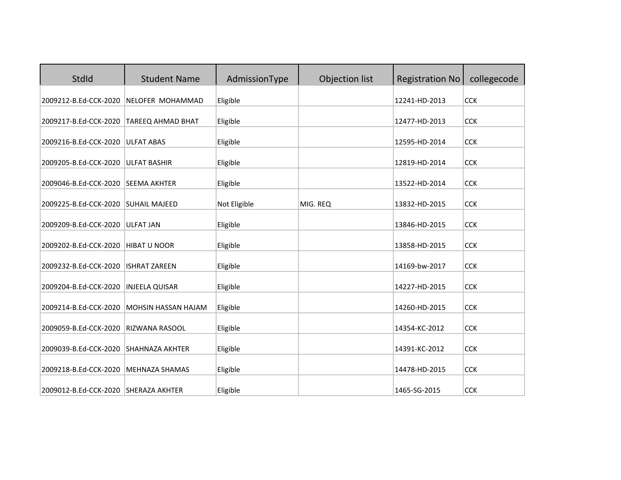| StdId                                | <b>Student Name</b>    | AdmissionType | Objection list | <b>Registration No</b> | collegecode |
|--------------------------------------|------------------------|---------------|----------------|------------------------|-------------|
| 2009212-B.Ed-CCK-2020                | NELOFER MOHAMMAD       | Eligible      |                | 12241-HD-2013          | <b>CCK</b>  |
| 2009217-B.Ed-CCK-2020                | TAREEQ AHMAD BHAT      | Eligible      |                | 12477-HD-2013          | <b>CCK</b>  |
| 2009216-B.Ed-CCK-2020                | <b>ULFAT ABAS</b>      | Eligible      |                | 12595-HD-2014          | <b>CCK</b>  |
| 2009205-B.Ed-CCK-2020                | <b>ULFAT BASHIR</b>    | Eligible      |                | 12819-HD-2014          | <b>CCK</b>  |
| 2009046-B.Ed-CCK-2020                | <b>SEEMA AKHTER</b>    | Eligible      |                | 13522-HD-2014          | <b>CCK</b>  |
| 2009225-B.Ed-CCK-2020                | <b>SUHAIL MAJEED</b>   | Not Eligible  | MIG. REQ       | 13832-HD-2015          | <b>CCK</b>  |
| 2009209-B.Ed-CCK-2020                | <b>ULFAT JAN</b>       | Eligible      |                | 13846-HD-2015          | <b>CCK</b>  |
| 2009202-B.Ed-CCK-2020                | HIBAT U NOOR           | Eligible      |                | 13858-HD-2015          | <b>CCK</b>  |
| 2009232-B.Ed-CCK-2020                | <b>ISHRAT ZAREEN</b>   | Eligible      |                | 14169-bw-2017          | <b>CCK</b>  |
| 2009204-B.Ed-CCK-2020                | <b>INJEELA QUISAR</b>  | Eligible      |                | 14227-HD-2015          | <b>CCK</b>  |
| 2009214-B.Ed-CCK-2020                | MOHSIN HASSAN HAJAM    | Eligible      |                | 14260-HD-2015          | <b>CCK</b>  |
| 2009059-B.Ed-CCK-2020                | RIZWANA RASOOL         | Eligible      |                | 14354-KC-2012          | <b>CCK</b>  |
| 2009039-B.Ed-CCK-2020                | <b>SHAHNAZA AKHTER</b> | Eligible      |                | 14391-KC-2012          | <b>CCK</b>  |
| 2009218-B.Ed-CCK-2020                | <b>MEHNAZA SHAMAS</b>  | Eligible      |                | 14478-HD-2015          | <b>CCK</b>  |
| 2009012-B.Ed-CCK-2020 SHERAZA AKHTER |                        | Eligible      |                | 1465-SG-2015           | <b>CCK</b>  |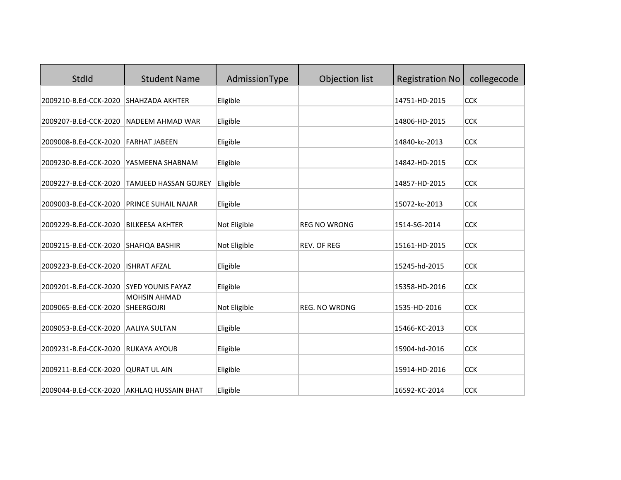| StdId                                     | <b>Student Name</b>                      | AdmissionType | Objection list       | <b>Registration No</b> | collegecode |
|-------------------------------------------|------------------------------------------|---------------|----------------------|------------------------|-------------|
| 2009210-B.Ed-CCK-2020                     | <b>SHAHZADA AKHTER</b>                   | Eligible      |                      | 14751-HD-2015          | <b>CCK</b>  |
| 2009207-B.Ed-CCK-2020                     | <b>NADEEM AHMAD WAR</b>                  | Eligible      |                      | 14806-HD-2015          | <b>CCK</b>  |
| 2009008-B.Ed-CCK-2020                     | <b>FARHAT JABEEN</b>                     | Eligible      |                      | 14840-kc-2013          | <b>CCK</b>  |
| 2009230-B.Ed-CCK-2020                     | YASMEENA SHABNAM                         | Eligible      |                      | 14842-HD-2015          | <b>CCK</b>  |
| 2009227-B.Ed-CCK-2020                     | <b>TAMJEED HASSAN GOJREY</b>             | Eligible      |                      | 14857-HD-2015          | <b>CCK</b>  |
| 2009003-B.Ed-CCK-2020                     | PRINCE SUHAIL NAJAR                      | Eligible      |                      | 15072-kc-2013          | <b>CCK</b>  |
| 2009229-B.Ed-CCK-2020                     | <b>BILKEESA AKHTER</b>                   | Not Eligible  | <b>REG NO WRONG</b>  | 1514-SG-2014           | <b>CCK</b>  |
| 2009215-B.Ed-CCK-2020                     | SHAFIQA BASHIR                           | Not Eligible  | REV. OF REG          | 15161-HD-2015          | <b>CCK</b>  |
| 2009223-B.Ed-CCK-2020                     | <b>ISHRAT AFZAL</b>                      | Eligible      |                      | 15245-hd-2015          | <b>CCK</b>  |
| 2009201-B.Ed-CCK-2020                     | <b>SYED YOUNIS FAYAZ</b>                 | Eligible      |                      | 15358-HD-2016          | <b>CCK</b>  |
| 2009065-B.Ed-CCK-2020                     | <b>MOHSIN AHMAD</b><br><b>SHEERGOJRI</b> | Not Eligible  | <b>REG. NO WRONG</b> | 1535-HD-2016           | <b>CCK</b>  |
| 2009053-B.Ed-CCK-2020                     | <b>AALIYA SULTAN</b>                     | Eligible      |                      | 15466-KC-2013          | <b>CCK</b>  |
| 2009231-B.Ed-CCK-2020                     | <b>RUKAYA AYOUB</b>                      | Eligible      |                      | 15904-hd-2016          | <b>CCK</b>  |
| 2009211-B.Ed-CCK-2020                     | <b>QURAT UL AIN</b>                      | Eligible      |                      | 15914-HD-2016          | <b>CCK</b>  |
| 2009044-B.Ed-CCK-2020 AKHLAQ HUSSAIN BHAT |                                          | Eligible      |                      | 16592-KC-2014          | <b>CCK</b>  |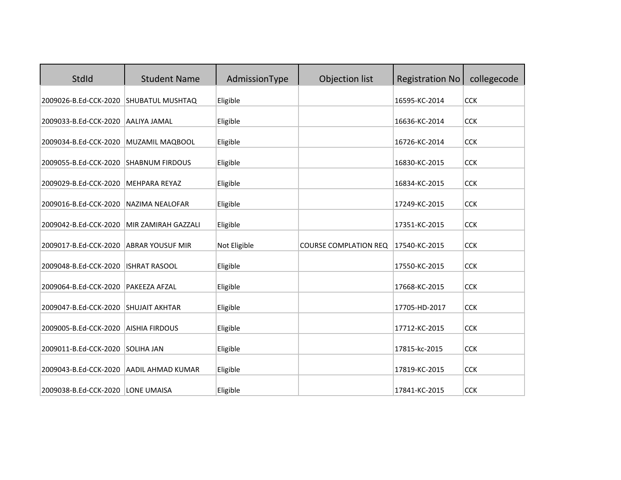| StdId                 | <b>Student Name</b>     | AdmissionType | Objection list               | <b>Registration No</b> | collegecode |
|-----------------------|-------------------------|---------------|------------------------------|------------------------|-------------|
| 2009026-B.Ed-CCK-2020 | SHUBATUL MUSHTAQ        | Eligible      |                              | 16595-KC-2014          | <b>CCK</b>  |
| 2009033-B.Ed-CCK-2020 | AALIYA JAMAL            | Eligible      |                              | 16636-KC-2014          | <b>CCK</b>  |
| 2009034-B.Ed-CCK-2020 | MUZAMIL MAQBOOL         | Eligible      |                              | 16726-KC-2014          | <b>CCK</b>  |
| 2009055-B.Ed-CCK-2020 | <b>SHABNUM FIRDOUS</b>  | Eligible      |                              | 16830-KC-2015          | <b>CCK</b>  |
| 2009029-B.Ed-CCK-2020 | <b>MEHPARA REYAZ</b>    | Eligible      |                              | 16834-KC-2015          | <b>CCK</b>  |
| 2009016-B.Ed-CCK-2020 | <b>NAZIMA NEALOFAR</b>  | Eligible      |                              | 17249-KC-2015          | <b>CCK</b>  |
| 2009042-B.Ed-CCK-2020 | MIR ZAMIRAH GAZZALI     | Eligible      |                              | 17351-KC-2015          | <b>CCK</b>  |
| 2009017-B.Ed-CCK-2020 | <b>ABRAR YOUSUF MIR</b> | Not Eligible  | <b>COURSE COMPLATION REQ</b> | 17540-KC-2015          | <b>CCK</b>  |
| 2009048-B.Ed-CCK-2020 | <b>ISHRAT RASOOL</b>    | Eligible      |                              | 17550-KC-2015          | <b>CCK</b>  |
| 2009064-B.Ed-CCK-2020 | PAKEEZA AFZAL           | Eligible      |                              | 17668-KC-2015          | <b>CCK</b>  |
| 2009047-B.Ed-CCK-2020 | <b>SHUJAIT AKHTAR</b>   | Eligible      |                              | 17705-HD-2017          | <b>CCK</b>  |
| 2009005-B.Ed-CCK-2020 | <b>AISHIA FIRDOUS</b>   | Eligible      |                              | 17712-KC-2015          | <b>CCK</b>  |
| 2009011-B.Ed-CCK-2020 | <b>SOLIHA JAN</b>       | Eligible      |                              | 17815-kc-2015          | <b>CCK</b>  |
| 2009043-B.Ed-CCK-2020 | AADIL AHMAD KUMAR       | Eligible      |                              | 17819-KC-2015          | <b>CCK</b>  |
| 2009038-B.Ed-CCK-2020 | <b>LONE UMAISA</b>      | Eligible      |                              | 17841-KC-2015          | <b>CCK</b>  |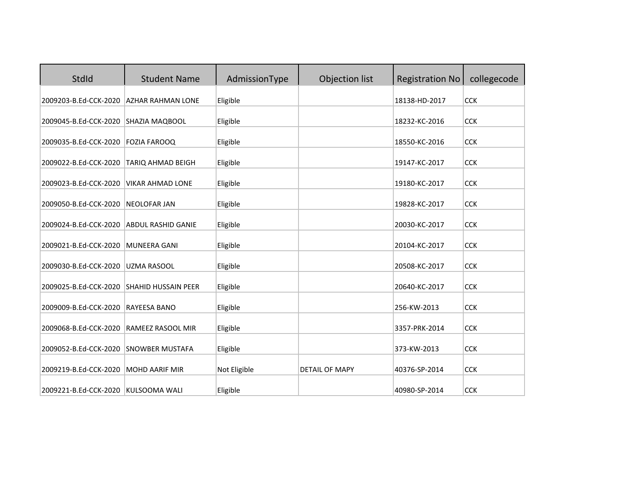| StdId                 | <b>Student Name</b>        | AdmissionType | Objection list        | <b>Registration No</b> | collegecode |
|-----------------------|----------------------------|---------------|-----------------------|------------------------|-------------|
| 2009203-B.Ed-CCK-2020 | <b>AZHAR RAHMAN LONE</b>   | Eligible      |                       | 18138-HD-2017          | <b>CCK</b>  |
| 2009045-B.Ed-CCK-2020 | <b>SHAZIA MAQBOOL</b>      | Eligible      |                       | 18232-KC-2016          | <b>CCK</b>  |
| 2009035-B.Ed-CCK-2020 | <b>FOZIA FAROOQ</b>        | Eligible      |                       | 18550-KC-2016          | <b>CCK</b>  |
| 2009022-B.Ed-CCK-2020 | TARIQ AHMAD BEIGH          | Eligible      |                       | 19147-KC-2017          | <b>CCK</b>  |
| 2009023-B.Ed-CCK-2020 | <b>VIKAR AHMAD LONE</b>    | Eligible      |                       | 19180-KC-2017          | <b>CCK</b>  |
| 2009050-B.Ed-CCK-2020 | <b>NEOLOFAR JAN</b>        | Eligible      |                       | 19828-KC-2017          | <b>CCK</b>  |
| 2009024-B.Ed-CCK-2020 | <b>ABDUL RASHID GANIE</b>  | Eligible      |                       | 20030-KC-2017          | <b>CCK</b>  |
| 2009021-B.Ed-CCK-2020 | <b>MUNEERA GANI</b>        | Eligible      |                       | 20104-KC-2017          | <b>CCK</b>  |
| 2009030-B.Ed-CCK-2020 | <b>UZMA RASOOL</b>         | Eligible      |                       | 20508-KC-2017          | <b>CCK</b>  |
| 2009025-B.Ed-CCK-2020 | <b>SHAHID HUSSAIN PEER</b> | Eligible      |                       | 20640-KC-2017          | <b>CCK</b>  |
| 2009009-B.Ed-CCK-2020 | <b>RAYEESA BANO</b>        | Eligible      |                       | 256-KW-2013            | <b>CCK</b>  |
| 2009068-B.Ed-CCK-2020 | <b>RAMEEZ RASOOL MIR</b>   | Eligible      |                       | 3357-PRK-2014          | <b>CCK</b>  |
| 2009052-B.Ed-CCK-2020 | <b>SNOWBER MUSTAFA</b>     | Eligible      |                       | 373-KW-2013            | <b>CCK</b>  |
| 2009219-B.Ed-CCK-2020 | <b>MOHD AARIF MIR</b>      | Not Eligible  | <b>DETAIL OF MAPY</b> | 40376-SP-2014          | <b>CCK</b>  |
| 2009221-B.Ed-CCK-2020 | KULSOOMA WALI              | Eligible      |                       | 40980-SP-2014          | <b>CCK</b>  |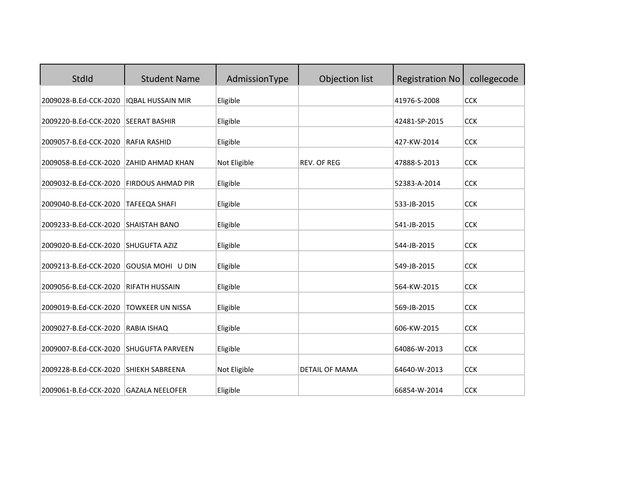| StdId                 | <b>Student Name</b>      | AdmissionType | Objection list        | <b>Registration No</b> | collegecode |
|-----------------------|--------------------------|---------------|-----------------------|------------------------|-------------|
| 2009028-B.Ed-CCK-2020 | <b>IQBAL HUSSAIN MIR</b> | Eligible      |                       | 41976-S-2008           | <b>CCK</b>  |
| 2009220-B.Ed-CCK-2020 | <b>SEERAT BASHIR</b>     | Eligible      |                       | 42481-SP-2015          | <b>CCK</b>  |
| 2009057-B.Ed-CCK-2020 | <b>RAFIA RASHID</b>      | Eligible      |                       | 427-KW-2014            | <b>CCK</b>  |
| 2009058-B.Ed-CCK-2020 | <b>ZAHID AHMAD KHAN</b>  | Not Eligible  | <b>REV. OF REG</b>    | 47888-S-2013           | <b>CCK</b>  |
| 2009032-B.Ed-CCK-2020 | <b>FIRDOUS AHMAD PIR</b> | Eligible      |                       | 52383-A-2014           | <b>CCK</b>  |
| 2009040-B.Ed-CCK-2020 | <b>TAFEEQA SHAFI</b>     | Eligible      |                       | 533-JB-2015            | <b>CCK</b>  |
| 2009233-B.Ed-CCK-2020 | <b>SHAISTAH BANO</b>     | Eligible      |                       | 541-JB-2015            | <b>CCK</b>  |
| 2009020-B.Ed-CCK-2020 | SHUGUFTA AZIZ            | Eligible      |                       | 544-JB-2015            | <b>CCK</b>  |
| 2009213-B.Ed-CCK-2020 | GOUSIA MOHI U DIN        | Eligible      |                       | 549-JB-2015            | <b>CCK</b>  |
| 2009056-B.Ed-CCK-2020 | <b>RIFATH HUSSAIN</b>    | Eligible      |                       | 564-KW-2015            | <b>CCK</b>  |
| 2009019-B.Ed-CCK-2020 | <b>TOWKEER UN NISSA</b>  | Eligible      |                       | 569-JB-2015            | <b>CCK</b>  |
| 2009027-B.Ed-CCK-2020 | RABIA ISHAQ              | Eligible      |                       | 606-KW-2015            | <b>CCK</b>  |
| 2009007-B.Ed-CCK-2020 | <b>SHUGUFTA PARVEEN</b>  | Eligible      |                       | 64086-W-2013           | <b>CCK</b>  |
| 2009228-B.Ed-CCK-2020 | <b>SHIEKH SABREENA</b>   | Not Eligible  | <b>DETAIL OF MAMA</b> | 64640-W-2013           | <b>CCK</b>  |
| 2009061-B.Ed-CCK-2020 | <b>GAZALA NEELOFER</b>   | Eligible      |                       | 66854-W-2014           | <b>CCK</b>  |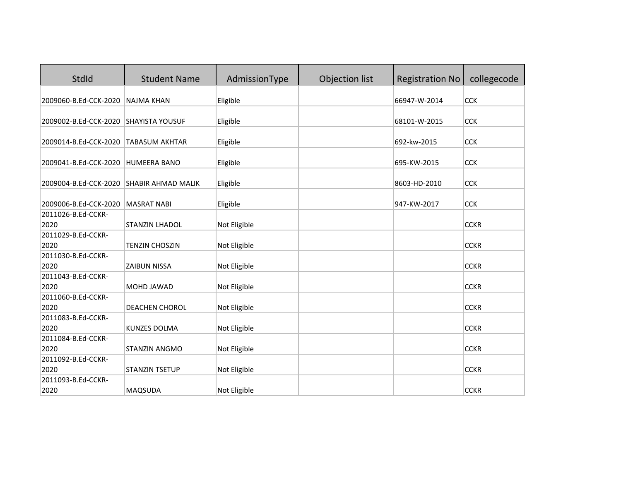| StdId                                 | <b>Student Name</b>       | AdmissionType | Objection list | <b>Registration No</b> | collegecode |
|---------------------------------------|---------------------------|---------------|----------------|------------------------|-------------|
| 2009060-B.Ed-CCK-2020                 | <b>NAJMA KHAN</b>         | Eligible      |                | 66947-W-2014           | <b>CCK</b>  |
|                                       |                           |               |                |                        |             |
| 2009002-B.Ed-CCK-2020 SHAYISTA YOUSUF |                           | Eligible      |                | 68101-W-2015           | <b>CCK</b>  |
| 2009014-B.Ed-CCK-2020 TABASUM AKHTAR  |                           | Eligible      |                | 692-kw-2015            | <b>CCK</b>  |
| 2009041-B.Ed-CCK-2020                 | <b>HUMEERA BANO</b>       | Eligible      |                | 695-KW-2015            | <b>CCK</b>  |
|                                       |                           |               |                |                        |             |
| 2009004-B.Ed-CCK-2020                 | <b>SHABIR AHMAD MALIK</b> | Eligible      |                | 8603-HD-2010           | <b>CCK</b>  |
| 2009006-B.Ed-CCK-2020                 | <b>MASRAT NABI</b>        | Eligible      |                | 947-KW-2017            | <b>CCK</b>  |
| 2011026-B.Ed-CCKR-                    |                           |               |                |                        |             |
| 2020                                  | <b>STANZIN LHADOL</b>     | Not Eligible  |                |                        | <b>CCKR</b> |
| 2011029-B.Ed-CCKR-                    |                           |               |                |                        |             |
| 2020                                  | <b>TENZIN CHOSZIN</b>     | Not Eligible  |                |                        | <b>CCKR</b> |
| 2011030-B.Ed-CCKR-                    |                           |               |                |                        |             |
| 2020                                  | <b>ZAIBUN NISSA</b>       | Not Eligible  |                |                        | <b>CCKR</b> |
| 2011043-B.Ed-CCKR-                    |                           |               |                |                        |             |
| 2020                                  | MOHD JAWAD                | Not Eligible  |                |                        | <b>CCKR</b> |
| 2011060-B.Ed-CCKR-                    |                           |               |                |                        |             |
| 2020                                  | DEACHEN CHOROL            | Not Eligible  |                |                        | <b>CCKR</b> |
| 2011083-B.Ed-CCKR-                    |                           |               |                |                        |             |
| 2020                                  | <b>KUNZES DOLMA</b>       | Not Eligible  |                |                        | <b>CCKR</b> |
| 2011084-B.Ed-CCKR-                    |                           |               |                |                        |             |
| 2020                                  | <b>STANZIN ANGMO</b>      | Not Eligible  |                |                        | <b>CCKR</b> |
| 2011092-B.Ed-CCKR-                    |                           |               |                |                        |             |
| 2020                                  | <b>STANZIN TSETUP</b>     | Not Eligible  |                |                        | <b>CCKR</b> |
| 2011093-B.Ed-CCKR-                    |                           |               |                |                        |             |
| 2020                                  | MAQSUDA                   | Not Eligible  |                |                        | <b>CCKR</b> |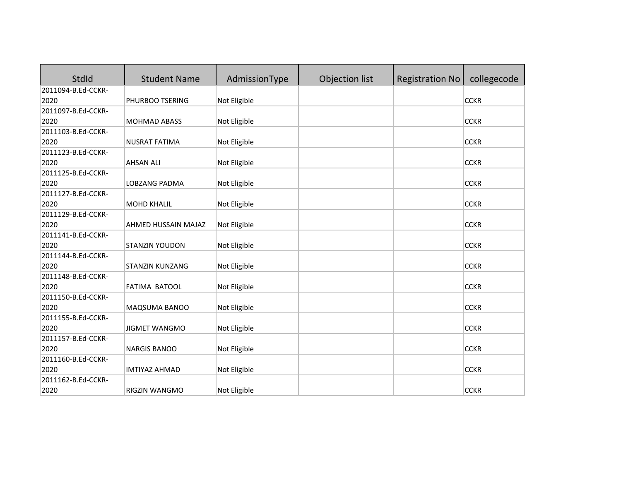| StdId              | <b>Student Name</b>    | AdmissionType | Objection list | <b>Registration No</b> | collegecode |
|--------------------|------------------------|---------------|----------------|------------------------|-------------|
| 2011094-B.Ed-CCKR- |                        |               |                |                        |             |
| 2020               | PHURBOO TSERING        | Not Eligible  |                |                        | <b>CCKR</b> |
| 2011097-B.Ed-CCKR- |                        |               |                |                        |             |
| 2020               | <b>MOHMAD ABASS</b>    | Not Eligible  |                |                        | <b>CCKR</b> |
| 2011103-B.Ed-CCKR- |                        |               |                |                        |             |
| 2020               | <b>NUSRAT FATIMA</b>   | Not Eligible  |                |                        | <b>CCKR</b> |
| 2011123-B.Ed-CCKR- |                        |               |                |                        |             |
| 2020               | <b>AHSAN ALI</b>       | Not Eligible  |                |                        | <b>CCKR</b> |
| 2011125-B.Ed-CCKR- |                        |               |                |                        |             |
| 2020               | LOBZANG PADMA          | Not Eligible  |                |                        | <b>CCKR</b> |
| 2011127-B.Ed-CCKR- |                        |               |                |                        |             |
| 2020               | <b>MOHD KHALIL</b>     | Not Eligible  |                |                        | <b>CCKR</b> |
| 2011129-B.Ed-CCKR- |                        |               |                |                        |             |
| 2020               | AHMED HUSSAIN MAJAZ    | Not Eligible  |                |                        | <b>CCKR</b> |
| 2011141-B.Ed-CCKR- |                        |               |                |                        |             |
| 2020               | <b>STANZIN YOUDON</b>  | Not Eligible  |                |                        | <b>CCKR</b> |
| 2011144-B.Ed-CCKR- |                        |               |                |                        |             |
| 2020               | <b>STANZIN KUNZANG</b> | Not Eligible  |                |                        | <b>CCKR</b> |
| 2011148-B.Ed-CCKR- |                        |               |                |                        |             |
| 2020               | FATIMA BATOOL          | Not Eligible  |                |                        | <b>CCKR</b> |
| 2011150-B.Ed-CCKR- |                        |               |                |                        |             |
| 2020               | MAQSUMA BANOO          | Not Eligible  |                |                        | <b>CCKR</b> |
| 2011155-B.Ed-CCKR- |                        |               |                |                        |             |
| 2020               | <b>JIGMET WANGMO</b>   | Not Eligible  |                |                        | <b>CCKR</b> |
| 2011157-B.Ed-CCKR- |                        |               |                |                        |             |
| 2020               | <b>NARGIS BANOO</b>    | Not Eligible  |                |                        | <b>CCKR</b> |
| 2011160-B.Ed-CCKR- |                        |               |                |                        |             |
| 2020               | <b>IMTIYAZ AHMAD</b>   | Not Eligible  |                |                        | <b>CCKR</b> |
| 2011162-B.Ed-CCKR- |                        |               |                |                        |             |
| 2020               | RIGZIN WANGMO          | Not Eligible  |                |                        | <b>CCKR</b> |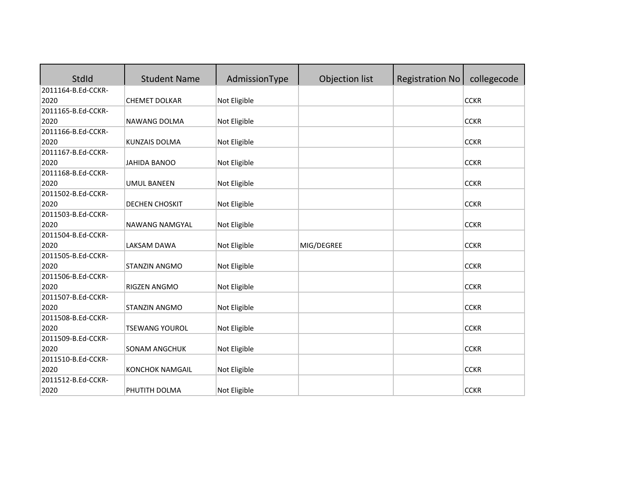| StdId              | <b>Student Name</b>    | AdmissionType | Objection list | <b>Registration No</b> | collegecode |
|--------------------|------------------------|---------------|----------------|------------------------|-------------|
| 2011164-B.Ed-CCKR- |                        |               |                |                        |             |
| 2020               | <b>CHEMET DOLKAR</b>   | Not Eligible  |                |                        | <b>CCKR</b> |
| 2011165-B.Ed-CCKR- |                        |               |                |                        |             |
| 2020               | NAWANG DOLMA           | Not Eligible  |                |                        | <b>CCKR</b> |
| 2011166-B.Ed-CCKR- |                        |               |                |                        |             |
| 2020               | <b>KUNZAIS DOLMA</b>   | Not Eligible  |                |                        | <b>CCKR</b> |
| 2011167-B.Ed-CCKR- |                        |               |                |                        |             |
| 2020               | <b>JAHIDA BANOO</b>    | Not Eligible  |                |                        | <b>CCKR</b> |
| 2011168-B.Ed-CCKR- |                        |               |                |                        |             |
| 2020               | <b>UMUL BANEEN</b>     | Not Eligible  |                |                        | <b>CCKR</b> |
| 2011502-B.Ed-CCKR- |                        |               |                |                        |             |
| 2020               | DECHEN CHOSKIT         | Not Eligible  |                |                        | <b>CCKR</b> |
| 2011503-B.Ed-CCKR- |                        |               |                |                        |             |
| 2020               | NAWANG NAMGYAL         | Not Eligible  |                |                        | <b>CCKR</b> |
| 2011504-B.Ed-CCKR- |                        |               |                |                        |             |
| 2020               | LAKSAM DAWA            | Not Eligible  | MIG/DEGREE     |                        | <b>CCKR</b> |
| 2011505-B.Ed-CCKR- |                        |               |                |                        |             |
| 2020               | STANZIN ANGMO          | Not Eligible  |                |                        | <b>CCKR</b> |
| 2011506-B.Ed-CCKR- |                        |               |                |                        |             |
| 2020               | <b>RIGZEN ANGMO</b>    | Not Eligible  |                |                        | <b>CCKR</b> |
| 2011507-B.Ed-CCKR- |                        |               |                |                        |             |
| 2020               | STANZIN ANGMO          | Not Eligible  |                |                        | <b>CCKR</b> |
| 2011508-B.Ed-CCKR- |                        |               |                |                        |             |
| 2020               | <b>TSEWANG YOUROL</b>  | Not Eligible  |                |                        | <b>CCKR</b> |
| 2011509-B.Ed-CCKR- |                        |               |                |                        |             |
| 2020               | SONAM ANGCHUK          | Not Eligible  |                |                        | <b>CCKR</b> |
| 2011510-B.Ed-CCKR- |                        |               |                |                        |             |
| 2020               | <b>KONCHOK NAMGAIL</b> | Not Eligible  |                |                        | <b>CCKR</b> |
| 2011512-B.Ed-CCKR- |                        |               |                |                        |             |
| 2020               | PHUTITH DOLMA          | Not Eligible  |                |                        | <b>CCKR</b> |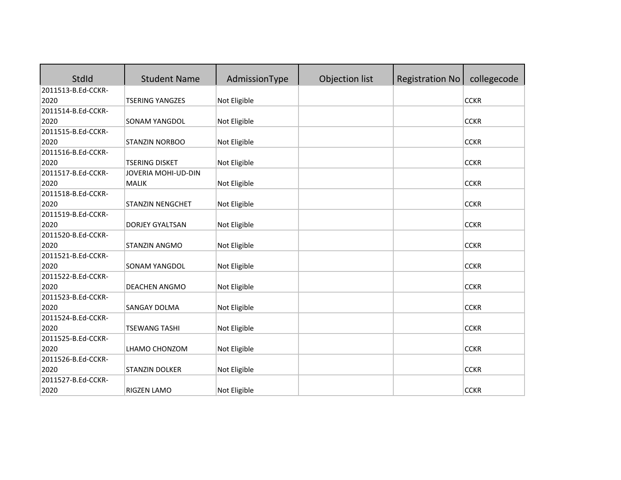| <b>StdId</b>       | <b>Student Name</b>     | AdmissionType | Objection list | <b>Registration No</b> | collegecode |
|--------------------|-------------------------|---------------|----------------|------------------------|-------------|
| 2011513-B.Ed-CCKR- |                         |               |                |                        |             |
| 2020               | <b>TSERING YANGZES</b>  | Not Eligible  |                |                        | <b>CCKR</b> |
| 2011514-B.Ed-CCKR- |                         |               |                |                        |             |
| 2020               | <b>SONAM YANGDOL</b>    | Not Eligible  |                |                        | <b>CCKR</b> |
| 2011515-B.Ed-CCKR- |                         |               |                |                        |             |
| 2020               | <b>STANZIN NORBOO</b>   | Not Eligible  |                |                        | <b>CCKR</b> |
| 2011516-B.Ed-CCKR- |                         |               |                |                        |             |
| 2020               | <b>TSERING DISKET</b>   | Not Eligible  |                |                        | <b>CCKR</b> |
| 2011517-B.Ed-CCKR- | JOVERIA MOHI-UD-DIN     |               |                |                        |             |
| 2020               | <b>MALIK</b>            | Not Eligible  |                |                        | <b>CCKR</b> |
| 2011518-B.Ed-CCKR- |                         |               |                |                        |             |
| 2020               | <b>STANZIN NENGCHET</b> | Not Eligible  |                |                        | <b>CCKR</b> |
| 2011519-B.Ed-CCKR- |                         |               |                |                        |             |
| 2020               | DORJEY GYALTSAN         | Not Eligible  |                |                        | <b>CCKR</b> |
| 2011520-B.Ed-CCKR- |                         |               |                |                        |             |
| 2020               | STANZIN ANGMO           | Not Eligible  |                |                        | <b>CCKR</b> |
| 2011521-B.Ed-CCKR- |                         |               |                |                        |             |
| 2020               | SONAM YANGDOL           | Not Eligible  |                |                        | <b>CCKR</b> |
| 2011522-B.Ed-CCKR- |                         |               |                |                        |             |
| 2020               | DEACHEN ANGMO           | Not Eligible  |                |                        | <b>CCKR</b> |
| 2011523-B.Ed-CCKR- |                         |               |                |                        |             |
| 2020               | <b>SANGAY DOLMA</b>     | Not Eligible  |                |                        | <b>CCKR</b> |
| 2011524-B.Ed-CCKR- |                         |               |                |                        |             |
| 2020               | <b>TSEWANG TASHI</b>    | Not Eligible  |                |                        | <b>CCKR</b> |
| 2011525-B.Ed-CCKR- |                         |               |                |                        |             |
| 2020               | LHAMO CHONZOM           | Not Eligible  |                |                        | <b>CCKR</b> |
| 2011526-B.Ed-CCKR- |                         |               |                |                        |             |
| 2020               | STANZIN DOLKER          | Not Eligible  |                |                        | <b>CCKR</b> |
| 2011527-B.Ed-CCKR- |                         |               |                |                        |             |
| 2020               | RIGZEN LAMO             | Not Eligible  |                |                        | <b>CCKR</b> |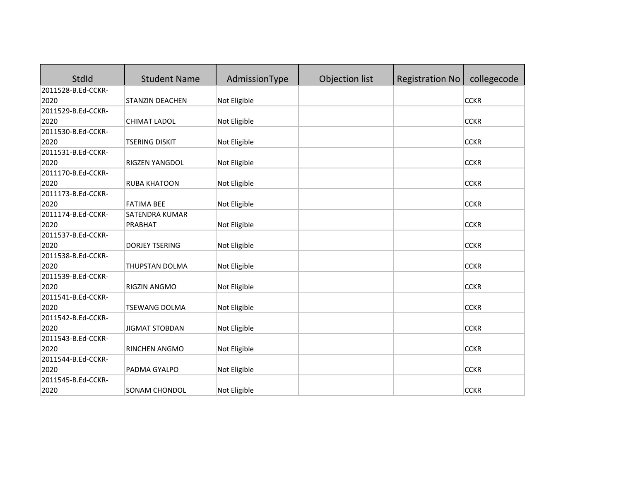| StdId              | <b>Student Name</b>   | AdmissionType | Objection list | <b>Registration No</b> | collegecode |
|--------------------|-----------------------|---------------|----------------|------------------------|-------------|
| 2011528-B.Ed-CCKR- |                       |               |                |                        |             |
| 2020               | STANZIN DEACHEN       | Not Eligible  |                |                        | <b>CCKR</b> |
| 2011529-B.Ed-CCKR- |                       |               |                |                        |             |
| 2020               | CHIMAT LADOL          | Not Eligible  |                |                        | <b>CCKR</b> |
| 2011530-B.Ed-CCKR- |                       |               |                |                        |             |
| 2020               | <b>TSERING DISKIT</b> | Not Eligible  |                |                        | <b>CCKR</b> |
| 2011531-B.Ed-CCKR- |                       |               |                |                        |             |
| 2020               | RIGZEN YANGDOL        | Not Eligible  |                |                        | <b>CCKR</b> |
| 2011170-B.Ed-CCKR- |                       |               |                |                        |             |
| 2020               | <b>RUBA KHATOON</b>   | Not Eligible  |                |                        | <b>CCKR</b> |
| 2011173-B.Ed-CCKR- |                       |               |                |                        |             |
| 2020               | <b>FATIMA BEE</b>     | Not Eligible  |                |                        | <b>CCKR</b> |
| 2011174-B.Ed-CCKR- | SATENDRA KUMAR        |               |                |                        |             |
| 2020               | PRABHAT               | Not Eligible  |                |                        | <b>CCKR</b> |
| 2011537-B.Ed-CCKR- |                       |               |                |                        |             |
| 2020               | <b>DORJEY TSERING</b> | Not Eligible  |                |                        | <b>CCKR</b> |
| 2011538-B.Ed-CCKR- |                       |               |                |                        |             |
| 2020               | THUPSTAN DOLMA        | Not Eligible  |                |                        | <b>CCKR</b> |
| 2011539-B.Ed-CCKR- |                       |               |                |                        |             |
| 2020               | RIGZIN ANGMO          | Not Eligible  |                |                        | <b>CCKR</b> |
| 2011541-B.Ed-CCKR- |                       |               |                |                        |             |
| 2020               | <b>TSEWANG DOLMA</b>  | Not Eligible  |                |                        | <b>CCKR</b> |
| 2011542-B.Ed-CCKR- |                       |               |                |                        |             |
| 2020               | <b>JIGMAT STOBDAN</b> | Not Eligible  |                |                        | <b>CCKR</b> |
| 2011543-B.Ed-CCKR- |                       |               |                |                        |             |
| 2020               | RINCHEN ANGMO         | Not Eligible  |                |                        | <b>CCKR</b> |
| 2011544-B.Ed-CCKR- |                       |               |                |                        |             |
| 2020               | PADMA GYALPO          | Not Eligible  |                |                        | <b>CCKR</b> |
| 2011545-B.Ed-CCKR- |                       |               |                |                        |             |
| 2020               | SONAM CHONDOL         | Not Eligible  |                |                        | <b>CCKR</b> |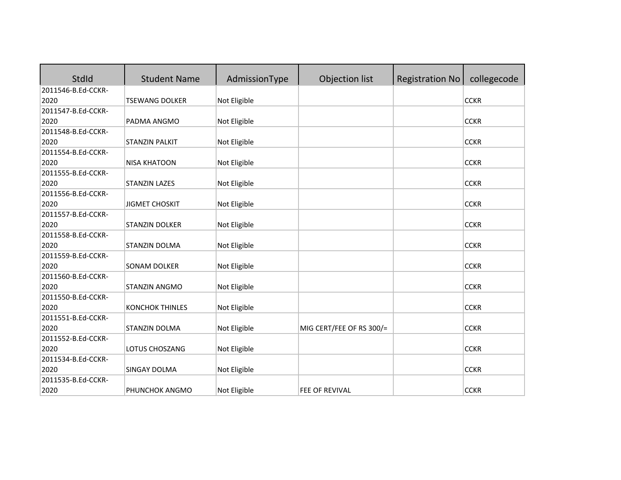| <b>StdId</b>       | <b>Student Name</b>    | AdmissionType | Objection list           | <b>Registration No</b> | collegecode |
|--------------------|------------------------|---------------|--------------------------|------------------------|-------------|
| 2011546-B.Ed-CCKR- |                        |               |                          |                        |             |
| 2020               | <b>TSEWANG DOLKER</b>  | Not Eligible  |                          |                        | <b>CCKR</b> |
| 2011547-B.Ed-CCKR- |                        |               |                          |                        |             |
| 2020               | PADMA ANGMO            | Not Eligible  |                          |                        | <b>CCKR</b> |
| 2011548-B.Ed-CCKR- |                        |               |                          |                        |             |
| 2020               | <b>STANZIN PALKIT</b>  | Not Eligible  |                          |                        | <b>CCKR</b> |
| 2011554-B.Ed-CCKR- |                        |               |                          |                        |             |
| 2020               | <b>NISA KHATOON</b>    | Not Eligible  |                          |                        | <b>CCKR</b> |
| 2011555-B.Ed-CCKR- |                        |               |                          |                        |             |
| 2020               | <b>STANZIN LAZES</b>   | Not Eligible  |                          |                        | <b>CCKR</b> |
| 2011556-B.Ed-CCKR- |                        |               |                          |                        |             |
| 2020               | <b>JIGMET CHOSKIT</b>  | Not Eligible  |                          |                        | <b>CCKR</b> |
| 2011557-B.Ed-CCKR- |                        |               |                          |                        |             |
| 2020               | STANZIN DOLKER         | Not Eligible  |                          |                        | <b>CCKR</b> |
| 2011558-B.Ed-CCKR- |                        |               |                          |                        |             |
| 2020               | STANZIN DOLMA          | Not Eligible  |                          |                        | <b>CCKR</b> |
| 2011559-B.Ed-CCKR- |                        |               |                          |                        |             |
| 2020               | <b>SONAM DOLKER</b>    | Not Eligible  |                          |                        | <b>CCKR</b> |
| 2011560-B.Ed-CCKR- |                        |               |                          |                        |             |
| 2020               | STANZIN ANGMO          | Not Eligible  |                          |                        | <b>CCKR</b> |
| 2011550-B.Ed-CCKR- |                        |               |                          |                        |             |
| 2020               | <b>KONCHOK THINLES</b> | Not Eligible  |                          |                        | <b>CCKR</b> |
| 2011551-B.Ed-CCKR- |                        |               |                          |                        |             |
| 2020               | STANZIN DOLMA          | Not Eligible  | MIG CERT/FEE OF RS 300/= |                        | <b>CCKR</b> |
| 2011552-B.Ed-CCKR- |                        |               |                          |                        |             |
| 2020               | LOTUS CHOSZANG         | Not Eligible  |                          |                        | <b>CCKR</b> |
| 2011534-B.Ed-CCKR- |                        |               |                          |                        |             |
| 2020               | SINGAY DOLMA           | Not Eligible  |                          |                        | <b>CCKR</b> |
| 2011535-B.Ed-CCKR- |                        |               |                          |                        |             |
| 2020               | PHUNCHOK ANGMO         | Not Eligible  | <b>FEE OF REVIVAL</b>    |                        | <b>CCKR</b> |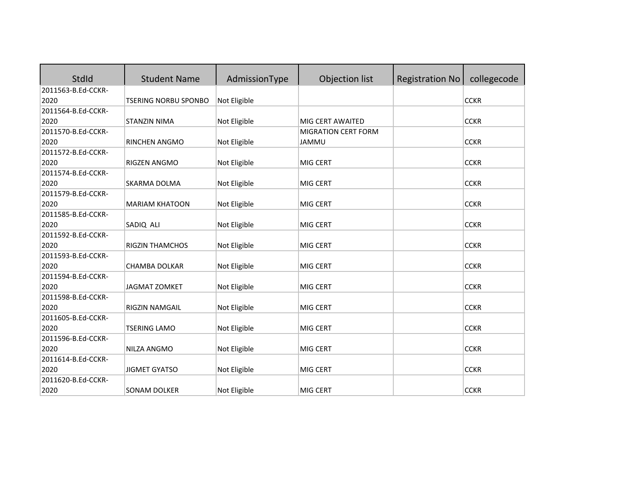| StdId              | <b>Student Name</b>         | AdmissionType | Objection list             | <b>Registration No</b> | collegecode |
|--------------------|-----------------------------|---------------|----------------------------|------------------------|-------------|
| 2011563-B.Ed-CCKR- |                             |               |                            |                        |             |
| 2020               | <b>TSERING NORBU SPONBO</b> | Not Eligible  |                            |                        | <b>CCKR</b> |
| 2011564-B.Ed-CCKR- |                             |               |                            |                        |             |
| 2020               | <b>STANZIN NIMA</b>         | Not Eligible  | MIG CERT AWAITED           |                        | <b>CCKR</b> |
| 2011570-B.Ed-CCKR- |                             |               | <b>MIGRATION CERT FORM</b> |                        |             |
| 2020               | RINCHEN ANGMO               | Not Eligible  | <b>JAMMU</b>               |                        | <b>CCKR</b> |
| 2011572-B.Ed-CCKR- |                             |               |                            |                        |             |
| 2020               | RIGZEN ANGMO                | Not Eligible  | MIG CERT                   |                        | <b>CCKR</b> |
| 2011574-B.Ed-CCKR- |                             |               |                            |                        |             |
| 2020               | SKARMA DOLMA                | Not Eligible  | MIG CERT                   |                        | <b>CCKR</b> |
| 2011579-B.Ed-CCKR- |                             |               |                            |                        |             |
| 2020               | <b>MARIAM KHATOON</b>       | Not Eligible  | MIG CERT                   |                        | <b>CCKR</b> |
| 2011585-B.Ed-CCKR- |                             |               |                            |                        |             |
| 2020               | SADIQ ALI                   | Not Eligible  | MIG CERT                   |                        | <b>CCKR</b> |
| 2011592-B.Ed-CCKR- |                             |               |                            |                        |             |
| 2020               | <b>RIGZIN THAMCHOS</b>      | Not Eligible  | MIG CERT                   |                        | <b>CCKR</b> |
| 2011593-B.Ed-CCKR- |                             |               |                            |                        |             |
| 2020               | <b>CHAMBA DOLKAR</b>        | Not Eligible  | MIG CERT                   |                        | <b>CCKR</b> |
| 2011594-B.Ed-CCKR- |                             |               |                            |                        |             |
| 2020               | <b>JAGMAT ZOMKET</b>        | Not Eligible  | MIG CERT                   |                        | <b>CCKR</b> |
| 2011598-B.Ed-CCKR- |                             |               |                            |                        |             |
| 2020               | RIGZIN NAMGAIL              | Not Eligible  | MIG CERT                   |                        | <b>CCKR</b> |
| 2011605-B.Ed-CCKR- |                             |               |                            |                        |             |
| 2020               | <b>TSERING LAMO</b>         | Not Eligible  | MIG CERT                   |                        | <b>CCKR</b> |
| 2011596-B.Ed-CCKR- |                             |               |                            |                        |             |
| 2020               | NILZA ANGMO                 | Not Eligible  | MIG CERT                   |                        | <b>CCKR</b> |
| 2011614-B.Ed-CCKR- |                             |               |                            |                        |             |
| 2020               | <b>JIGMET GYATSO</b>        | Not Eligible  | MIG CERT                   |                        | <b>CCKR</b> |
| 2011620-B.Ed-CCKR- |                             |               |                            |                        |             |
| 2020               | SONAM DOLKER                | Not Eligible  | MIG CERT                   |                        | <b>CCKR</b> |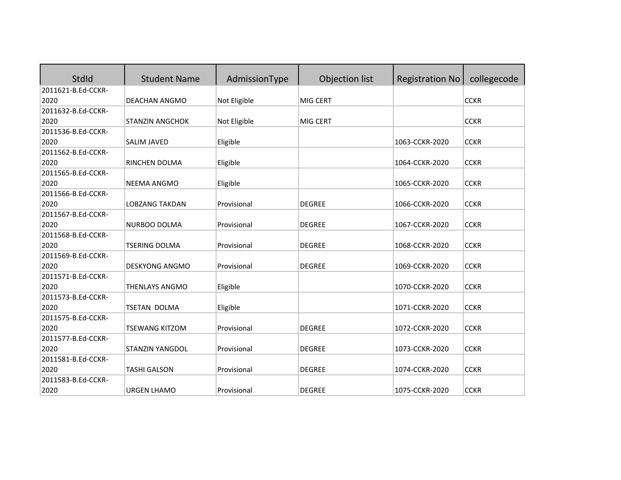| StdId              | <b>Student Name</b>    | AdmissionType | Objection list | <b>Registration No</b> | collegecode |
|--------------------|------------------------|---------------|----------------|------------------------|-------------|
| 2011621-B.Ed-CCKR- |                        |               |                |                        |             |
| 2020               | DEACHAN ANGMO          | Not Eligible  | MIG CERT       |                        | <b>CCKR</b> |
| 2011632-B.Ed-CCKR- |                        |               |                |                        |             |
| 2020               | <b>STANZIN ANGCHOK</b> | Not Eligible  | MIG CERT       |                        | <b>CCKR</b> |
| 2011536-B.Ed-CCKR- |                        |               |                |                        |             |
| 2020               | <b>SALIM JAVED</b>     | Eligible      |                | 1063-CCKR-2020         | <b>CCKR</b> |
| 2011562-B.Ed-CCKR- |                        |               |                |                        |             |
| 2020               | RINCHEN DOLMA          | Eligible      |                | 1064-CCKR-2020         | <b>CCKR</b> |
| 2011565-B.Ed-CCKR- |                        |               |                |                        |             |
| 2020               | <b>NEEMA ANGMO</b>     | Eligible      |                | 1065-CCKR-2020         | <b>CCKR</b> |
| 2011566-B.Ed-CCKR- |                        |               |                |                        |             |
| 2020               | <b>LOBZANG TAKDAN</b>  | Provisional   | <b>DEGREE</b>  | 1066-CCKR-2020         | <b>CCKR</b> |
| 2011567-B.Ed-CCKR- |                        |               |                |                        |             |
| 2020               | NURBOO DOLMA           | Provisional   | <b>DEGREE</b>  | 1067-CCKR-2020         | <b>CCKR</b> |
| 2011568-B.Ed-CCKR- |                        |               |                |                        |             |
| 2020               | <b>TSERING DOLMA</b>   | Provisional   | <b>DEGREE</b>  | 1068-CCKR-2020         | <b>CCKR</b> |
| 2011569-B.Ed-CCKR- |                        |               |                |                        |             |
| 2020               | <b>DESKYONG ANGMO</b>  | Provisional   | <b>DEGREE</b>  | 1069-CCKR-2020         | <b>CCKR</b> |
| 2011571-B.Ed-CCKR- |                        |               |                |                        |             |
| 2020               | THENLAYS ANGMO         | Eligible      |                | 1070-CCKR-2020         | <b>CCKR</b> |
| 2011573-B.Ed-CCKR- |                        |               |                |                        |             |
| 2020               | TSETAN DOLMA           | Eligible      |                | 1071-CCKR-2020         | <b>CCKR</b> |
| 2011575-B.Ed-CCKR- |                        |               |                |                        |             |
| 2020               | <b>TSEWANG KITZOM</b>  | Provisional   | <b>DEGREE</b>  | 1072-CCKR-2020         | <b>CCKR</b> |
| 2011577-B.Ed-CCKR- |                        |               |                |                        |             |
| 2020               | <b>STANZIN YANGDOL</b> | Provisional   | <b>DEGREE</b>  | 1073-CCKR-2020         | <b>CCKR</b> |
| 2011581-B.Ed-CCKR- |                        |               |                |                        |             |
| 2020               | <b>TASHI GALSON</b>    | Provisional   | <b>DEGREE</b>  | 1074-CCKR-2020         | <b>CCKR</b> |
| 2011583-B.Ed-CCKR- |                        |               |                |                        |             |
| 2020               | <b>URGEN LHAMO</b>     | Provisional   | <b>DEGREE</b>  | 1075-CCKR-2020         | <b>CCKR</b> |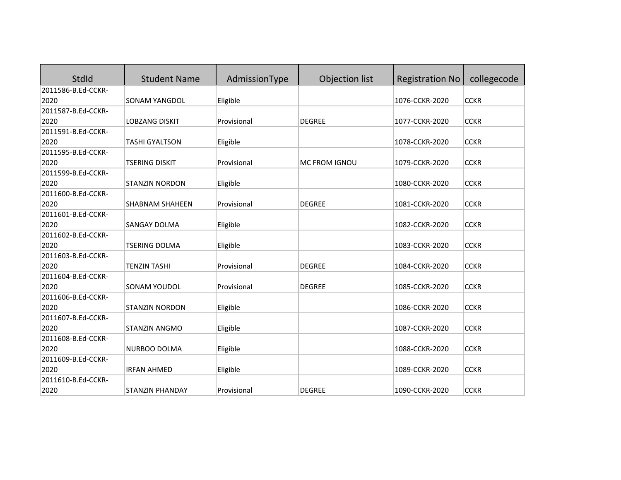| StdId              | <b>Student Name</b>    | AdmissionType | Objection list | <b>Registration No</b> | collegecode |
|--------------------|------------------------|---------------|----------------|------------------------|-------------|
| 2011586-B.Ed-CCKR- |                        |               |                |                        |             |
| 2020               | <b>SONAM YANGDOL</b>   | Eligible      |                | 1076-CCKR-2020         | <b>CCKR</b> |
| 2011587-B.Ed-CCKR- |                        |               |                |                        |             |
| 2020               | <b>LOBZANG DISKIT</b>  | Provisional   | <b>DEGREE</b>  | 1077-CCKR-2020         | <b>CCKR</b> |
| 2011591-B.Ed-CCKR- |                        |               |                |                        |             |
| 2020               | <b>TASHI GYALTSON</b>  | Eligible      |                | 1078-CCKR-2020         | <b>CCKR</b> |
| 2011595-B.Ed-CCKR- |                        |               |                |                        |             |
| 2020               | <b>TSERING DISKIT</b>  | Provisional   | MC FROM IGNOU  | 1079-CCKR-2020         | <b>CCKR</b> |
| 2011599-B.Ed-CCKR- |                        |               |                |                        |             |
| 2020               | <b>STANZIN NORDON</b>  | Eligible      |                | 1080-CCKR-2020         | <b>CCKR</b> |
| 2011600-B.Ed-CCKR- |                        |               |                |                        |             |
| 2020               | <b>SHABNAM SHAHEEN</b> | Provisional   | <b>DEGREE</b>  | 1081-CCKR-2020         | <b>CCKR</b> |
| 2011601-B.Ed-CCKR- |                        |               |                |                        |             |
| 2020               | SANGAY DOLMA           | Eligible      |                | 1082-CCKR-2020         | <b>CCKR</b> |
| 2011602-B.Ed-CCKR- |                        |               |                |                        |             |
| 2020               | <b>TSERING DOLMA</b>   | Eligible      |                | 1083-CCKR-2020         | <b>CCKR</b> |
| 2011603-B.Ed-CCKR- |                        |               |                |                        |             |
| 2020               | <b>TENZIN TASHI</b>    | Provisional   | <b>DEGREE</b>  | 1084-CCKR-2020         | <b>CCKR</b> |
| 2011604-B.Ed-CCKR- |                        |               |                |                        |             |
| 2020               | SONAM YOUDOL           | Provisional   | <b>DEGREE</b>  | 1085-CCKR-2020         | <b>CCKR</b> |
| 2011606-B.Ed-CCKR- |                        |               |                |                        |             |
| 2020               | <b>STANZIN NORDON</b>  | Eligible      |                | 1086-CCKR-2020         | <b>CCKR</b> |
| 2011607-B.Ed-CCKR- |                        |               |                |                        |             |
| 2020               | <b>STANZIN ANGMO</b>   | Eligible      |                | 1087-CCKR-2020         | <b>CCKR</b> |
| 2011608-B.Ed-CCKR- |                        |               |                |                        |             |
| 2020               | NURBOO DOLMA           | Eligible      |                | 1088-CCKR-2020         | <b>CCKR</b> |
| 2011609-B.Ed-CCKR- |                        |               |                |                        |             |
| 2020               | <b>IRFAN AHMED</b>     | Eligible      |                | 1089-CCKR-2020         | <b>CCKR</b> |
| 2011610-B.Ed-CCKR- |                        |               |                |                        |             |
| 2020               | <b>STANZIN PHANDAY</b> | Provisional   | <b>DEGREE</b>  | 1090-CCKR-2020         | <b>CCKR</b> |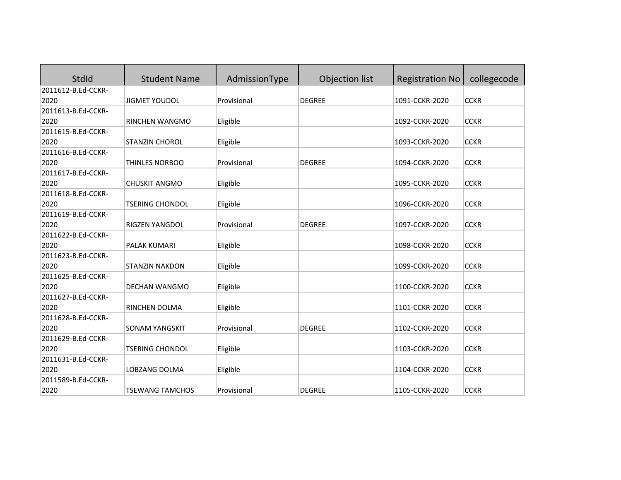| StdId              | <b>Student Name</b>    | AdmissionType | Objection list | <b>Registration No</b> | collegecode |
|--------------------|------------------------|---------------|----------------|------------------------|-------------|
| 2011612-B.Ed-CCKR- |                        |               |                |                        |             |
| 2020               | <b>JIGMET YOUDOL</b>   | Provisional   | <b>DEGREE</b>  | 1091-CCKR-2020         | <b>CCKR</b> |
| 2011613-B.Ed-CCKR- |                        |               |                |                        |             |
| 2020               | RINCHEN WANGMO         | Eligible      |                | 1092-CCKR-2020         | <b>CCKR</b> |
| 2011615-B.Ed-CCKR- |                        |               |                |                        |             |
| 2020               | <b>STANZIN CHOROL</b>  | Eligible      |                | 1093-CCKR-2020         | <b>CCKR</b> |
| 2011616-B.Ed-CCKR- |                        |               |                |                        |             |
| 2020               | THINLES NORBOO         | Provisional   | <b>DEGREE</b>  | 1094-CCKR-2020         | <b>CCKR</b> |
| 2011617-B.Ed-CCKR- |                        |               |                |                        |             |
| 2020               | <b>CHUSKIT ANGMO</b>   | Eligible      |                | 1095-CCKR-2020         | <b>CCKR</b> |
| 2011618-B.Ed-CCKR- |                        |               |                |                        |             |
| 2020               | <b>TSERING CHONDOL</b> | Eligible      |                | 1096-CCKR-2020         | <b>CCKR</b> |
| 2011619-B.Ed-CCKR- |                        |               |                |                        |             |
| 2020               | RIGZEN YANGDOL         | Provisional   | <b>DEGREE</b>  | 1097-CCKR-2020         | <b>CCKR</b> |
| 2011622-B.Ed-CCKR- |                        |               |                |                        |             |
| 2020               | PALAK KUMARI           | Eligible      |                | 1098-CCKR-2020         | <b>CCKR</b> |
| 2011623-B.Ed-CCKR- |                        |               |                |                        |             |
| 2020               | <b>STANZIN NAKDON</b>  | Eligible      |                | 1099-CCKR-2020         | <b>CCKR</b> |
| 2011625-B.Ed-CCKR- |                        |               |                |                        |             |
| 2020               | DECHAN WANGMO          | Eligible      |                | 1100-CCKR-2020         | <b>CCKR</b> |
| 2011627-B.Ed-CCKR- |                        |               |                |                        |             |
| 2020               | RINCHEN DOLMA          | Eligible      |                | 1101-CCKR-2020         | <b>CCKR</b> |
| 2011628-B.Ed-CCKR- |                        |               |                |                        |             |
| 2020               | <b>SONAM YANGSKIT</b>  | Provisional   | <b>DEGREE</b>  | 1102-CCKR-2020         | <b>CCKR</b> |
| 2011629-B.Ed-CCKR- |                        |               |                |                        |             |
| 2020               | <b>TSERING CHONDOL</b> | Eligible      |                | 1103-CCKR-2020         | <b>CCKR</b> |
| 2011631-B.Ed-CCKR- |                        |               |                |                        |             |
| 2020               | LOBZANG DOLMA          | Eligible      |                | 1104-CCKR-2020         | <b>CCKR</b> |
| 2011589-B.Ed-CCKR- |                        |               |                |                        |             |
| 2020               | <b>TSEWANG TAMCHOS</b> | Provisional   | <b>DEGREE</b>  | 1105-CCKR-2020         | <b>CCKR</b> |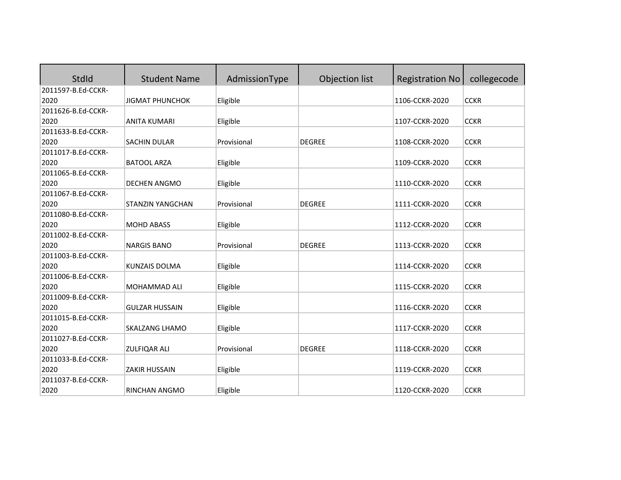| StdId              | <b>Student Name</b>     | AdmissionType | Objection list | <b>Registration No</b> | collegecode |
|--------------------|-------------------------|---------------|----------------|------------------------|-------------|
| 2011597-B.Ed-CCKR- |                         |               |                |                        |             |
| 2020               | <b>JIGMAT PHUNCHOK</b>  | Eligible      |                | 1106-CCKR-2020         | <b>CCKR</b> |
| 2011626-B.Ed-CCKR- |                         |               |                |                        |             |
| 2020               | <b>ANITA KUMARI</b>     | Eligible      |                | 1107-CCKR-2020         | <b>CCKR</b> |
| 2011633-B.Ed-CCKR- |                         |               |                |                        |             |
| 2020               | SACHIN DULAR            | Provisional   | <b>DEGREE</b>  | 1108-CCKR-2020         | <b>CCKR</b> |
| 2011017-B.Ed-CCKR- |                         |               |                |                        |             |
| 2020               | <b>BATOOL ARZA</b>      | Eligible      |                | 1109-CCKR-2020         | <b>CCKR</b> |
| 2011065-B.Ed-CCKR- |                         |               |                |                        |             |
| 2020               | <b>DECHEN ANGMO</b>     | Eligible      |                | 1110-CCKR-2020         | <b>CCKR</b> |
| 2011067-B.Ed-CCKR- |                         |               |                |                        |             |
| 2020               | <b>STANZIN YANGCHAN</b> | Provisional   | <b>DEGREE</b>  | 1111-CCKR-2020         | <b>CCKR</b> |
| 2011080-B.Ed-CCKR- |                         |               |                |                        |             |
| 2020               | <b>MOHD ABASS</b>       | Eligible      |                | 1112-CCKR-2020         | <b>CCKR</b> |
| 2011002-B.Ed-CCKR- |                         |               |                |                        |             |
| 2020               | <b>NARGIS BANO</b>      | Provisional   | <b>DEGREE</b>  | 1113-CCKR-2020         | <b>CCKR</b> |
| 2011003-B.Ed-CCKR- |                         |               |                |                        |             |
| 2020               | <b>KUNZAIS DOLMA</b>    | Eligible      |                | 1114-CCKR-2020         | <b>CCKR</b> |
| 2011006-B.Ed-CCKR- |                         |               |                |                        |             |
| 2020               | MOHAMMAD ALI            | Eligible      |                | 1115-CCKR-2020         | <b>CCKR</b> |
| 2011009-B.Ed-CCKR- |                         |               |                |                        |             |
| 2020               | <b>GULZAR HUSSAIN</b>   | Eligible      |                | 1116-CCKR-2020         | <b>CCKR</b> |
| 2011015-B.Ed-CCKR- |                         |               |                |                        |             |
| 2020               | <b>SKALZANG LHAMO</b>   | Eligible      |                | 1117-CCKR-2020         | <b>CCKR</b> |
| 2011027-B.Ed-CCKR- |                         |               |                |                        |             |
| 2020               | <b>ZULFIQAR ALI</b>     | Provisional   | <b>DEGREE</b>  | 1118-CCKR-2020         | <b>CCKR</b> |
| 2011033-B.Ed-CCKR- |                         |               |                |                        |             |
| 2020               | <b>ZAKIR HUSSAIN</b>    | Eligible      |                | 1119-CCKR-2020         | <b>CCKR</b> |
| 2011037-B.Ed-CCKR- |                         |               |                |                        |             |
| 2020               | <b>RINCHAN ANGMO</b>    | Eligible      |                | 1120-CCKR-2020         | <b>CCKR</b> |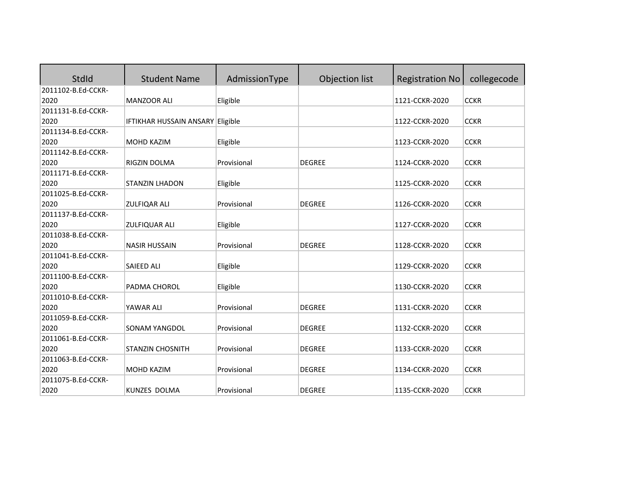| StdId              | <b>Student Name</b>              | AdmissionType | Objection list | <b>Registration No</b> | collegecode |
|--------------------|----------------------------------|---------------|----------------|------------------------|-------------|
| 2011102-B.Ed-CCKR- |                                  |               |                |                        |             |
| 2020               | <b>MANZOOR ALI</b>               | Eligible      |                | 1121-CCKR-2020         | <b>CCKR</b> |
| 2011131-B.Ed-CCKR- |                                  |               |                |                        |             |
| 2020               | IFTIKHAR HUSSAIN ANSARY Eligible |               |                | 1122-CCKR-2020         | <b>CCKR</b> |
| 2011134-B.Ed-CCKR- |                                  |               |                |                        |             |
| 2020               | MOHD KAZIM                       | Eligible      |                | 1123-CCKR-2020         | <b>CCKR</b> |
| 2011142-B.Ed-CCKR- |                                  |               |                |                        |             |
| 2020               | RIGZIN DOLMA                     | Provisional   | <b>DEGREE</b>  | 1124-CCKR-2020         | <b>CCKR</b> |
| 2011171-B.Ed-CCKR- |                                  |               |                |                        |             |
| 2020               | <b>STANZIN LHADON</b>            | Eligible      |                | 1125-CCKR-2020         | <b>CCKR</b> |
| 2011025-B.Ed-CCKR- |                                  |               |                |                        |             |
| 2020               | <b>ZULFIQAR ALI</b>              | Provisional   | <b>DEGREE</b>  | 1126-CCKR-2020         | <b>CCKR</b> |
| 2011137-B.Ed-CCKR- |                                  |               |                |                        |             |
| 2020               | <b>ZULFIQUAR ALI</b>             | Eligible      |                | 1127-CCKR-2020         | <b>CCKR</b> |
| 2011038-B.Ed-CCKR- |                                  |               |                |                        |             |
| 2020               | <b>NASIR HUSSAIN</b>             | Provisional   | <b>DEGREE</b>  | 1128-CCKR-2020         | <b>CCKR</b> |
| 2011041-B.Ed-CCKR- |                                  |               |                |                        |             |
| 2020               | <b>SAIEED ALI</b>                | Eligible      |                | 1129-CCKR-2020         | <b>CCKR</b> |
| 2011100-B.Ed-CCKR- |                                  |               |                |                        |             |
| 2020               | PADMA CHOROL                     | Eligible      |                | 1130-CCKR-2020         | <b>CCKR</b> |
| 2011010-B.Ed-CCKR- |                                  |               |                |                        |             |
| 2020               | YAWAR ALI                        | Provisional   | <b>DEGREE</b>  | 1131-CCKR-2020         | <b>CCKR</b> |
| 2011059-B.Ed-CCKR- |                                  |               |                |                        |             |
| 2020               | <b>SONAM YANGDOL</b>             | Provisional   | <b>DEGREE</b>  | 1132-CCKR-2020         | <b>CCKR</b> |
| 2011061-B.Ed-CCKR- |                                  |               |                |                        |             |
| 2020               | <b>STANZIN CHOSNITH</b>          | Provisional   | <b>DEGREE</b>  | 1133-CCKR-2020         | <b>CCKR</b> |
| 2011063-B.Ed-CCKR- |                                  |               |                |                        |             |
| 2020               | MOHD KAZIM                       | Provisional   | <b>DEGREE</b>  | 1134-CCKR-2020         | <b>CCKR</b> |
| 2011075-B.Ed-CCKR- |                                  |               |                |                        |             |
| 2020               | <b>KUNZES DOLMA</b>              | Provisional   | <b>DEGREE</b>  | 1135-CCKR-2020         | <b>CCKR</b> |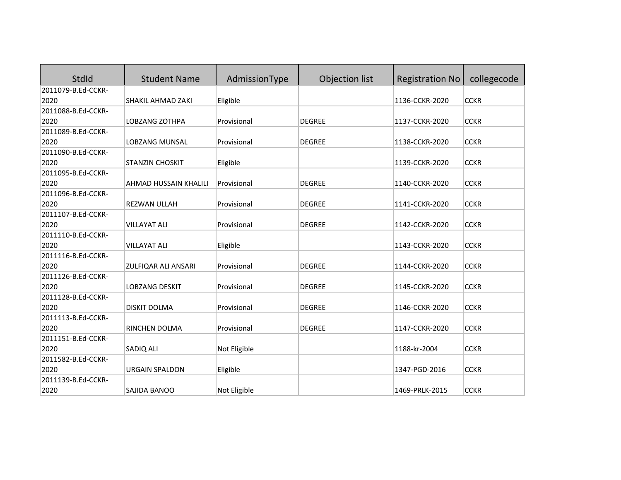| StdId              | <b>Student Name</b>    | AdmissionType | Objection list | <b>Registration No</b> | collegecode |
|--------------------|------------------------|---------------|----------------|------------------------|-------------|
| 2011079-B.Ed-CCKR- |                        |               |                |                        |             |
| 2020               | SHAKIL AHMAD ZAKI      | Eligible      |                | 1136-CCKR-2020         | <b>CCKR</b> |
| 2011088-B.Ed-CCKR- |                        |               |                |                        |             |
| 2020               | LOBZANG ZOTHPA         | Provisional   | <b>DEGREE</b>  | 1137-CCKR-2020         | <b>CCKR</b> |
| 2011089-B.Ed-CCKR- |                        |               |                |                        |             |
| 2020               | LOBZANG MUNSAL         | Provisional   | <b>DEGREE</b>  | 1138-CCKR-2020         | <b>CCKR</b> |
| 2011090-B.Ed-CCKR- |                        |               |                |                        |             |
| 2020               | <b>STANZIN CHOSKIT</b> | Eligible      |                | 1139-CCKR-2020         | <b>CCKR</b> |
| 2011095-B.Ed-CCKR- |                        |               |                |                        |             |
| 2020               | AHMAD HUSSAIN KHALILI  | Provisional   | <b>DEGREE</b>  | 1140-CCKR-2020         | <b>CCKR</b> |
| 2011096-B.Ed-CCKR- |                        |               |                |                        |             |
| 2020               | <b>REZWAN ULLAH</b>    | Provisional   | <b>DEGREE</b>  | 1141-CCKR-2020         | <b>CCKR</b> |
| 2011107-B.Ed-CCKR- |                        |               |                |                        |             |
| 2020               | <b>VILLAYAT ALI</b>    | Provisional   | <b>DEGREE</b>  | 1142-CCKR-2020         | <b>CCKR</b> |
| 2011110-B.Ed-CCKR- |                        |               |                |                        |             |
| 2020               | <b>VILLAYAT ALI</b>    | Eligible      |                | 1143-CCKR-2020         | <b>CCKR</b> |
| 2011116-B.Ed-CCKR- |                        |               |                |                        |             |
| 2020               | ZULFIQAR ALI ANSARI    | Provisional   | <b>DEGREE</b>  | 1144-CCKR-2020         | <b>CCKR</b> |
| 2011126-B.Ed-CCKR- |                        |               |                |                        |             |
| 2020               | <b>LOBZANG DESKIT</b>  | Provisional   | <b>DEGREE</b>  | 1145-CCKR-2020         | <b>CCKR</b> |
| 2011128-B.Ed-CCKR- |                        |               |                |                        |             |
| 2020               | <b>DISKIT DOLMA</b>    | Provisional   | <b>DEGREE</b>  | 1146-CCKR-2020         | <b>CCKR</b> |
| 2011113-B.Ed-CCKR- |                        |               |                |                        |             |
| 2020               | RINCHEN DOLMA          | Provisional   | <b>DEGREE</b>  | 1147-CCKR-2020         | <b>CCKR</b> |
| 2011151-B.Ed-CCKR- |                        |               |                |                        |             |
| 2020               | SADIQ ALI              | Not Eligible  |                | 1188-kr-2004           | <b>CCKR</b> |
| 2011582-B.Ed-CCKR- |                        |               |                |                        |             |
| 2020               | <b>URGAIN SPALDON</b>  | Eligible      |                | 1347-PGD-2016          | <b>CCKR</b> |
| 2011139-B.Ed-CCKR- |                        |               |                |                        |             |
| 2020               | SAJIDA BANOO           | Not Eligible  |                | 1469-PRLK-2015         | <b>CCKR</b> |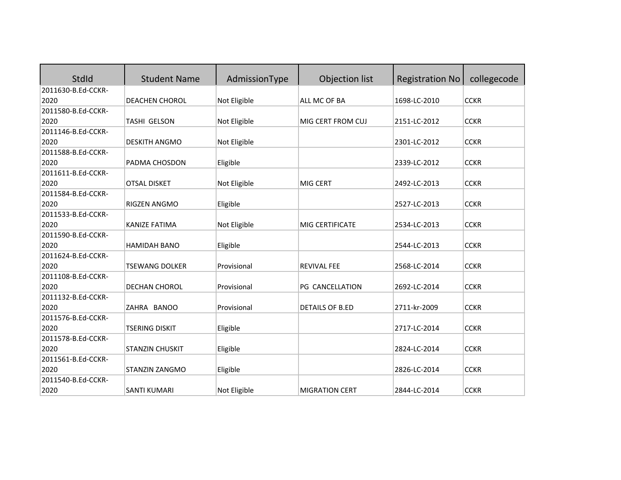| StdId              | <b>Student Name</b>    | AdmissionType | Objection list        | <b>Registration No</b> | collegecode |
|--------------------|------------------------|---------------|-----------------------|------------------------|-------------|
| 2011630-B.Ed-CCKR- |                        |               |                       |                        |             |
| 2020               | DEACHEN CHOROL         | Not Eligible  | ALL MC OF BA          | 1698-LC-2010           | <b>CCKR</b> |
| 2011580-B.Ed-CCKR- |                        |               |                       |                        |             |
| 2020               | TASHI GELSON           | Not Eligible  | MIG CERT FROM CUJ     | 2151-LC-2012           | <b>CCKR</b> |
| 2011146-B.Ed-CCKR- |                        |               |                       |                        |             |
| 2020               | <b>DESKITH ANGMO</b>   | Not Eligible  |                       | 2301-LC-2012           | <b>CCKR</b> |
| 2011588-B.Ed-CCKR- |                        |               |                       |                        |             |
| 2020               | PADMA CHOSDON          | Eligible      |                       | 2339-LC-2012           | <b>CCKR</b> |
| 2011611-B.Ed-CCKR- |                        |               |                       |                        |             |
| 2020               | <b>OTSAL DISKET</b>    | Not Eligible  | MIG CERT              | 2492-LC-2013           | <b>CCKR</b> |
| 2011584-B.Ed-CCKR- |                        |               |                       |                        |             |
| 2020               | RIGZEN ANGMO           | Eligible      |                       | 2527-LC-2013           | <b>CCKR</b> |
| 2011533-B.Ed-CCKR- |                        |               |                       |                        |             |
| 2020               | KANIZE FATIMA          | Not Eligible  | MIG CERTIFICATE       | 2534-LC-2013           | <b>CCKR</b> |
| 2011590-B.Ed-CCKR- |                        |               |                       |                        |             |
| 2020               | <b>HAMIDAH BANO</b>    | Eligible      |                       | 2544-LC-2013           | <b>CCKR</b> |
| 2011624-B.Ed-CCKR- |                        |               |                       |                        |             |
| 2020               | <b>TSEWANG DOLKER</b>  | Provisional   | <b>REVIVAL FEE</b>    | 2568-LC-2014           | <b>CCKR</b> |
| 2011108-B.Ed-CCKR- |                        |               |                       |                        |             |
| 2020               | DECHAN CHOROL          | Provisional   | PG CANCELLATION       | 2692-LC-2014           | <b>CCKR</b> |
| 2011132-B.Ed-CCKR- |                        |               |                       |                        |             |
| 2020               | ZAHRA BANOO            | Provisional   | DETAILS OF B.ED       | 2711-kr-2009           | <b>CCKR</b> |
| 2011576-B.Ed-CCKR- |                        |               |                       |                        |             |
| 2020               | <b>TSERING DISKIT</b>  | Eligible      |                       | 2717-LC-2014           | <b>CCKR</b> |
| 2011578-B.Ed-CCKR- |                        |               |                       |                        |             |
| 2020               | <b>STANZIN CHUSKIT</b> | Eligible      |                       | 2824-LC-2014           | <b>CCKR</b> |
| 2011561-B.Ed-CCKR- |                        |               |                       |                        |             |
| 2020               | STANZIN ZANGMO         | Eligible      |                       | 2826-LC-2014           | <b>CCKR</b> |
| 2011540-B.Ed-CCKR- |                        |               |                       |                        |             |
| 2020               | <b>SANTI KUMARI</b>    | Not Eligible  | <b>MIGRATION CERT</b> | 2844-LC-2014           | <b>CCKR</b> |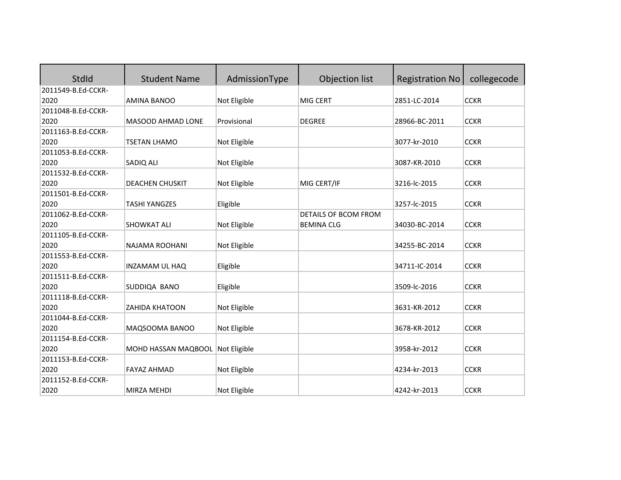| <b>StdId</b>       | <b>Student Name</b>              | AdmissionType | Objection list              | <b>Registration No</b> | collegecode |
|--------------------|----------------------------------|---------------|-----------------------------|------------------------|-------------|
| 2011549-B.Ed-CCKR- |                                  |               |                             |                        |             |
| 2020               | <b>AMINA BANOO</b>               | Not Eligible  | MIG CERT                    | 2851-LC-2014           | <b>CCKR</b> |
| 2011048-B.Ed-CCKR- |                                  |               |                             |                        |             |
| 2020               | MASOOD AHMAD LONE                | Provisional   | <b>DEGREE</b>               | 28966-BC-2011          | <b>CCKR</b> |
| 2011163-B.Ed-CCKR- |                                  |               |                             |                        |             |
| 2020               | <b>TSETAN LHAMO</b>              | Not Eligible  |                             | 3077-kr-2010           | <b>CCKR</b> |
| 2011053-B.Ed-CCKR- |                                  |               |                             |                        |             |
| 2020               | SADIQ ALI                        | Not Eligible  |                             | 3087-KR-2010           | <b>CCKR</b> |
| 2011532-B.Ed-CCKR- |                                  |               |                             |                        |             |
| 2020               | <b>DEACHEN CHUSKIT</b>           | Not Eligible  | MIG CERT/IF                 | 3216-lc-2015           | <b>CCKR</b> |
| 2011501-B.Ed-CCKR- |                                  |               |                             |                        |             |
| 2020               | <b>TASHI YANGZES</b>             | Eligible      |                             | 3257-lc-2015           | <b>CCKR</b> |
| 2011062-B.Ed-CCKR- |                                  |               | <b>DETAILS OF BCOM FROM</b> |                        |             |
| 2020               | <b>SHOWKAT ALI</b>               | Not Eligible  | <b>BEMINA CLG</b>           | 34030-BC-2014          | <b>CCKR</b> |
| 2011105-B.Ed-CCKR- |                                  |               |                             |                        |             |
| 2020               | NAJAMA ROOHANI                   | Not Eligible  |                             | 34255-BC-2014          | <b>CCKR</b> |
| 2011553-B.Ed-CCKR- |                                  |               |                             |                        |             |
| 2020               | INZAMAM UL HAQ                   | Eligible      |                             | 34711-IC-2014          | <b>CCKR</b> |
| 2011511-B.Ed-CCKR- |                                  |               |                             |                        |             |
| 2020               | SUDDIQA BANO                     | Eligible      |                             | 3509-lc-2016           | <b>CCKR</b> |
| 2011118-B.Ed-CCKR- |                                  |               |                             |                        |             |
| 2020               | <b>ZAHIDA KHATOON</b>            | Not Eligible  |                             | 3631-KR-2012           | <b>CCKR</b> |
| 2011044-B.Ed-CCKR- |                                  |               |                             |                        |             |
| 2020               | MAQSOOMA BANOO                   | Not Eligible  |                             | 3678-KR-2012           | <b>CCKR</b> |
| 2011154-B.Ed-CCKR- |                                  |               |                             |                        |             |
| 2020               | MOHD HASSAN MAQBOOL Not Eligible |               |                             | 3958-kr-2012           | <b>CCKR</b> |
| 2011153-B.Ed-CCKR- |                                  |               |                             |                        |             |
| 2020               | <b>FAYAZ AHMAD</b>               | Not Eligible  |                             | 4234-kr-2013           | <b>CCKR</b> |
| 2011152-B.Ed-CCKR- |                                  |               |                             |                        |             |
| 2020               | <b>MIRZA MEHDI</b>               | Not Eligible  |                             | 4242-kr-2013           | <b>CCKR</b> |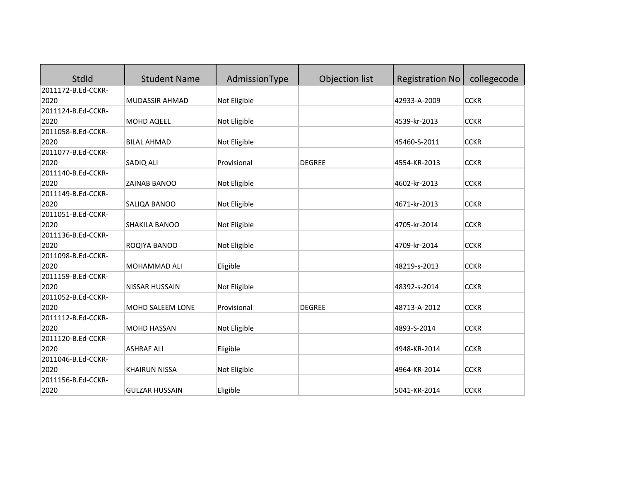| StdId              | <b>Student Name</b>   | AdmissionType | Objection list | <b>Registration No</b> | collegecode |
|--------------------|-----------------------|---------------|----------------|------------------------|-------------|
| 2011172-B.Ed-CCKR- |                       |               |                |                        |             |
| 2020               | MUDASSIR AHMAD        | Not Eligible  |                | 42933-A-2009           | <b>CCKR</b> |
| 2011124-B.Ed-CCKR- |                       |               |                |                        |             |
| 2020               | MOHD AQEEL            | Not Eligible  |                | 4539-kr-2013           | <b>CCKR</b> |
| 2011058-B.Ed-CCKR- |                       |               |                |                        |             |
| 2020               | <b>BILAL AHMAD</b>    | Not Eligible  |                | 45460-S-2011           | <b>CCKR</b> |
| 2011077-B.Ed-CCKR- |                       |               |                |                        |             |
| 2020               | SADIQ ALI             | Provisional   | <b>DEGREE</b>  | 4554-KR-2013           | <b>CCKR</b> |
| 2011140-B.Ed-CCKR- |                       |               |                |                        |             |
| 2020               | <b>ZAINAB BANOO</b>   | Not Eligible  |                | 4602-kr-2013           | <b>CCKR</b> |
| 2011149-B.Ed-CCKR- |                       |               |                |                        |             |
| 2020               | SALIQA BANOO          | Not Eligible  |                | 4671-kr-2013           | <b>CCKR</b> |
| 2011051-B.Ed-CCKR- |                       |               |                |                        |             |
| 2020               | SHAKILA BANOO         | Not Eligible  |                | 4705-kr-2014           | <b>CCKR</b> |
| 2011136-B.Ed-CCKR- |                       |               |                |                        |             |
| 2020               | ROQIYA BANOO          | Not Eligible  |                | 4709-kr-2014           | <b>CCKR</b> |
| 2011098-B.Ed-CCKR- |                       |               |                |                        |             |
| 2020               | MOHAMMAD ALI          | Eligible      |                | 48219-s-2013           | <b>CCKR</b> |
| 2011159-B.Ed-CCKR- |                       |               |                |                        |             |
| 2020               | NISSAR HUSSAIN        | Not Eligible  |                | 48392-s-2014           | <b>CCKR</b> |
| 2011052-B.Ed-CCKR- |                       |               |                |                        |             |
| 2020               | MOHD SALEEM LONE      | Provisional   | <b>DEGREE</b>  | 48713-A-2012           | <b>CCKR</b> |
| 2011112-B.Ed-CCKR- |                       |               |                |                        |             |
| 2020               | <b>MOHD HASSAN</b>    | Not Eligible  |                | 4893-S-2014            | <b>CCKR</b> |
| 2011120-B.Ed-CCKR- |                       |               |                |                        |             |
| 2020               | <b>ASHRAF ALI</b>     | Eligible      |                | 4948-KR-2014           | <b>CCKR</b> |
| 2011046-B.Ed-CCKR- |                       |               |                |                        |             |
| 2020               | <b>KHAIRUN NISSA</b>  | Not Eligible  |                | 4964-KR-2014           | <b>CCKR</b> |
| 2011156-B.Ed-CCKR- |                       |               |                |                        |             |
| 2020               | <b>GULZAR HUSSAIN</b> | Eligible      |                | 5041-KR-2014           | <b>CCKR</b> |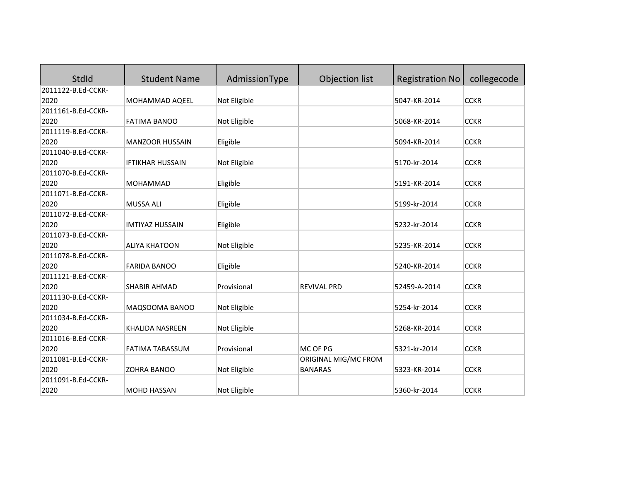| StdId              | <b>Student Name</b>     | AdmissionType | Objection list       | <b>Registration No</b> | collegecode |
|--------------------|-------------------------|---------------|----------------------|------------------------|-------------|
| 2011122-B.Ed-CCKR- |                         |               |                      |                        |             |
| 2020               | MOHAMMAD AQEEL          | Not Eligible  |                      | 5047-KR-2014           | <b>CCKR</b> |
| 2011161-B.Ed-CCKR- |                         |               |                      |                        |             |
| 2020               | <b>FATIMA BANOO</b>     | Not Eligible  |                      | 5068-KR-2014           | <b>CCKR</b> |
| 2011119-B.Ed-CCKR- |                         |               |                      |                        |             |
| 2020               | <b>MANZOOR HUSSAIN</b>  | Eligible      |                      | 5094-KR-2014           | <b>CCKR</b> |
| 2011040-B.Ed-CCKR- |                         |               |                      |                        |             |
| 2020               | <b>IFTIKHAR HUSSAIN</b> | Not Eligible  |                      | 5170-kr-2014           | <b>CCKR</b> |
| 2011070-B.Ed-CCKR- |                         |               |                      |                        |             |
| 2020               | <b>MOHAMMAD</b>         | Eligible      |                      | 5191-KR-2014           | <b>CCKR</b> |
| 2011071-B.Ed-CCKR- |                         |               |                      |                        |             |
| 2020               | <b>MUSSA ALI</b>        | Eligible      |                      | 5199-kr-2014           | <b>CCKR</b> |
| 2011072-B.Ed-CCKR- |                         |               |                      |                        |             |
| 2020               | <b>IMTIYAZ HUSSAIN</b>  | Eligible      |                      | 5232-kr-2014           | <b>CCKR</b> |
| 2011073-B.Ed-CCKR- |                         |               |                      |                        |             |
| 2020               | <b>ALIYA KHATOON</b>    | Not Eligible  |                      | 5235-KR-2014           | <b>CCKR</b> |
| 2011078-B.Ed-CCKR- |                         |               |                      |                        |             |
| 2020               | <b>FARIDA BANOO</b>     | Eligible      |                      | 5240-KR-2014           | <b>CCKR</b> |
| 2011121-B.Ed-CCKR- |                         |               |                      |                        |             |
| 2020               | SHABIR AHMAD            | Provisional   | <b>REVIVAL PRD</b>   | 52459-A-2014           | <b>CCKR</b> |
| 2011130-B.Ed-CCKR- |                         |               |                      |                        |             |
| 2020               | MAQSOOMA BANOO          | Not Eligible  |                      | 5254-kr-2014           | <b>CCKR</b> |
| 2011034-B.Ed-CCKR- |                         |               |                      |                        |             |
| 2020               | KHALIDA NASREEN         | Not Eligible  |                      | 5268-KR-2014           | <b>CCKR</b> |
| 2011016-B.Ed-CCKR- |                         |               |                      |                        |             |
| 2020               | <b>FATIMA TABASSUM</b>  | Provisional   | MC OF PG             | 5321-kr-2014           | <b>CCKR</b> |
| 2011081-B.Ed-CCKR- |                         |               | ORIGINAL MIG/MC FROM |                        |             |
| 2020               | <b>ZOHRA BANOO</b>      | Not Eligible  | <b>BANARAS</b>       | 5323-KR-2014           | <b>CCKR</b> |
| 2011091-B.Ed-CCKR- |                         |               |                      |                        |             |
| 2020               | <b>MOHD HASSAN</b>      | Not Eligible  |                      | 5360-kr-2014           | <b>CCKR</b> |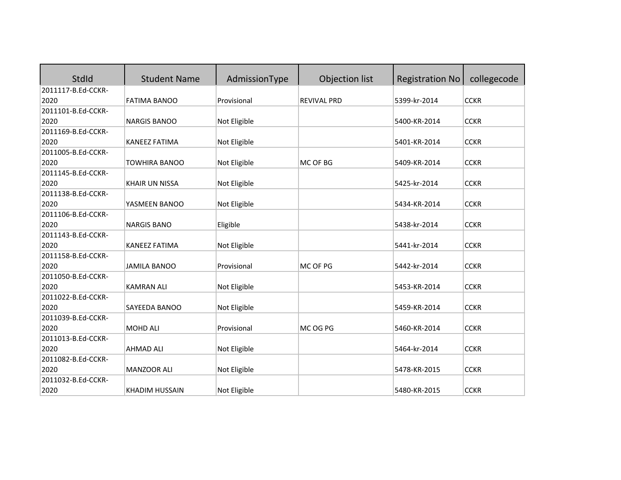| <b>StdId</b>       | <b>Student Name</b>   | AdmissionType | Objection list     | <b>Registration No</b> | collegecode |
|--------------------|-----------------------|---------------|--------------------|------------------------|-------------|
| 2011117-B.Ed-CCKR- |                       |               |                    |                        |             |
| 2020               | <b>FATIMA BANOO</b>   | Provisional   | <b>REVIVAL PRD</b> | 5399-kr-2014           | <b>CCKR</b> |
| 2011101-B.Ed-CCKR- |                       |               |                    |                        |             |
| 2020               | <b>NARGIS BANOO</b>   | Not Eligible  |                    | 5400-KR-2014           | <b>CCKR</b> |
| 2011169-B.Ed-CCKR- |                       |               |                    |                        |             |
| 2020               | <b>KANEEZ FATIMA</b>  | Not Eligible  |                    | 5401-KR-2014           | <b>CCKR</b> |
| 2011005-B.Ed-CCKR- |                       |               |                    |                        |             |
| 2020               | <b>TOWHIRA BANOO</b>  | Not Eligible  | MC OF BG           | 5409-KR-2014           | <b>CCKR</b> |
| 2011145-B.Ed-CCKR- |                       |               |                    |                        |             |
| 2020               | <b>KHAIR UN NISSA</b> | Not Eligible  |                    | 5425-kr-2014           | <b>CCKR</b> |
| 2011138-B.Ed-CCKR- |                       |               |                    |                        |             |
| 2020               | YASMEEN BANOO         | Not Eligible  |                    | 5434-KR-2014           | <b>CCKR</b> |
| 2011106-B.Ed-CCKR- |                       |               |                    |                        |             |
| 2020               | <b>NARGIS BANO</b>    | Eligible      |                    | 5438-kr-2014           | <b>CCKR</b> |
| 2011143-B.Ed-CCKR- |                       |               |                    |                        |             |
| 2020               | <b>KANEEZ FATIMA</b>  | Not Eligible  |                    | 5441-kr-2014           | <b>CCKR</b> |
| 2011158-B.Ed-CCKR- |                       |               |                    |                        |             |
| 2020               | <b>JAMILA BANOO</b>   | Provisional   | MC OF PG           | 5442-kr-2014           | <b>CCKR</b> |
| 2011050-B.Ed-CCKR- |                       |               |                    |                        |             |
| 2020               | <b>KAMRAN ALI</b>     | Not Eligible  |                    | 5453-KR-2014           | <b>CCKR</b> |
| 2011022-B.Ed-CCKR- |                       |               |                    |                        |             |
| 2020               | SAYEEDA BANOO         | Not Eligible  |                    | 5459-KR-2014           | <b>CCKR</b> |
| 2011039-B.Ed-CCKR- |                       |               |                    |                        |             |
| 2020               | MOHD ALI              | Provisional   | MC OG PG           | 5460-KR-2014           | <b>CCKR</b> |
| 2011013-B.Ed-CCKR- |                       |               |                    |                        |             |
| 2020               | <b>AHMAD ALI</b>      | Not Eligible  |                    | 5464-kr-2014           | <b>CCKR</b> |
| 2011082-B.Ed-CCKR- |                       |               |                    |                        |             |
| 2020               | MANZOOR ALI           | Not Eligible  |                    | 5478-KR-2015           | <b>CCKR</b> |
| 2011032-B.Ed-CCKR- |                       |               |                    |                        |             |
| 2020               | <b>KHADIM HUSSAIN</b> | Not Eligible  |                    | 5480-KR-2015           | <b>CCKR</b> |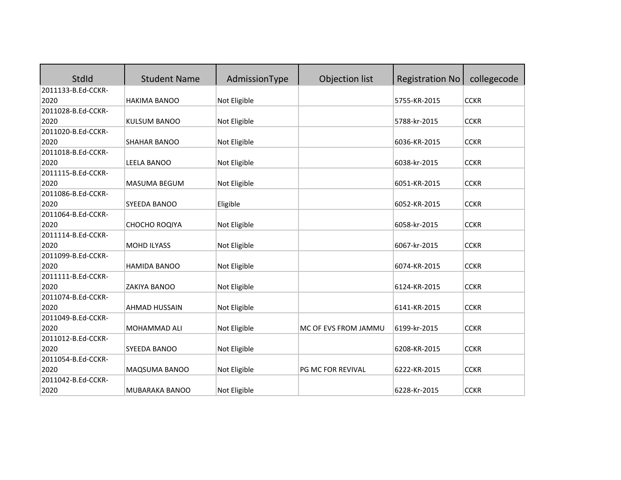| StdId              | <b>Student Name</b> | AdmissionType | Objection list           | <b>Registration No</b> | collegecode |
|--------------------|---------------------|---------------|--------------------------|------------------------|-------------|
| 2011133-B.Ed-CCKR- |                     |               |                          |                        |             |
| 2020               | <b>HAKIMA BANOO</b> | Not Eligible  |                          | 5755-KR-2015           | <b>CCKR</b> |
| 2011028-B.Ed-CCKR- |                     |               |                          |                        |             |
| 2020               | <b>KULSUM BANOO</b> | Not Eligible  |                          | 5788-kr-2015           | <b>CCKR</b> |
| 2011020-B.Ed-CCKR- |                     |               |                          |                        |             |
| 2020               | SHAHAR BANOO        | Not Eligible  |                          | 6036-KR-2015           | <b>CCKR</b> |
| 2011018-B.Ed-CCKR- |                     |               |                          |                        |             |
| 2020               | <b>LEELA BANOO</b>  | Not Eligible  |                          | 6038-kr-2015           | <b>CCKR</b> |
| 2011115-B.Ed-CCKR- |                     |               |                          |                        |             |
| 2020               | <b>MASUMA BEGUM</b> | Not Eligible  |                          | 6051-KR-2015           | <b>CCKR</b> |
| 2011086-B.Ed-CCKR- |                     |               |                          |                        |             |
| 2020               | SYEEDA BANOO        | Eligible      |                          | 6052-KR-2015           | <b>CCKR</b> |
| 2011064-B.Ed-CCKR- |                     |               |                          |                        |             |
| 2020               | CHOCHO ROQIYA       | Not Eligible  |                          | 6058-kr-2015           | <b>CCKR</b> |
| 2011114-B.Ed-CCKR- |                     |               |                          |                        |             |
| 2020               | <b>MOHD ILYASS</b>  | Not Eligible  |                          | 6067-kr-2015           | <b>CCKR</b> |
| 2011099-B.Ed-CCKR- |                     |               |                          |                        |             |
| 2020               | <b>HAMIDA BANOO</b> | Not Eligible  |                          | 6074-KR-2015           | <b>CCKR</b> |
| 2011111-B.Ed-CCKR- |                     |               |                          |                        |             |
| 2020               | <b>ZAKIYA BANOO</b> | Not Eligible  |                          | 6124-KR-2015           | <b>CCKR</b> |
| 2011074-B.Ed-CCKR- |                     |               |                          |                        |             |
| 2020               | AHMAD HUSSAIN       | Not Eligible  |                          | 6141-KR-2015           | <b>CCKR</b> |
| 2011049-B.Ed-CCKR- |                     |               |                          |                        |             |
| 2020               | MOHAMMAD ALI        | Not Eligible  | MC OF EVS FROM JAMMU     | 6199-kr-2015           | <b>CCKR</b> |
| 2011012-B.Ed-CCKR- |                     |               |                          |                        |             |
| 2020               | SYEEDA BANOO        | Not Eligible  |                          | 6208-KR-2015           | <b>CCKR</b> |
| 2011054-B.Ed-CCKR- |                     |               |                          |                        |             |
| 2020               | MAQSUMA BANOO       | Not Eligible  | <b>PG MC FOR REVIVAL</b> | 6222-KR-2015           | <b>CCKR</b> |
| 2011042-B.Ed-CCKR- |                     |               |                          |                        |             |
| 2020               | MUBARAKA BANOO      | Not Eligible  |                          | 6228-Kr-2015           | <b>CCKR</b> |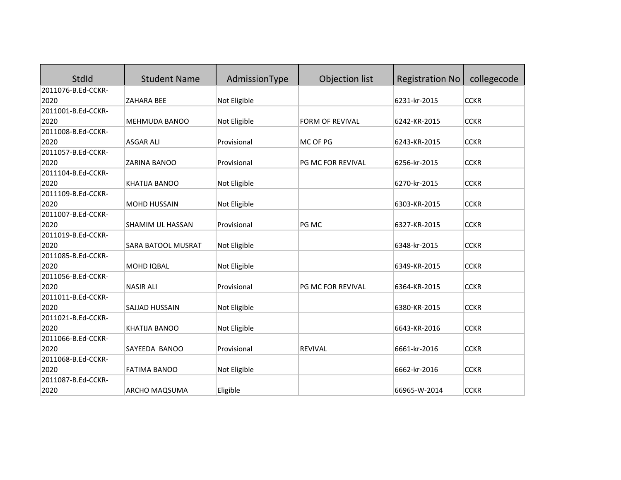| StdId              | <b>Student Name</b>  | AdmissionType | Objection list         | <b>Registration No</b> | collegecode |
|--------------------|----------------------|---------------|------------------------|------------------------|-------------|
| 2011076-B.Ed-CCKR- |                      |               |                        |                        |             |
| 2020               | <b>ZAHARA BEE</b>    | Not Eligible  |                        | 6231-kr-2015           | <b>CCKR</b> |
| 2011001-B.Ed-CCKR- |                      |               |                        |                        |             |
| 2020               | MEHMUDA BANOO        | Not Eligible  | <b>FORM OF REVIVAL</b> | 6242-KR-2015           | <b>CCKR</b> |
| 2011008-B.Ed-CCKR- |                      |               |                        |                        |             |
| 2020               | <b>ASGAR ALI</b>     | Provisional   | MC OF PG               | 6243-KR-2015           | <b>CCKR</b> |
| 2011057-B.Ed-CCKR- |                      |               |                        |                        |             |
| 2020               | <b>ZARINA BANOO</b>  | Provisional   | PG MC FOR REVIVAL      | 6256-kr-2015           | <b>CCKR</b> |
| 2011104-B.Ed-CCKR- |                      |               |                        |                        |             |
| 2020               | KHATIJA BANOO        | Not Eligible  |                        | 6270-kr-2015           | <b>CCKR</b> |
| 2011109-B.Ed-CCKR- |                      |               |                        |                        |             |
| 2020               | <b>MOHD HUSSAIN</b>  | Not Eligible  |                        | 6303-KR-2015           | <b>CCKR</b> |
| 2011007-B.Ed-CCKR- |                      |               |                        |                        |             |
| 2020               | SHAMIM UL HASSAN     | Provisional   | PG MC                  | 6327-KR-2015           | <b>CCKR</b> |
| 2011019-B.Ed-CCKR- |                      |               |                        |                        |             |
| 2020               | SARA BATOOL MUSRAT   | Not Eligible  |                        | 6348-kr-2015           | <b>CCKR</b> |
| 2011085-B.Ed-CCKR- |                      |               |                        |                        |             |
| 2020               | MOHD IQBAL           | Not Eligible  |                        | 6349-KR-2015           | <b>CCKR</b> |
| 2011056-B.Ed-CCKR- |                      |               |                        |                        |             |
| 2020               | <b>NASIR ALI</b>     | Provisional   | PG MC FOR REVIVAL      | 6364-KR-2015           | <b>CCKR</b> |
| 2011011-B.Ed-CCKR- |                      |               |                        |                        |             |
| 2020               | SAJJAD HUSSAIN       | Not Eligible  |                        | 6380-KR-2015           | <b>CCKR</b> |
| 2011021-B.Ed-CCKR- |                      |               |                        |                        |             |
| 2020               | KHATIJA BANOO        | Not Eligible  |                        | 6643-KR-2016           | <b>CCKR</b> |
| 2011066-B.Ed-CCKR- |                      |               |                        |                        |             |
| 2020               | SAYEEDA BANOO        | Provisional   | <b>REVIVAL</b>         | 6661-kr-2016           | <b>CCKR</b> |
| 2011068-B.Ed-CCKR- |                      |               |                        |                        |             |
| 2020               | <b>FATIMA BANOO</b>  | Not Eligible  |                        | 6662-kr-2016           | <b>CCKR</b> |
| 2011087-B.Ed-CCKR- |                      |               |                        |                        |             |
| 2020               | <b>ARCHO MAQSUMA</b> | Eligible      |                        | 66965-W-2014           | <b>CCKR</b> |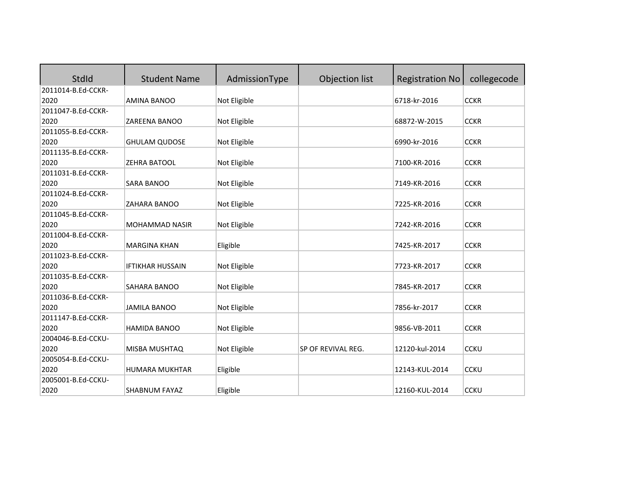| StdId              | <b>Student Name</b>     | AdmissionType | Objection list     | <b>Registration No</b> | collegecode |
|--------------------|-------------------------|---------------|--------------------|------------------------|-------------|
| 2011014-B.Ed-CCKR- |                         |               |                    |                        |             |
| 2020               | AMINA BANOO             | Not Eligible  |                    | 6718-kr-2016           | <b>CCKR</b> |
| 2011047-B.Ed-CCKR- |                         |               |                    |                        |             |
| 2020               | ZAREENA BANOO           | Not Eligible  |                    | 68872-W-2015           | <b>CCKR</b> |
| 2011055-B.Ed-CCKR- |                         |               |                    |                        |             |
| 2020               | <b>GHULAM QUDOSE</b>    | Not Eligible  |                    | 6990-kr-2016           | <b>CCKR</b> |
| 2011135-B.Ed-CCKR- |                         |               |                    |                        |             |
| 2020               | ZEHRA BATOOL            | Not Eligible  |                    | 7100-KR-2016           | <b>CCKR</b> |
| 2011031-B.Ed-CCKR- |                         |               |                    |                        |             |
| 2020               | <b>SARA BANOO</b>       | Not Eligible  |                    | 7149-KR-2016           | <b>CCKR</b> |
| 2011024-B.Ed-CCKR- |                         |               |                    |                        |             |
| 2020               | ZAHARA BANOO            | Not Eligible  |                    | 7225-KR-2016           | <b>CCKR</b> |
| 2011045-B.Ed-CCKR- |                         |               |                    |                        |             |
| 2020               | MOHAMMAD NASIR          | Not Eligible  |                    | 7242-KR-2016           | <b>CCKR</b> |
| 2011004-B.Ed-CCKR- |                         |               |                    |                        |             |
| 2020               | <b>MARGINA KHAN</b>     | Eligible      |                    | 7425-KR-2017           | <b>CCKR</b> |
| 2011023-B.Ed-CCKR- |                         |               |                    |                        |             |
| 2020               | <b>IFTIKHAR HUSSAIN</b> | Not Eligible  |                    | 7723-KR-2017           | <b>CCKR</b> |
| 2011035-B.Ed-CCKR- |                         |               |                    |                        |             |
| 2020               | SAHARA BANOO            | Not Eligible  |                    | 7845-KR-2017           | <b>CCKR</b> |
| 2011036-B.Ed-CCKR- |                         |               |                    |                        |             |
| 2020               | <b>JAMILA BANOO</b>     | Not Eligible  |                    | 7856-kr-2017           | <b>CCKR</b> |
| 2011147-B.Ed-CCKR- |                         |               |                    |                        |             |
| 2020               | HAMIDA BANOO            | Not Eligible  |                    | 9856-VB-2011           | <b>CCKR</b> |
| 2004046-B.Ed-CCKU- |                         |               |                    |                        |             |
| 2020               | MISBA MUSHTAQ           | Not Eligible  | SP OF REVIVAL REG. | 12120-kul-2014         | <b>CCKU</b> |
| 2005054-B.Ed-CCKU- |                         |               |                    |                        |             |
| 2020               | HUMARA MUKHTAR          | Eligible      |                    | 12143-KUL-2014         | <b>CCKU</b> |
| 2005001-B.Ed-CCKU- |                         |               |                    |                        |             |
| 2020               | SHABNUM FAYAZ           | Eligible      |                    | 12160-KUL-2014         | <b>CCKU</b> |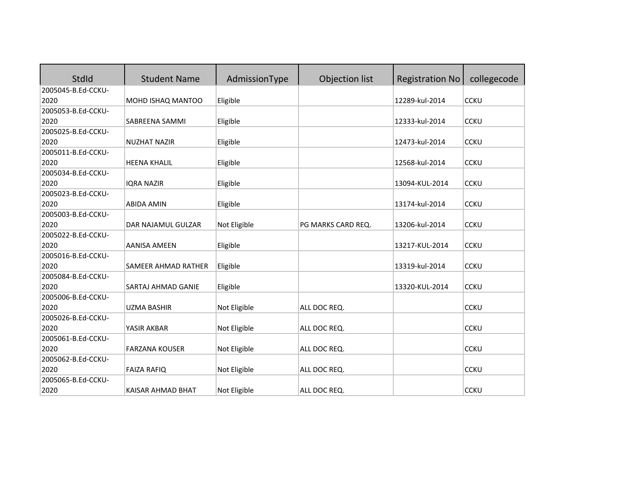| <b>StdId</b>       | <b>Student Name</b>   | AdmissionType | Objection list     | <b>Registration No</b> | collegecode |
|--------------------|-----------------------|---------------|--------------------|------------------------|-------------|
| 2005045-B.Ed-CCKU- |                       |               |                    |                        |             |
| 2020               | MOHD ISHAQ MANTOO     | Eligible      |                    | 12289-kul-2014         | <b>CCKU</b> |
| 2005053-B.Ed-CCKU- |                       |               |                    |                        |             |
| 2020               | SABREENA SAMMI        | Eligible      |                    | 12333-kul-2014         | <b>CCKU</b> |
| 2005025-B.Ed-CCKU- |                       |               |                    |                        |             |
| 2020               | <b>NUZHAT NAZIR</b>   | Eligible      |                    | 12473-kul-2014         | <b>CCKU</b> |
| 2005011-B.Ed-CCKU- |                       |               |                    |                        |             |
| 2020               | <b>HEENA KHALIL</b>   | Eligible      |                    | 12568-kul-2014         | <b>CCKU</b> |
| 2005034-B.Ed-CCKU- |                       |               |                    |                        |             |
| 2020               | <b>IORA NAZIR</b>     | Eligible      |                    | 13094-KUL-2014         | <b>CCKU</b> |
| 2005023-B.Ed-CCKU- |                       |               |                    |                        |             |
| 2020               | <b>ABIDA AMIN</b>     | Eligible      |                    | 13174-kul-2014         | <b>CCKU</b> |
| 2005003-B.Ed-CCKU- |                       |               |                    |                        |             |
| 2020               | DAR NAJAMUL GULZAR    | Not Eligible  | PG MARKS CARD REQ. | 13206-kul-2014         | <b>CCKU</b> |
| 2005022-B.Ed-CCKU- |                       |               |                    |                        |             |
| 2020               | <b>AANISA AMEEN</b>   | Eligible      |                    | 13217-KUL-2014         | <b>CCKU</b> |
| 2005016-B.Ed-CCKU- |                       |               |                    |                        |             |
| 2020               | SAMEER AHMAD RATHER   | Eligible      |                    | 13319-kul-2014         | <b>CCKU</b> |
| 2005084-B.Ed-CCKU- |                       |               |                    |                        |             |
| 2020               | SARTAJ AHMAD GANIE    | Eligible      |                    | 13320-KUL-2014         | <b>CCKU</b> |
| 2005006-B.Ed-CCKU- |                       |               |                    |                        |             |
| 2020               | <b>UZMA BASHIR</b>    | Not Eligible  | ALL DOC REQ.       |                        | <b>CCKU</b> |
| 2005026-B.Ed-CCKU- |                       |               |                    |                        |             |
| 2020               | YASIR AKBAR           | Not Eligible  | ALL DOC REQ.       |                        | <b>CCKU</b> |
| 2005061-B.Ed-CCKU- |                       |               |                    |                        |             |
| 2020               | <b>FARZANA KOUSER</b> | Not Eligible  | ALL DOC REQ.       |                        | <b>CCKU</b> |
| 2005062-B.Ed-CCKU- |                       |               |                    |                        |             |
| 2020               | <b>FAIZA RAFIQ</b>    | Not Eligible  | ALL DOC REQ.       |                        | <b>CCKU</b> |
| 2005065-B.Ed-CCKU- |                       |               |                    |                        |             |
| 2020               | KAISAR AHMAD BHAT     | Not Eligible  | ALL DOC REQ.       |                        | <b>CCKU</b> |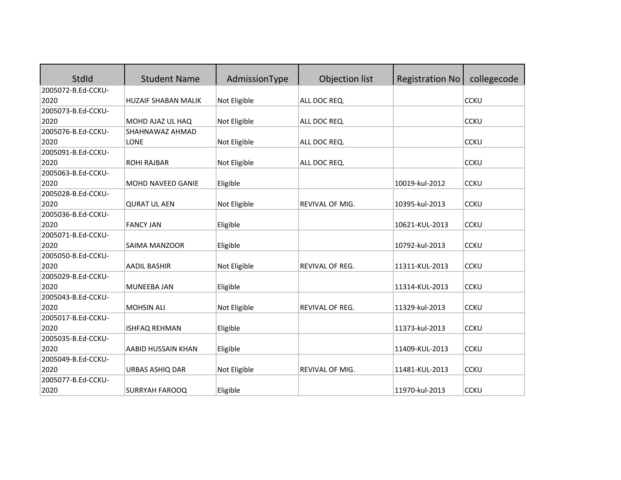| StdId              | <b>Student Name</b>        | AdmissionType | Objection list         | <b>Registration No</b> | collegecode |
|--------------------|----------------------------|---------------|------------------------|------------------------|-------------|
| 2005072-B.Ed-CCKU- |                            |               |                        |                        |             |
| 2020               | <b>HUZAIF SHABAN MALIK</b> | Not Eligible  | ALL DOC REQ.           |                        | <b>CCKU</b> |
| 2005073-B.Ed-CCKU- |                            |               |                        |                        |             |
| 2020               | MOHD AJAZ UL HAQ           | Not Eligible  | ALL DOC REQ.           |                        | <b>CCKU</b> |
| 2005076-B.Ed-CCKU- | SHAHNAWAZ AHMAD            |               |                        |                        |             |
| 2020               | <b>LONE</b>                | Not Eligible  | ALL DOC REQ.           |                        | <b>CCKU</b> |
| 2005091-B.Ed-CCKU- |                            |               |                        |                        |             |
| 2020               | <b>ROHI RAJBAR</b>         | Not Eligible  | ALL DOC REQ.           |                        | <b>CCKU</b> |
| 2005063-B.Ed-CCKU- |                            |               |                        |                        |             |
| 2020               | MOHD NAVEED GANIE          | Eligible      |                        | 10019-kul-2012         | <b>CCKU</b> |
| 2005028-B.Ed-CCKU- |                            |               |                        |                        |             |
| 2020               | <b>QURAT UL AEN</b>        | Not Eligible  | <b>REVIVAL OF MIG.</b> | 10395-kul-2013         | <b>CCKU</b> |
| 2005036-B.Ed-CCKU- |                            |               |                        |                        |             |
| 2020               | <b>FANCY JAN</b>           | Eligible      |                        | 10621-KUL-2013         | <b>CCKU</b> |
| 2005071-B.Ed-CCKU- |                            |               |                        |                        |             |
| 2020               | SAIMA MANZOOR              | Eligible      |                        | 10792-kul-2013         | <b>CCKU</b> |
| 2005050-B.Ed-CCKU- |                            |               |                        |                        |             |
| 2020               | <b>AADIL BASHIR</b>        | Not Eligible  | <b>REVIVAL OF REG.</b> | 11311-KUL-2013         | <b>CCKU</b> |
| 2005029-B.Ed-CCKU- |                            |               |                        |                        |             |
| 2020               | <b>MUNEEBA JAN</b>         | Eligible      |                        | 11314-KUL-2013         | <b>CCKU</b> |
| 2005043-B.Ed-CCKU- |                            |               |                        |                        |             |
| 2020               | <b>MOHSIN ALI</b>          | Not Eligible  | REVIVAL OF REG.        | 11329-kul-2013         | <b>CCKU</b> |
| 2005017-B.Ed-CCKU- |                            |               |                        |                        |             |
| 2020               | <b>ISHFAQ REHMAN</b>       | Eligible      |                        | 11373-kul-2013         | <b>CCKU</b> |
| 2005035-B.Ed-CCKU- |                            |               |                        |                        |             |
| 2020               | <b>AABID HUSSAIN KHAN</b>  | Eligible      |                        | 11409-KUL-2013         | <b>CCKU</b> |
| 2005049-B.Ed-CCKU- |                            |               |                        |                        |             |
| 2020               | URBAS ASHIQ DAR            | Not Eligible  | REVIVAL OF MIG.        | 11481-KUL-2013         | <b>CCKU</b> |
| 2005077-B.Ed-CCKU- |                            |               |                        |                        |             |
| 2020               | <b>SURRYAH FAROOQ</b>      | Eligible      |                        | 11970-kul-2013         | <b>CCKU</b> |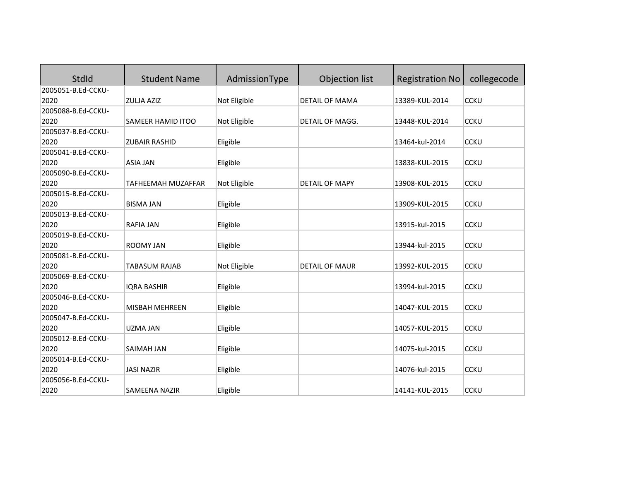| <b>StdId</b>       | <b>Student Name</b>  | AdmissionType | Objection list         | <b>Registration No</b> | collegecode |
|--------------------|----------------------|---------------|------------------------|------------------------|-------------|
| 2005051-B.Ed-CCKU- |                      |               |                        |                        |             |
| 2020               | <b>ZULJA AZIZ</b>    | Not Eligible  | <b>DETAIL OF MAMA</b>  | 13389-KUL-2014         | <b>CCKU</b> |
| 2005088-B.Ed-CCKU- |                      |               |                        |                        |             |
| 2020               | SAMEER HAMID ITOO    | Not Eligible  | <b>DETAIL OF MAGG.</b> | 13448-KUL-2014         | <b>CCKU</b> |
| 2005037-B.Ed-CCKU- |                      |               |                        |                        |             |
| 2020               | <b>ZUBAIR RASHID</b> | Eligible      |                        | 13464-kul-2014         | <b>CCKU</b> |
| 2005041-B.Ed-CCKU- |                      |               |                        |                        |             |
| 2020               | <b>ASIA JAN</b>      | Eligible      |                        | 13838-KUL-2015         | <b>CCKU</b> |
| 2005090-B.Ed-CCKU- |                      |               |                        |                        |             |
| 2020               | TAFHEEMAH MUZAFFAR   | Not Eligible  | <b>DETAIL OF MAPY</b>  | 13908-KUL-2015         | <b>CCKU</b> |
| 2005015-B.Ed-CCKU- |                      |               |                        |                        |             |
| 2020               | <b>BISMA JAN</b>     | Eligible      |                        | 13909-KUL-2015         | <b>CCKU</b> |
| 2005013-B.Ed-CCKU- |                      |               |                        |                        |             |
| 2020               | <b>RAFIA JAN</b>     | Eligible      |                        | 13915-kul-2015         | <b>CCKU</b> |
| 2005019-B.Ed-CCKU- |                      |               |                        |                        |             |
| 2020               | <b>ROOMY JAN</b>     | Eligible      |                        | 13944-kul-2015         | <b>CCKU</b> |
| 2005081-B.Ed-CCKU- |                      |               |                        |                        |             |
| 2020               | <b>TABASUM RAJAB</b> | Not Eligible  | <b>DETAIL OF MAUR</b>  | 13992-KUL-2015         | <b>CCKU</b> |
| 2005069-B.Ed-CCKU- |                      |               |                        |                        |             |
| 2020               | <b>IQRA BASHIR</b>   | Eligible      |                        | 13994-kul-2015         | <b>CCKU</b> |
| 2005046-B.Ed-CCKU- |                      |               |                        |                        |             |
| 2020               | MISBAH MEHREEN       | Eligible      |                        | 14047-KUL-2015         | <b>CCKU</b> |
| 2005047-B.Ed-CCKU- |                      |               |                        |                        |             |
| 2020               | <b>UZMA JAN</b>      | Eligible      |                        | 14057-KUL-2015         | <b>CCKU</b> |
| 2005012-B.Ed-CCKU- |                      |               |                        |                        |             |
| 2020               | <b>SAIMAH JAN</b>    | Eligible      |                        | 14075-kul-2015         | <b>CCKU</b> |
| 2005014-B.Ed-CCKU- |                      |               |                        |                        |             |
| 2020               | <b>JASI NAZIR</b>    | Eligible      |                        | 14076-kul-2015         | <b>CCKU</b> |
| 2005056-B.Ed-CCKU- |                      |               |                        |                        |             |
| 2020               | <b>SAMEENA NAZIR</b> | Eligible      |                        | 14141-KUL-2015         | <b>CCKU</b> |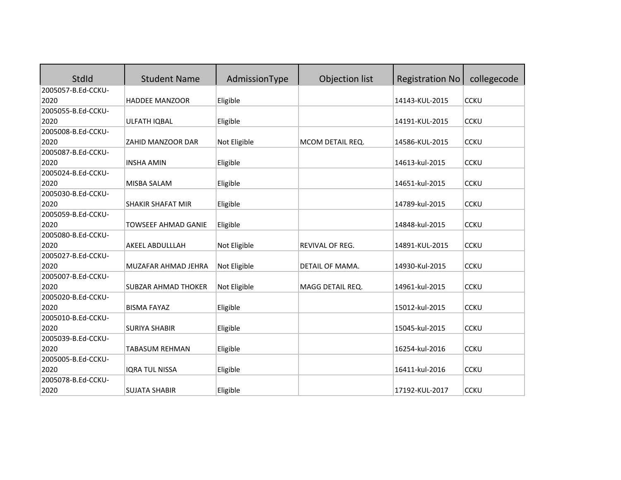| StdId              | <b>Student Name</b>        | AdmissionType | Objection list   | <b>Registration No</b> | collegecode |
|--------------------|----------------------------|---------------|------------------|------------------------|-------------|
| 2005057-B.Ed-CCKU- |                            |               |                  |                        |             |
| 2020               | <b>HADDEE MANZOOR</b>      | Eligible      |                  | 14143-KUL-2015         | <b>CCKU</b> |
| 2005055-B.Ed-CCKU- |                            |               |                  |                        |             |
| 2020               | ULFATH IQBAL               | Eligible      |                  | 14191-KUL-2015         | <b>CCKU</b> |
| 2005008-B.Ed-CCKU- |                            |               |                  |                        |             |
| 2020               | ZAHID MANZOOR DAR          | Not Eligible  | MCOM DETAIL REQ. | 14586-KUL-2015         | <b>CCKU</b> |
| 2005087-B.Ed-CCKU- |                            |               |                  |                        |             |
| 2020               | <b>INSHA AMIN</b>          | Eligible      |                  | 14613-kul-2015         | <b>CCKU</b> |
| 2005024-B.Ed-CCKU- |                            |               |                  |                        |             |
| 2020               | <b>MISBA SALAM</b>         | Eligible      |                  | 14651-kul-2015         | <b>CCKU</b> |
| 2005030-B.Ed-CCKU- |                            |               |                  |                        |             |
| 2020               | <b>SHAKIR SHAFAT MIR</b>   | Eligible      |                  | 14789-kul-2015         | <b>CCKU</b> |
| 2005059-B.Ed-CCKU- |                            |               |                  |                        |             |
| 2020               | <b>TOWSEEF AHMAD GANIE</b> | Eligible      |                  | 14848-kul-2015         | <b>CCKU</b> |
| 2005080-B.Ed-CCKU- |                            |               |                  |                        |             |
| 2020               | AKEEL ABDULLLAH            | Not Eligible  | REVIVAL OF REG.  | 14891-KUL-2015         | <b>CCKU</b> |
| 2005027-B.Ed-CCKU- |                            |               |                  |                        |             |
| 2020               | MUZAFAR AHMAD JEHRA        | Not Eligible  | DETAIL OF MAMA.  | 14930-Kul-2015         | <b>CCKU</b> |
| 2005007-B.Ed-CCKU- |                            |               |                  |                        |             |
| 2020               | <b>SUBZAR AHMAD THOKER</b> | Not Eligible  | MAGG DETAIL REQ. | 14961-kul-2015         | <b>CCKU</b> |
| 2005020-B.Ed-CCKU- |                            |               |                  |                        |             |
| 2020               | <b>BISMA FAYAZ</b>         | Eligible      |                  | 15012-kul-2015         | <b>CCKU</b> |
| 2005010-B.Ed-CCKU- |                            |               |                  |                        |             |
| 2020               | <b>SURIYA SHABIR</b>       | Eligible      |                  | 15045-kul-2015         | <b>CCKU</b> |
| 2005039-B.Ed-CCKU- |                            |               |                  |                        |             |
| 2020               | <b>TABASUM REHMAN</b>      | Eligible      |                  | 16254-kul-2016         | <b>CCKU</b> |
| 2005005-B.Ed-CCKU- |                            |               |                  |                        |             |
| 2020               | <b>IQRA TUL NISSA</b>      | Eligible      |                  | 16411-kul-2016         | <b>CCKU</b> |
| 2005078-B.Ed-CCKU- |                            |               |                  |                        |             |
| 2020               | <b>SUJATA SHABIR</b>       | Eligible      |                  | 17192-KUL-2017         | <b>CCKU</b> |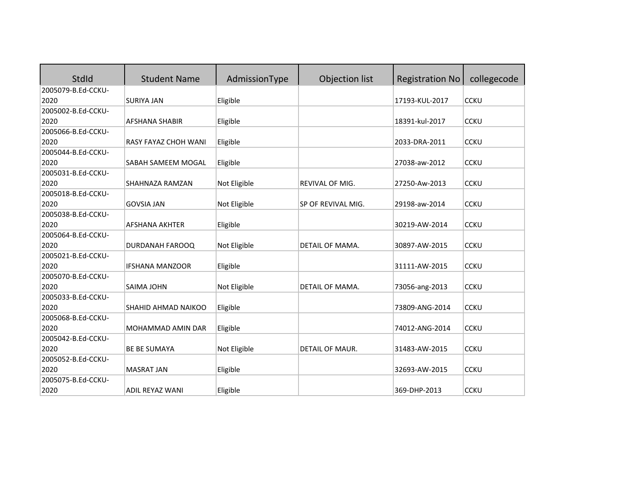| <b>StdId</b>       | <b>Student Name</b>    | AdmissionType | Objection list         | <b>Registration No</b> | collegecode |
|--------------------|------------------------|---------------|------------------------|------------------------|-------------|
| 2005079-B.Ed-CCKU- |                        |               |                        |                        |             |
| 2020               | <b>SURIYA JAN</b>      | Eligible      |                        | 17193-KUL-2017         | <b>CCKU</b> |
| 2005002-B.Ed-CCKU- |                        |               |                        |                        |             |
| 2020               | <b>AFSHANA SHABIR</b>  | Eligible      |                        | 18391-kul-2017         | <b>CCKU</b> |
| 2005066-B.Ed-CCKU- |                        |               |                        |                        |             |
| 2020               | RASY FAYAZ CHOH WANI   | Eligible      |                        | 2033-DRA-2011          | <b>CCKU</b> |
| 2005044-B.Ed-CCKU- |                        |               |                        |                        |             |
| 2020               | SABAH SAMEEM MOGAL     | Eligible      |                        | 27038-aw-2012          | <b>CCKU</b> |
| 2005031-B.Ed-CCKU- |                        |               |                        |                        |             |
| 2020               | SHAHNAZA RAMZAN        | Not Eligible  | <b>REVIVAL OF MIG.</b> | 27250-Aw-2013          | <b>CCKU</b> |
| 2005018-B.Ed-CCKU- |                        |               |                        |                        |             |
| 2020               | <b>GOVSIA JAN</b>      | Not Eligible  | SP OF REVIVAL MIG.     | 29198-aw-2014          | <b>CCKU</b> |
| 2005038-B.Ed-CCKU- |                        |               |                        |                        |             |
| 2020               | <b>AFSHANA AKHTER</b>  | Eligible      |                        | 30219-AW-2014          | <b>CCKU</b> |
| 2005064-B.Ed-CCKU- |                        |               |                        |                        |             |
| 2020               | DURDANAH FAROOQ        | Not Eligible  | DETAIL OF MAMA.        | 30897-AW-2015          | <b>CCKU</b> |
| 2005021-B.Ed-CCKU- |                        |               |                        |                        |             |
| 2020               | <b>IFSHANA MANZOOR</b> | Eligible      |                        | 31111-AW-2015          | <b>CCKU</b> |
| 2005070-B.Ed-CCKU- |                        |               |                        |                        |             |
| 2020               | SAIMA JOHN             | Not Eligible  | DETAIL OF MAMA.        | 73056-ang-2013         | <b>CCKU</b> |
| 2005033-B.Ed-CCKU- |                        |               |                        |                        |             |
| 2020               | SHAHID AHMAD NAIKOO    | Eligible      |                        | 73809-ANG-2014         | <b>CCKU</b> |
| 2005068-B.Ed-CCKU- |                        |               |                        |                        |             |
| 2020               | MOHAMMAD AMIN DAR      | Eligible      |                        | 74012-ANG-2014         | <b>CCKU</b> |
| 2005042-B.Ed-CCKU- |                        |               |                        |                        |             |
| 2020               | <b>BE BE SUMAYA</b>    | Not Eligible  | DETAIL OF MAUR.        | 31483-AW-2015          | <b>CCKU</b> |
| 2005052-B.Ed-CCKU- |                        |               |                        |                        |             |
| 2020               | <b>MASRAT JAN</b>      | Eligible      |                        | 32693-AW-2015          | <b>CCKU</b> |
| 2005075-B.Ed-CCKU- |                        |               |                        |                        |             |
| 2020               | <b>ADIL REYAZ WANI</b> | Eligible      |                        | 369-DHP-2013           | <b>CCKU</b> |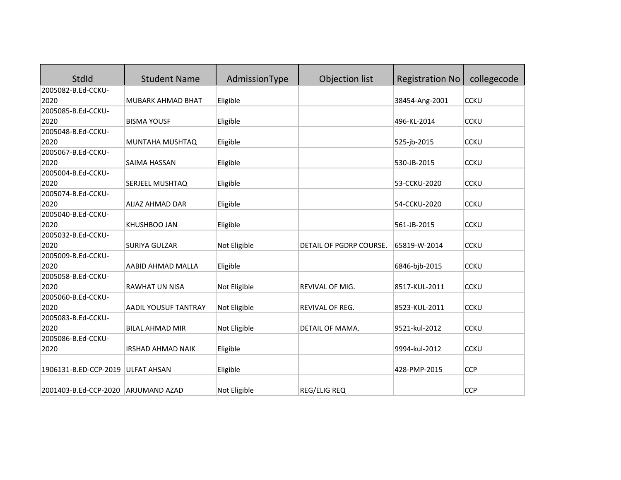| <b>StdId</b>                        | <b>Student Name</b>         | AdmissionType | Objection list          | <b>Registration No</b> | collegecode |
|-------------------------------------|-----------------------------|---------------|-------------------------|------------------------|-------------|
| 2005082-B.Ed-CCKU-                  |                             |               |                         |                        |             |
| 2020                                | MUBARK AHMAD BHAT           | Eligible      |                         | 38454-Ang-2001         | <b>CCKU</b> |
| 2005085-B.Ed-CCKU-                  |                             |               |                         |                        |             |
| 2020                                | <b>BISMA YOUSF</b>          | Eligible      |                         | 496-KL-2014            | <b>CCKU</b> |
| 2005048-B.Ed-CCKU-                  |                             |               |                         |                        |             |
| 2020                                | MUNTAHA MUSHTAQ             | Eligible      |                         | 525-jb-2015            | <b>CCKU</b> |
| 2005067-B.Ed-CCKU-                  |                             |               |                         |                        |             |
| 2020                                | SAIMA HASSAN                | Eligible      |                         | 530-JB-2015            | <b>CCKU</b> |
| 2005004-B.Ed-CCKU-                  |                             |               |                         |                        |             |
| 2020                                | SERJEEL MUSHTAQ             | Eligible      |                         | 53-CCKU-2020           | <b>CCKU</b> |
| 2005074-B.Ed-CCKU-                  |                             |               |                         |                        |             |
| 2020                                | AIJAZ AHMAD DAR             | Eligible      |                         | 54-CCKU-2020           | <b>CCKU</b> |
| 2005040-B.Ed-CCKU-                  |                             |               |                         |                        |             |
| 2020                                | KHUSHBOO JAN                | Eligible      |                         | 561-JB-2015            | <b>CCKU</b> |
| 2005032-B.Ed-CCKU-                  |                             |               |                         |                        |             |
| 2020                                | <b>SURIYA GULZAR</b>        | Not Eligible  | DETAIL OF PGDRP COURSE. | 65819-W-2014           | <b>CCKU</b> |
| 2005009-B.Ed-CCKU-                  |                             |               |                         |                        |             |
| 2020                                | AABID AHMAD MALLA           | Eligible      |                         | 6846-bjb-2015          | <b>CCKU</b> |
| 2005058-B.Ed-CCKU-                  |                             |               |                         |                        |             |
| 2020                                | <b>RAWHAT UN NISA</b>       | Not Eligible  | REVIVAL OF MIG.         | 8517-KUL-2011          | <b>CCKU</b> |
| 2005060-B.Ed-CCKU-                  |                             |               |                         |                        |             |
| 2020                                | <b>AADIL YOUSUF TANTRAY</b> | Not Eligible  | REVIVAL OF REG.         | 8523-KUL-2011          | <b>CCKU</b> |
| 2005083-B.Ed-CCKU-                  |                             |               |                         |                        |             |
| 2020                                | <b>BILAL AHMAD MIR</b>      | Not Eligible  | DETAIL OF MAMA.         | 9521-kul-2012          | <b>CCKU</b> |
| 2005086-B.Ed-CCKU-                  |                             |               |                         |                        |             |
| 2020                                | <b>IRSHAD AHMAD NAIK</b>    | Eligible      |                         | 9994-kul-2012          | <b>CCKU</b> |
|                                     |                             |               |                         |                        |             |
| 1906131-B.ED-CCP-2019 ULFAT AHSAN   |                             | Eligible      |                         | 428-PMP-2015           | <b>CCP</b>  |
|                                     |                             |               |                         |                        |             |
| 2001403-B.Ed-CCP-2020 ARJUMAND AZAD |                             | Not Eligible  | <b>REG/ELIG REQ</b>     |                        | <b>CCP</b>  |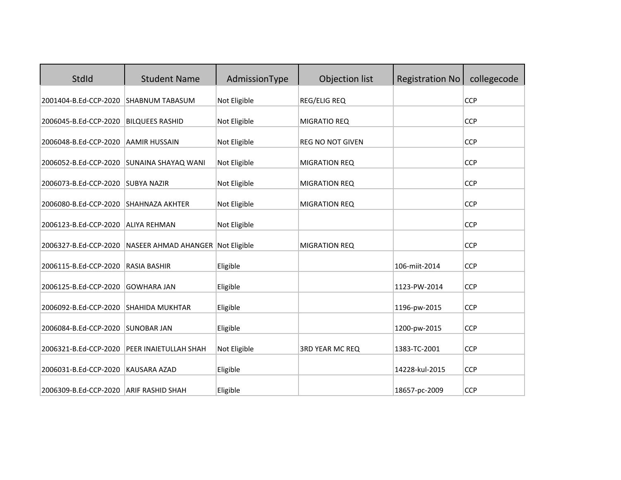| <b>StdId</b>                                   | <b>Student Name</b>                            | AdmissionType        | Objection list          | <b>Registration No</b>          | collegecode              |
|------------------------------------------------|------------------------------------------------|----------------------|-------------------------|---------------------------------|--------------------------|
| 2001404-B.Ed-CCP-2020                          | <b>SHABNUM TABASUM</b>                         | Not Eligible         | <b>REG/ELIG REQ</b>     |                                 | <b>CCP</b>               |
| 2006045-B.Ed-CCP-2020                          | <b>BILQUEES RASHID</b>                         | Not Eligible         | MIGRATIO REQ            |                                 | <b>CCP</b>               |
| 2006048-B.Ed-CCP-2020                          | <b>AAMIR HUSSAIN</b>                           | Not Eligible         | <b>REG NO NOT GIVEN</b> |                                 | <b>CCP</b>               |
| 2006052-B.Ed-CCP-2020                          | <b>SUNAINA SHAYAQ WANI</b>                     | Not Eligible         | <b>MIGRATION REQ</b>    |                                 | <b>CCP</b>               |
| 2006073-B.Ed-CCP-2020                          | <b>SUBYA NAZIR</b>                             | Not Eligible         | <b>MIGRATION REQ</b>    |                                 | <b>CCP</b>               |
| 2006080-B.Ed-CCP-2020                          | <b>SHAHNAZA AKHTER</b>                         | Not Eligible         | <b>MIGRATION REQ</b>    |                                 | <b>CCP</b>               |
| 2006123-B.Ed-CCP-2020                          | <b>ALIYA REHMAN</b>                            | Not Eligible         |                         |                                 | <b>CCP</b>               |
| 2006327-B.Ed-CCP-2020                          | NASEER AHMAD AHANGER Not Eligible              |                      | <b>MIGRATION REQ</b>    |                                 | <b>CCP</b>               |
| 2006115-B.Ed-CCP-2020                          | <b>RASIA BASHIR</b>                            | Eligible             |                         | 106-miit-2014                   | <b>CCP</b>               |
| 2006125-B.Ed-CCP-2020                          | <b>GOWHARA JAN</b>                             | Eligible             |                         | 1123-PW-2014                    | <b>CCP</b>               |
| 2006092-B.Ed-CCP-2020                          | <b>SHAHIDA MUKHTAR</b>                         | Eligible             |                         | 1196-pw-2015                    | <b>CCP</b>               |
| 2006084-B.Ed-CCP-2020                          | <b>SUNOBAR JAN</b>                             | Eligible             |                         | 1200-pw-2015                    | <b>CCP</b>               |
| 2006321-B.Ed-CCP-2020                          | PEER INAIETULLAH SHAH                          | Not Eligible         | <b>3RD YEAR MC REQ</b>  | 1383-TC-2001                    | <b>CCP</b>               |
|                                                |                                                |                      |                         |                                 |                          |
| 2006031-B.Ed-CCP-2020<br>2006309-B.Ed-CCP-2020 | <b>KAUSARA AZAD</b><br><b>ARIF RASHID SHAH</b> | Eligible<br>Eligible |                         | 14228-kul-2015<br>18657-pc-2009 | <b>CCP</b><br><b>CCP</b> |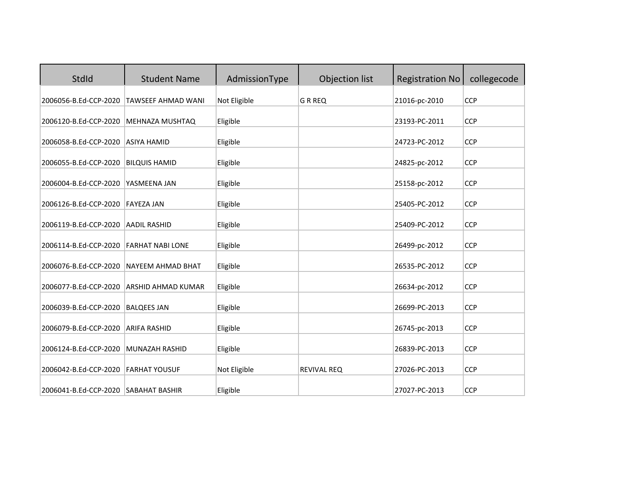| StdId                                | <b>Student Name</b>       | AdmissionType | Objection list     | <b>Registration No</b> | collegecode |
|--------------------------------------|---------------------------|---------------|--------------------|------------------------|-------------|
| 2006056-B.Ed-CCP-2020                | TAWSEEF AHMAD WANI        | Not Eligible  | G R REQ            | 21016-pc-2010          | <b>CCP</b>  |
| 2006120-B.Ed-CCP-2020                | MEHNAZA MUSHTAQ           | Eligible      |                    | 23193-PC-2011          | <b>CCP</b>  |
| 2006058-B.Ed-CCP-2020                | <b>ASIYA HAMID</b>        | Eligible      |                    | 24723-PC-2012          | <b>CCP</b>  |
| 2006055-B.Ed-CCP-2020                | <b>BILQUIS HAMID</b>      | Eligible      |                    | 24825-pc-2012          | <b>CCP</b>  |
| 2006004-B.Ed-CCP-2020                | YASMEENA JAN              | Eligible      |                    | 25158-pc-2012          | <b>CCP</b>  |
| 2006126-B.Ed-CCP-2020                | <b>FAYEZA JAN</b>         | Eligible      |                    | 25405-PC-2012          | <b>CCP</b>  |
| 2006119-B.Ed-CCP-2020                | <b>AADIL RASHID</b>       | Eligible      |                    | 25409-PC-2012          | <b>CCP</b>  |
| 2006114-B.Ed-CCP-2020                | <b>FARHAT NABI LONE</b>   | Eligible      |                    | 26499-pc-2012          | <b>CCP</b>  |
| 2006076-B.Ed-CCP-2020                | NAYEEM AHMAD BHAT         | Eligible      |                    | 26535-PC-2012          | <b>CCP</b>  |
| 2006077-B.Ed-CCP-2020                | <b>ARSHID AHMAD KUMAR</b> | Eligible      |                    | 26634-pc-2012          | <b>CCP</b>  |
| 2006039-B.Ed-CCP-2020                | <b>BALQEES JAN</b>        | Eligible      |                    | 26699-PC-2013          | <b>CCP</b>  |
| 2006079-B.Ed-CCP-2020                | <b>ARIFA RASHID</b>       | Eligible      |                    | 26745-pc-2013          | <b>CCP</b>  |
| 2006124-B.Ed-CCP-2020                | MUNAZAH RASHID            | Eligible      |                    | 26839-PC-2013          | <b>CCP</b>  |
| 2006042-B.Ed-CCP-2020                | <b>FARHAT YOUSUF</b>      | Not Eligible  | <b>REVIVAL REQ</b> | 27026-PC-2013          | <b>CCP</b>  |
| 2006041-B.Ed-CCP-2020 SABAHAT BASHIR |                           | Eligible      |                    | 27027-PC-2013          | <b>CCP</b>  |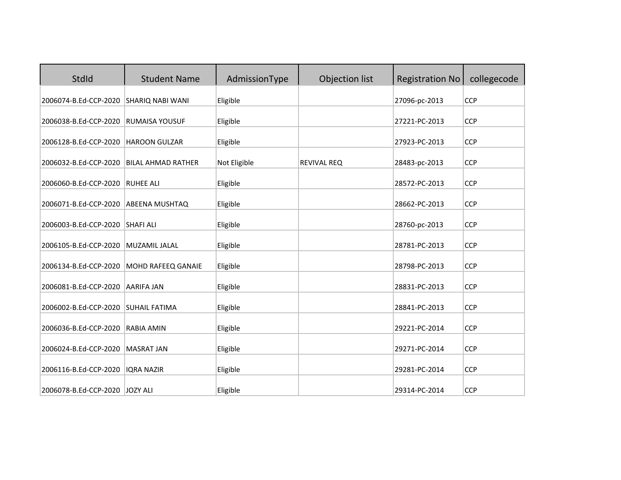| StdId                 | <b>Student Name</b>       | AdmissionType | Objection list     | <b>Registration No</b> | collegecode |
|-----------------------|---------------------------|---------------|--------------------|------------------------|-------------|
| 2006074-B.Ed-CCP-2020 | <b>SHARIQ NABI WANI</b>   | Eligible      |                    | 27096-pc-2013          | <b>CCP</b>  |
| 2006038-B.Ed-CCP-2020 | <b>RUMAISA YOUSUF</b>     | Eligible      |                    | 27221-PC-2013          | <b>CCP</b>  |
| 2006128-B.Ed-CCP-2020 | <b>HAROON GULZAR</b>      | Eligible      |                    | 27923-PC-2013          | <b>CCP</b>  |
| 2006032-B.Ed-CCP-2020 | <b>BILAL AHMAD RATHER</b> | Not Eligible  | <b>REVIVAL REQ</b> | 28483-pc-2013          | <b>CCP</b>  |
| 2006060-B.Ed-CCP-2020 | <b>RUHEE ALI</b>          | Eligible      |                    | 28572-PC-2013          | <b>CCP</b>  |
| 2006071-B.Ed-CCP-2020 | <b>ABEENA MUSHTAQ</b>     | Eligible      |                    | 28662-PC-2013          | <b>CCP</b>  |
| 2006003-B.Ed-CCP-2020 | <b>SHAFI ALI</b>          | Eligible      |                    | 28760-pc-2013          | <b>CCP</b>  |
| 2006105-B.Ed-CCP-2020 | MUZAMIL JALAL             | Eligible      |                    | 28781-PC-2013          | <b>CCP</b>  |
| 2006134-B.Ed-CCP-2020 | <b>MOHD RAFEEQ GANAIE</b> | Eligible      |                    | 28798-PC-2013          | <b>CCP</b>  |
| 2006081-B.Ed-CCP-2020 | <b>AARIFA JAN</b>         | Eligible      |                    | 28831-PC-2013          | <b>CCP</b>  |
| 2006002-B.Ed-CCP-2020 | <b>SUHAIL FATIMA</b>      | Eligible      |                    | 28841-PC-2013          | <b>CCP</b>  |
| 2006036-B.Ed-CCP-2020 | <b>RABIA AMIN</b>         | Eligible      |                    | 29221-PC-2014          | <b>CCP</b>  |
| 2006024-B.Ed-CCP-2020 | <b>MASRAT JAN</b>         | Eligible      |                    | 29271-PC-2014          | <b>CCP</b>  |
| 2006116-B.Ed-CCP-2020 | <b>IQRA NAZIR</b>         | Eligible      |                    | 29281-PC-2014          | <b>CCP</b>  |
| 2006078-B.Ed-CCP-2020 | JOZY ALI                  | Eligible      |                    | 29314-PC-2014          | <b>CCP</b>  |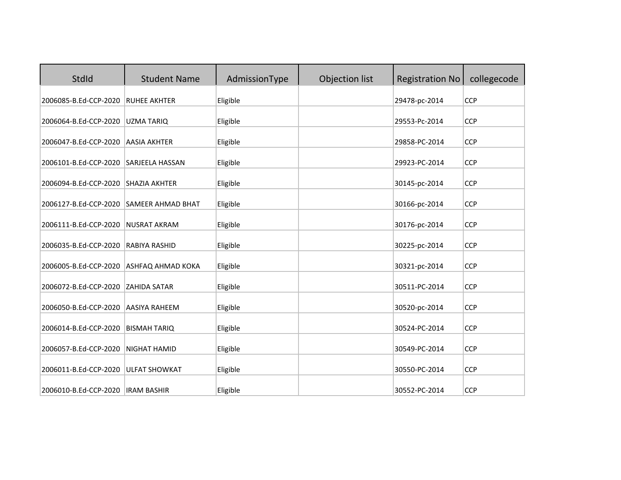| StdId                 | <b>Student Name</b>      | AdmissionType | Objection list | <b>Registration No</b> | collegecode |
|-----------------------|--------------------------|---------------|----------------|------------------------|-------------|
| 2006085-B.Ed-CCP-2020 | <b>RUHEE AKHTER</b>      | Eligible      |                | 29478-pc-2014          | <b>CCP</b>  |
| 2006064-B.Ed-CCP-2020 | <b>UZMA TARIQ</b>        | Eligible      |                | 29553-Pc-2014          | <b>CCP</b>  |
| 2006047-B.Ed-CCP-2020 | <b>AASIA AKHTER</b>      | Eligible      |                | 29858-PC-2014          | <b>CCP</b>  |
| 2006101-B.Ed-CCP-2020 | <b>SARJEELA HASSAN</b>   | Eligible      |                | 29923-PC-2014          | <b>CCP</b>  |
| 2006094-B.Ed-CCP-2020 | <b>SHAZIA AKHTER</b>     | Eligible      |                | 30145-pc-2014          | <b>CCP</b>  |
| 2006127-B.Ed-CCP-2020 | <b>SAMEER AHMAD BHAT</b> | Eligible      |                | 30166-pc-2014          | <b>CCP</b>  |
| 2006111-B.Ed-CCP-2020 | <b>NUSRAT AKRAM</b>      | Eligible      |                | 30176-pc-2014          | <b>CCP</b>  |
| 2006035-B.Ed-CCP-2020 | <b>RABIYA RASHID</b>     | Eligible      |                | 30225-pc-2014          | <b>CCP</b>  |
| 2006005-B.Ed-CCP-2020 | ASHFAQ AHMAD KOKA        | Eligible      |                | 30321-pc-2014          | <b>CCP</b>  |
| 2006072-B.Ed-CCP-2020 | <b>ZAHIDA SATAR</b>      | Eligible      |                | 30511-PC-2014          | <b>CCP</b>  |
| 2006050-B.Ed-CCP-2020 | <b>AASIYA RAHEEM</b>     | Eligible      |                | 30520-pc-2014          | <b>CCP</b>  |
| 2006014-B.Ed-CCP-2020 | <b>BISMAH TARIQ</b>      | Eligible      |                | 30524-PC-2014          | <b>CCP</b>  |
| 2006057-B.Ed-CCP-2020 | <b>NIGHAT HAMID</b>      | Eligible      |                | 30549-PC-2014          | <b>CCP</b>  |
| 2006011-B.Ed-CCP-2020 | <b>ULFAT SHOWKAT</b>     | Eligible      |                | 30550-PC-2014          | <b>CCP</b>  |
| 2006010-B.Ed-CCP-2020 | <b>IRAM BASHIR</b>       | Eligible      |                | 30552-PC-2014          | <b>CCP</b>  |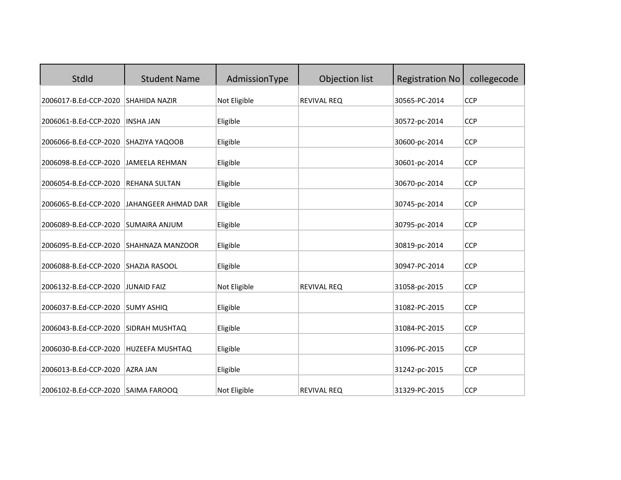| StdId                                | <b>Student Name</b>     | AdmissionType | Objection list     | <b>Registration No</b> | collegecode |
|--------------------------------------|-------------------------|---------------|--------------------|------------------------|-------------|
| 2006017-B.Ed-CCP-2020                | <b>SHAHIDA NAZIR</b>    | Not Eligible  | <b>REVIVAL REQ</b> | 30565-PC-2014          | <b>CCP</b>  |
| 2006061-B.Ed-CCP-2020                | <b>INSHA JAN</b>        | Eligible      |                    | 30572-pc-2014          | <b>CCP</b>  |
| 2006066-B.Ed-CCP-2020 SHAZIYA YAQOOB |                         | Eligible      |                    | 30600-pc-2014          | <b>CCP</b>  |
| 2006098-B.Ed-CCP-2020                | JAMEELA REHMAN          | Eligible      |                    | 30601-pc-2014          | <b>CCP</b>  |
| 2006054-B.Ed-CCP-2020                | <b>REHANA SULTAN</b>    | Eligible      |                    | 30670-pc-2014          | <b>CCP</b>  |
| 2006065-B.Ed-CCP-2020                | JAHANGEER AHMAD DAR     | Eligible      |                    | 30745-pc-2014          | <b>CCP</b>  |
| 2006089-B.Ed-CCP-2020                | <b>SUMAIRA ANJUM</b>    | Eligible      |                    | 30795-pc-2014          | <b>CCP</b>  |
| 2006095-B.Ed-CCP-2020                | <b>SHAHNAZA MANZOOR</b> | Eligible      |                    | 30819-pc-2014          | <b>CCP</b>  |
| 2006088-B.Ed-CCP-2020                | <b>SHAZIA RASOOL</b>    | Eligible      |                    | 30947-PC-2014          | <b>CCP</b>  |
| 2006132-B.Ed-CCP-2020                | JUNAID FAIZ             | Not Eligible  | <b>REVIVAL REQ</b> | 31058-pc-2015          | <b>CCP</b>  |
| 2006037-B.Ed-CCP-2020                | <b>SUMY ASHIQ</b>       | Eligible      |                    | 31082-PC-2015          | <b>CCP</b>  |
| 2006043-B.Ed-CCP-2020                | <b>SIDRAH MUSHTAQ</b>   | Eligible      |                    | 31084-PC-2015          | <b>CCP</b>  |
| 2006030-B.Ed-CCP-2020                | HUZEEFA MUSHTAQ         | Eligible      |                    | 31096-PC-2015          | <b>CCP</b>  |
| 2006013-B.Ed-CCP-2020                | <b>AZRA JAN</b>         | Eligible      |                    | 31242-pc-2015          | <b>CCP</b>  |
| 2006102-B.Ed-CCP-2020 SAIMA FAROOQ   |                         | Not Eligible  | <b>REVIVAL REQ</b> | 31329-PC-2015          | <b>CCP</b>  |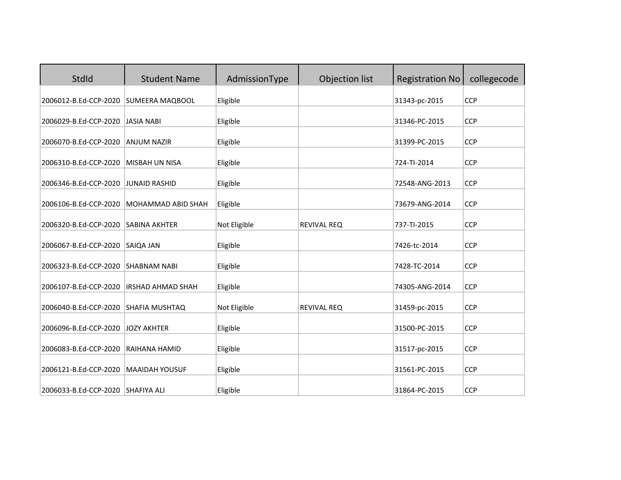| StdId                 | <b>Student Name</b>       | AdmissionType | Objection list     | <b>Registration No</b> | collegecode |
|-----------------------|---------------------------|---------------|--------------------|------------------------|-------------|
| 2006012-B.Ed-CCP-2020 | SUMEERA MAQBOOL           | Eligible      |                    | 31343-pc-2015          | <b>CCP</b>  |
| 2006029-B.Ed-CCP-2020 | <b>JASIA NABI</b>         | Eligible      |                    | 31346-PC-2015          | <b>CCP</b>  |
| 2006070-B.Ed-CCP-2020 | <b>ANJUM NAZIR</b>        | Eligible      |                    | 31399-PC-2015          | <b>CCP</b>  |
| 2006310-B.Ed-CCP-2020 | MISBAH UN NISA            | Eligible      |                    | 724-TI-2014            | <b>CCP</b>  |
| 2006346-B.Ed-CCP-2020 | <b>JUNAID RASHID</b>      | Eligible      |                    | 72548-ANG-2013         | <b>CCP</b>  |
| 2006106-B.Ed-CCP-2020 | <b>MOHAMMAD ABID SHAH</b> | Eligible      |                    | 73679-ANG-2014         | <b>CCP</b>  |
| 2006320-B.Ed-CCP-2020 | <b>SABINA AKHTER</b>      | Not Eligible  | <b>REVIVAL REQ</b> | 737-TI-2015            | <b>CCP</b>  |
| 2006067-B.Ed-CCP-2020 | SAIQA JAN                 | Eligible      |                    | 7426-tc-2014           | <b>CCP</b>  |
| 2006323-B.Ed-CCP-2020 | <b>SHABNAM NABI</b>       | Eligible      |                    | 7428-TC-2014           | <b>CCP</b>  |
| 2006107-B.Ed-CCP-2020 | <b>IRSHAD AHMAD SHAH</b>  | Eligible      |                    | 74305-ANG-2014         | <b>CCP</b>  |
|                       |                           |               |                    |                        |             |
| 2006040-B.Ed-CCP-2020 | SHAFIA MUSHTAQ            | Not Eligible  | <b>REVIVAL REQ</b> | 31459-pc-2015          | <b>CCP</b>  |
| 2006096-B.Ed-CCP-2020 | <b>JOZY AKHTER</b>        | Eligible      |                    | 31500-PC-2015          | <b>CCP</b>  |
| 2006083-B.Ed-CCP-2020 | RAIHANA HAMID             | Eligible      |                    | 31517-pc-2015          | <b>CCP</b>  |
| 2006121-B.Ed-CCP-2020 | <b>MAAIDAH YOUSUF</b>     | Eligible      |                    | 31561-PC-2015          | <b>CCP</b>  |
| 2006033-B.Ed-CCP-2020 | <b>SHAFIYA ALI</b>        | Eligible      |                    | 31864-PC-2015          | <b>CCP</b>  |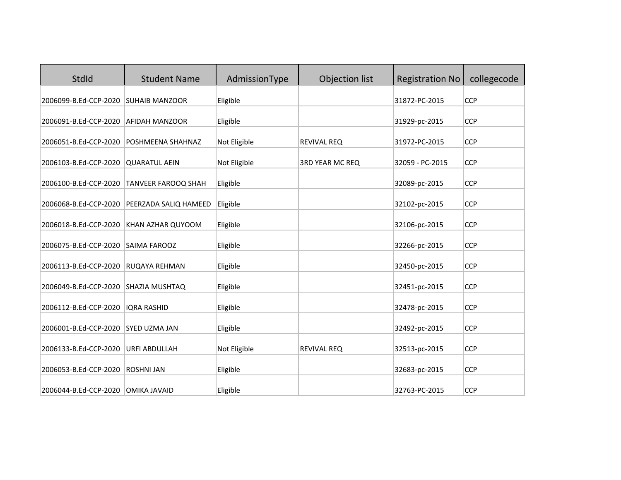| StdId                 | <b>Student Name</b>   | AdmissionType | Objection list         | <b>Registration No</b> | collegecode |
|-----------------------|-----------------------|---------------|------------------------|------------------------|-------------|
| 2006099-B.Ed-CCP-2020 | <b>SUHAIB MANZOOR</b> | Eligible      |                        | 31872-PC-2015          | <b>CCP</b>  |
| 2006091-B.Ed-CCP-2020 | <b>AFIDAH MANZOOR</b> | Eligible      |                        | 31929-pc-2015          | <b>CCP</b>  |
| 2006051-B.Ed-CCP-2020 | POSHMEENA SHAHNAZ     | Not Eligible  | <b>REVIVAL REQ</b>     | 31972-PC-2015          | <b>CCP</b>  |
| 2006103-B.Ed-CCP-2020 | <b>QUARATUL AEIN</b>  | Not Eligible  | <b>3RD YEAR MC REQ</b> | 32059 - PC-2015        | <b>CCP</b>  |
| 2006100-B.Ed-CCP-2020 | TANVEER FAROOQ SHAH   | Eligible      |                        | 32089-pc-2015          | <b>CCP</b>  |
| 2006068-B.Ed-CCP-2020 | PEERZADA SALIQ HAMEED | Eligible      |                        | 32102-pc-2015          | <b>CCP</b>  |
| 2006018-B.Ed-CCP-2020 | KHAN AZHAR QUYOOM     | Eligible      |                        | 32106-pc-2015          | <b>CCP</b>  |
| 2006075-B.Ed-CCP-2020 | SAIMA FAROOZ          | Eligible      |                        | 32266-pc-2015          | <b>CCP</b>  |
| 2006113-B.Ed-CCP-2020 | RUQAYA REHMAN         | Eligible      |                        | 32450-pc-2015          | <b>CCP</b>  |
| 2006049-B.Ed-CCP-2020 | SHAZIA MUSHTAQ        | Eligible      |                        | 32451-pc-2015          | <b>CCP</b>  |
| 2006112-B.Ed-CCP-2020 | <b>IQRA RASHID</b>    | Eligible      |                        | 32478-pc-2015          | <b>CCP</b>  |
| 2006001-B.Ed-CCP-2020 | <b>SYED UZMA JAN</b>  | Eligible      |                        | 32492-pc-2015          | <b>CCP</b>  |
| 2006133-B.Ed-CCP-2020 | <b>URFI ABDULLAH</b>  | Not Eligible  | <b>REVIVAL REQ</b>     | 32513-pc-2015          | <b>CCP</b>  |
| 2006053-B.Ed-CCP-2020 | <b>ROSHNI JAN</b>     | Eligible      |                        | 32683-pc-2015          | <b>CCP</b>  |
| 2006044-B.Ed-CCP-2020 | <b>OMIKA JAVAID</b>   | Eligible      |                        | 32763-PC-2015          | <b>CCP</b>  |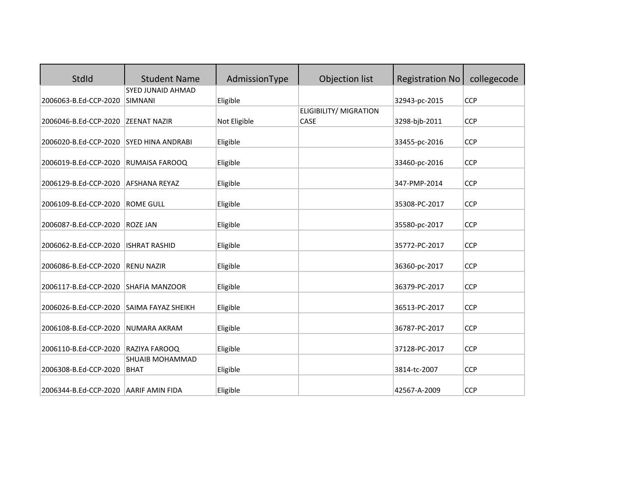| StdId                 | <b>Student Name</b>                   | AdmissionType | Objection list         | <b>Registration No</b> | collegecode |
|-----------------------|---------------------------------------|---------------|------------------------|------------------------|-------------|
|                       | <b>SYED JUNAID AHMAD</b>              |               |                        |                        |             |
| 2006063-B.Ed-CCP-2020 | <b>SIMNANI</b>                        | Eligible      |                        | 32943-pc-2015          | <b>CCP</b>  |
|                       |                                       |               | ELIGIBILITY/ MIGRATION |                        |             |
| 2006046-B.Ed-CCP-2020 | <b>ZEENAT NAZIR</b>                   | Not Eligible  | CASE                   | 3298-bjb-2011          | <b>CCP</b>  |
| 2006020-B.Ed-CCP-2020 | <b>SYED HINA ANDRABI</b>              | Eligible      |                        | 33455-pc-2016          | <b>CCP</b>  |
| 2006019-B.Ed-CCP-2020 | <b>RUMAISA FAROOQ</b>                 | Eligible      |                        | 33460-pc-2016          | <b>CCP</b>  |
| 2006129-B.Ed-CCP-2020 | <b>AFSHANA REYAZ</b>                  | Eligible      |                        | 347-PMP-2014           | <b>CCP</b>  |
| 2006109-B.Ed-CCP-2020 | <b>ROME GULL</b>                      | Eligible      |                        | 35308-PC-2017          | <b>CCP</b>  |
| 2006087-B.Ed-CCP-2020 | ROZE JAN                              | Eligible      |                        | 35580-pc-2017          | <b>CCP</b>  |
| 2006062-B.Ed-CCP-2020 | <b>ISHRAT RASHID</b>                  | Eligible      |                        | 35772-PC-2017          | <b>CCP</b>  |
| 2006086-B.Ed-CCP-2020 | <b>RENU NAZIR</b>                     | Eligible      |                        | 36360-pc-2017          | <b>CCP</b>  |
| 2006117-B.Ed-CCP-2020 | <b>SHAFIA MANZOOR</b>                 | Eligible      |                        | 36379-PC-2017          | <b>CCP</b>  |
| 2006026-B.Ed-CCP-2020 | SAIMA FAYAZ SHEIKH                    | Eligible      |                        | 36513-PC-2017          | <b>CCP</b>  |
| 2006108-B.Ed-CCP-2020 | NUMARA AKRAM                          | Eligible      |                        | 36787-PC-2017          | <b>CCP</b>  |
| 2006110-B.Ed-CCP-2020 | RAZIYA FAROOQ                         | Eligible      |                        | 37128-PC-2017          | <b>CCP</b>  |
| 2006308-B.Ed-CCP-2020 | <b>SHUAIB MOHAMMAD</b><br><b>BHAT</b> | Eligible      |                        | 3814-tc-2007           | <b>CCP</b>  |
| 2006344-B.Ed-CCP-2020 | AARIF AMIN FIDA                       | Eligible      |                        | 42567-A-2009           | <b>CCP</b>  |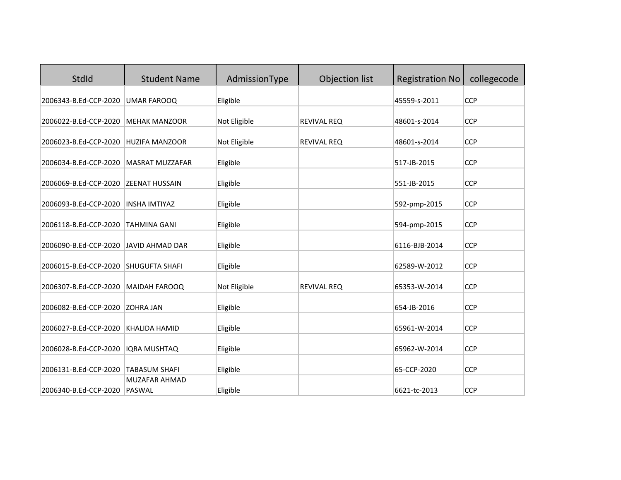| StdId                 | <b>Student Name</b>                   | AdmissionType | Objection list     | <b>Registration No</b> | collegecode |
|-----------------------|---------------------------------------|---------------|--------------------|------------------------|-------------|
| 2006343-B.Ed-CCP-2020 | <b>UMAR FAROOQ</b>                    | Eligible      |                    | 45559-s-2011           | <b>CCP</b>  |
| 2006022-B.Ed-CCP-2020 | <b>MEHAK MANZOOR</b>                  | Not Eligible  | <b>REVIVAL REQ</b> | 48601-s-2014           | <b>CCP</b>  |
| 2006023-B.Ed-CCP-2020 | <b>HUZIFA MANZOOR</b>                 | Not Eligible  | <b>REVIVAL REQ</b> | 48601-s-2014           | <b>CCP</b>  |
| 2006034-B.Ed-CCP-2020 | <b>MASRAT MUZZAFAR</b>                | Eligible      |                    | 517-JB-2015            | <b>CCP</b>  |
| 2006069-B.Ed-CCP-2020 | <b>ZEENAT HUSSAIN</b>                 | Eligible      |                    | 551-JB-2015            | <b>CCP</b>  |
| 2006093-B.Ed-CCP-2020 | <b>INSHA IMTIYAZ</b>                  | Eligible      |                    | 592-pmp-2015           | <b>CCP</b>  |
| 2006118-B.Ed-CCP-2020 | <b>TAHMINA GANI</b>                   | Eligible      |                    | 594-pmp-2015           | <b>CCP</b>  |
| 2006090-B.Ed-CCP-2020 | <b>JAVID AHMAD DAR</b>                | Eligible      |                    | 6116-BJB-2014          | <b>CCP</b>  |
| 2006015-B.Ed-CCP-2020 | <b>SHUGUFTA SHAFI</b>                 | Eligible      |                    | 62589-W-2012           | <b>CCP</b>  |
| 2006307-B.Ed-CCP-2020 | <b>MAIDAH FAROOQ</b>                  | Not Eligible  | <b>REVIVAL REQ</b> | 65353-W-2014           | <b>CCP</b>  |
| 2006082-B.Ed-CCP-2020 | <b>ZOHRA JAN</b>                      | Eligible      |                    | 654-JB-2016            | <b>CCP</b>  |
| 2006027-B.Ed-CCP-2020 | <b>KHALIDA HAMID</b>                  | Eligible      |                    | 65961-W-2014           | <b>CCP</b>  |
| 2006028-B.Ed-CCP-2020 | <b>IQRA MUSHTAQ</b>                   | Eligible      |                    | 65962-W-2014           | <b>CCP</b>  |
| 2006131-B.Ed-CCP-2020 | <b>TABASUM SHAFI</b>                  | Eligible      |                    | 65-CCP-2020            | <b>CCP</b>  |
| 2006340-B.Ed-CCP-2020 | <b>MUZAFAR AHMAD</b><br><b>PASWAL</b> | Eligible      |                    | 6621-tc-2013           | <b>CCP</b>  |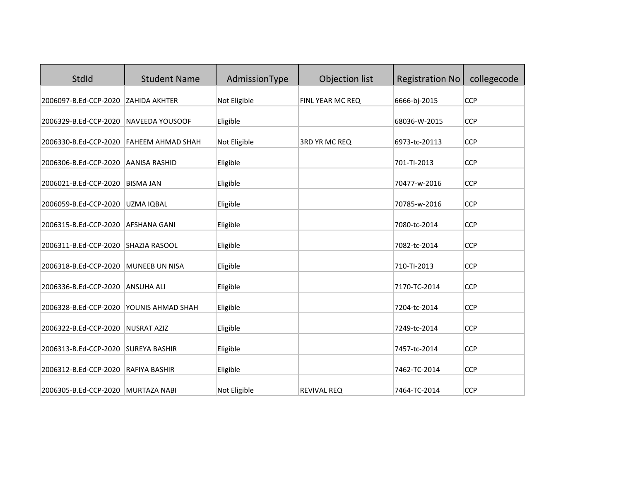| StdId                              | <b>Student Name</b>      | AdmissionType | Objection list     | <b>Registration No</b> | collegecode |
|------------------------------------|--------------------------|---------------|--------------------|------------------------|-------------|
| 2006097-B.Ed-CCP-2020              | <b>ZAHIDA AKHTER</b>     | Not Eligible  | FINL YEAR MC REQ   | 6666-bj-2015           | <b>CCP</b>  |
| 2006329-B.Ed-CCP-2020              | NAVEEDA YOUSOOF          | Eligible      |                    | 68036-W-2015           | <b>CCP</b>  |
| 2006330-B.Ed-CCP-2020              | <b>FAHEEM AHMAD SHAH</b> | Not Eligible  | 3RD YR MC REQ      | 6973-tc-20113          | <b>CCP</b>  |
| 2006306-B.Ed-CCP-2020              | <b>AANISA RASHID</b>     | Eligible      |                    | 701-TI-2013            | <b>CCP</b>  |
| 2006021-B.Ed-CCP-2020              | <b>BISMA JAN</b>         | Eligible      |                    | 70477-w-2016           | <b>CCP</b>  |
| 2006059-B.Ed-CCP-2020              | UZMA IQBAL               | Eligible      |                    | 70785-w-2016           | <b>CCP</b>  |
| 2006315-B.Ed-CCP-2020              | <b>AFSHANA GANI</b>      | Eligible      |                    | 7080-tc-2014           | <b>CCP</b>  |
| 2006311-B.Ed-CCP-2020              | <b>SHAZIA RASOOL</b>     | Eligible      |                    | 7082-tc-2014           | <b>CCP</b>  |
| 2006318-B.Ed-CCP-2020              | <b>MUNEEB UN NISA</b>    | Eligible      |                    | 710-TI-2013            | <b>CCP</b>  |
| 2006336-B.Ed-CCP-2020              | <b>ANSUHA ALI</b>        | Eligible      |                    | 7170-TC-2014           | <b>CCP</b>  |
| 2006328-B.Ed-CCP-2020              | YOUNIS AHMAD SHAH        | Eligible      |                    | 7204-tc-2014           | <b>CCP</b>  |
| 2006322-B.Ed-CCP-2020              | <b>NUSRAT AZIZ</b>       | Eligible      |                    | 7249-tc-2014           | <b>CCP</b>  |
| 2006313-B.Ed-CCP-2020              | <b>SUREYA BASHIR</b>     | Eligible      |                    | 7457-tc-2014           | <b>CCP</b>  |
| 2006312-B.Ed-CCP-2020              | RAFIYA BASHIR            | Eligible      |                    | 7462-TC-2014           | <b>CCP</b>  |
| 2006305-B.Ed-CCP-2020 MURTAZA NABI |                          | Not Eligible  | <b>REVIVAL REQ</b> | 7464-TC-2014           | <b>CCP</b>  |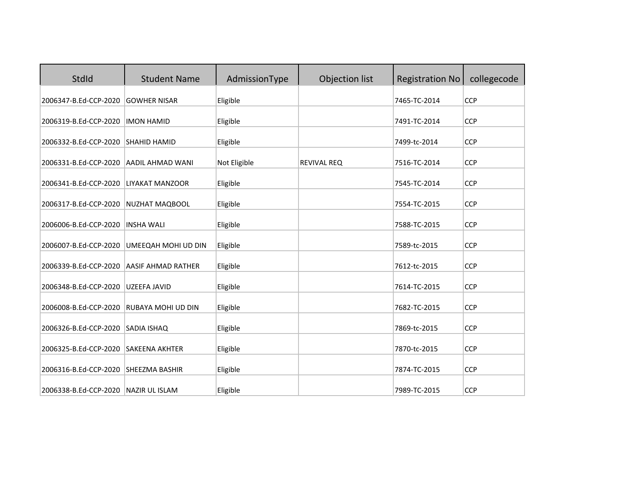| StdId                                                         | <b>Student Name</b>       | AdmissionType        | Objection list     | <b>Registration No</b>       | collegecode              |
|---------------------------------------------------------------|---------------------------|----------------------|--------------------|------------------------------|--------------------------|
| 2006347-B.Ed-CCP-2020                                         | <b>GOWHER NISAR</b>       | Eligible             |                    | 7465-TC-2014                 | <b>CCP</b>               |
| 2006319-B.Ed-CCP-2020                                         | <b>IMON HAMID</b>         | Eligible             |                    | 7491-TC-2014                 | <b>CCP</b>               |
| 2006332-B.Ed-CCP-2020                                         | <b>SHAHID HAMID</b>       | Eligible             |                    | 7499-tc-2014                 | <b>CCP</b>               |
| 2006331-B.Ed-CCP-2020                                         | <b>AADIL AHMAD WANI</b>   | Not Eligible         | <b>REVIVAL REQ</b> | 7516-TC-2014                 | <b>CCP</b>               |
| 2006341-B.Ed-CCP-2020                                         | LIYAKAT MANZOOR           | Eligible             |                    | 7545-TC-2014                 | <b>CCP</b>               |
| 2006317-B.Ed-CCP-2020                                         | NUZHAT MAQBOOL            | Eligible             |                    | 7554-TC-2015                 | <b>CCP</b>               |
| 2006006-B.Ed-CCP-2020                                         | <b>INSHA WALI</b>         | Eligible             |                    | 7588-TC-2015                 | <b>CCP</b>               |
| 2006007-B.Ed-CCP-2020                                         | UMEEQAH MOHI UD DIN       | Eligible             |                    | 7589-tc-2015                 | <b>CCP</b>               |
| 2006339-B.Ed-CCP-2020                                         | <b>AASIF AHMAD RATHER</b> | Eligible             |                    | 7612-tc-2015                 | <b>CCP</b>               |
| 2006348-B.Ed-CCP-2020                                         | <b>UZEEFA JAVID</b>       | Eligible             |                    | 7614-TC-2015                 | <b>CCP</b>               |
| 2006008-B.Ed-CCP-2020                                         | RUBAYA MOHI UD DIN        | Eligible             |                    | 7682-TC-2015                 | <b>CCP</b>               |
| 2006326-B.Ed-CCP-2020                                         | <b>SADIA ISHAQ</b>        | Eligible             |                    | 7869-tc-2015                 | <b>CCP</b>               |
|                                                               |                           |                      |                    |                              |                          |
| 2006325-B.Ed-CCP-2020                                         | <b>SAKEENA AKHTER</b>     | Eligible             |                    | 7870-tc-2015                 | <b>CCP</b>               |
| 2006316-B.Ed-CCP-2020<br>2006338-B.Ed-CCP-2020 NAZIR UL ISLAM | <b>SHEEZMA BASHIR</b>     | Eligible<br>Eligible |                    | 7874-TC-2015<br>7989-TC-2015 | <b>CCP</b><br><b>CCP</b> |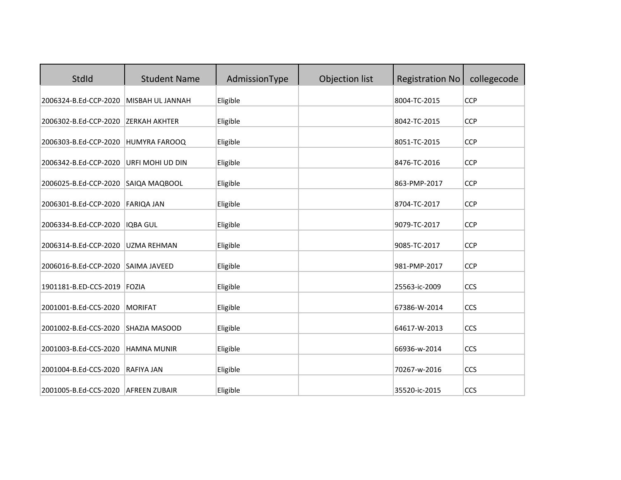| StdId                       | <b>Student Name</b>  | AdmissionType | Objection list | <b>Registration No</b> | collegecode |
|-----------------------------|----------------------|---------------|----------------|------------------------|-------------|
| 2006324-B.Ed-CCP-2020       | MISBAH UL JANNAH     | Eligible      |                | 8004-TC-2015           | <b>CCP</b>  |
| 2006302-B.Ed-CCP-2020       | <b>ZERKAH AKHTER</b> | Eligible      |                | 8042-TC-2015           | <b>CCP</b>  |
| 2006303-B.Ed-CCP-2020       | HUMYRA FAROOQ        | Eligible      |                | 8051-TC-2015           | <b>CCP</b>  |
| 2006342-B.Ed-CCP-2020       | URFI MOHI UD DIN     | Eligible      |                | 8476-TC-2016           | <b>CCP</b>  |
| 2006025-B.Ed-CCP-2020       | SAIQA MAQBOOL        | Eligible      |                | 863-PMP-2017           | <b>CCP</b>  |
| 2006301-B.Ed-CCP-2020       | <b>FARIQA JAN</b>    | Eligible      |                | 8704-TC-2017           | <b>CCP</b>  |
| 2006334-B.Ed-CCP-2020       | <b>IQBA GUL</b>      | Eligible      |                | 9079-TC-2017           | <b>CCP</b>  |
| 2006314-B.Ed-CCP-2020       | <b>UZMA REHMAN</b>   | Eligible      |                | 9085-TC-2017           | <b>CCP</b>  |
| 2006016-B.Ed-CCP-2020       | SAIMA JAVEED         | Eligible      |                | 981-PMP-2017           | <b>CCP</b>  |
| 1901181-B.ED-CCS-2019 FOZIA |                      | Eligible      |                | 25563-ic-2009          | CCS         |
| 2001001-B.Ed-CCS-2020       | <b>MORIFAT</b>       | Eligible      |                | 67386-W-2014           | CCS         |
| 2001002-B.Ed-CCS-2020       | SHAZIA MASOOD        | Eligible      |                | 64617-W-2013           | CCS         |
| 2001003-B.Ed-CCS-2020       | <b>HAMNA MUNIR</b>   | Eligible      |                | 66936-w-2014           | CCS         |
| 2001004-B.Ed-CCS-2020       | <b>RAFIYA JAN</b>    | Eligible      |                | 70267-w-2016           | CCS         |
| 2001005-B.Ed-CCS-2020       | <b>AFREEN ZUBAIR</b> | Eligible      |                | 35520-ic-2015          | CCS         |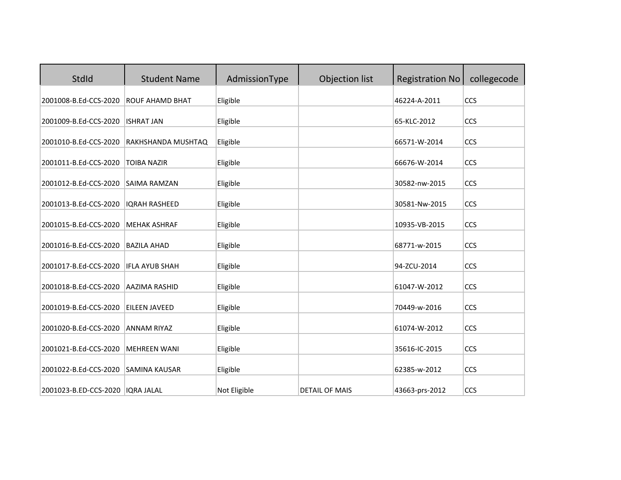| StdId                 | <b>Student Name</b>    | AdmissionType | Objection list        | <b>Registration No</b> | collegecode |
|-----------------------|------------------------|---------------|-----------------------|------------------------|-------------|
| 2001008-B.Ed-CCS-2020 | <b>ROUF AHAMD BHAT</b> | Eligible      |                       | 46224-A-2011           | CCS         |
| 2001009-B.Ed-CCS-2020 | <b>ISHRAT JAN</b>      | Eligible      |                       | 65-KLC-2012            | CCS         |
| 2001010-B.Ed-CCS-2020 | RAKHSHANDA MUSHTAQ     | Eligible      |                       | 66571-W-2014           | CCS         |
| 2001011-B.Ed-CCS-2020 | <b>TOIBA NAZIR</b>     | Eligible      |                       | 66676-W-2014           | CCS         |
| 2001012-B.Ed-CCS-2020 | <b>SAIMA RAMZAN</b>    | Eligible      |                       | 30582-nw-2015          | CCS         |
| 2001013-B.Ed-CCS-2020 | <b>IQRAH RASHEED</b>   | Eligible      |                       | 30581-Nw-2015          | CCS         |
| 2001015-B.Ed-CCS-2020 | <b>MEHAK ASHRAF</b>    | Eligible      |                       | 10935-VB-2015          | CCS         |
| 2001016-B.Ed-CCS-2020 | <b>BAZILA AHAD</b>     | Eligible      |                       | 68771-w-2015           | CCS         |
| 2001017-B.Ed-CCS-2020 | <b>IFLA AYUB SHAH</b>  | Eligible      |                       | 94-ZCU-2014            | CCS         |
| 2001018-B.Ed-CCS-2020 | AAZIMA RASHID          | Eligible      |                       | 61047-W-2012           | CCS         |
| 2001019-B.Ed-CCS-2020 | <b>EILEEN JAVEED</b>   | Eligible      |                       | 70449-w-2016           | CCS         |
| 2001020-B.Ed-CCS-2020 | <b>ANNAM RIYAZ</b>     | Eligible      |                       | 61074-W-2012           | CCS         |
| 2001021-B.Ed-CCS-2020 | <b>MEHREEN WANI</b>    | Eligible      |                       | 35616-IC-2015          | CCS         |
| 2001022-B.Ed-CCS-2020 | <b>SAMINA KAUSAR</b>   | Eligible      |                       | 62385-w-2012           | CCS         |
| 2001023-B.ED-CCS-2020 | <b>IQRA JALAL</b>      | Not Eligible  | <b>DETAIL OF MAIS</b> | 43663-prs-2012         | CCS         |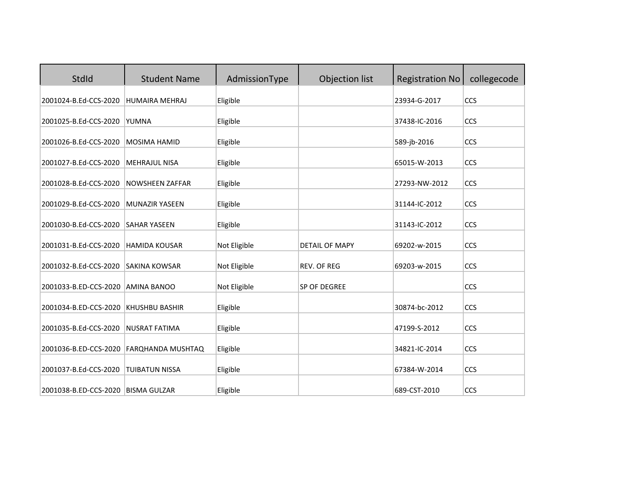| StdId                 | <b>Student Name</b>    | AdmissionType | Objection list        | <b>Registration No</b> | collegecode |
|-----------------------|------------------------|---------------|-----------------------|------------------------|-------------|
| 2001024-B.Ed-CCS-2020 | <b>HUMAIRA MEHRAJ</b>  | Eligible      |                       | 23934-G-2017           | CCS         |
| 2001025-B.Ed-CCS-2020 | YUMNA                  | Eligible      |                       | 37438-IC-2016          | CCS         |
| 2001026-B.Ed-CCS-2020 | <b>MOSIMA HAMID</b>    | Eligible      |                       | 589-jb-2016            | CCS         |
| 2001027-B.Ed-CCS-2020 | <b>MEHRAJUL NISA</b>   | Eligible      |                       | 65015-W-2013           | CCS         |
| 2001028-B.Ed-CCS-2020 | <b>NOWSHEEN ZAFFAR</b> | Eligible      |                       | 27293-NW-2012          | CCS         |
| 2001029-B.Ed-CCS-2020 | <b>MUNAZIR YASEEN</b>  | Eligible      |                       | 31144-IC-2012          | CCS         |
| 2001030-B.Ed-CCS-2020 | <b>SAHAR YASEEN</b>    | Eligible      |                       | 31143-IC-2012          | CCS         |
| 2001031-B.Ed-CCS-2020 | <b>HAMIDA KOUSAR</b>   | Not Eligible  | <b>DETAIL OF MAPY</b> | 69202-w-2015           | CCS         |
| 2001032-B.Ed-CCS-2020 | <b>SAKINA KOWSAR</b>   | Not Eligible  | REV. OF REG           | 69203-w-2015           | CCS         |
| 2001033-B.ED-CCS-2020 | <b>AMINA BANOO</b>     | Not Eligible  | SP OF DEGREE          |                        | CCS         |
| 2001034-B.ED-CCS-2020 | <b>KHUSHBU BASHIR</b>  | Eligible      |                       | 30874-bc-2012          | CCS         |
| 2001035-B.Ed-CCS-2020 | <b>NUSRAT FATIMA</b>   | Eligible      |                       | 47199-S-2012           | CCS         |
| 2001036-B.ED-CCS-2020 | FARQHANDA MUSHTAQ      | Eligible      |                       | 34821-IC-2014          | CCS         |
| 2001037-B.Ed-CCS-2020 | <b>TUIBATUN NISSA</b>  | Eligible      |                       | 67384-W-2014           | CCS         |
| 2001038-B.ED-CCS-2020 | <b>BISMA GULZAR</b>    | Eligible      |                       | 689-CST-2010           | CCS         |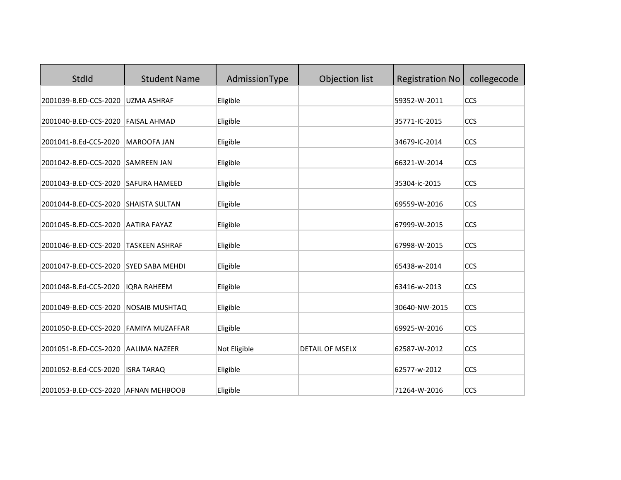| StdId                               | <b>Student Name</b>    | AdmissionType | Objection list         | <b>Registration No</b> | collegecode |
|-------------------------------------|------------------------|---------------|------------------------|------------------------|-------------|
| 2001039-B.ED-CCS-2020               | <b>UZMA ASHRAF</b>     | Eligible      |                        | 59352-W-2011           | CCS         |
| 2001040-B.ED-CCS-2020               | <b>FAISAL AHMAD</b>    | Eligible      |                        | 35771-IC-2015          | CCS         |
| 2001041-B.Ed-CCS-2020               | <b>MAROOFA JAN</b>     | Eligible      |                        | 34679-IC-2014          | CCS         |
| 2001042-B.ED-CCS-2020               | <b>SAMREEN JAN</b>     | Eligible      |                        | 66321-W-2014           | CCS         |
| 2001043-B.ED-CCS-2020               | <b>SAFURA HAMEED</b>   | Eligible      |                        | 35304-ic-2015          | CCS         |
| 2001044-B.ED-CCS-2020               | <b>SHAISTA SULTAN</b>  | Eligible      |                        | 69559-W-2016           | CCS         |
| 2001045-B.ED-CCS-2020               | <b>AATIRA FAYAZ</b>    | Eligible      |                        | 67999-W-2015           | CCS         |
| 2001046-B.ED-CCS-2020               | <b>TASKEEN ASHRAF</b>  | Eligible      |                        | 67998-W-2015           | CCS         |
| 2001047-B.ED-CCS-2020               | <b>SYED SABA MEHDI</b> | Eligible      |                        | 65438-w-2014           | CCS         |
| 2001048-B.Ed-CCS-2020               | <b>IORA RAHEEM</b>     | Eligible      |                        | 63416-w-2013           | CCS         |
| 2001049-B.ED-CCS-2020               | <b>NOSAIB MUSHTAQ</b>  | Eligible      |                        | 30640-NW-2015          | CCS         |
| 2001050-B.ED-CCS-2020               | <b>FAMIYA MUZAFFAR</b> | Eligible      |                        | 69925-W-2016           | CCS         |
| 2001051-B.ED-CCS-2020               | <b>AALIMA NAZEER</b>   | Not Eligible  | <b>DETAIL OF MSELX</b> | 62587-W-2012           | CCS         |
| 2001052-B.Ed-CCS-2020               | <b>ISRA TARAQ</b>      | Eligible      |                        | 62577-w-2012           | CCS         |
| 2001053-B.ED-CCS-2020 AFNAN MEHBOOB |                        | Eligible      |                        | 71264-W-2016           | CCS         |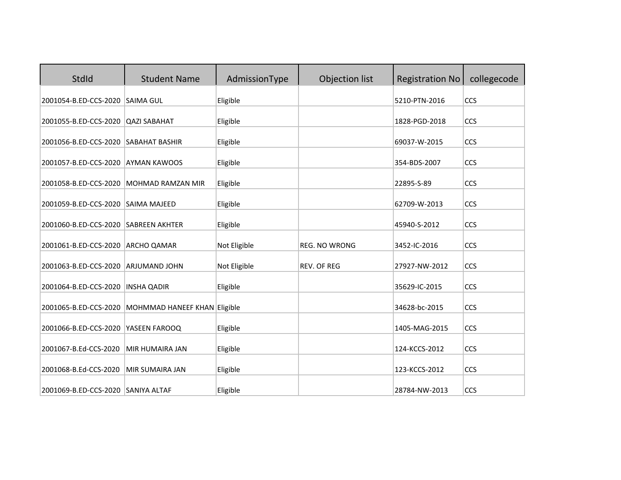| StdId                                | <b>Student Name</b>          | AdmissionType | Objection list       | <b>Registration No</b> | collegecode |
|--------------------------------------|------------------------------|---------------|----------------------|------------------------|-------------|
| 2001054-B.ED-CCS-2020                | <b>SAIMA GUL</b>             | Eligible      |                      | 5210-PTN-2016          | CCS         |
| 2001055-B.ED-CCS-2020                | <b>QAZI SABAHAT</b>          | Eligible      |                      | 1828-PGD-2018          | CCS         |
| 2001056-B.ED-CCS-2020 SABAHAT BASHIR |                              | Eligible      |                      | 69037-W-2015           | CCS         |
| 2001057-B.ED-CCS-2020                | <b>AYMAN KAWOOS</b>          | Eligible      |                      | 354-BDS-2007           | CCS         |
| 2001058-B.ED-CCS-2020                | <b>MOHMAD RAMZAN MIR</b>     | Eligible      |                      | 22895-S-89             | CCS         |
| 2001059-B.ED-CCS-2020                | <b>SAIMA MAJEED</b>          | Eligible      |                      | 62709-W-2013           | CCS         |
| 2001060-B.ED-CCS-2020                | <b>SABREEN AKHTER</b>        | Eligible      |                      | 45940-S-2012           | CCS         |
| 2001061-B.ED-CCS-2020                | <b>ARCHO QAMAR</b>           | Not Eligible  | <b>REG. NO WRONG</b> | 3452-IC-2016           | CCS         |
| 2001063-B.ED-CCS-2020                | ARJUMAND JOHN                | Not Eligible  | <b>REV. OF REG</b>   | 27927-NW-2012          | CCS         |
| 2001064-B.ED-CCS-2020                | <b>INSHA QADIR</b>           | Eligible      |                      | 35629-IC-2015          | CCS         |
| 2001065-B.ED-CCS-2020                | MOHMMAD HANEEF KHAN Eligible |               |                      | 34628-bc-2015          | CCS         |
| 2001066-B.ED-CCS-2020                | YASEEN FAROOQ                | Eligible      |                      | 1405-MAG-2015          | CCS         |
| 2001067-B.Ed-CCS-2020                | <b>MIR HUMAIRA JAN</b>       | Eligible      |                      | 124-KCCS-2012          | CCS         |
| 2001068-B.Ed-CCS-2020                | MIR SUMAIRA JAN              | Eligible      |                      | 123-KCCS-2012          | CCS         |
| 2001069-B.ED-CCS-2020 SANIYA ALTAF   |                              | Eligible      |                      | 28784-NW-2013          | CCS         |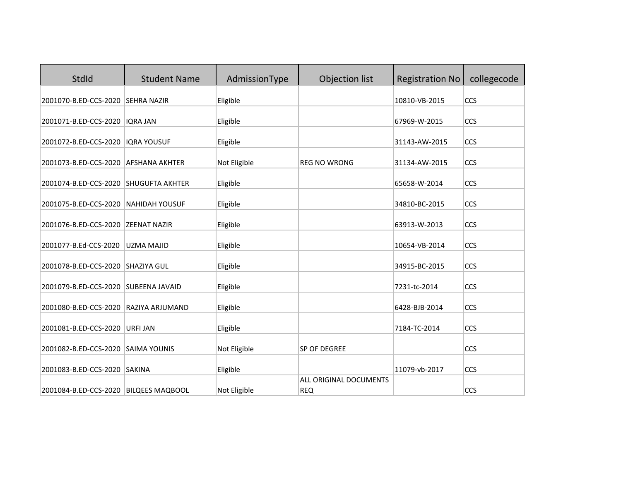| StdId                                 | <b>Student Name</b>    | AdmissionType | Objection list                       | <b>Registration No</b> | collegecode |
|---------------------------------------|------------------------|---------------|--------------------------------------|------------------------|-------------|
| 2001070-B.ED-CCS-2020                 | <b>SEHRA NAZIR</b>     | Eligible      |                                      | 10810-VB-2015          | CCS         |
| 2001071-B.ED-CCS-2020                 | <b>IQRA JAN</b>        | Eligible      |                                      | 67969-W-2015           | CCS         |
| 2001072-B.ED-CCS-2020                 | <b>IQRA YOUSUF</b>     | Eligible      |                                      | 31143-AW-2015          | CCS         |
| 2001073-B.ED-CCS-2020                 | <b>AFSHANA AKHTER</b>  | Not Eligible  | <b>REG NO WRONG</b>                  | 31134-AW-2015          | CCS         |
| 2001074-B.ED-CCS-2020                 | <b>SHUGUFTA AKHTER</b> | Eligible      |                                      | 65658-W-2014           | CCS         |
| 2001075-B.ED-CCS-2020                 | <b>NAHIDAH YOUSUF</b>  | Eligible      |                                      | 34810-BC-2015          | CCS         |
| 2001076-B.ED-CCS-2020                 | <b>ZEENAT NAZIR</b>    | Eligible      |                                      | 63913-W-2013           | CCS         |
| 2001077-B.Ed-CCS-2020                 | <b>UZMA MAJID</b>      | Eligible      |                                      | 10654-VB-2014          | CCS         |
| 2001078-B.ED-CCS-2020                 | <b>SHAZIYA GUL</b>     | Eligible      |                                      | 34915-BC-2015          | CCS         |
| 2001079-B.ED-CCS-2020                 | <b>SUBEENA JAVAID</b>  | Eligible      |                                      | 7231-tc-2014           | CCS         |
| 2001080-B.ED-CCS-2020                 | RAZIYA ARJUMAND        | Eligible      |                                      | 6428-BJB-2014          | CCS         |
| 2001081-B.ED-CCS-2020                 | <b>URFI JAN</b>        | Eligible      |                                      | 7184-TC-2014           | CCS         |
| 2001082-B.ED-CCS-2020                 | <b>SAIMA YOUNIS</b>    | Not Eligible  | SP OF DEGREE                         |                        | CCS         |
| 2001083-B.ED-CCS-2020                 | <b>SAKINA</b>          | Eligible      |                                      | 11079-vb-2017          | CCS         |
| 2001084-B.ED-CCS-2020 BILQEES MAQBOOL |                        | Not Eligible  | ALL ORIGINAL DOCUMENTS<br><b>REQ</b> |                        | CCS         |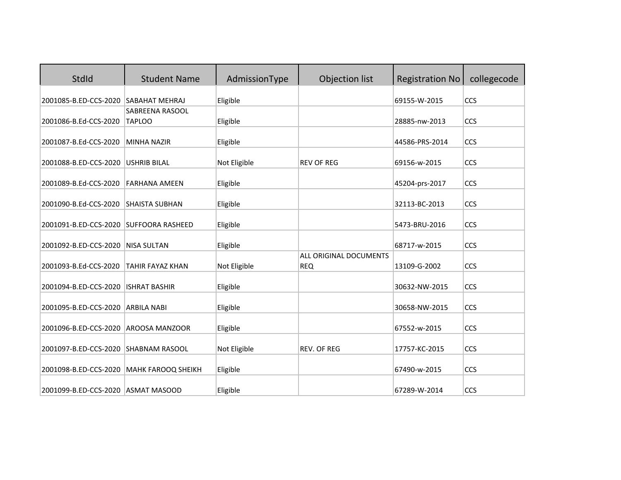| <b>StdId</b>                           | <b>Student Name</b>       | AdmissionType | Objection list                              | <b>Registration No</b> | collegecode |
|----------------------------------------|---------------------------|---------------|---------------------------------------------|------------------------|-------------|
| 2001085-B.ED-CCS-2020                  | <b>SABAHAT MEHRAJ</b>     | Eligible      |                                             | 69155-W-2015           | CCS         |
|                                        | SABREENA RASOOL           |               |                                             |                        |             |
| 2001086-B.Ed-CCS-2020                  | <b>TAPLOO</b>             | Eligible      |                                             | 28885-nw-2013          | CCS         |
| 2001087-B.Ed-CCS-2020                  | <b>MINHA NAZIR</b>        | Eligible      |                                             | 44586-PRS-2014         | CCS         |
| 2001088-B.ED-CCS-2020                  | <b>USHRIB BILAL</b>       | Not Eligible  | <b>REV OF REG</b>                           | 69156-w-2015           | CCS         |
| 2001089-B.Ed-CCS-2020                  | <b>FARHANA AMEEN</b>      | Eligible      |                                             | 45204-prs-2017         | CCS         |
| 2001090-B.Ed-CCS-2020                  | <b>SHAISTA SUBHAN</b>     | Eligible      |                                             | 32113-BC-2013          | CCS         |
| 2001091-B.ED-CCS-2020 SUFFOORA RASHEED |                           | Eligible      |                                             | 5473-BRU-2016          | CCS         |
| 2001092-B.ED-CCS-2020                  | <b>NISA SULTAN</b>        | Eligible      |                                             | 68717-w-2015           | CCS         |
| 2001093-B.Ed-CCS-2020                  | <b>TAHIR FAYAZ KHAN</b>   | Not Eligible  | <b>ALL ORIGINAL DOCUMENTS</b><br><b>REQ</b> | 13109-G-2002           | CCS         |
| 2001094-B.ED-CCS-2020                  | <b>ISHRAT BASHIR</b>      | Eligible      |                                             | 30632-NW-2015          | CCS         |
| 2001095-B.ED-CCS-2020                  | <b>ARBILA NABI</b>        | Eligible      |                                             | 30658-NW-2015          | CCS         |
| 2001096-B.ED-CCS-2020                  | <b>AROOSA MANZOOR</b>     | Eligible      |                                             | 67552-w-2015           | CCS         |
| 2001097-B.ED-CCS-2020                  | <b>SHABNAM RASOOL</b>     | Not Eligible  | <b>REV. OF REG</b>                          | 17757-KC-2015          | CCS         |
| 2001098-B.ED-CCS-2020                  | <b>MAHK FAROOQ SHEIKH</b> | Eligible      |                                             | 67490-w-2015           | CCS         |
| 2001099-B.ED-CCS-2020 ASMAT MASOOD     |                           | Eligible      |                                             | 67289-W-2014           | CCS         |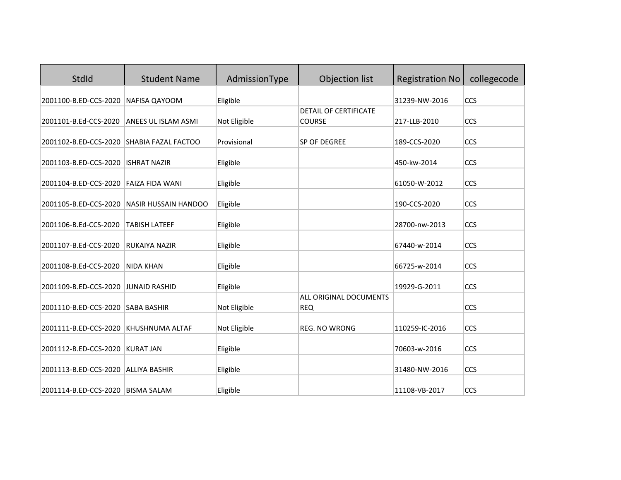| StdId                                     | <b>Student Name</b>         | AdmissionType | Objection list                         | <b>Registration No</b> | collegecode |
|-------------------------------------------|-----------------------------|---------------|----------------------------------------|------------------------|-------------|
| 2001100-B.ED-CCS-2020                     | NAFISA QAYOOM               | Eligible      |                                        | 31239-NW-2016          | <b>CCS</b>  |
| 2001101-B.Ed-CCS-2020                     | ANEES UL ISLAM ASMI         | Not Eligible  | DETAIL OF CERTIFICATE<br><b>COURSE</b> | 217-LLB-2010           | CCS         |
| 2001102-B.ED-CCS-2020 SHABIA FAZAL FACTOO |                             | Provisional   | SP OF DEGREE                           | 189-CCS-2020           | CCS         |
| 2001103-B.ED-CCS-2020                     | <b>ISHRAT NAZIR</b>         |               |                                        | 450-kw-2014            | CCS         |
|                                           |                             | Eligible      |                                        |                        |             |
| 2001104-B.ED-CCS-2020                     | <b>FAIZA FIDA WANI</b>      | Eligible      |                                        | 61050-W-2012           | CCS         |
| 2001105-B.ED-CCS-2020                     | <b>NASIR HUSSAIN HANDOO</b> | Eligible      |                                        | 190-CCS-2020           | CCS         |
| 2001106-B.Ed-CCS-2020                     | <b>TABISH LATEEF</b>        | Eligible      |                                        | 28700-nw-2013          | CCS         |
| 2001107-B.Ed-CCS-2020                     | <b>RUKAIYA NAZIR</b>        | Eligible      |                                        | 67440-w-2014           | CCS         |
| 2001108-B.Ed-CCS-2020                     | <b>NIDA KHAN</b>            | Eligible      |                                        | 66725-w-2014           | CCS         |
| 2001109-B.ED-CCS-2020                     | <b>JUNAID RASHID</b>        | Eligible      |                                        | 19929-G-2011           | CCS         |
| 2001110-B.ED-CCS-2020                     | <b>SABA BASHIR</b>          | Not Eligible  | ALL ORIGINAL DOCUMENTS<br><b>REQ</b>   |                        | CCS         |
| 2001111-B.ED-CCS-2020                     | KHUSHNUMA ALTAF             | Not Eligible  | <b>REG. NO WRONG</b>                   | 110259-IC-2016         | CCS         |
| 2001112-B.ED-CCS-2020                     | <b>KURAT JAN</b>            | Eligible      |                                        | 70603-w-2016           | CCS         |
| 2001113-B.ED-CCS-2020                     | <b>ALLIYA BASHIR</b>        | Eligible      |                                        | 31480-NW-2016          | CCS         |
| 2001114-B.ED-CCS-2020 BISMA SALAM         |                             | Eligible      |                                        | 11108-VB-2017          | CCS         |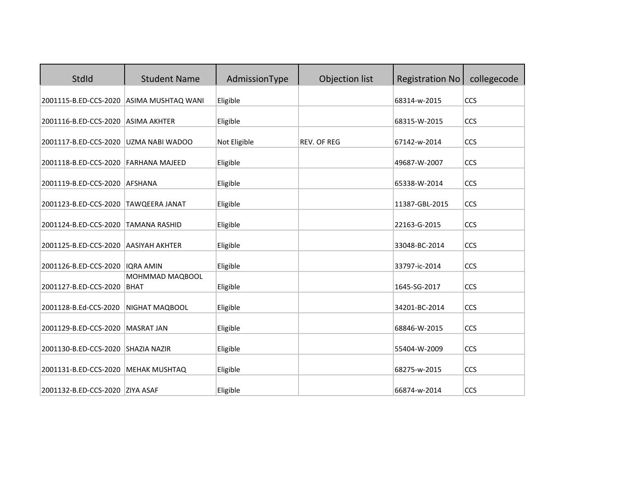| StdId                                                    | <b>Student Name</b>            | AdmissionType        | Objection list     | <b>Registration No</b>       | collegecode |
|----------------------------------------------------------|--------------------------------|----------------------|--------------------|------------------------------|-------------|
| 2001115-B.ED-CCS-2020                                    | ASIMA MUSHTAQ WANI             | Eligible             |                    | 68314-w-2015                 | CCS         |
| 2001116-B.ED-CCS-2020                                    | <b>ASIMA AKHTER</b>            | Eligible             |                    | 68315-W-2015                 | CCS         |
| 2001117-B.ED-CCS-2020                                    | UZMA NABI WADOO                | Not Eligible         | <b>REV. OF REG</b> | 67142-w-2014                 | CCS         |
| 2001118-B.ED-CCS-2020                                    | FARHANA MAJEED                 | Eligible             |                    | 49687-W-2007                 | CCS         |
| 2001119-B.ED-CCS-2020                                    | <b>AFSHANA</b>                 | Eligible             |                    | 65338-W-2014                 | CCS         |
| 2001123-B.ED-CCS-2020                                    | <b>TAWQEERA JANAT</b>          | Eligible             |                    | 11387-GBL-2015               | CCS         |
| 2001124-B.ED-CCS-2020                                    | <b>TAMANA RASHID</b>           | Eligible             |                    | 22163-G-2015                 | CCS         |
| 2001125-B.ED-CCS-2020                                    | <b>AASIYAH AKHTER</b>          | Eligible             |                    | 33048-BC-2014                | CCS         |
| 2001126-B.ED-CCS-2020                                    | <b>IQRA AMIN</b>               | Eligible             |                    | 33797-ic-2014                | CCS         |
| 2001127-B.ED-CCS-2020                                    | MOHMMAD MAQBOOL<br><b>BHAT</b> | Eligible             |                    | 1645-SG-2017                 | CCS         |
| 2001128-B.Ed-CCS-2020                                    | NIGHAT MAQBOOL                 | Eligible             |                    | 34201-BC-2014                | CCS         |
| 2001129-B.ED-CCS-2020                                    | <b>MASRAT JAN</b>              | Eligible             |                    | 68846-W-2015                 | CCS         |
| 2001130-B.ED-CCS-2020                                    |                                |                      |                    |                              |             |
|                                                          | <b>SHAZIA NAZIR</b>            | Eligible             |                    | 55404-W-2009<br>68275-w-2015 | CCS<br>CCS  |
| 2001131-B.ED-CCS-2020<br>2001132-B.ED-CCS-2020 ZIYA ASAF | <b>MEHAK MUSHTAQ</b>           | Eligible<br>Eligible |                    | 66874-w-2014                 | CCS         |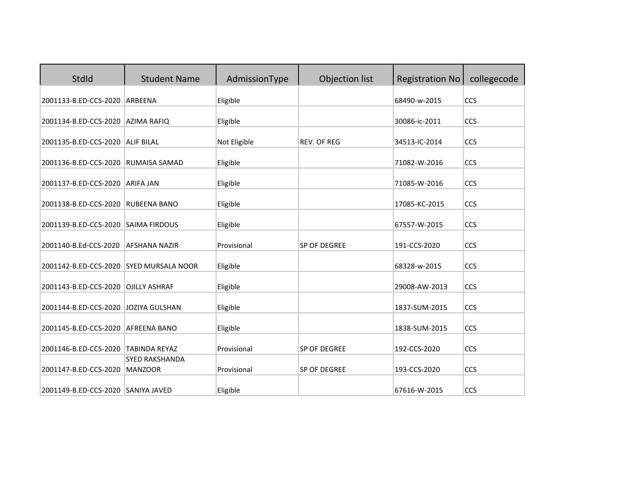| StdId                                   | <b>Student Name</b>                           | AdmissionType | Objection list     | <b>Registration No</b> | collegecode |
|-----------------------------------------|-----------------------------------------------|---------------|--------------------|------------------------|-------------|
| 2001133-B.ED-CCS-2020                   | ARBEENA                                       | Eligible      |                    | 68490-w-2015           | CCS         |
| 2001134-B.ED-CCS-2020                   | <b>AZIMA RAFIQ</b>                            | Eligible      |                    | 30086-ic-2011          | CCS         |
| 2001135-B.ED-CCS-2020                   | <b>ALIF BILAL</b>                             | Not Eligible  | <b>REV. OF REG</b> | 34513-IC-2014          | CCS         |
| 2001136-B.ED-CCS-2020                   | <b>RUMAISA SAMAD</b>                          | Eligible      |                    | 71082-W-2016           | CCS         |
| 2001137-B.ED-CCS-2020                   | <b>ARIFA JAN</b>                              | Eligible      |                    | 71085-W-2016           | CCS         |
| 2001138-B.ED-CCS-2020                   | <b>RUBEENA BANO</b>                           | Eligible      |                    | 17085-KC-2015          | CCS         |
| 2001139-B.ED-CCS-2020                   | <b>SAIMA FIRDOUS</b>                          | Eligible      |                    | 67557-W-2015           | CCS         |
| 2001140-B.Ed-CCS-2020                   | <b>AFSHANA NAZIR</b>                          | Provisional   | SP OF DEGREE       | 191-CCS-2020           | CCS         |
| 2001142-B.ED-CCS-2020 SYED MURSALA NOOR |                                               | Eligible      |                    | 68328-w-2015           | CCS         |
| 2001143-B.ED-CCS-2020                   | <b>OJILLY ASHRAF</b>                          |               |                    | 29008-AW-2013          | <b>CCS</b>  |
|                                         |                                               | Eligible      |                    |                        |             |
| 2001144-B.ED-CCS-2020                   | <b>JOZIYA GULSHAN</b>                         | Eligible      |                    | 1837-SUM-2015          | CCS         |
| 2001145-B.ED-CCS-2020                   | <b>AFREENA BANO</b>                           | Eligible      |                    | 1838-SUM-2015          | CCS         |
| 2001146-B.ED-CCS-2020                   | <b>TABINDA REYAZ</b><br><b>SYED RAKSHANDA</b> | Provisional   | SP OF DEGREE       | 192-CCS-2020           | CCS         |
| 2001147-B.ED-CCS-2020                   | <b>MANZOOR</b>                                | Provisional   | SP OF DEGREE       | 193-CCS-2020           | CCS         |
| 2001149-B.ED-CCS-2020                   | <b>SANIYA JAVED</b>                           | Eligible      |                    | 67616-W-2015           | CCS         |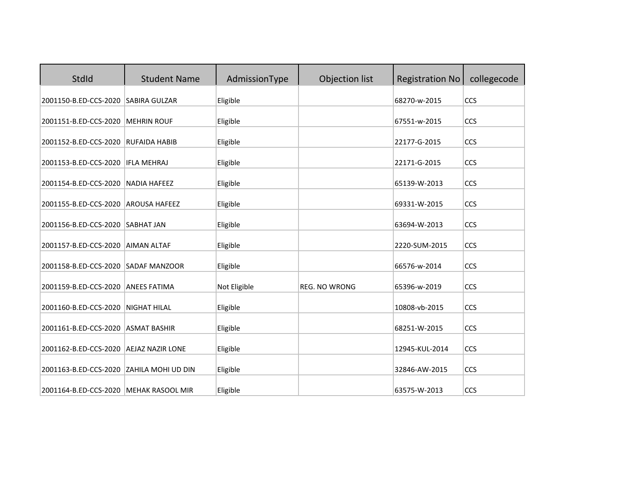| <b>StdId</b>                           | <b>Student Name</b>       | AdmissionType | Objection list       | <b>Registration No</b> | collegecode |
|----------------------------------------|---------------------------|---------------|----------------------|------------------------|-------------|
| 2001150-B.ED-CCS-2020                  | SABIRA GULZAR             | Eligible      |                      | 68270-w-2015           | CCS         |
| 2001151-B.ED-CCS-2020                  | <b>MEHRIN ROUF</b>        | Eligible      |                      | 67551-w-2015           | CCS         |
| 2001152-B.ED-CCS-2020 RUFAIDA HABIB    |                           | Eligible      |                      | 22177-G-2015           | CCS         |
| 2001153-B.ED-CCS-2020                  | <b>IFLA MEHRAJ</b>        | Eligible      |                      | 22171-G-2015           | CCS         |
| 2001154-B.ED-CCS-2020                  | <b>NADIA HAFEEZ</b>       | Eligible      |                      | 65139-W-2013           | CCS         |
| 2001155-B.ED-CCS-2020                  | <b>AROUSA HAFEEZ</b>      | Eligible      |                      | 69331-W-2015           | CCS         |
| 2001156-B.ED-CCS-2020                  | SABHAT JAN                | Eligible      |                      | 63694-W-2013           | CCS         |
| 2001157-B.ED-CCS-2020                  | <b>AIMAN ALTAF</b>        | Eligible      |                      | 2220-SUM-2015          | CCS         |
| 2001158-B.ED-CCS-2020                  | <b>SADAF MANZOOR</b>      | Eligible      |                      | 66576-w-2014           | CCS         |
| 2001159-B.ED-CCS-2020                  | <b>ANEES FATIMA</b>       | Not Eligible  | <b>REG. NO WRONG</b> | 65396-w-2019           | CCS         |
| 2001160-B.ED-CCS-2020                  | <b>NIGHAT HILAL</b>       | Eligible      |                      | 10808-vb-2015          | CCS         |
| 2001161-B.ED-CCS-2020                  | <b>ASMAT BASHIR</b>       | Eligible      |                      | 68251-W-2015           | CCS         |
| 2001162-B.ED-CCS-2020                  | <b>AEJAZ NAZIR LONE</b>   | Eligible      |                      | 12945-KUL-2014         | <b>CCS</b>  |
| 2001163-B.ED-CCS-2020                  | <b>ZAHILA MOHI UD DIN</b> | Eligible      |                      | 32846-AW-2015          | CCS         |
| 2001164-B.ED-CCS-2020 MEHAK RASOOL MIR |                           | Eligible      |                      | 63575-W-2013           | CCS         |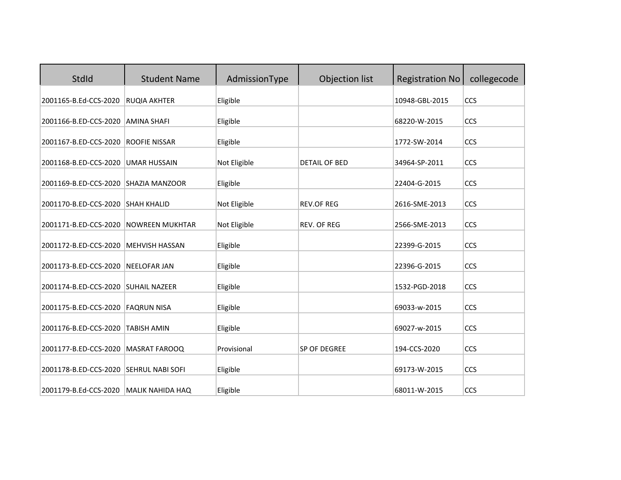| StdId                                  | <b>Student Name</b>     | AdmissionType | Objection list       | <b>Registration No</b> | collegecode |
|----------------------------------------|-------------------------|---------------|----------------------|------------------------|-------------|
| 2001165-B.Ed-CCS-2020                  | <b>RUQIA AKHTER</b>     | Eligible      |                      | 10948-GBL-2015         | CCS         |
| 2001166-B.ED-CCS-2020                  | <b>AMINA SHAFI</b>      | Eligible      |                      | 68220-W-2015           | CCS         |
| 2001167-B.ED-CCS-2020                  | <b>ROOFIE NISSAR</b>    | Eligible      |                      | 1772-SW-2014           | CCS         |
| 2001168-B.ED-CCS-2020                  | <b>UMAR HUSSAIN</b>     | Not Eligible  | <b>DETAIL OF BED</b> | 34964-SP-2011          | CCS         |
| 2001169-B.ED-CCS-2020                  | <b>SHAZIA MANZOOR</b>   | Eligible      |                      | 22404-G-2015           | CCS         |
| 2001170-B.ED-CCS-2020                  | <b>SHAH KHALID</b>      | Not Eligible  | <b>REV.OF REG</b>    | 2616-SME-2013          | CCS         |
| 2001171-B.ED-CCS-2020                  | <b>NOWREEN MUKHTAR</b>  | Not Eligible  | <b>REV. OF REG</b>   | 2566-SME-2013          | CCS         |
| 2001172-B.ED-CCS-2020                  | <b>MEHVISH HASSAN</b>   | Eligible      |                      | 22399-G-2015           | CCS         |
| 2001173-B.ED-CCS-2020                  | <b>NEELOFAR JAN</b>     | Eligible      |                      | 22396-G-2015           | CCS         |
| 2001174-B.ED-CCS-2020                  | SUHAIL NAZEER           | Eligible      |                      | 1532-PGD-2018          | CCS         |
| 2001175-B.ED-CCS-2020                  | <b>FAQRUN NISA</b>      | Eligible      |                      | 69033-w-2015           | CCS         |
| 2001176-B.ED-CCS-2020                  | <b>TABISH AMIN</b>      | Eligible      |                      | 69027-w-2015           | CCS         |
| 2001177-B.ED-CCS-2020                  | <b>MASRAT FAROOQ</b>    | Provisional   | SP OF DEGREE         | 194-CCS-2020           | CCS         |
| 2001178-B.ED-CCS-2020 SEHRUL NABI SOFI |                         | Eligible      |                      | 69173-W-2015           | CCS         |
| 2001179-B.Ed-CCS-2020                  | <b>MALIK NAHIDA HAQ</b> | Eligible      |                      | 68011-W-2015           | CCS         |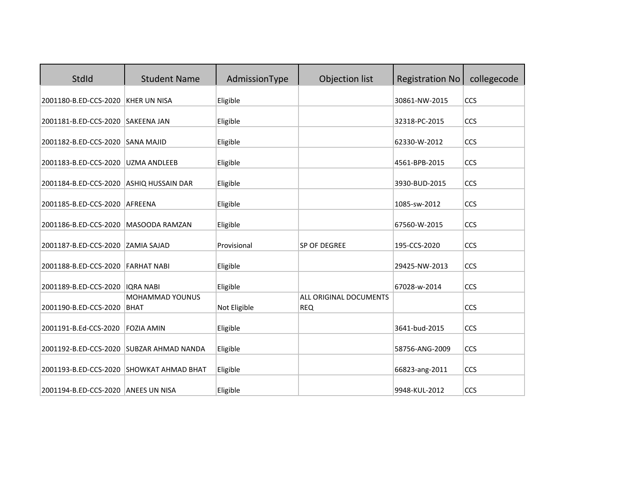| StdId                                    | <b>Student Name</b>                      | AdmissionType | Objection list                       | <b>Registration No</b> | collegecode |
|------------------------------------------|------------------------------------------|---------------|--------------------------------------|------------------------|-------------|
| 2001180-B.ED-CCS-2020                    | <b>KHER UN NISA</b>                      | Eligible      |                                      | 30861-NW-2015          | CCS         |
| 2001181-B.ED-CCS-2020                    | <b>SAKEENA JAN</b>                       | Eligible      |                                      | 32318-PC-2015          | CCS         |
| 2001182-B.ED-CCS-2020 SANA MAJID         |                                          | Eligible      |                                      | 62330-W-2012           | CCS         |
| 2001183-B.ED-CCS-2020                    | <b>UZMA ANDLEEB</b>                      | Eligible      |                                      | 4561-BPB-2015          | CCS         |
| 2001184-B.ED-CCS-2020                    | <b>ASHIQ HUSSAIN DAR</b>                 | Eligible      |                                      | 3930-BUD-2015          | CCS         |
| 2001185-B.ED-CCS-2020                    | AFREENA                                  | Eligible      |                                      | 1085-sw-2012           | CCS         |
| 2001186-B.ED-CCS-2020                    | MASOODA RAMZAN                           | Eligible      |                                      | 67560-W-2015           | CCS         |
| 2001187-B.ED-CCS-2020                    | <b>ZAMIA SAJAD</b>                       | Provisional   | SP OF DEGREE                         | 195-CCS-2020           | CCS         |
| 2001188-B.ED-CCS-2020 FARHAT NABI        |                                          | Eligible      |                                      | 29425-NW-2013          | <b>CCS</b>  |
| 2001189-B.ED-CCS-2020                    | <b>IORA NABI</b>                         | Eligible      |                                      | 67028-w-2014           | CCS         |
| 2001190-B.ED-CCS-2020                    | <b>MOHAMMAD YOUNUS</b><br><b>BHAT</b>    | Not Eligible  | ALL ORIGINAL DOCUMENTS<br><b>REQ</b> |                        | CCS         |
| 2001191-B.Ed-CCS-2020                    | <b>FOZIA AMIN</b>                        |               |                                      | 3641-bud-2015          | CCS         |
|                                          |                                          | Eligible      |                                      |                        |             |
| 2001192-B.ED-CCS-2020 SUBZAR AHMAD NANDA |                                          | Eligible      |                                      | 58756-ANG-2009         | CCS         |
|                                          | 2001193-B.ED-CCS-2020 SHOWKAT AHMAD BHAT | Eligible      |                                      | 66823-ang-2011         | CCS         |
| 2001194-B.ED-CCS-2020 ANEES UN NISA      |                                          | Eligible      |                                      | 9948-KUL-2012          | CCS         |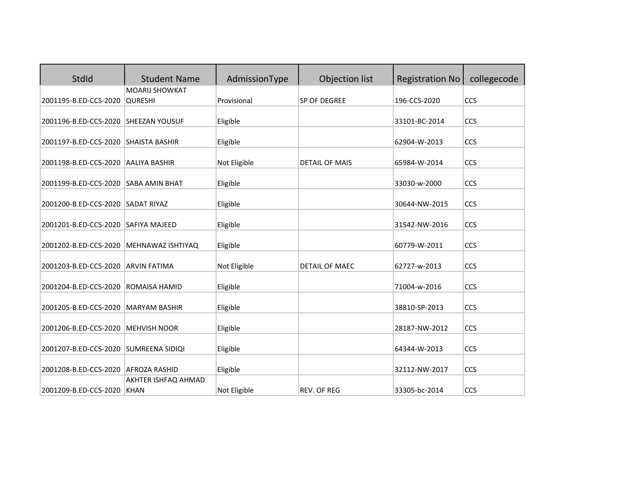| StdId                                | <b>Student Name</b>                | AdmissionType | Objection list        | <b>Registration No</b> | collegecode |
|--------------------------------------|------------------------------------|---------------|-----------------------|------------------------|-------------|
|                                      | <b>MOARIJ SHOWKAT</b>              |               |                       |                        |             |
| 2001195-B.ED-CCS-2020                | <b>QURESHI</b>                     | Provisional   | SP OF DEGREE          | 196-CCS-2020           | CCS         |
| 2001196-B.ED-CCS-2020                | <b>SHEEZAN YOUSUF</b>              | Eligible      |                       | 33101-BC-2014          | CCS         |
|                                      |                                    |               |                       |                        |             |
| 2001197-B.ED-CCS-2020 SHAISTA BASHIR |                                    | Eligible      |                       | 62904-W-2013           | CCS         |
| 2001198-B.ED-CCS-2020                | <b>AALIYA BASHIR</b>               | Not Eligible  | <b>DETAIL OF MAIS</b> | 65984-W-2014           | <b>CCS</b>  |
| 2001199-B.ED-CCS-2020                | SABA AMIN BHAT                     | Eligible      |                       | 33030-w-2000           | CCS         |
|                                      |                                    |               |                       |                        |             |
| 2001200-B.ED-CCS-2020                | <b>SADAT RIYAZ</b>                 | Eligible      |                       | 30644-NW-2015          | CCS         |
| 2001201-B.ED-CCS-2020                | <b>SAFIYA MAJEED</b>               | Eligible      |                       | 31542-NW-2016          | <b>CCS</b>  |
| 2001202-B.ED-CCS-2020                | MEHNAWAZ ISHTIYAQ                  | Eligible      |                       | 60779-W-2011           | CCS         |
| 2001203-B.ED-CCS-2020                | <b>ARVIN FATIMA</b>                | Not Eligible  | DETAIL OF MAEC        | 62727-w-2013           | CCS         |
| 2001204-B.ED-CCS-2020                | <b>ROMAISA HAMID</b>               | Eligible      |                       | 71004-w-2016           | <b>CCS</b>  |
| 2001205-B.ED-CCS-2020                | <b>MARYAM BASHIR</b>               | Eligible      |                       | 38810-SP-2013          | CCS         |
| 2001206-B.ED-CCS-2020                | <b>MEHVISH NOOR</b>                | Eligible      |                       | 28187-NW-2012          | CCS         |
| 2001207-B.ED-CCS-2020                | SUMREENA SIDIQI                    | Eligible      |                       | 64344-W-2013           | CCS         |
| 2001208-B.ED-CCS-2020                | <b>AFROZA RASHID</b>               | Eligible      |                       | 32112-NW-2017          | CCS         |
| 2001209-B.ED-CCS-2020                | AKHTER ISHFAQ AHMAD<br><b>KHAN</b> | Not Eligible  | <b>REV. OF REG</b>    | 33305-bc-2014          | CCS         |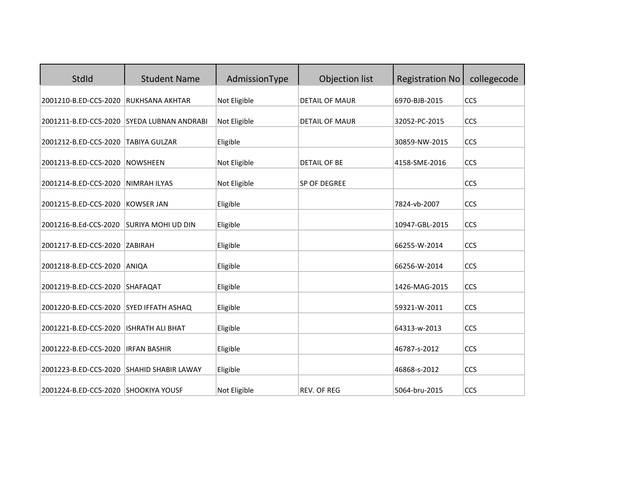| StdId                                     | <b>Student Name</b>         | AdmissionType | Objection list        | <b>Registration No</b> | collegecode |
|-------------------------------------------|-----------------------------|---------------|-----------------------|------------------------|-------------|
| 2001210-B.ED-CCS-2020                     | <b>RUKHSANA AKHTAR</b>      | Not Eligible  | <b>DETAIL OF MAUR</b> | 6970-BJB-2015          | CCS         |
| 2001211-B.ED-CCS-2020                     | <b>SYEDA LUBNAN ANDRABI</b> | Not Eligible  | <b>DETAIL OF MAUR</b> | 32052-PC-2015          | CCS         |
| 2001212-B.ED-CCS-2020                     | <b>TABIYA GULZAR</b>        | Eligible      |                       | 30859-NW-2015          | CCS         |
| 2001213-B.ED-CCS-2020                     | <b>NOWSHEEN</b>             | Not Eligible  | <b>DETAIL OF BE</b>   | 4158-SME-2016          | CCS         |
| 2001214-B.ED-CCS-2020                     | <b>NIMRAH ILYAS</b>         | Not Eligible  | SP OF DEGREE          |                        | CCS         |
| 2001215-B.ED-CCS-2020                     | <b>KOWSER JAN</b>           | Eligible      |                       | 7824-vb-2007           | CCS         |
| 2001216-B.Ed-CCS-2020                     | <b>SURIYA MOHI UD DIN</b>   | Eligible      |                       | 10947-GBL-2015         | CCS         |
| 2001217-B.ED-CCS-2020                     | <b>ZABIRAH</b>              | Eligible      |                       | 66255-W-2014           | CCS         |
| 2001218-B.ED-CCS-2020                     | ANIQA                       | Eligible      |                       | 66256-W-2014           | CCS         |
| 2001219-B.ED-CCS-2020                     | SHAFAQAT                    | Eligible      |                       | 1426-MAG-2015          | CCS         |
| 2001220-B.ED-CCS-2020 SYED IFFATH ASHAQ   |                             | Eligible      |                       | 59321-W-2011           | CCS         |
| 2001221-B.ED-CCS-2020                     | <b>ISHRATH ALI BHAT</b>     | Eligible      |                       | 64313-w-2013           | CCS         |
| 2001222-B.ED-CCS-2020                     | <b>IRFAN BASHIR</b>         | Eligible      |                       | 46787-s-2012           | CCS         |
| 2001223-B.ED-CCS-2020 SHAHID SHABIR LAWAY |                             | Eligible      |                       | 46868-s-2012           | CCS         |
| 2001224-B.ED-CCS-2020 SHOOKIYA YOUSF      |                             | Not Eligible  | <b>REV. OF REG</b>    | 5064-bru-2015          | CCS         |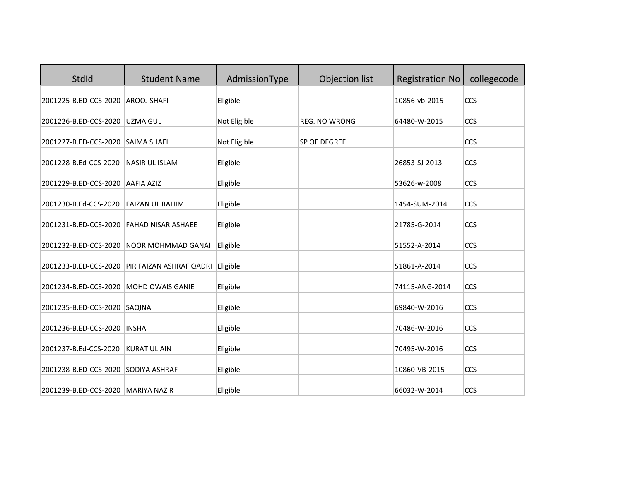| StdId                               | <b>Student Name</b>       | AdmissionType | Objection list       | <b>Registration No</b> | collegecode |
|-------------------------------------|---------------------------|---------------|----------------------|------------------------|-------------|
| 2001225-B.ED-CCS-2020               | <b>AROOJ SHAFI</b>        | Eligible      |                      | 10856-vb-2015          | CCS         |
| 2001226-B.ED-CCS-2020               | <b>UZMA GUL</b>           | Not Eligible  | <b>REG. NO WRONG</b> | 64480-W-2015           | <b>CCS</b>  |
| 2001227-B.ED-CCS-2020               | <b>SAIMA SHAFI</b>        | Not Eligible  | <b>SP OF DEGREE</b>  |                        | <b>CCS</b>  |
| 2001228-B.Ed-CCS-2020               | <b>NASIR UL ISLAM</b>     | Eligible      |                      | 26853-SJ-2013          | CCS         |
| 2001229-B.ED-CCS-2020               | <b>AAFIA AZIZ</b>         | Eligible      |                      | 53626-w-2008           | CCS         |
| 2001230-B.Ed-CCS-2020               | <b>FAIZAN UL RAHIM</b>    | Eligible      |                      | 1454-SUM-2014          | CCS         |
| 2001231-B.ED-CCS-2020               | <b>FAHAD NISAR ASHAEE</b> | Eligible      |                      | 21785-G-2014           | CCS         |
| 2001232-B.ED-CCS-2020               | NOOR MOHMMAD GANAI        | Eligible      |                      | 51552-A-2014           | CCS         |
| 2001233-B.ED-CCS-2020               | PIR FAIZAN ASHRAF QADRI   | Eligible      |                      | 51861-A-2014           | CCS         |
| 2001234-B.ED-CCS-2020               | <b>MOHD OWAIS GANIE</b>   | Eligible      |                      | 74115-ANG-2014         | CCS         |
| 2001235-B.ED-CCS-2020 SAQINA        |                           | Eligible      |                      | 69840-W-2016           | CCS         |
| 2001236-B.ED-CCS-2020               | <b>INSHA</b>              | Eligible      |                      | 70486-W-2016           | CCS         |
| 2001237-B.Ed-CCS-2020               | <b>KURAT UL AIN</b>       | Eligible      |                      | 70495-W-2016           | CCS         |
| 2001238-B.ED-CCS-2020 SODIYA ASHRAF |                           | Eligible      |                      | 10860-VB-2015          | CCS         |
| 2001239-B.ED-CCS-2020 MARIYA NAZIR  |                           | Eligible      |                      | 66032-W-2014           | CCS         |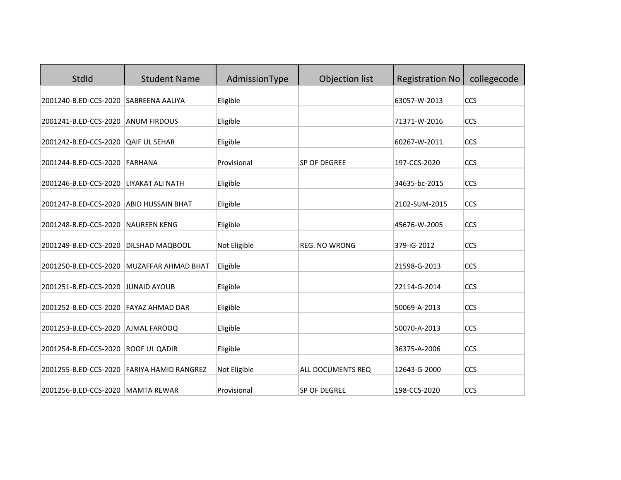| StdId                              | <b>Student Name</b>         | AdmissionType | Objection list       | <b>Registration No</b> | collegecode |
|------------------------------------|-----------------------------|---------------|----------------------|------------------------|-------------|
| 2001240-B.ED-CCS-2020              | <b>SABREENA AALIYA</b>      | Eligible      |                      | 63057-W-2013           | CCS         |
| 2001241-B.ED-CCS-2020              | <b>ANUM FIRDOUS</b>         | Eligible      |                      | 71371-W-2016           | CCS         |
| 2001242-B.ED-CCS-2020              | <b>QAIF UL SEHAR</b>        | Eligible      |                      | 60267-W-2011           | CCS         |
| 2001244-B.ED-CCS-2020              | <b>FARHANA</b>              | Provisional   | SP OF DEGREE         | 197-CCS-2020           | CCS         |
| 2001246-B.ED-CCS-2020              | LIYAKAT ALI NATH            | Eligible      |                      | 34635-bc-2015          | CCS         |
| 2001247-B.ED-CCS-2020              | <b>ABID HUSSAIN BHAT</b>    | Eligible      |                      | 2102-SUM-2015          | CCS         |
| 2001248-B.ED-CCS-2020              | <b>NAUREEN KENG</b>         | Eligible      |                      | 45676-W-2005           | CCS         |
| 2001249-B.ED-CCS-2020              | DILSHAD MAQBOOL             | Not Eligible  | <b>REG. NO WRONG</b> | 379-iG-2012            | CCS         |
| 2001250-B.ED-CCS-2020              | <b>MUZAFFAR AHMAD BHAT</b>  | Eligible      |                      | 21598-G-2013           | <b>CCS</b>  |
| 2001251-B.ED-CCS-2020 JUNAID AYOUB |                             | Eligible      |                      | 22114-G-2014           | CCS         |
| 2001252-B.ED-CCS-2020              | FAYAZ AHMAD DAR             | Eligible      |                      | 50069-A-2013           | CCS         |
| 2001253-B.ED-CCS-2020              | AJMAL FAROOQ                | Eligible      |                      | 50070-A-2013           | CCS         |
| 2001254-B.ED-CCS-2020              | <b>ROOF UL QADIR</b>        | Eligible      |                      | 36375-A-2006           | CCS         |
| 2001255-B.ED-CCS-2020              | <b>FARIYA HAMID RANGREZ</b> | Not Eligible  | ALL DOCUMENTS REQ    | 12643-G-2000           | CCS         |
| 2001256-B.ED-CCS-2020 MAMTA REWAR  |                             | Provisional   | <b>SP OF DEGREE</b>  | 198-CCS-2020           | CCS         |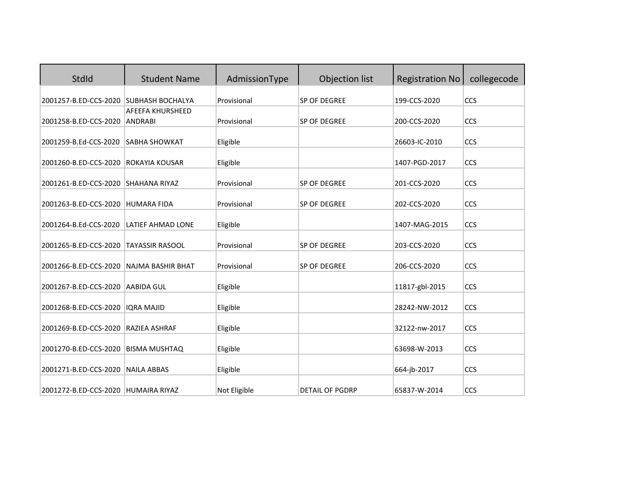| StdId                                  | <b>Student Name</b>                       | AdmissionType | Objection list         | <b>Registration No</b> | collegecode |
|----------------------------------------|-------------------------------------------|---------------|------------------------|------------------------|-------------|
| 2001257-B.ED-CCS-2020 SUBHASH BOCHALYA |                                           | Provisional   | SP OF DEGREE           | 199-CCS-2020           | <b>CCS</b>  |
| 2001258-B.ED-CCS-2020                  | <b>AFEEFA KHURSHEED</b><br><b>ANDRABI</b> | Provisional   | SP OF DEGREE           | 200-CCS-2020           | CCS         |
| 2001259-B.Ed-CCS-2020                  | <b>SABHA SHOWKAT</b>                      | Eligible      |                        | 26603-IC-2010          | CCS         |
| 2001260-B.ED-CCS-2020                  | ROKAYIA KOUSAR                            | Eligible      |                        | 1407-PGD-2017          | CCS         |
| 2001261-B.ED-CCS-2020                  | <b>SHAHANA RIYAZ</b>                      | Provisional   | SP OF DEGREE           | 201-CCS-2020           | CCS         |
| 2001263-B.ED-CCS-2020                  | <b>HUMARA FIDA</b>                        | Provisional   | SP OF DEGREE           | 202-CCS-2020           | CCS         |
| 2001264-B.Ed-CCS-2020                  | LATIEF AHMAD LONE                         | Eligible      |                        | 1407-MAG-2015          | CCS         |
| 2001265-B.ED-CCS-2020                  | <b>TAYASSIR RASOOL</b>                    | Provisional   | SP OF DEGREE           | 203-CCS-2020           | CCS         |
| 2001266-B.ED-CCS-2020                  | <b>NAJMA BASHIR BHAT</b>                  | Provisional   | SP OF DEGREE           | 206-CCS-2020           | CCS         |
| 2001267-B.ED-CCS-2020                  | <b>AABIDA GUL</b>                         | Eligible      |                        | 11817-gbl-2015         | <b>CCS</b>  |
| 2001268-B.ED-CCS-2020                  | <b>IQRA MAJID</b>                         | Eligible      |                        | 28242-NW-2012          | CCS         |
| 2001269-B.ED-CCS-2020                  | RAZIEA ASHRAF                             | Eligible      |                        | 32122-nw-2017          | CCS         |
| 2001270-B.ED-CCS-2020                  | <b>BISMA MUSHTAQ</b>                      | Eligible      |                        | 63698-W-2013           | CCS         |
| 2001271-B.ED-CCS-2020                  | <b>NAILA ABBAS</b>                        | Eligible      |                        | 664-jb-2017            | CCS         |
| 2001272-B.ED-CCS-2020                  | <b>HUMAIRA RIYAZ</b>                      | Not Eligible  | <b>DETAIL OF PGDRP</b> | 65837-W-2014           | CCS         |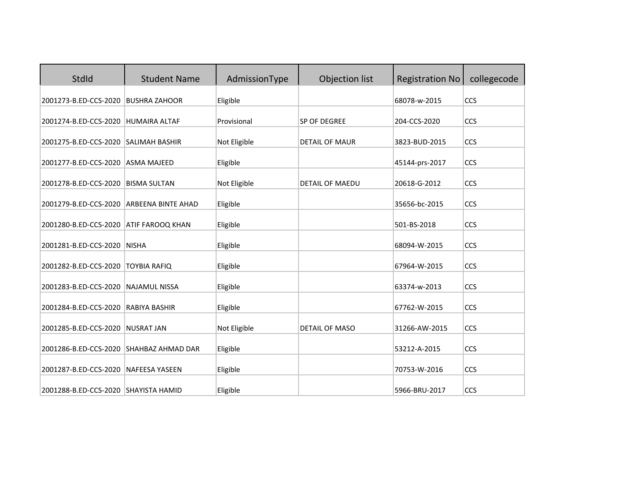| StdId                                                         | <b>Student Name</b>       | AdmissionType        | Objection list         | <b>Registration No</b>        | collegecode |
|---------------------------------------------------------------|---------------------------|----------------------|------------------------|-------------------------------|-------------|
| 2001273-B.ED-CCS-2020                                         | <b>BUSHRA ZAHOOR</b>      | Eligible             |                        | 68078-w-2015                  | CCS         |
| 2001274-B.ED-CCS-2020                                         | <b>HUMAIRA ALTAF</b>      | Provisional          | <b>SP OF DEGREE</b>    | 204-CCS-2020                  | CCS         |
| 2001275-B.ED-CCS-2020                                         | <b>SALIMAH BASHIR</b>     | Not Eligible         | <b>DETAIL OF MAUR</b>  | 3823-BUD-2015                 | CCS         |
| 2001277-B.ED-CCS-2020                                         | <b>ASMA MAJEED</b>        | Eligible             |                        | 45144-prs-2017                | CCS         |
| 2001278-B.ED-CCS-2020                                         | <b>BISMA SULTAN</b>       | Not Eligible         | <b>DETAIL OF MAEDU</b> | 20618-G-2012                  | CCS         |
| 2001279-B.ED-CCS-2020                                         | <b>ARBEENA BINTE AHAD</b> | Eligible             |                        | 35656-bc-2015                 | CCS         |
| 2001280-B.ED-CCS-2020                                         | <b>ATIF FAROOQ KHAN</b>   | Eligible             |                        | 501-BS-2018                   | CCS         |
| 2001281-B.ED-CCS-2020                                         | <b>NISHA</b>              | Eligible             |                        | 68094-W-2015                  | CCS         |
| 2001282-B.ED-CCS-2020                                         | <b>TOYBIA RAFIQ</b>       | Eligible             |                        | 67964-W-2015                  | CCS         |
| 2001283-B.ED-CCS-2020                                         | <b>NAJAMUL NISSA</b>      | Eligible             |                        | 63374-w-2013                  | CCS         |
| 2001284-B.ED-CCS-2020                                         | <b>RABIYA BASHIR</b>      | Eligible             |                        | 67762-W-2015                  | CCS         |
| 2001285-B.ED-CCS-2020                                         | <b>NUSRAT JAN</b>         | Not Eligible         | <b>DETAIL OF MASO</b>  | 31266-AW-2015                 | CCS         |
| 2001286-B.ED-CCS-2020 SHAHBAZ AHMAD DAR                       |                           |                      |                        |                               |             |
|                                                               |                           | Eligible             |                        | 53212-A-2015                  | CCS         |
| 2001287-B.ED-CCS-2020<br>2001288-B.ED-CCS-2020 SHAYISTA HAMID | <b>NAFEESA YASEEN</b>     | Eligible<br>Eligible |                        | 70753-W-2016<br>5966-BRU-2017 | CCS<br>CCS  |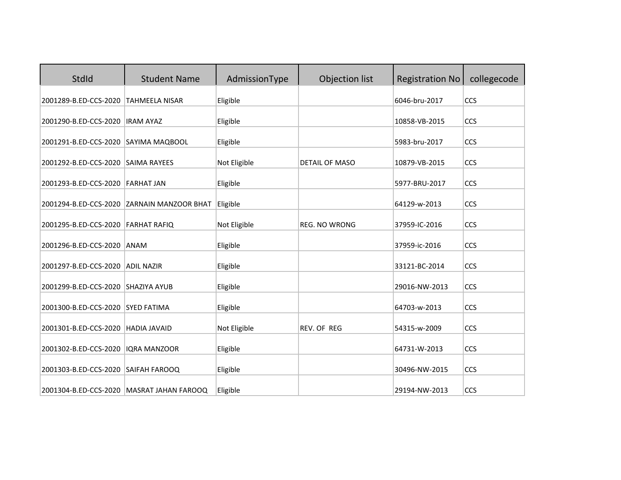| StdId                                | <b>Student Name</b>                        | AdmissionType        | Objection list       | <b>Registration No</b>         | collegecode |
|--------------------------------------|--------------------------------------------|----------------------|----------------------|--------------------------------|-------------|
| 2001289-B.ED-CCS-2020                | TAHMEELA NISAR                             | Eligible             |                      | 6046-bru-2017                  | CCS         |
| 2001290-B.ED-CCS-2020                | <b>IRAM AYAZ</b>                           | Eligible             |                      | 10858-VB-2015                  | CCS         |
| 2001291-B.ED-CCS-2020 SAYIMA MAQBOOL |                                            | Eligible             |                      | 5983-bru-2017                  | CCS         |
| 2001292-B.ED-CCS-2020 SAIMA RAYEES   |                                            | Not Eligible         | DETAIL OF MASO       | 10879-VB-2015                  | CCS         |
| 2001293-B.ED-CCS-2020                | <b>FARHAT JAN</b>                          | Eligible             |                      | 5977-BRU-2017                  | CCS         |
|                                      | 2001294-B.ED-CCS-2020 ZARNAIN MANZOOR BHAT | Eligible             |                      | 64129-w-2013                   | CCS         |
| 2001295-B.ED-CCS-2020                | <b>FARHAT RAFIQ</b>                        | Not Eligible         | <b>REG. NO WRONG</b> | 37959-IC-2016                  | CCS         |
| 2001296-B.ED-CCS-2020                | ANAM                                       | Eligible             |                      | 37959-ic-2016                  | CCS         |
| 2001297-B.ED-CCS-2020                | <b>ADIL NAZIR</b>                          | Eligible             |                      | 33121-BC-2014                  | CCS         |
| 2001299-B.ED-CCS-2020                | SHAZIYA AYUB                               | Eligible             |                      | 29016-NW-2013                  | CCS         |
| 2001300-B.ED-CCS-2020                | <b>SYED FATIMA</b>                         | Eligible             |                      | 64703-w-2013                   | CCS         |
| 2001301-B.ED-CCS-2020                | <b>HADIA JAVAID</b>                        | Not Eligible         | <b>REV. OF REG</b>   | 54315-w-2009                   | CCS         |
| 2001302-B.ED-CCS-2020                | <b>IQRA MANZOOR</b>                        | Eligible             |                      | 64731-W-2013                   | CCS         |
|                                      |                                            |                      |                      |                                | CCS         |
| 2001303-B.ED-CCS-2020 SAIFAH FAROOQ  | 2001304-B.ED-CCS-2020 MASRAT JAHAN FAROOQ  | Eligible<br>Eligible |                      | 30496-NW-2015<br>29194-NW-2013 | CCS         |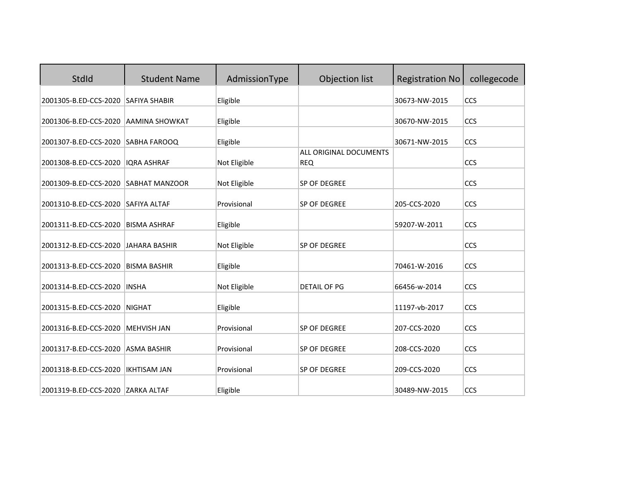| StdId                              | <b>Student Name</b>   | AdmissionType | Objection list                       | <b>Registration No</b> | collegecode |
|------------------------------------|-----------------------|---------------|--------------------------------------|------------------------|-------------|
| 2001305-B.ED-CCS-2020              | <b>SAFIYA SHABIR</b>  | Eligible      |                                      | 30673-NW-2015          | CCS         |
| 2001306-B.ED-CCS-2020              | AAMINA SHOWKAT        | Eligible      |                                      | 30670-NW-2015          | CCS         |
| 2001307-B.ED-CCS-2020 SABHA FAROOQ |                       | Eligible      |                                      | 30671-NW-2015          | CCS         |
| 2001308-B.ED-CCS-2020              | <b>IQRA ASHRAF</b>    | Not Eligible  | ALL ORIGINAL DOCUMENTS<br><b>REQ</b> |                        | CCS         |
| 2001309-B.ED-CCS-2020              | <b>SABHAT MANZOOR</b> | Not Eligible  | <b>SP OF DEGREE</b>                  |                        | CCS         |
| 2001310-B.ED-CCS-2020              | <b>SAFIYA ALTAF</b>   | Provisional   | SP OF DEGREE                         | 205-CCS-2020           | CCS         |
| 2001311-B.ED-CCS-2020              | <b>BISMA ASHRAF</b>   | Eligible      |                                      | 59207-W-2011           | CCS         |
| 2001312-B.ED-CCS-2020              | <b>JAHARA BASHIR</b>  | Not Eligible  | SP OF DEGREE                         |                        | CCS         |
| 2001313-B.ED-CCS-2020              | <b>BISMA BASHIR</b>   | Eligible      |                                      | 70461-W-2016           | CCS         |
| 2001314-B.ED-CCS-2020              | <b>INSHA</b>          | Not Eligible  | <b>DETAIL OF PG</b>                  | 66456-w-2014           | CCS         |
| 2001315-B.ED-CCS-2020              | <b>NIGHAT</b>         | Eligible      |                                      | 11197-vb-2017          | CCS         |
| 2001316-B.ED-CCS-2020              | <b>MEHVISH JAN</b>    | Provisional   | SP OF DEGREE                         | 207-CCS-2020           | CCS         |
| 2001317-B.ED-CCS-2020              | <b>ASMA BASHIR</b>    | Provisional   | SP OF DEGREE                         | 208-CCS-2020           | CCS         |
| 2001318-B.ED-CCS-2020              | <b>IKHTISAM JAN</b>   | Provisional   | <b>SP OF DEGREE</b>                  | 209-CCS-2020           | CCS         |
| 2001319-B.ED-CCS-2020 ZARKA ALTAF  |                       | Eligible      |                                      | 30489-NW-2015          | CCS         |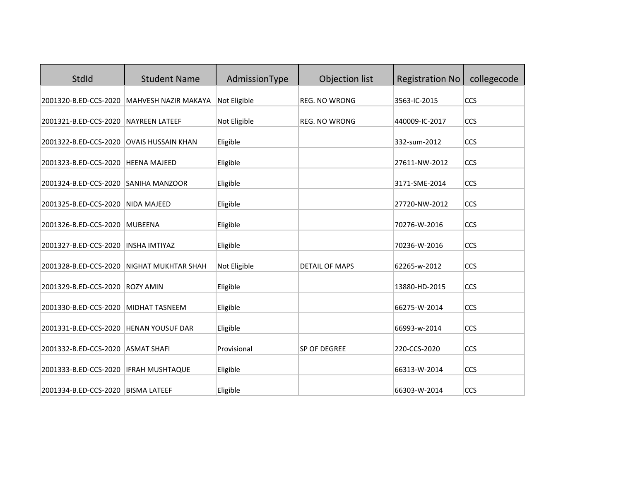| StdId                              | <b>Student Name</b>        | AdmissionType | Objection list        | <b>Registration No</b> | collegecode |
|------------------------------------|----------------------------|---------------|-----------------------|------------------------|-------------|
| 2001320-B.ED-CCS-2020              | MAHVESH NAZIR MAKAYA       | Not Eligible  | REG. NO WRONG         | 3563-IC-2015           | CCS         |
| 2001321-B.ED-CCS-2020              | <b>NAYREEN LATEEF</b>      | Not Eligible  | REG. NO WRONG         | 440009-IC-2017         | CCS         |
| 2001322-B.ED-CCS-2020              | <b>OVAIS HUSSAIN KHAN</b>  | Eligible      |                       | 332-sum-2012           | CCS         |
| 2001323-B.ED-CCS-2020              | <b>HEENA MAJEED</b>        | Eligible      |                       | 27611-NW-2012          | CCS         |
| 2001324-B.ED-CCS-2020              | <b>SANIHA MANZOOR</b>      | Eligible      |                       | 3171-SME-2014          | CCS         |
| 2001325-B.ED-CCS-2020              | <b>NIDA MAJEED</b>         | Eligible      |                       | 27720-NW-2012          | CCS         |
| 2001326-B.ED-CCS-2020              | <b>MUBEENA</b>             | Eligible      |                       | 70276-W-2016           | CCS         |
| 2001327-B.ED-CCS-2020              | <b>INSHA IMTIYAZ</b>       | Eligible      |                       | 70236-W-2016           | CCS         |
| 2001328-B.ED-CCS-2020              | <b>NIGHAT MUKHTAR SHAH</b> | Not Eligible  | <b>DETAIL OF MAPS</b> | 62265-w-2012           | <b>CCS</b>  |
| 2001329-B.ED-CCS-2020              | <b>ROZY AMIN</b>           | Eligible      |                       | 13880-HD-2015          | CCS         |
| 2001330-B.ED-CCS-2020              | MIDHAT TASNEEM             | Eligible      |                       | 66275-W-2014           | CCS         |
| 2001331-B.ED-CCS-2020              | <b>HENAN YOUSUF DAR</b>    | Eligible      |                       | 66993-w-2014           | CCS         |
| 2001332-B.ED-CCS-2020              | <b>ASMAT SHAFI</b>         | Provisional   | SP OF DEGREE          | 220-CCS-2020           | CCS         |
| 2001333-B.ED-CCS-2020              | <b>IFRAH MUSHTAQUE</b>     | Eligible      |                       | 66313-W-2014           | CCS         |
| 2001334-B.ED-CCS-2020 BISMA LATEEF |                            | Eligible      |                       | 66303-W-2014           | CCS         |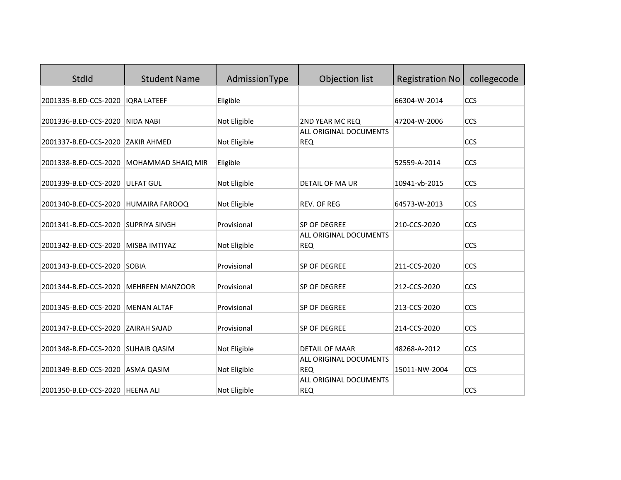| StdId                             | <b>Student Name</b>    | AdmissionType | Objection list                                | <b>Registration No</b> | collegecode |
|-----------------------------------|------------------------|---------------|-----------------------------------------------|------------------------|-------------|
| 2001335-B.ED-CCS-2020             | <b>IQRA LATEEF</b>     | Eligible      |                                               | 66304-W-2014           | CCS         |
| 2001336-B.ED-CCS-2020             | <b>NIDA NABI</b>       | Not Eligible  | 2ND YEAR MC REQ                               | 47204-W-2006           | CCS         |
| 2001337-B.ED-CCS-2020             | <b>ZAKIR AHMED</b>     | Not Eligible  | ALL ORIGINAL DOCUMENTS<br><b>REQ</b>          |                        | CCS         |
| 2001338-B.ED-CCS-2020             | MOHAMMAD SHAIQ MIR     | Eligible      |                                               | 52559-A-2014           | CCS         |
|                                   |                        |               |                                               |                        |             |
| 2001339-B.ED-CCS-2020             | <b>ULFAT GUL</b>       | Not Eligible  | DETAIL OF MA UR                               | 10941-vb-2015          | CCS         |
| 2001340-B.ED-CCS-2020             | <b>HUMAIRA FAROOQ</b>  | Not Eligible  | <b>REV. OF REG</b>                            | 64573-W-2013           | CCS         |
| 2001341-B.ED-CCS-2020             | <b>SUPRIYA SINGH</b>   | Provisional   | SP OF DEGREE<br><b>ALL ORIGINAL DOCUMENTS</b> | 210-CCS-2020           | CCS         |
| 2001342-B.ED-CCS-2020             | MISBA IMTIYAZ          | Not Eligible  | <b>REQ</b>                                    |                        | CCS         |
| 2001343-B.ED-CCS-2020             | <b>SOBIA</b>           | Provisional   | SP OF DEGREE                                  | 211-CCS-2020           | CCS         |
| 2001344-B.ED-CCS-2020             | <b>MEHREEN MANZOOR</b> | Provisional   | SP OF DEGREE                                  | 212-CCS-2020           | CCS         |
| 2001345-B.ED-CCS-2020             | <b>MENAN ALTAF</b>     | Provisional   | SP OF DEGREE                                  | 213-CCS-2020           | CCS         |
| 2001347-B.ED-CCS-2020             | <b>ZAIRAH SAJAD</b>    | Provisional   | SP OF DEGREE                                  | 214-CCS-2020           | CCS         |
| 2001348-B.ED-CCS-2020             | <b>SUHAIB QASIM</b>    | Not Eligible  | <b>DETAIL OF MAAR</b>                         | 48268-A-2012           | CCS         |
| 2001349-B.ED-CCS-2020             | ASMA QASIM             | Not Eligible  | <b>ALL ORIGINAL DOCUMENTS</b><br><b>REQ</b>   | 15011-NW-2004          | CCS         |
| 2001350-B.ED-CCS-2020   HEENA ALI |                        | Not Eligible  | ALL ORIGINAL DOCUMENTS<br><b>REQ</b>          |                        | CCS         |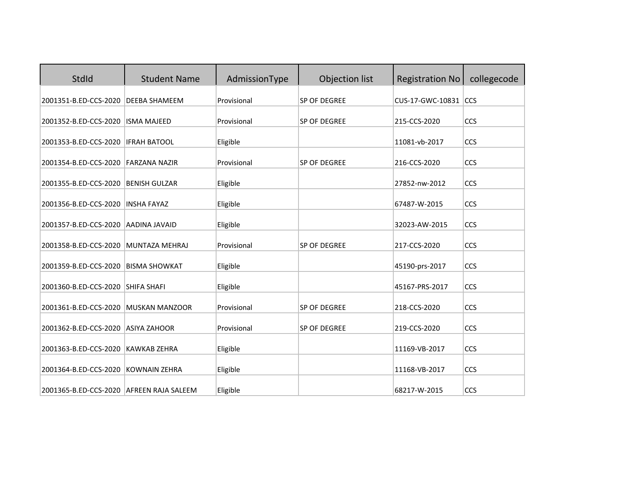| StdId                                    | <b>Student Name</b>   | AdmissionType | Objection list      | <b>Registration No</b> | collegecode |
|------------------------------------------|-----------------------|---------------|---------------------|------------------------|-------------|
| 2001351-B.ED-CCS-2020                    | <b>DEEBA SHAMEEM</b>  | Provisional   | SP OF DEGREE        | CUS-17-GWC-10831       | <b>CCS</b>  |
| 2001352-B.ED-CCS-2020                    | <b>ISMA MAJEED</b>    | Provisional   | <b>SP OF DEGREE</b> | 215-CCS-2020           | CCS         |
| 2001353-B.ED-CCS-2020                    | <b>IFRAH BATOOL</b>   | Eligible      |                     | 11081-vb-2017          | CCS         |
| 2001354-B.ED-CCS-2020                    | <b>FARZANA NAZIR</b>  | Provisional   | SP OF DEGREE        | 216-CCS-2020           | CCS         |
| 2001355-B.ED-CCS-2020                    | <b>BENISH GULZAR</b>  | Eligible      |                     | 27852-nw-2012          | CCS         |
| 2001356-B.ED-CCS-2020                    | <b>INSHA FAYAZ</b>    | Eligible      |                     | 67487-W-2015           | CCS         |
| 2001357-B.ED-CCS-2020                    | <b>AADINA JAVAID</b>  | Eligible      |                     | 32023-AW-2015          | CCS         |
| 2001358-B.ED-CCS-2020                    | <b>MUNTAZA MEHRAJ</b> | Provisional   | SP OF DEGREE        | 217-CCS-2020           | CCS         |
| 2001359-B.ED-CCS-2020                    | <b>BISMA SHOWKAT</b>  | Eligible      |                     | 45190-prs-2017         | CCS         |
| 2001360-B.ED-CCS-2020                    | <b>SHIFA SHAFI</b>    | Eligible      |                     | 45167-PRS-2017         | CCS         |
| 2001361-B.ED-CCS-2020                    | <b>MUSKAN MANZOOR</b> | Provisional   | SP OF DEGREE        | 218-CCS-2020           | CCS         |
| 2001362-B.ED-CCS-2020                    | <b>ASIYA ZAHOOR</b>   | Provisional   | SP OF DEGREE        | 219-CCS-2020           | CCS         |
| 2001363-B.ED-CCS-2020                    | <b>KAWKAB ZEHRA</b>   | Eligible      |                     | 11169-VB-2017          | CCS         |
| 2001364-B.ED-CCS-2020                    | <b>KOWNAIN ZEHRA</b>  | Eligible      |                     | 11168-VB-2017          | CCS         |
| 2001365-B.ED-CCS-2020 AFREEN RAJA SALEEM |                       | Eligible      |                     | 68217-W-2015           | CCS         |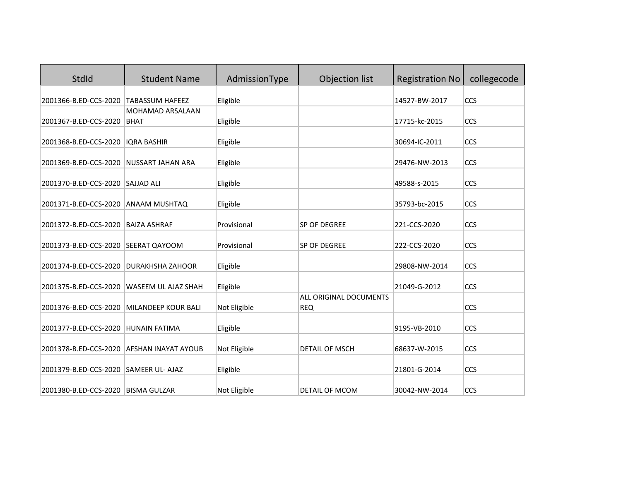| StdId                 | <b>Student Name</b>        | AdmissionType | Objection list                       | <b>Registration No</b> | collegecode |
|-----------------------|----------------------------|---------------|--------------------------------------|------------------------|-------------|
| 2001366-B.ED-CCS-2020 | <b>TABASSUM HAFEEZ</b>     | Eligible      |                                      | 14527-BW-2017          | CCS         |
|                       | MOHAMAD ARSALAAN           |               |                                      |                        |             |
| 2001367-B.ED-CCS-2020 | <b>BHAT</b>                | Eligible      |                                      | 17715-kc-2015          | CCS         |
| 2001368-B.ED-CCS-2020 | <b>IORA BASHIR</b>         | Eligible      |                                      | 30694-IC-2011          | CCS         |
| 2001369-B.ED-CCS-2020 | <b>NUSSART JAHAN ARA</b>   | Eligible      |                                      | 29476-NW-2013          | CCS         |
| 2001370-B.ED-CCS-2020 | <b>SAJJAD ALI</b>          | Eligible      |                                      | 49588-s-2015           | CCS         |
| 2001371-B.ED-CCS-2020 | <b>ANAAM MUSHTAQ</b>       | Eligible      |                                      | 35793-bc-2015          | CCS         |
| 2001372-B.ED-CCS-2020 | <b>BAIZA ASHRAF</b>        | Provisional   | SP OF DEGREE                         | 221-CCS-2020           | CCS         |
| 2001373-B.ED-CCS-2020 | <b>SEERAT QAYOOM</b>       | Provisional   | SP OF DEGREE                         | 222-CCS-2020           | CCS         |
| 2001374-B.ED-CCS-2020 | <b>DURAKHSHA ZAHOOR</b>    | Eligible      |                                      | 29808-NW-2014          | CCS         |
| 2001375-B.ED-CCS-2020 | <b>WASEEM UL AJAZ SHAH</b> | Eligible      |                                      | 21049-G-2012           | <b>CCS</b>  |
| 2001376-B.ED-CCS-2020 | <b>MILANDEEP KOUR BALI</b> | Not Eligible  | ALL ORIGINAL DOCUMENTS<br><b>REQ</b> |                        | CCS         |
| 2001377-B.ED-CCS-2020 | <b>HUNAIN FATIMA</b>       | Eligible      |                                      | 9195-VB-2010           | CCS         |
| 2001378-B.ED-CCS-2020 | <b>AFSHAN INAYAT AYOUB</b> | Not Eligible  | <b>DETAIL OF MSCH</b>                | 68637-W-2015           | CCS         |
| 2001379-B.ED-CCS-2020 | <b>SAMEER UL- AJAZ</b>     | Eligible      |                                      | 21801-G-2014           | CCS         |
| 2001380-B.ED-CCS-2020 | <b>BISMA GULZAR</b>        | Not Eligible  | <b>DETAIL OF MCOM</b>                | 30042-NW-2014          | CCS         |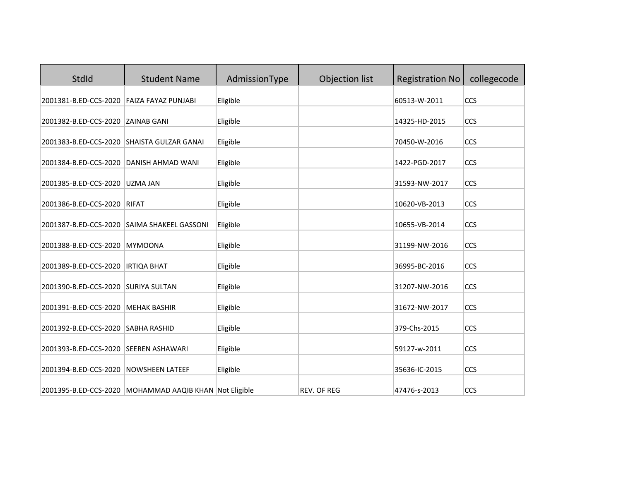| StdId                                      | <b>Student Name</b>                                    | AdmissionType | Objection list     | <b>Registration No</b> | collegecode |
|--------------------------------------------|--------------------------------------------------------|---------------|--------------------|------------------------|-------------|
| 2001381-B.ED-CCS-2020                      | <b>FAIZA FAYAZ PUNJABI</b>                             | Eligible      |                    | 60513-W-2011           | CCS         |
| 2001382-B.ED-CCS-2020                      | <b>ZAINAB GANI</b>                                     | Eligible      |                    | 14325-HD-2015          | CCS         |
| 2001383-B.ED-CCS-2020 SHAISTA GULZAR GANAI |                                                        | Eligible      |                    | 70450-W-2016           | CCS         |
| 2001384-B.ED-CCS-2020                      | DANISH AHMAD WANI                                      | Eligible      |                    | 1422-PGD-2017          | CCS         |
| 2001385-B.ED-CCS-2020                      | <b>UZMA JAN</b>                                        | Eligible      |                    | 31593-NW-2017          | CCS         |
| 2001386-B.ED-CCS-2020                      | <b>RIFAT</b>                                           | Eligible      |                    | 10620-VB-2013          | CCS         |
|                                            | 2001387-B.ED-CCS-2020 SAIMA SHAKEEL GASSONI            | Eligible      |                    | 10655-VB-2014          | CCS         |
| 2001388-B.ED-CCS-2020                      | <b>MYMOONA</b>                                         | Eligible      |                    | 31199-NW-2016          | CCS         |
| 2001389-B.ED-CCS-2020                      | <b>IRTIQA BHAT</b>                                     | Eligible      |                    | 36995-BC-2016          | CCS         |
| 2001390-B.ED-CCS-2020                      | <b>SURIYA SULTAN</b>                                   | Eligible      |                    | 31207-NW-2016          | CCS         |
| 2001391-B.ED-CCS-2020                      | <b>MEHAK BASHIR</b>                                    | Eligible      |                    | 31672-NW-2017          | CCS         |
| 2001392-B.ED-CCS-2020                      | <b>SABHA RASHID</b>                                    | Eligible      |                    | 379-Chs-2015           | CCS         |
| 2001393-B.ED-CCS-2020 SEEREN ASHAWARI      |                                                        | Eligible      |                    | 59127-w-2011           | CCS         |
| 2001394-B.ED-CCS-2020                      | <b>NOWSHEEN LATEEF</b>                                 | Eligible      |                    | 35636-IC-2015          | CCS         |
|                                            | 2001395-B.ED-CCS-2020 MOHAMMAD AAQIB KHAN Not Eligible |               | <b>REV. OF REG</b> | 47476-s-2013           | CCS         |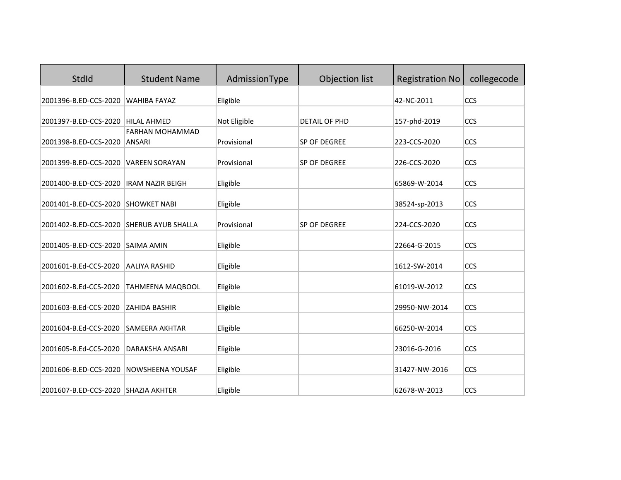| StdId                                    | <b>Student Name</b>                     | AdmissionType | Objection list       | <b>Registration No</b> | collegecode |
|------------------------------------------|-----------------------------------------|---------------|----------------------|------------------------|-------------|
| 2001396-B.ED-CCS-2020                    | <b>WAHIBA FAYAZ</b>                     | Eligible      |                      | 42-NC-2011             | <b>CCS</b>  |
| 2001397-B.ED-CCS-2020                    | <b>HILAL AHMED</b>                      | Not Eligible  | <b>DETAIL OF PHD</b> | 157-phd-2019           | CCS         |
| 2001398-B.ED-CCS-2020                    | <b>FARHAN MOHAMMAD</b><br><b>ANSARI</b> | Provisional   | SP OF DEGREE         | 223-CCS-2020           | CCS         |
| 2001399-B.ED-CCS-2020                    | <b>VAREEN SORAYAN</b>                   | Provisional   | SP OF DEGREE         | 226-CCS-2020           | CCS         |
| 2001400-B.ED-CCS-2020                    | <b>IRAM NAZIR BEIGH</b>                 | Eligible      |                      | 65869-W-2014           | CCS         |
| 2001401-B.ED-CCS-2020                    | <b>SHOWKET NABI</b>                     | Eligible      |                      | 38524-sp-2013          | CCS         |
| 2001402-B.ED-CCS-2020 SHERUB AYUB SHALLA |                                         | Provisional   | SP OF DEGREE         | 224-CCS-2020           | CCS         |
|                                          | <b>SAIMA AMIN</b>                       |               |                      |                        | CCS         |
| 2001405-B.ED-CCS-2020                    |                                         | Eligible      |                      | 22664-G-2015           |             |
| 2001601-B.Ed-CCS-2020                    | <b>AALIYA RASHID</b>                    | Eligible      |                      | 1612-SW-2014           | CCS         |
| 2001602-B.Ed-CCS-2020                    | TAHMEENA MAQBOOL                        | Eligible      |                      | 61019-W-2012           | <b>CCS</b>  |
| 2001603-B.Ed-CCS-2020                    | <b>ZAHIDA BASHIR</b>                    | Eligible      |                      | 29950-NW-2014          | CCS         |
| 2001604-B.Ed-CCS-2020                    | <b>SAMEERA AKHTAR</b>                   | Eligible      |                      | 66250-W-2014           | CCS         |
| 2001605-B.Ed-CCS-2020                    | DARAKSHA ANSARI                         | Eligible      |                      | 23016-G-2016           | CCS         |
| 2001606-B.ED-CCS-2020                    | NOWSHEENA YOUSAF                        | Eligible      |                      | 31427-NW-2016          | CCS         |
| 2001607-B.ED-CCS-2020 SHAZIA AKHTER      |                                         | Eligible      |                      | 62678-W-2013           | CCS         |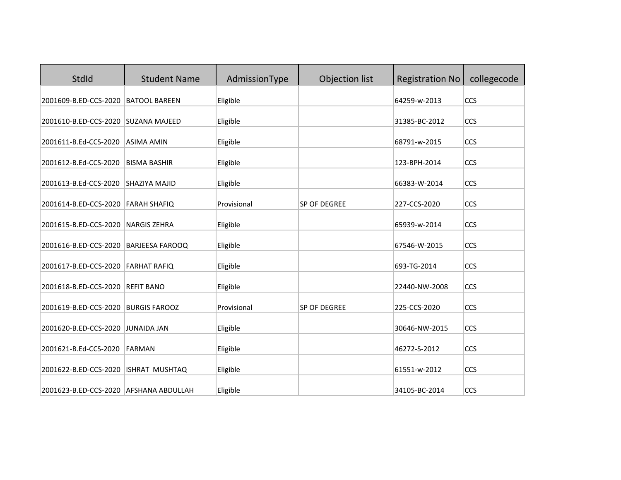| StdId                                  | <b>Student Name</b>    | AdmissionType | Objection list | <b>Registration No</b> | collegecode |
|----------------------------------------|------------------------|---------------|----------------|------------------------|-------------|
| 2001609-B.ED-CCS-2020                  | <b>BATOOL BAREEN</b>   | Eligible      |                | 64259-w-2013           | CCS         |
| 2001610-B.ED-CCS-2020                  | <b>SUZANA MAJEED</b>   | Eligible      |                | 31385-BC-2012          | CCS         |
| 2001611-B.Ed-CCS-2020                  | <b>ASIMA AMIN</b>      | Eligible      |                | 68791-w-2015           | CCS         |
| 2001612-B.Ed-CCS-2020                  | <b>BISMA BASHIR</b>    | Eligible      |                | 123-BPH-2014           | CCS         |
| 2001613-B.Ed-CCS-2020                  | SHAZIYA MAJID          | Eligible      |                | 66383-W-2014           | CCS         |
| 2001614-B.ED-CCS-2020                  | <b>FARAH SHAFIQ</b>    | Provisional   | SP OF DEGREE   | 227-CCS-2020           | CCS         |
| 2001615-B.ED-CCS-2020                  | <b>NARGIS ZEHRA</b>    | Eligible      |                | 65939-w-2014           | CCS         |
| 2001616-B.ED-CCS-2020                  | <b>BARJEESA FAROOQ</b> | Eligible      |                | 67546-W-2015           | CCS         |
| 2001617-B.ED-CCS-2020                  | <b>FARHAT RAFIQ</b>    | Eligible      |                | 693-TG-2014            | CCS         |
| 2001618-B.ED-CCS-2020                  | <b>REFIT BANO</b>      | Eligible      |                | 22440-NW-2008          | CCS         |
| 2001619-B.ED-CCS-2020                  | <b>BURGIS FAROOZ</b>   | Provisional   | SP OF DEGREE   | 225-CCS-2020           | CCS         |
| 2001620-B.ED-CCS-2020                  | <b>JUNAIDA JAN</b>     | Eligible      |                | 30646-NW-2015          | CCS         |
| 2001621-B.Ed-CCS-2020                  | <b>FARMAN</b>          | Eligible      |                | 46272-S-2012           | CCS         |
| 2001622-B.ED-CCS-2020                  | ISHRAT MUSHTAQ         | Eligible      |                | 61551-w-2012           | CCS         |
| 2001623-B.ED-CCS-2020 AFSHANA ABDULLAH |                        | Eligible      |                | 34105-BC-2014          | CCS         |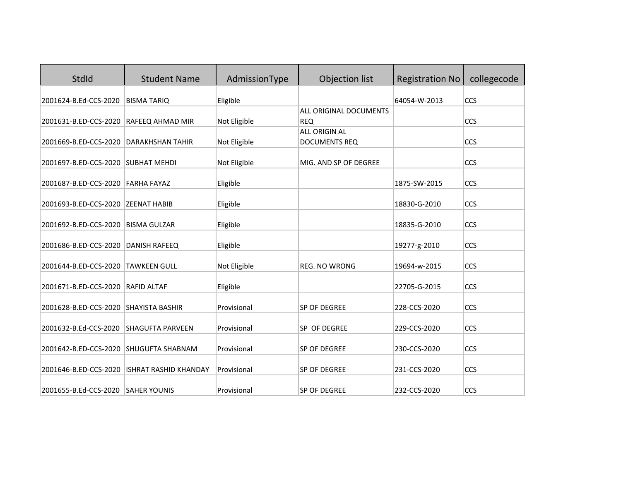| StdId                              | <b>Student Name</b>          | AdmissionType | Objection list         | <b>Registration No</b> | collegecode |
|------------------------------------|------------------------------|---------------|------------------------|------------------------|-------------|
| 2001624-B.Ed-CCS-2020              | <b>BISMA TARIQ</b>           | Eligible      |                        | 64054-W-2013           | <b>CCS</b>  |
|                                    |                              |               | ALL ORIGINAL DOCUMENTS |                        |             |
| 2001631-B.ED-CCS-2020              | RAFEEQ AHMAD MIR             | Not Eligible  | <b>REQ</b>             |                        | <b>CCS</b>  |
|                                    |                              |               | ALL ORIGIN AL          |                        |             |
| 2001669-B.ED-CCS-2020              | <b>DARAKHSHAN TAHIR</b>      | Not Eligible  | <b>DOCUMENTS REQ</b>   |                        | <b>CCS</b>  |
| 2001697-B.ED-CCS-2020              | <b>SUBHAT MEHDI</b>          | Not Eligible  | MIG. AND SP OF DEGREE  |                        | <b>CCS</b>  |
| 2001687-B.ED-CCS-2020              | <b>FARHA FAYAZ</b>           | Eligible      |                        | 1875-SW-2015           | <b>CCS</b>  |
| 2001693-B.ED-CCS-2020              | <b>ZEENAT HABIB</b>          | Eligible      |                        | 18830-G-2010           | <b>CCS</b>  |
| 2001692-B.ED-CCS-2020              | <b>BISMA GULZAR</b>          | Eligible      |                        | 18835-G-2010           | <b>CCS</b>  |
| 2001686-B.ED-CCS-2020              | <b>DANISH RAFEEQ</b>         | Eligible      |                        | 19277-g-2010           | <b>CCS</b>  |
| 2001644-B.ED-CCS-2020              | <b>TAWKEEN GULL</b>          | Not Eligible  | <b>REG. NO WRONG</b>   | 19694-w-2015           | <b>CCS</b>  |
| 2001671-B.ED-CCS-2020              | <b>RAFID ALTAF</b>           | Eligible      |                        | 22705-G-2015           | <b>CCS</b>  |
| 2001628-B.ED-CCS-2020              | <b>SHAYISTA BASHIR</b>       | Provisional   | SP OF DEGREE           | 228-CCS-2020           | <b>CCS</b>  |
| 2001632-B.Ed-CCS-2020              | <b>SHAGUFTA PARVEEN</b>      | Provisional   | SP OF DEGREE           | 229-CCS-2020           | <b>CCS</b>  |
| 2001642-B.ED-CCS-2020              | <b>SHUGUFTA SHABNAM</b>      | Provisional   | SP OF DEGREE           | 230-CCS-2020           | <b>CCS</b>  |
| 2001646-B.ED-CCS-2020              | <b>ISHRAT RASHID KHANDAY</b> | Provisional   | SP OF DEGREE           | 231-CCS-2020           | <b>CCS</b>  |
| 2001655-B.Ed-CCS-2020 SAHER YOUNIS |                              | Provisional   | SP OF DEGREE           | 232-CCS-2020           | <b>CCS</b>  |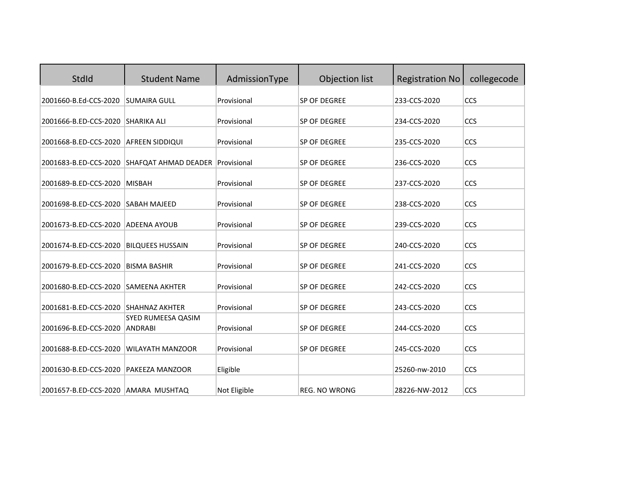| <b>StdId</b>                         | <b>Student Name</b>                                    | AdmissionType | Objection list | <b>Registration No</b> | collegecode |
|--------------------------------------|--------------------------------------------------------|---------------|----------------|------------------------|-------------|
| 2001660-B.Ed-CCS-2020                | <b>SUMAIRA GULL</b>                                    | Provisional   | SP OF DEGREE   | 233-CCS-2020           | CCS         |
| 2001666-B.ED-CCS-2020                | <b>SHARIKA ALI</b>                                     | Provisional   | SP OF DEGREE   | 234-CCS-2020           | CCS         |
| 2001668-B.ED-CCS-2020                | <b>AFREEN SIDDIQUI</b>                                 | Provisional   | SP OF DEGREE   | 235-CCS-2020           | CCS         |
|                                      | 2001683-B.ED-CCS-2020 SHAFQAT AHMAD DEADER Provisional |               | SP OF DEGREE   | 236-CCS-2020           | CCS         |
| 2001689-B.ED-CCS-2020                | <b>MISBAH</b>                                          | Provisional   | SP OF DEGREE   | 237-CCS-2020           | CCS         |
| 2001698-B.ED-CCS-2020                | <b>SABAH MAJEED</b>                                    | Provisional   | SP OF DEGREE   | 238-CCS-2020           | CCS         |
| 2001673-B.ED-CCS-2020                | <b>ADEENA AYOUB</b>                                    | Provisional   | SP OF DEGREE   | 239-CCS-2020           | CCS         |
| 2001674-B.ED-CCS-2020                | <b>BILQUEES HUSSAIN</b>                                | Provisional   | SP OF DEGREE   | 240-CCS-2020           | CCS         |
| 2001679-B.ED-CCS-2020                | <b>BISMA BASHIR</b>                                    | Provisional   | SP OF DEGREE   | 241-CCS-2020           | CCS         |
| 2001680-B.ED-CCS-2020                | <b>SAMEENA AKHTER</b>                                  | Provisional   | SP OF DEGREE   | 242-CCS-2020           | CCS         |
| 2001681-B.ED-CCS-2020 SHAHNAZ AKHTER |                                                        | Provisional   | SP OF DEGREE   | 243-CCS-2020           | CCS         |
| 2001696-B.ED-CCS-2020                | SYED RUMEESA QASIM<br>ANDRABI                          | Provisional   | SP OF DEGREE   | 244-CCS-2020           | CCS         |
| 2001688-B.ED-CCS-2020                | <b>WILAYATH MANZOOR</b>                                | Provisional   | SP OF DEGREE   | 245-CCS-2020           | CCS         |
| 2001630-B.ED-CCS-2020                | <b>PAKEEZA MANZOOR</b>                                 | Eligible      |                | 25260-nw-2010          | CCS         |
| 2001657-B.ED-CCS-2020 AMARA MUSHTAQ  |                                                        | Not Eligible  | REG. NO WRONG  | 28226-NW-2012          | CCS         |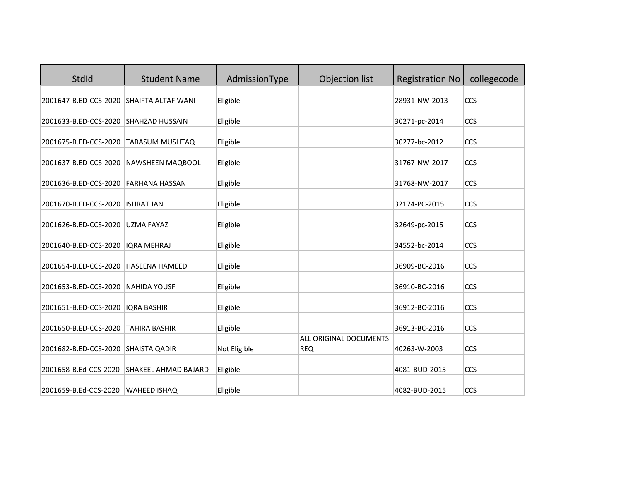| StdId                                          | <b>Student Name</b>                         | AdmissionType        | Objection list                | <b>Registration No</b>         | collegecode |
|------------------------------------------------|---------------------------------------------|----------------------|-------------------------------|--------------------------------|-------------|
| 2001647-B.ED-CCS-2020 SHAIFTA ALTAF WANI       |                                             | Eligible             |                               | 28931-NW-2013                  | <b>CCS</b>  |
| 2001633-B.ED-CCS-2020 SHAHZAD HUSSAIN          |                                             | Eligible             |                               | 30271-pc-2014                  | CCS         |
| 2001675-B.ED-CCS-2020                          | <b>TABASUM MUSHTAQ</b>                      | Eligible             |                               | 30277-bc-2012                  | CCS         |
| 2001637-B.ED-CCS-2020                          | <b>NAWSHEEN MAQBOOL</b>                     | Eligible             |                               | 31767-NW-2017                  | CCS         |
| 2001636-B.ED-CCS-2020                          | <b>FARHANA HASSAN</b>                       | Eligible             |                               | 31768-NW-2017                  | CCS         |
| 2001670-B.ED-CCS-2020                          | <b>ISHRAT JAN</b>                           | Eligible             |                               | 32174-PC-2015                  | CCS         |
| 2001626-B.ED-CCS-2020                          | <b>UZMA FAYAZ</b>                           | Eligible             |                               | 32649-pc-2015                  | CCS         |
| 2001640-B.ED-CCS-2020                          | <b>IORA MEHRAJ</b>                          | Eligible             |                               | 34552-bc-2014                  | CCS         |
| 2001654-B.ED-CCS-2020                          | <b>HASEENA HAMEED</b>                       | Eligible             |                               | 36909-BC-2016                  | CCS         |
| 2001653-B.ED-CCS-2020                          | <b>NAHIDA YOUSF</b>                         | Eligible             |                               | 36910-BC-2016                  | CCS         |
| 2001651-B.ED-CCS-2020                          | <b>IQRA BASHIR</b>                          | Eligible             |                               | 36912-BC-2016                  | CCS         |
| 2001650-B.ED-CCS-2020                          | <b>TAHIRA BASHIR</b>                        | Eligible             |                               | 36913-BC-2016                  | CCS         |
| 2001682-B.ED-CCS-2020                          | <b>SHAISTA QADIR</b>                        | Not Eligible         | <b>ALL ORIGINAL DOCUMENTS</b> |                                | CCS         |
|                                                |                                             |                      | <b>REQ</b>                    | 40263-W-2003                   |             |
| 2001658-B.Ed-CCS-2020<br>2001659-B.Ed-CCS-2020 | SHAKEEL AHMAD BAJARD<br><b>WAHEED ISHAQ</b> | Eligible<br>Eligible |                               | 4081-BUD-2015<br>4082-BUD-2015 | CCS<br>CCS  |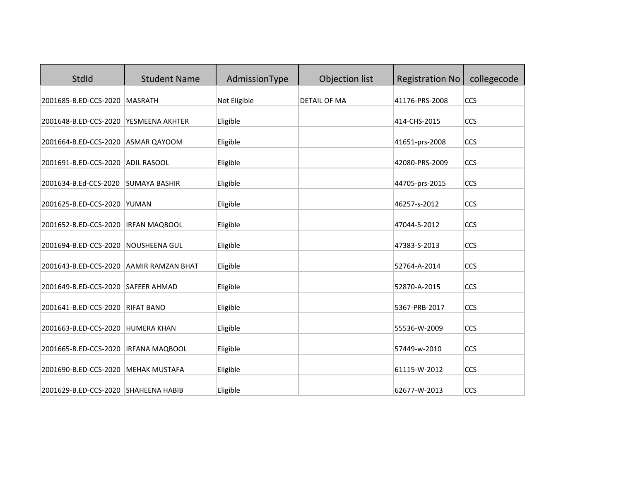| StdId                                | <b>Student Name</b>      | AdmissionType | Objection list      | <b>Registration No</b> | collegecode |
|--------------------------------------|--------------------------|---------------|---------------------|------------------------|-------------|
| 2001685-B.ED-CCS-2020                | <b>MASRATH</b>           | Not Eligible  | <b>DETAIL OF MA</b> | 41176-PRS-2008         | CCS         |
| 2001648-B.ED-CCS-2020                | YESMEENA AKHTER          | Eligible      |                     | 414-CHS-2015           | CCS         |
| 2001664-B.ED-CCS-2020 ASMAR QAYOOM   |                          | Eligible      |                     | 41651-prs-2008         | CCS         |
| 2001691-B.ED-CCS-2020                | <b>ADIL RASOOL</b>       | Eligible      |                     | 42080-PRS-2009         | CCS         |
| 2001634-B.Ed-CCS-2020                | <b>SUMAYA BASHIR</b>     | Eligible      |                     | 44705-prs-2015         | CCS         |
| 2001625-B.ED-CCS-2020                | <b>YUMAN</b>             | Eligible      |                     | 46257-s-2012           | CCS         |
| 2001652-B.ED-CCS-2020                | <b>IRFAN MAQBOOL</b>     | Eligible      |                     | 47044-S-2012           | CCS         |
| 2001694-B.ED-CCS-2020                | <b>NOUSHEENA GUL</b>     | Eligible      |                     | 47383-S-2013           | CCS         |
| 2001643-B.ED-CCS-2020                | <b>AAMIR RAMZAN BHAT</b> | Eligible      |                     | 52764-A-2014           | CCS         |
| 2001649-B.ED-CCS-2020 SAFEER AHMAD   |                          | Eligible      |                     | 52870-A-2015           | CCS         |
|                                      | <b>RIFAT BANO</b>        |               |                     |                        | CCS         |
| 2001641-B.ED-CCS-2020                |                          | Eligible      |                     | 5367-PRB-2017          |             |
| 2001663-B.ED-CCS-2020                | <b>HUMERA KHAN</b>       | Eligible      |                     | 55536-W-2009           | CCS         |
| 2001665-B.ED-CCS-2020                | <b>IRFANA MAQBOOL</b>    | Eligible      |                     | 57449-w-2010           | CCS         |
| 2001690-B.ED-CCS-2020                | <b>MEHAK MUSTAFA</b>     | Eligible      |                     | 61115-W-2012           | CCS         |
| 2001629-B.ED-CCS-2020 SHAHEENA HABIB |                          | Eligible      |                     | 62677-W-2013           | CCS         |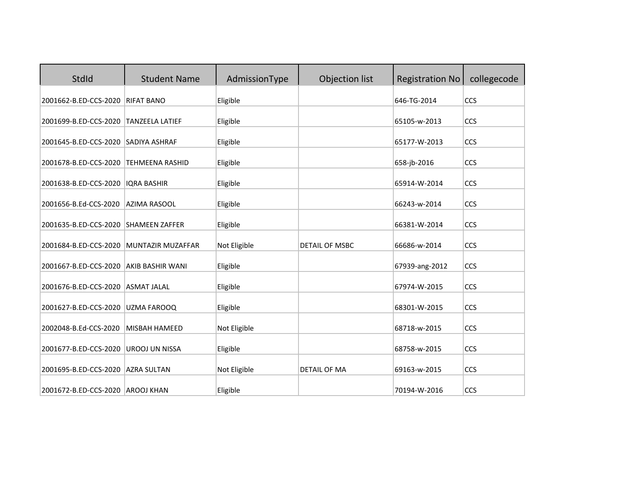| StdId                                                     | <b>Student Name</b>      | AdmissionType            | Objection list        | <b>Registration No</b>       | collegecode |
|-----------------------------------------------------------|--------------------------|--------------------------|-----------------------|------------------------------|-------------|
| 2001662-B.ED-CCS-2020                                     | <b>RIFAT BANO</b>        | Eligible                 |                       | 646-TG-2014                  | CCS         |
| 2001699-B.ED-CCS-2020                                     | <b>TANZEELA LATIEF</b>   | Eligible                 |                       | 65105-w-2013                 | CCS         |
| 2001645-B.ED-CCS-2020 SADIYA ASHRAF                       |                          | Eligible                 |                       | 65177-W-2013                 | CCS         |
| 2001678-B.ED-CCS-2020                                     | <b>TEHMEENA RASHID</b>   | Eligible                 |                       | 658-jb-2016                  | CCS         |
| 2001638-B.ED-CCS-2020                                     | <b>IORA BASHIR</b>       | Eligible                 |                       | 65914-W-2014                 | CCS         |
| 2001656-B.Ed-CCS-2020                                     | <b>AZIMA RASOOL</b>      | Eligible                 |                       | 66243-w-2014                 | CCS         |
| 2001635-B.ED-CCS-2020                                     | <b>SHAMEEN ZAFFER</b>    | Eligible                 |                       | 66381-W-2014                 | CCS         |
| 2001684-B.ED-CCS-2020                                     | <b>MUNTAZIR MUZAFFAR</b> | Not Eligible             | <b>DETAIL OF MSBC</b> | 66686-w-2014                 | CCS         |
| 2001667-B.ED-CCS-2020                                     | <b>AKIB BASHIR WANI</b>  | Eligible                 |                       | 67939-ang-2012               | CCS         |
| 2001676-B.ED-CCS-2020                                     | <b>ASMAT JALAL</b>       | Eligible                 |                       | 67974-W-2015                 | CCS         |
| 2001627-B.ED-CCS-2020                                     | UZMA FAROOQ              | Eligible                 |                       | 68301-W-2015                 | CCS         |
| 2002048-B.Ed-CCS-2020                                     | <b>MISBAH HAMEED</b>     | Not Eligible             |                       | 68718-w-2015                 | CCS         |
| 2001677-B.ED-CCS-2020                                     |                          |                          |                       | 68758-w-2015                 | CCS         |
|                                                           | <b>UROOJ UN NISSA</b>    | Eligible                 |                       |                              |             |
| 2001695-B.ED-CCS-2020<br>2001672-B.ED-CCS-2020 AROOJ KHAN | <b>AZRA SULTAN</b>       | Not Eligible<br>Eligible | <b>DETAIL OF MA</b>   | 69163-w-2015<br>70194-W-2016 | CCS<br>CCS  |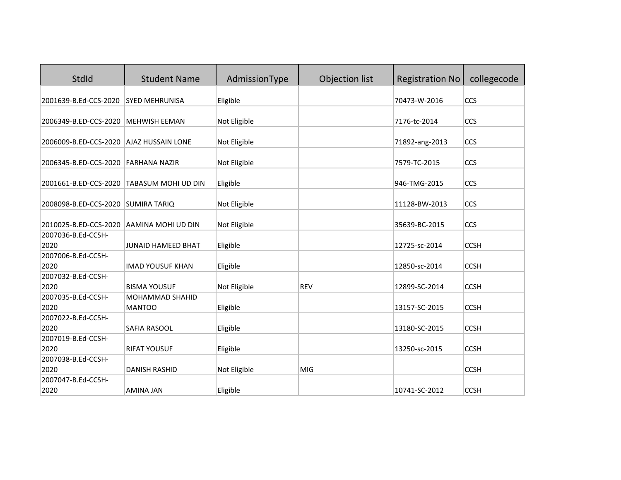| StdId                                   | <b>Student Name</b>       | AdmissionType | Objection list | <b>Registration No</b> | collegecode |
|-----------------------------------------|---------------------------|---------------|----------------|------------------------|-------------|
| 2001639-B.Ed-CCS-2020                   | <b>SYED MEHRUNISA</b>     | Eligible      |                | 70473-W-2016           | CCS         |
|                                         |                           |               |                |                        |             |
| 2006349-B.ED-CCS-2020                   | <b>MEHWISH EEMAN</b>      | Not Eligible  |                | 7176-tc-2014           | CCS         |
| 2006009-B.ED-CCS-2020 AJAZ HUSSAIN LONE |                           | Not Eligible  |                | 71892-ang-2013         | CCS         |
| 2006345-B.ED-CCS-2020 FARHANA NAZIR     |                           | Not Eligible  |                | 7579-TC-2015           | CCS         |
| 2001661-B.ED-CCS-2020                   | TABASUM MOHI UD DIN       | Eligible      |                | 946-TMG-2015           | CCS         |
| 2008098-B.ED-CCS-2020 SUMIRA TARIO      |                           | Not Eligible  |                | 11128-BW-2013          | CCS         |
| 2010025-B.ED-CCS-2020                   | AAMINA MOHI UD DIN        | Not Eligible  |                | 35639-BC-2015          | <b>CCS</b>  |
| 2007036-B.Ed-CCSH-                      |                           |               |                |                        |             |
| 2020                                    | <b>JUNAID HAMEED BHAT</b> | Eligible      |                | 12725-sc-2014          | <b>CCSH</b> |
| 2007006-B.Ed-CCSH-                      |                           |               |                |                        |             |
| 2020                                    | <b>IMAD YOUSUF KHAN</b>   | Eligible      |                | 12850-sc-2014          | <b>CCSH</b> |
| 2007032-B.Ed-CCSH-                      |                           |               |                |                        |             |
| 2020                                    | <b>BISMA YOUSUF</b>       | Not Eligible  | <b>REV</b>     | 12899-SC-2014          | <b>CCSH</b> |
| 2007035-B.Ed-CCSH-                      | MOHAMMAD SHAHID           |               |                |                        |             |
| 2020                                    | <b>MANTOO</b>             | Eligible      |                | 13157-SC-2015          | <b>CCSH</b> |
| 2007022-B.Ed-CCSH-                      |                           |               |                |                        |             |
| 2020                                    | SAFIA RASOOL              | Eligible      |                | 13180-SC-2015          | <b>CCSH</b> |
| 2007019-B.Ed-CCSH-                      |                           |               |                |                        |             |
| 2020                                    | <b>RIFAT YOUSUF</b>       | Eligible      |                | 13250-sc-2015          | <b>CCSH</b> |
| 2007038-B.Ed-CCSH-                      |                           |               |                |                        |             |
| 2020                                    | <b>DANISH RASHID</b>      | Not Eligible  | <b>MIG</b>     |                        | <b>CCSH</b> |
| 2007047-B.Ed-CCSH-                      |                           |               |                |                        |             |
| 2020                                    | <b>AMINA JAN</b>          | Eligible      |                | 10741-SC-2012          | <b>CCSH</b> |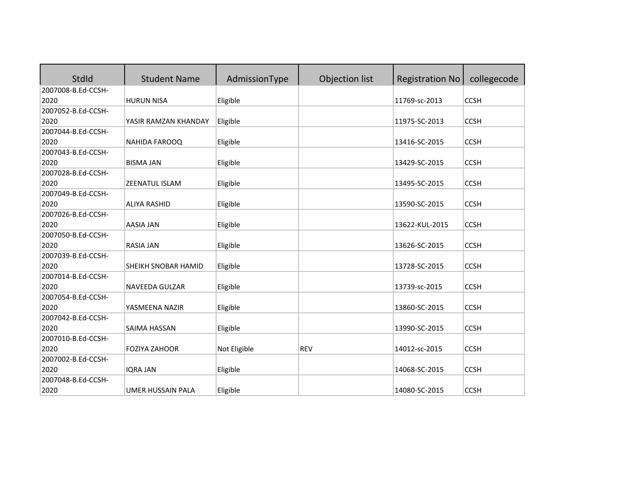| StdId              | <b>Student Name</b>   | AdmissionType | Objection list | <b>Registration No</b> | collegecode |
|--------------------|-----------------------|---------------|----------------|------------------------|-------------|
| 2007008-B.Ed-CCSH- |                       |               |                |                        |             |
| 2020               | <b>HURUN NISA</b>     | Eligible      |                | 11769-sc-2013          | <b>CCSH</b> |
| 2007052-B.Ed-CCSH- |                       |               |                |                        |             |
| 2020               | YASIR RAMZAN KHANDAY  | Eligible      |                | 11975-SC-2013          | <b>CCSH</b> |
| 2007044-B.Ed-CCSH- |                       |               |                |                        |             |
| 2020               | NAHIDA FAROOQ         | Eligible      |                | 13416-SC-2015          | <b>CCSH</b> |
| 2007043-B.Ed-CCSH- |                       |               |                |                        |             |
| 2020               | <b>BISMA JAN</b>      | Eligible      |                | 13429-SC-2015          | <b>CCSH</b> |
| 2007028-B.Ed-CCSH- |                       |               |                |                        |             |
| 2020               | <b>ZEENATUL ISLAM</b> | Eligible      |                | 13495-SC-2015          | <b>CCSH</b> |
| 2007049-B.Ed-CCSH- |                       |               |                |                        |             |
| 2020               | <b>ALIYA RASHID</b>   | Eligible      |                | 13590-SC-2015          | <b>CCSH</b> |
| 2007026-B.Ed-CCSH- |                       |               |                |                        |             |
| 2020               | <b>AASIA JAN</b>      | Eligible      |                | 13622-KUL-2015         | <b>CCSH</b> |
| 2007050-B.Ed-CCSH- |                       |               |                |                        |             |
| 2020               | <b>RASIA JAN</b>      | Eligible      |                | 13626-SC-2015          | <b>CCSH</b> |
| 2007039-B.Ed-CCSH- |                       |               |                |                        |             |
| 2020               | SHEIKH SNOBAR HAMID   | Eligible      |                | 13728-SC-2015          | <b>CCSH</b> |
| 2007014-B.Ed-CCSH- |                       |               |                |                        |             |
| 2020               | NAVEEDA GULZAR        | Eligible      |                | 13739-sc-2015          | <b>CCSH</b> |
| 2007054-B.Ed-CCSH- |                       |               |                |                        |             |
| 2020               | YASMEENA NAZIR        | Eligible      |                | 13860-SC-2015          | <b>CCSH</b> |
| 2007042-B.Ed-CCSH- |                       |               |                |                        |             |
| 2020               | SAIMA HASSAN          | Eligible      |                | 13990-SC-2015          | <b>CCSH</b> |
| 2007010-B.Ed-CCSH- |                       |               |                |                        |             |
| 2020               | <b>FOZIYA ZAHOOR</b>  | Not Eligible  | <b>REV</b>     | 14012-sc-2015          | <b>CCSH</b> |
| 2007002-B.Ed-CCSH- |                       |               |                |                        |             |
| 2020               | <b>IQRA JAN</b>       | Eligible      |                | 14068-SC-2015          | <b>CCSH</b> |
| 2007048-B.Ed-CCSH- |                       |               |                |                        |             |
| 2020               | UMER HUSSAIN PALA     | Eligible      |                | 14080-SC-2015          | <b>CCSH</b> |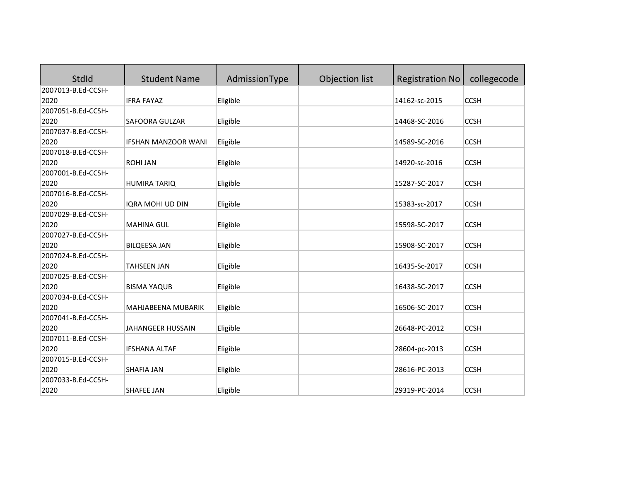| <b>StdId</b>       | <b>Student Name</b>        | AdmissionType | Objection list | <b>Registration No</b> | collegecode |
|--------------------|----------------------------|---------------|----------------|------------------------|-------------|
| 2007013-B.Ed-CCSH- |                            |               |                |                        |             |
| 2020               | <b>IFRA FAYAZ</b>          | Eligible      |                | 14162-sc-2015          | <b>CCSH</b> |
| 2007051-B.Ed-CCSH- |                            |               |                |                        |             |
| 2020               | SAFOORA GULZAR             | Eligible      |                | 14468-SC-2016          | <b>CCSH</b> |
| 2007037-B.Ed-CCSH- |                            |               |                |                        |             |
| 2020               | <b>IFSHAN MANZOOR WANI</b> | Eligible      |                | 14589-SC-2016          | <b>CCSH</b> |
| 2007018-B.Ed-CCSH- |                            |               |                |                        |             |
| 2020               | <b>ROHI JAN</b>            | Eligible      |                | 14920-sc-2016          | <b>CCSH</b> |
| 2007001-B.Ed-CCSH- |                            |               |                |                        |             |
| 2020               | <b>HUMIRA TARIQ</b>        | Eligible      |                | 15287-SC-2017          | <b>CCSH</b> |
| 2007016-B.Ed-CCSH- |                            |               |                |                        |             |
| 2020               | IQRA MOHI UD DIN           | Eligible      |                | 15383-sc-2017          | <b>CCSH</b> |
| 2007029-B.Ed-CCSH- |                            |               |                |                        |             |
| 2020               | <b>MAHINA GUL</b>          | Eligible      |                | 15598-SC-2017          | <b>CCSH</b> |
| 2007027-B.Ed-CCSH- |                            |               |                |                        |             |
| 2020               | <b>BILQEESA JAN</b>        | Eligible      |                | 15908-SC-2017          | <b>CCSH</b> |
| 2007024-B.Ed-CCSH- |                            |               |                |                        |             |
| 2020               | <b>TAHSEEN JAN</b>         | Eligible      |                | 16435-Sc-2017          | <b>CCSH</b> |
| 2007025-B.Ed-CCSH- |                            |               |                |                        |             |
| 2020               | <b>BISMA YAQUB</b>         | Eligible      |                | 16438-SC-2017          | <b>CCSH</b> |
| 2007034-B.Ed-CCSH- |                            |               |                |                        |             |
| 2020               | MAHJABEENA MUBARIK         | Eligible      |                | 16506-SC-2017          | <b>CCSH</b> |
| 2007041-B.Ed-CCSH- |                            |               |                |                        |             |
| 2020               | JAHANGEER HUSSAIN          | Eligible      |                | 26648-PC-2012          | <b>CCSH</b> |
| 2007011-B.Ed-CCSH- |                            |               |                |                        |             |
| 2020               | <b>IFSHANA ALTAF</b>       | Eligible      |                | 28604-pc-2013          | <b>CCSH</b> |
| 2007015-B.Ed-CCSH- |                            |               |                |                        |             |
| 2020               | <b>SHAFIA JAN</b>          | Eligible      |                | 28616-PC-2013          | <b>CCSH</b> |
| 2007033-B.Ed-CCSH- |                            |               |                |                        |             |
| 2020               | <b>SHAFEE JAN</b>          | Eligible      |                | 29319-PC-2014          | <b>CCSH</b> |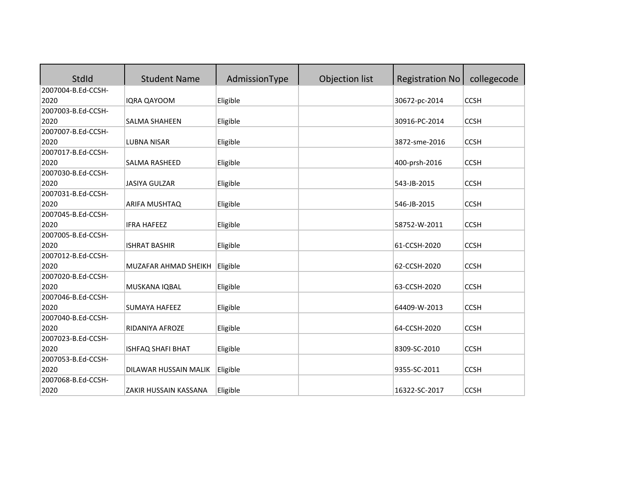| <b>StdId</b>       | <b>Student Name</b>   | AdmissionType | Objection list | <b>Registration No</b> | collegecode |
|--------------------|-----------------------|---------------|----------------|------------------------|-------------|
| 2007004-B.Ed-CCSH- |                       |               |                |                        |             |
| 2020               | IQRA QAYOOM           | Eligible      |                | 30672-pc-2014          | <b>CCSH</b> |
| 2007003-B.Ed-CCSH- |                       |               |                |                        |             |
| 2020               | SALMA SHAHEEN         | Eligible      |                | 30916-PC-2014          | <b>CCSH</b> |
| 2007007-B.Ed-CCSH- |                       |               |                |                        |             |
| 2020               | <b>LUBNA NISAR</b>    | Eligible      |                | 3872-sme-2016          | <b>CCSH</b> |
| 2007017-B.Ed-CCSH- |                       |               |                |                        |             |
| 2020               | <b>SALMA RASHEED</b>  | Eligible      |                | 400-prsh-2016          | <b>CCSH</b> |
| 2007030-B.Ed-CCSH- |                       |               |                |                        |             |
| 2020               | <b>JASIYA GULZAR</b>  | Eligible      |                | 543-JB-2015            | <b>CCSH</b> |
| 2007031-B.Ed-CCSH- |                       |               |                |                        |             |
| 2020               | ARIFA MUSHTAQ         | Eligible      |                | 546-JB-2015            | <b>CCSH</b> |
| 2007045-B.Ed-CCSH- |                       |               |                |                        |             |
| 2020               | <b>IFRA HAFEEZ</b>    | Eligible      |                | 58752-W-2011           | <b>CCSH</b> |
| 2007005-B.Ed-CCSH- |                       |               |                |                        |             |
| 2020               | <b>ISHRAT BASHIR</b>  | Eligible      |                | 61-CCSH-2020           | <b>CCSH</b> |
| 2007012-B.Ed-CCSH- |                       |               |                |                        |             |
| 2020               | MUZAFAR AHMAD SHEIKH  | Eligible      |                | 62-CCSH-2020           | <b>CCSH</b> |
| 2007020-B.Ed-CCSH- |                       |               |                |                        |             |
| 2020               | MUSKANA IQBAL         | Eligible      |                | 63-CCSH-2020           | <b>CCSH</b> |
| 2007046-B.Ed-CCSH- |                       |               |                |                        |             |
| 2020               | <b>SUMAYA HAFEEZ</b>  | Eligible      |                | 64409-W-2013           | <b>CCSH</b> |
| 2007040-B.Ed-CCSH- |                       |               |                |                        |             |
| 2020               | RIDANIYA AFROZE       | Eligible      |                | 64-CCSH-2020           | <b>CCSH</b> |
| 2007023-B.Ed-CCSH- |                       |               |                |                        |             |
| 2020               | ISHFAQ SHAFI BHAT     | Eligible      |                | 8309-SC-2010           | <b>CCSH</b> |
| 2007053-B.Ed-CCSH- |                       |               |                |                        |             |
| 2020               | DILAWAR HUSSAIN MALIK | Eligible      |                | 9355-SC-2011           | <b>CCSH</b> |
| 2007068-B.Ed-CCSH- |                       |               |                |                        |             |
| 2020               | ZAKIR HUSSAIN KASSANA | Eligible      |                | 16322-SC-2017          | <b>CCSH</b> |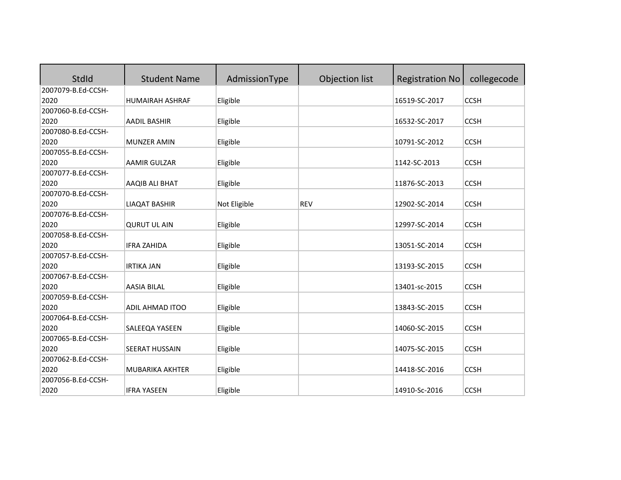| StdId              | <b>Student Name</b>    | AdmissionType | Objection list | <b>Registration No</b> | collegecode |
|--------------------|------------------------|---------------|----------------|------------------------|-------------|
| 2007079-B.Ed-CCSH- |                        |               |                |                        |             |
| 2020               | <b>HUMAIRAH ASHRAF</b> | Eligible      |                | 16519-SC-2017          | <b>CCSH</b> |
| 2007060-B.Ed-CCSH- |                        |               |                |                        |             |
| 2020               | <b>AADIL BASHIR</b>    | Eligible      |                | 16532-SC-2017          | <b>CCSH</b> |
| 2007080-B.Ed-CCSH- |                        |               |                |                        |             |
| 2020               | MUNZER AMIN            | Eligible      |                | 10791-SC-2012          | <b>CCSH</b> |
| 2007055-B.Ed-CCSH- |                        |               |                |                        |             |
| 2020               | <b>AAMIR GULZAR</b>    | Eligible      |                | 1142-SC-2013           | <b>CCSH</b> |
| 2007077-B.Ed-CCSH- |                        |               |                |                        |             |
| 2020               | AAQIB ALI BHAT         | Eligible      |                | 11876-SC-2013          | <b>CCSH</b> |
| 2007070-B.Ed-CCSH- |                        |               |                |                        |             |
| 2020               | <b>LIAQAT BASHIR</b>   | Not Eligible  | <b>REV</b>     | 12902-SC-2014          | <b>CCSH</b> |
| 2007076-B.Ed-CCSH- |                        |               |                |                        |             |
| 2020               | <b>QURUT UL AIN</b>    | Eligible      |                | 12997-SC-2014          | <b>CCSH</b> |
| 2007058-B.Ed-CCSH- |                        |               |                |                        |             |
| 2020               | <b>IFRA ZAHIDA</b>     | Eligible      |                | 13051-SC-2014          | <b>CCSH</b> |
| 2007057-B.Ed-CCSH- |                        |               |                |                        |             |
| 2020               | <b>IRTIKA JAN</b>      | Eligible      |                | 13193-SC-2015          | <b>CCSH</b> |
| 2007067-B.Ed-CCSH- |                        |               |                |                        |             |
| 2020               | <b>AASIA BILAL</b>     | Eligible      |                | 13401-sc-2015          | <b>CCSH</b> |
| 2007059-B.Ed-CCSH- |                        |               |                |                        |             |
| 2020               | ADIL AHMAD ITOO        | Eligible      |                | 13843-SC-2015          | <b>CCSH</b> |
| 2007064-B.Ed-CCSH- |                        |               |                |                        |             |
| 2020               | SALEEQA YASEEN         | Eligible      |                | 14060-SC-2015          | <b>CCSH</b> |
| 2007065-B.Ed-CCSH- |                        |               |                |                        |             |
| 2020               | <b>SEERAT HUSSAIN</b>  | Eligible      |                | 14075-SC-2015          | <b>CCSH</b> |
| 2007062-B.Ed-CCSH- |                        |               |                |                        |             |
| 2020               | <b>MUBARIKA AKHTER</b> | Eligible      |                | 14418-SC-2016          | <b>CCSH</b> |
| 2007056-B.Ed-CCSH- |                        |               |                |                        |             |
| 2020               | <b>IFRA YASEEN</b>     | Eligible      |                | 14910-Sc-2016          | <b>CCSH</b> |